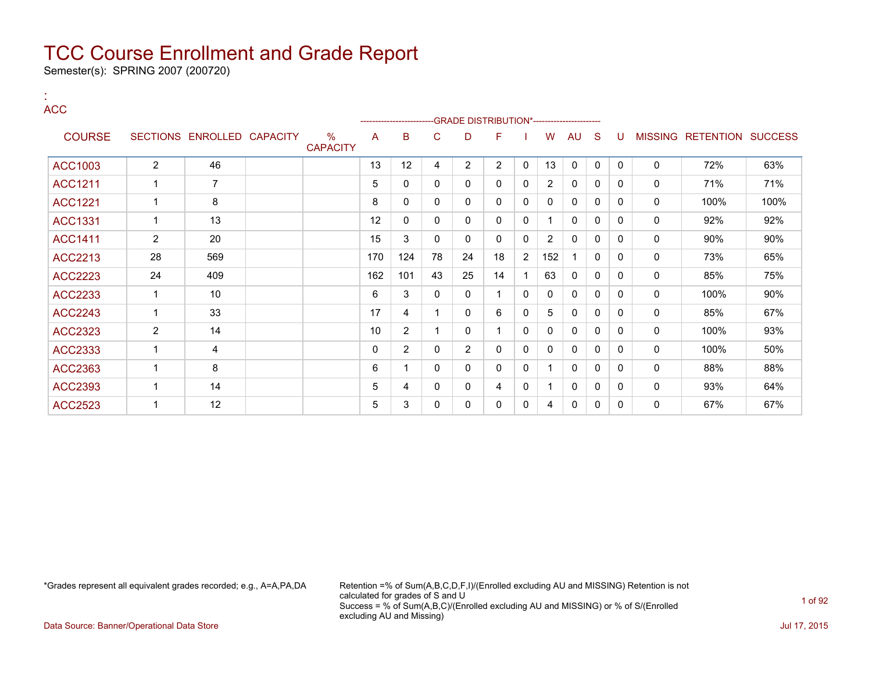Semester(s): SPRING 2007 (200720)

:

| <b>ACC</b>     |                |                            |                         |          | --------------------- |              |                | --GRADE DISTRIBUTION*----------------------- |              |                |              |              |              |              |                                  |      |
|----------------|----------------|----------------------------|-------------------------|----------|-----------------------|--------------|----------------|----------------------------------------------|--------------|----------------|--------------|--------------|--------------|--------------|----------------------------------|------|
| <b>COURSE</b>  |                | SECTIONS ENROLLED CAPACITY | $\%$<br><b>CAPACITY</b> | A        | B                     | C            | D              | F                                            |              | W              | AU           | <sub>S</sub> | U            |              | <b>MISSING RETENTION SUCCESS</b> |      |
| <b>ACC1003</b> | $\overline{2}$ | 46                         |                         | 13       | 12                    | 4            | $\overline{2}$ | $\overline{2}$                               | $\mathbf 0$  | 13             | $\mathbf 0$  | $\mathbf 0$  | $\Omega$     | $\mathsf{O}$ | 72%                              | 63%  |
| <b>ACC1211</b> | 1              | $\overline{7}$             |                         | 5        | $\mathbf{0}$          | 0            | $\mathbf{0}$   | $\mathbf{0}$                                 | 0            | $\overline{2}$ | $\mathbf{0}$ | $\mathbf{0}$ | $\Omega$     | 0            | 71%                              | 71%  |
| <b>ACC1221</b> | $\mathbf 1$    | 8                          |                         | 8        | $\mathbf{0}$          | $\mathbf{0}$ | $\Omega$       | $\mathbf{0}$                                 | 0            | $\Omega$       | 0            | $\mathbf{0}$ | $\Omega$     | 0            | 100%                             | 100% |
| <b>ACC1331</b> | $\mathbf{1}$   | 13                         |                         | 12       | $\mathbf{0}$          | $\mathbf{0}$ | $\mathbf{0}$   | $\mathbf{0}$                                 | 0            |                | $\mathbf 0$  | $\mathbf{0}$ | $\mathbf{0}$ | 0            | 92%                              | 92%  |
| <b>ACC1411</b> | $\overline{2}$ | 20                         |                         | 15       | 3                     | $\Omega$     | $\mathbf{0}$   | $\mathbf{0}$                                 | $\mathbf{0}$ | $\overline{2}$ | $\mathbf{0}$ | $\mathbf{0}$ | $\Omega$     | 0            | 90%                              | 90%  |
| <b>ACC2213</b> | 28             | 569                        |                         | 170      | 124                   | 78           | 24             | 18                                           | 2            | 152            |              | 0            | $\Omega$     | 0            | 73%                              | 65%  |
| <b>ACC2223</b> | 24             | 409                        |                         | 162      | 101                   | 43           | 25             | 14                                           |              | 63             | $\mathbf{0}$ | $\mathbf{0}$ | $\Omega$     | 0            | 85%                              | 75%  |
| ACC2233        | 1              | 10                         |                         | 6        | 3                     | $\mathbf{0}$ | $\Omega$       |                                              | 0            | $\mathbf{0}$   | 0            | $\mathbf{0}$ | $\Omega$     | 0            | 100%                             | 90%  |
| <b>ACC2243</b> | $\mathbf{1}$   | 33                         |                         | 17       | 4                     |              | $\mathbf{0}$   | 6                                            | $\mathbf{0}$ | 5              | $\mathbf{0}$ | $\mathbf{0}$ | $\Omega$     | 0            | 85%                              | 67%  |
| <b>ACC2323</b> | $\overline{2}$ | 14                         |                         | 10       | $\overline{2}$        |              | $\Omega$       |                                              | $\mathbf{0}$ | $\Omega$       | $\mathbf 0$  | $\mathbf{0}$ | $\Omega$     | 0            | 100%                             | 93%  |
| ACC2333        | $\mathbf{1}$   | 4                          |                         | $\Omega$ | 2                     | 0            | $\overline{2}$ | 0                                            | 0            | 0              | 0            | 0            | $\Omega$     | 0            | 100%                             | 50%  |
| ACC2363        | $\mathbf{1}$   | 8                          |                         | 6        |                       | $\Omega$     | $\mathbf{0}$   | $\mathbf{0}$                                 | 0            |                | $\mathbf 0$  | $\mathbf{0}$ | $\Omega$     | 0            | 88%                              | 88%  |
| ACC2393        | $\mathbf{1}$   | 14                         |                         | 5        | 4                     | $\mathbf{0}$ | $\mathbf{0}$   | 4                                            | 0            |                | $\mathbf 0$  | 0            | $\Omega$     | 0            | 93%                              | 64%  |
| <b>ACC2523</b> | $\mathbf 1$    | 12                         |                         | 5        | 3                     | 0            | $\mathbf{0}$   | $\mathbf{0}$                                 | $\mathbf{0}$ | 4              | $\mathbf{0}$ | 0            | $\Omega$     | 0            | 67%                              | 67%  |

\*Grades represent all equivalent grades recorded; e.g., A=A,PA,DA Retention =% of Sum(A,B,C,D,F,I)/(Enrolled excluding AU and MISSING) Retention is not calculated for grades of S and U Success = % of Sum(A,B,C)/(Enrolled excluding AU and MISSING) or % of S/(Enrolled excluding AU and Missing)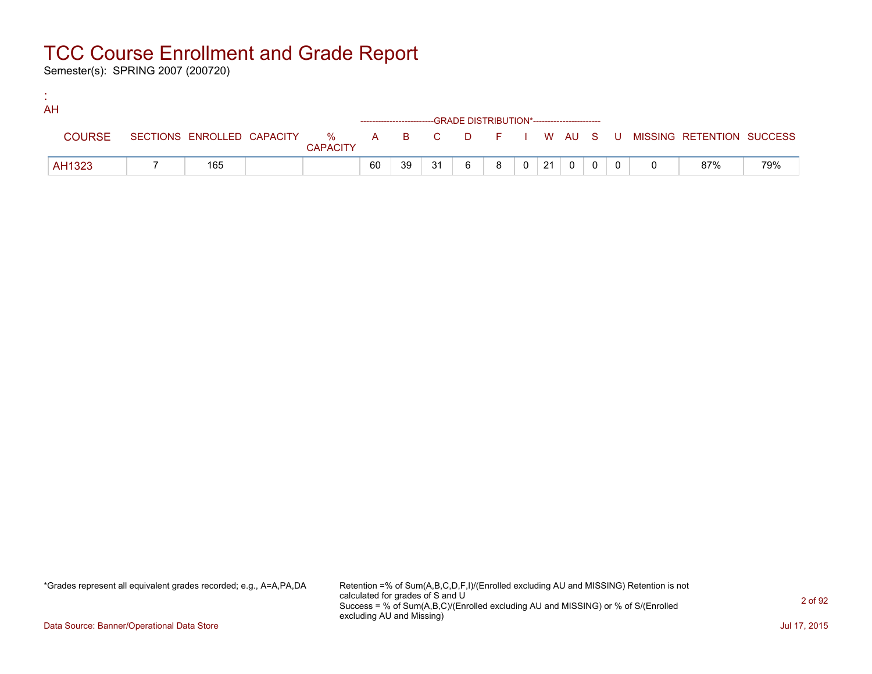Semester(s): SPRING 2007 (200720)

:

| AH |               |     |                 |    |    |                                                                    |   |   |                    |                |  |                                                                             |     |
|----|---------------|-----|-----------------|----|----|--------------------------------------------------------------------|---|---|--------------------|----------------|--|-----------------------------------------------------------------------------|-----|
|    |               |     |                 |    |    | ------------------------GRADE DISTRIBUTION*----------------------- |   |   |                    |                |  |                                                                             |     |
|    | <b>COURSE</b> |     | <b>CAPACITY</b> |    |    |                                                                    |   |   |                    |                |  | SECTIONS ENROLLED CAPACITY % A B C D F I W AU S U MISSING RETENTION SUCCESS |     |
|    | AH1323        | 165 |                 | 60 | 39 | 31                                                                 | 6 | 8 | $0 \mid 21 \mid 0$ | $\overline{0}$ |  | 87%                                                                         | 79% |

\*Grades represent all equivalent grades recorded; e.g., A=A,PA,DA Retention =% of Sum(A,B,C,D,F,I)/(Enrolled excluding AU and MISSING) Retention is not calculated for grades of S and U Success = % of Sum(A,B,C)/(Enrolled excluding AU and MISSING) or % of S/(Enrolled excluding AU and Missing)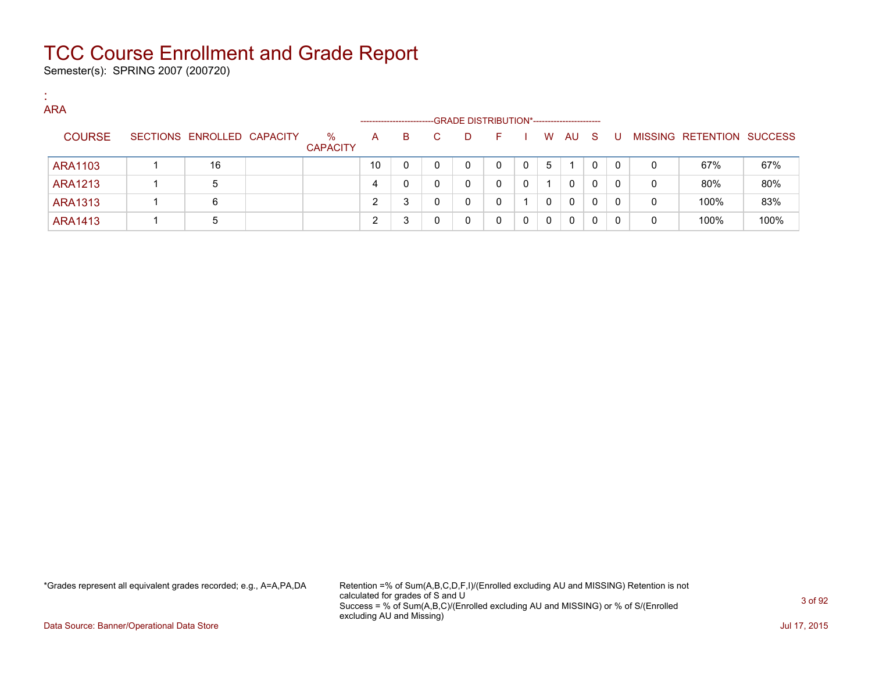Semester(s): SPRING 2007 (200720)

:

| <b>ARA</b>     |                            |                         |              |                         |    |   |                                             |   |   |              |    |              |   |                   |                |
|----------------|----------------------------|-------------------------|--------------|-------------------------|----|---|---------------------------------------------|---|---|--------------|----|--------------|---|-------------------|----------------|
|                |                            |                         |              | ----------------------- |    |   | -GRADE DISTRIBUTION*----------------------- |   |   |              |    |              |   |                   |                |
| <b>COURSE</b>  | SECTIONS ENROLLED CAPACITY | $\%$<br><b>CAPACITY</b> | $\mathsf{A}$ | B                       | C. | D | н                                           |   | W | AU           | -S | - U -        |   | MISSING RETENTION | <b>SUCCESS</b> |
| <b>ARA1103</b> | 16                         |                         | 10           |                         |    | 0 |                                             | 0 | 5 |              | 0  | $\Omega$     | 0 | 67%               | 67%            |
| <b>ARA1213</b> | 5                          |                         | 4            |                         |    | 0 |                                             | 0 |   | 0            | 0  | 0            | 0 | 80%               | 80%            |
| <b>ARA1313</b> | 6                          |                         | 2            |                         |    | 0 |                                             |   | 0 | $\mathbf{0}$ | 0  | $\mathbf{0}$ | 0 | 100%              | 83%            |
| <b>ARA1413</b> | $\mathbf b$                |                         |              |                         |    | 0 |                                             | 0 | 0 | $\mathbf{0}$ | 0  |              |   | 100%              | 100%           |

\*Grades represent all equivalent grades recorded; e.g., A=A,PA,DA Retention =% of Sum(A,B,C,D,F,I)/(Enrolled excluding AU and MISSING) Retention is not calculated for grades of S and U Success = % of Sum(A,B,C)/(Enrolled excluding AU and MISSING) or % of S/(Enrolled excluding AU and Missing)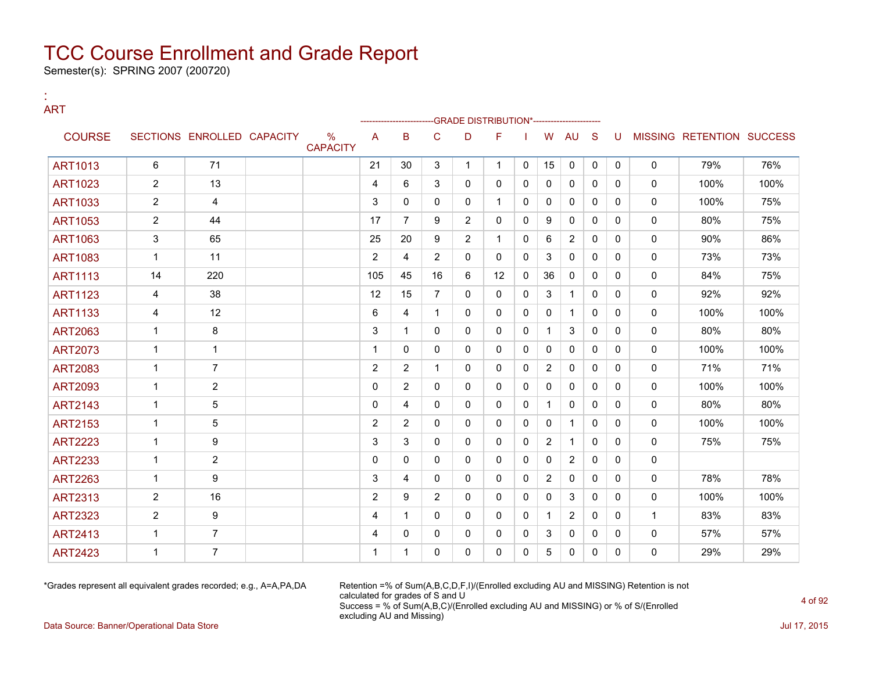Semester(s): SPRING 2007 (200720)

:

### ART --GRADE DISTRIBUTION\*-----------------------COURSE SECTIONS ENROLLED CAPACITY % **CAPACITY** A B C D F I W AU S U MISSING RETENTION SUCCESS ART1013 | 6 | 71 | | 21 | 30 | 3 | 1 | 1 | 0 | 15 | 0 | 0 | 0 | 0 | 79% | 76% ART1023 | 2 | 13 | | | 4 | 6 | 3 | 0 | 0 | 0 | 0 | 0 | 0 | 0 | 100% | 100% ART1033 2 4 3 0 0 0 1 0 0 0 0 0 0 100% 75% ART1053 | 2 | 44 | | 17 | 7 | 9 | 2 | 0 | 0 | 9 | 0 | 0 | 0 | 80% | 75% ART1063 | 3 | 65 | | 25 | 20 | 9 | 2 | 1 | 0 | 6 | 2 | 0 | 0 | 0 | 90% | 86% ART1083 | 1 | 11 | | 2 | 4 | 2 | 0 | 0 | 3 | 0 | 0 | 0 | 0 | 73% | 73% ART1113 | 14 | 220 | | 105 | 45 | 16 | 6 | 12 | 0 | 36 | 0 | 0 | 0 | 0 | 84% | 75% ART1123 | 4 | 38 | | 12 | 15 | 7 | 0 | 0 | 3 | 1 | 0 | 0 | 0 | 92% | 92% ART1133 | 4 | 12 | | |6 |4 | 1 | 0 | 0 |0 |1 |0 |0 | 0 | 100% | 100% ART2063 1 8 3 1 0 0 0 0 1 3 0 0 0 80% 80% ART2073 1 1 1 0 0 0 0 0 0 0 0 0 0 100% 100% ART2083 | 1 | 7 | | 2 | 2 | 1 | 0 | 0 | 0 | 2 | 0 | 0 | 0 | 71% | 71% | 71% ART2093 | 1 | 2 | | 0 |2 | 0 |0 |0 |0 |0 |0 |0 | 100% | 100% ART2143 | 1 | 5 | | 0 | 4 | 0 | 0 | 0 | 1 | 0 | 0 | 0 | 80% | 80% ART2153 | 1 | 5 | | | 2 |2 |0 |0 |0 |0 |1 |0 |0 | 0 | 100% | 100% ART2223 | 1 | 9 | | 3 | 3 | 0 | 0 | 0 | 2 | 1 | 0 | 0 | 0 | 75% | 75% ART2233 1 2 0 0 0 0 0 0 0 2 0 0 0 ART2263 | 1 | 9 | | 3 |4 | 0 | 0 | 0 | 2 | 0 | 0 | 0 | 78% | 78% | 78% ART2313 | 2 | 16 | | | | | 2 | 9 | 2 | 0 | 0 | 0 | 0 | 0 | 0 | 0 | 100% | 100% ART2323 | 2 | 9 | | 4 | 1 | 0 | 0 | 0 | 0 | 1 | 2 | 0 | 0 | 1 | 83% | 83% ART2413 1 7 4 0 0 0 0 0 3 0 0 0 0 57% 57% ART2423 1 7 1 1 0 0 0 0 5 0 0 0 0 29% 29%

\*Grades represent all equivalent grades recorded; e.g., A=A,PA,DA Retention =% of Sum(A,B,C,D,F,I)/(Enrolled excluding AU and MISSING) Retention is not calculated for grades of S and U Success = % of Sum(A,B,C)/(Enrolled excluding AU and MISSING) or % of S/(Enrolled excluding AU and Missing)

Data Source: Banner/Operational Data Store **July 17, 2015**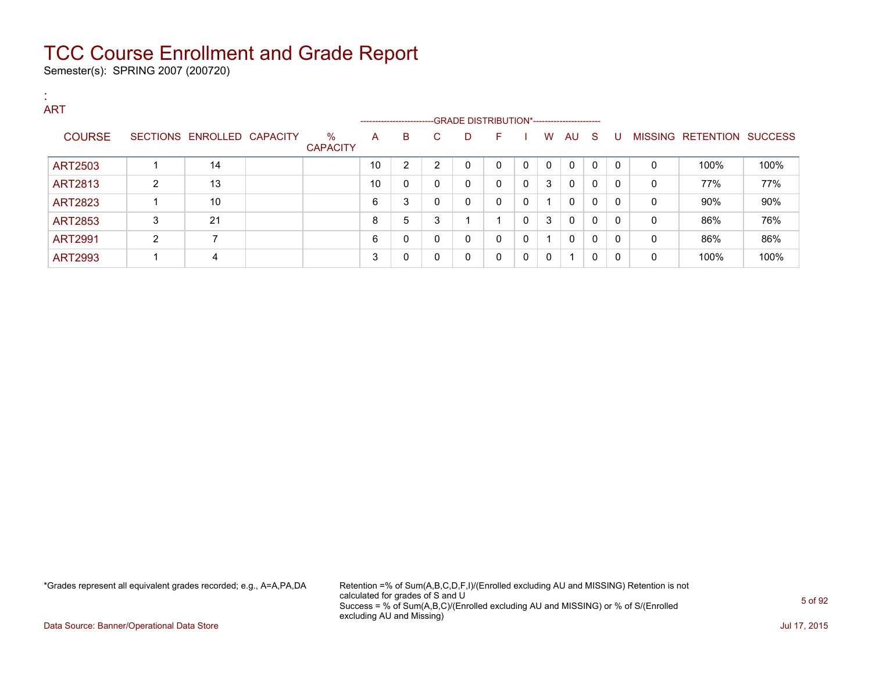Semester(s): SPRING 2007 (200720)

| л.<br><b>A</b><br><b>ART</b> |                |                            |                         |    |                |          |                                                                      |              |              |          |             |              |              |              |                           |      |
|------------------------------|----------------|----------------------------|-------------------------|----|----------------|----------|----------------------------------------------------------------------|--------------|--------------|----------|-------------|--------------|--------------|--------------|---------------------------|------|
|                              |                |                            |                         |    |                |          | --------------------------GRADE DISTRIBUTION*----------------------- |              |              |          |             |              |              |              |                           |      |
| <b>COURSE</b>                |                | SECTIONS ENROLLED CAPACITY | $\%$<br><b>CAPACITY</b> | A  | B              | C.       | D                                                                    | F.           |              | W        | AU S        |              | - U          |              | MISSING RETENTION SUCCESS |      |
| ART2503                      |                | 14                         |                         | 10 | $\overline{2}$ | 2        | 0                                                                    | $\mathbf{0}$ | $\mathbf{0}$ | $\Omega$ | $\mathbf 0$ | $\mathbf{0}$ | $\Omega$     | 0            | 100%                      | 100% |
| <b>ART2813</b>               | $\overline{2}$ | 13                         |                         | 10 | 0              | 0        | 0                                                                    | $\mathbf{0}$ | $\mathbf{0}$ | 3        | 0           | 0            | $\Omega$     | 0            | 77%                       | 77%  |
| <b>ART2823</b>               |                | 10                         |                         | 6  | 3              | 0        | 0                                                                    | $\mathbf{0}$ | 0            |          | $\mathbf 0$ | 0            | $\Omega$     | 0            | 90%                       | 90%  |
| <b>ART2853</b>               | 3              | 21                         |                         | 8  | 5              | 3        |                                                                      |              | 0            | 3        | 0           | $\mathbf{0}$ | $\mathbf{0}$ | 0            | 86%                       | 76%  |
| <b>ART2991</b>               | $\overline{2}$ | 7                          |                         | 6  | 0              | $\Omega$ | 0                                                                    | $\mathbf 0$  | 0            |          | $\Omega$    | 0            | $\Omega$     | $\mathbf{0}$ | 86%                       | 86%  |
| <b>ART2993</b>               |                | 4                          |                         | 3  | 0              |          | 0                                                                    | 0            | 0            | 0        |             | 0            | $\Omega$     | 0            | 100%                      | 100% |

\*Grades represent all equivalent grades recorded; e.g., A=A,PA,DA Retention =% of Sum(A,B,C,D,F,I)/(Enrolled excluding AU and MISSING) Retention is not calculated for grades of S and U Success = % of Sum(A,B,C)/(Enrolled excluding AU and MISSING) or % of S/(Enrolled excluding AU and Missing)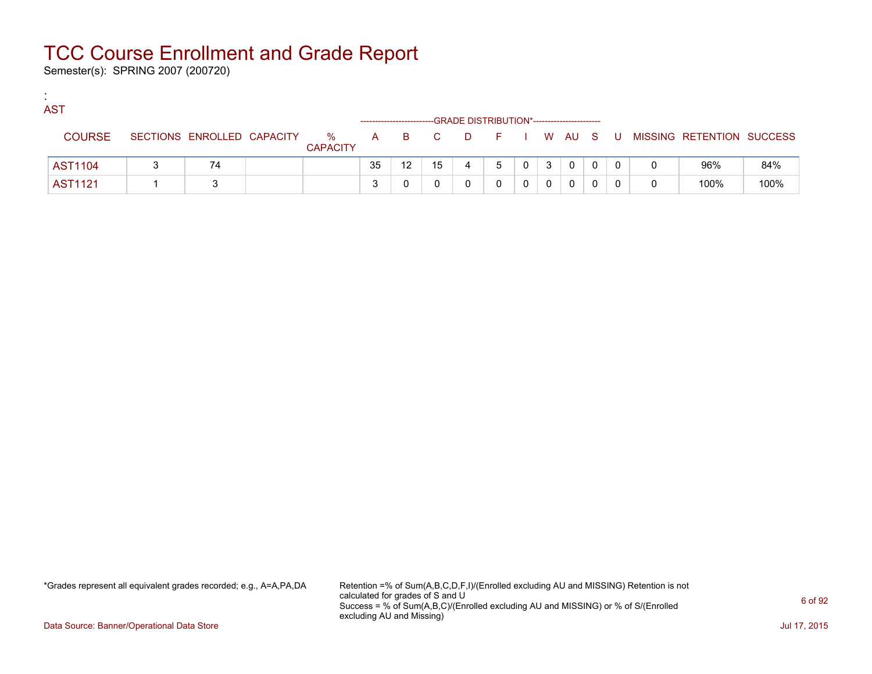Semester(s): SPRING 2007 (200720)

:

| <b>COL</b> | <b>AST</b>     |                            |                      |    |                  |    | -GRADE DISTRIBUTION*----------------------- |        |       |   |   |     |                           |      |
|------------|----------------|----------------------------|----------------------|----|------------------|----|---------------------------------------------|--------|-------|---|---|-----|---------------------------|------|
|            | <b>COURSE</b>  | SECTIONS ENROLLED CAPACITY | %<br><b>CAPACITY</b> | A  | $\overline{B}$ C |    | D.                                          | FIWAUS |       |   |   | - U | MISSING RETENTION SUCCESS |      |
|            | <b>AST1104</b> | 74                         |                      | 35 | 12 <sup>2</sup>  | 15 | 4                                           | 5      | $0-1$ | 3 | 0 |     | 96%                       | 84%  |
|            | <b>AST1121</b> |                            |                      | ິ  |                  |    |                                             |        |       |   |   |     | 100%                      | 100% |

\*Grades represent all equivalent grades recorded; e.g., A=A,PA,DA Retention =% of Sum(A,B,C,D,F,I)/(Enrolled excluding AU and MISSING) Retention is not calculated for grades of S and U Success = % of Sum(A,B,C)/(Enrolled excluding AU and MISSING) or % of S/(Enrolled excluding AU and Missing)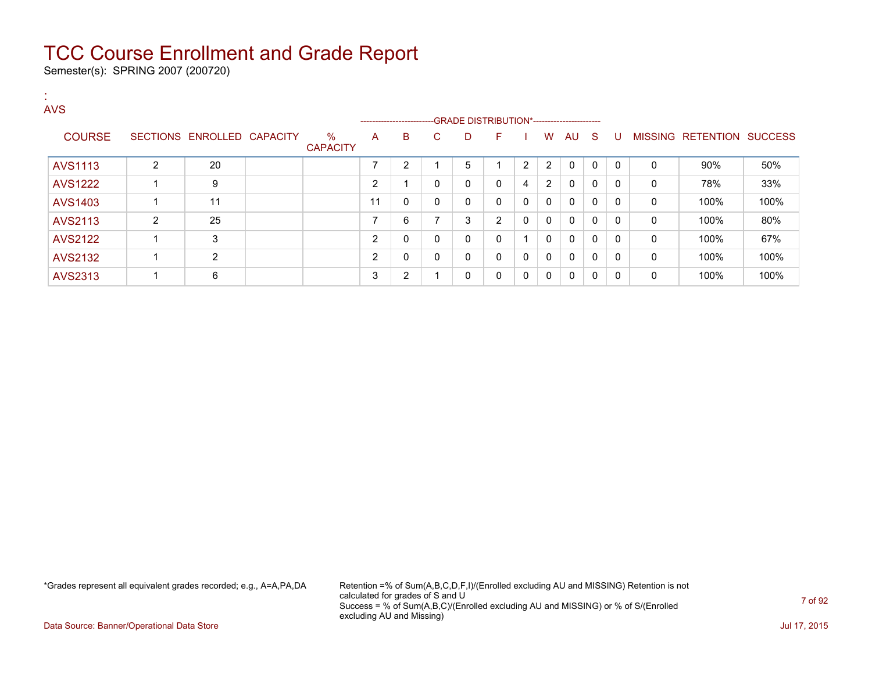Semester(s): SPRING 2007 (200720)

| <b>AVS</b>     |                |                            |                         |    |                         |                |                                              |              |                |          |              |              |          |              |                   |                |
|----------------|----------------|----------------------------|-------------------------|----|-------------------------|----------------|----------------------------------------------|--------------|----------------|----------|--------------|--------------|----------|--------------|-------------------|----------------|
|                |                |                            |                         |    | ----------------------- |                | --GRADE DISTRIBUTION*----------------------- |              |                |          |              |              |          |              |                   |                |
| <b>COURSE</b>  |                | SECTIONS ENROLLED CAPACITY | $\%$<br><b>CAPACITY</b> | A  | B                       | C              | D                                            | F            |                | W        | AU           | -S           | U        |              | MISSING RETENTION | <b>SUCCESS</b> |
| <b>AVS1113</b> | 2              | 20                         |                         | ⇁  | 2                       |                | 5                                            |              | $\overline{2}$ | 2        | 0            | $\mathbf{0}$ | $\Omega$ | $\Omega$     | 90%               | 50%            |
| <b>AVS1222</b> |                | 9                          |                         | ົ  |                         | $\mathbf{0}$   | 0                                            | $\mathbf{0}$ | 4              | 2        | 0            | 0            | $\Omega$ | 0            | 78%               | 33%            |
| AVS1403        |                | 11                         |                         | 11 | 0                       | 0              | 0                                            | $\mathbf{0}$ | 0              | 0        | 0            | 0            | $\Omega$ | $\mathbf{0}$ | 100%              | 100%           |
| AVS2113        | $\overline{2}$ | 25                         |                         | ⇁  | 6                       | $\overline{ }$ | 3                                            | 2            | 0              | 0        | 0            | 0            | $\Omega$ | 0            | 100%              | 80%            |
| <b>AVS2122</b> |                | 3                          |                         | 2  | 0                       | 0              | 0                                            | $\mathbf{0}$ |                | 0        | 0            | $\mathbf{0}$ | $\Omega$ | $\mathbf{0}$ | 100%              | 67%            |
| <b>AVS2132</b> |                | 2                          |                         | C  | 0                       | 0              | 0                                            | 0            | 0              | 0        | 0            | $\mathbf{0}$ | $\Omega$ | 0            | 100%              | 100%           |
| <b>AVS2313</b> |                | 6                          |                         | 3  | 2                       |                | $\mathbf{0}$                                 | $\mathbf{0}$ | 0              | $\Omega$ | $\mathbf{0}$ | 0            | $\Omega$ | $\Omega$     | 100%              | 100%           |

\*Grades represent all equivalent grades recorded; e.g., A=A,PA,DA Retention =% of Sum(A,B,C,D,F,I)/(Enrolled excluding AU and MISSING) Retention is not calculated for grades of S and U Success = % of Sum(A,B,C)/(Enrolled excluding AU and MISSING) or % of S/(Enrolled excluding AU and Missing)

Data Source: Banner/Operational Data Store **July 17, 2015**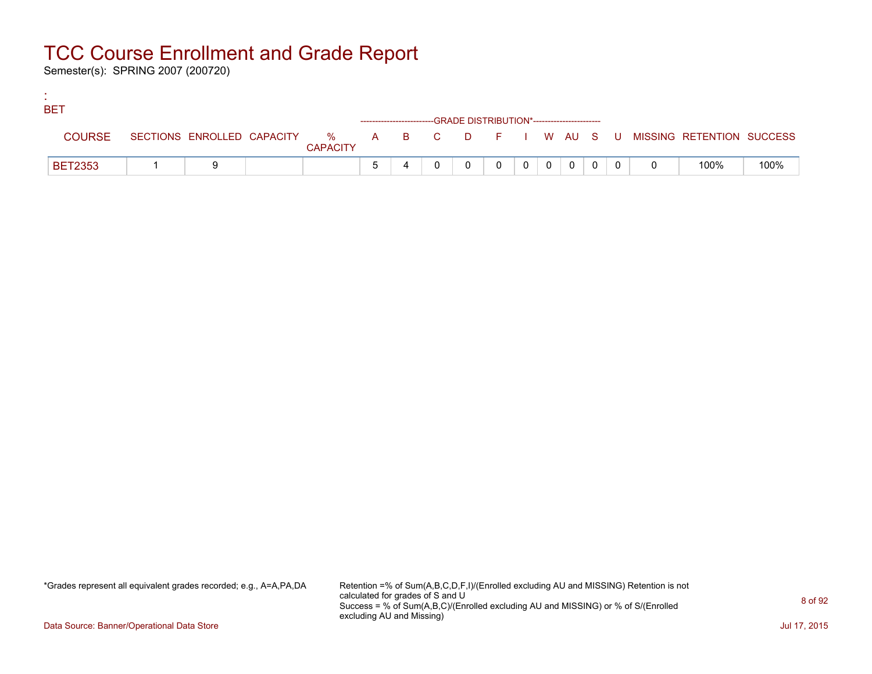Semester(s): SPRING 2007 (200720)

:

| <b>BET</b>     |  |                 |  |                                                                    |  |   |                |  |                                                                             |      |
|----------------|--|-----------------|--|--------------------------------------------------------------------|--|---|----------------|--|-----------------------------------------------------------------------------|------|
|                |  |                 |  | ------------------------GRADE DISTRIBUTION*----------------------- |  |   |                |  |                                                                             |      |
| <b>COURSE</b>  |  | <b>CAPACITY</b> |  |                                                                    |  |   |                |  | SECTIONS ENROLLED CAPACITY % A B C D F I W AU S U MISSING RETENTION SUCCESS |      |
| <b>BET2353</b> |  |                 |  |                                                                    |  | റ | $\overline{0}$ |  | 100%                                                                        | 100% |

\*Grades represent all equivalent grades recorded; e.g., A=A,PA,DA Retention =% of Sum(A,B,C,D,F,I)/(Enrolled excluding AU and MISSING) Retention is not calculated for grades of S and U Success = % of Sum(A,B,C)/(Enrolled excluding AU and MISSING) or % of S/(Enrolled excluding AU and Missing)

Data Source: Banner/Operational Data Store **July 17, 2015**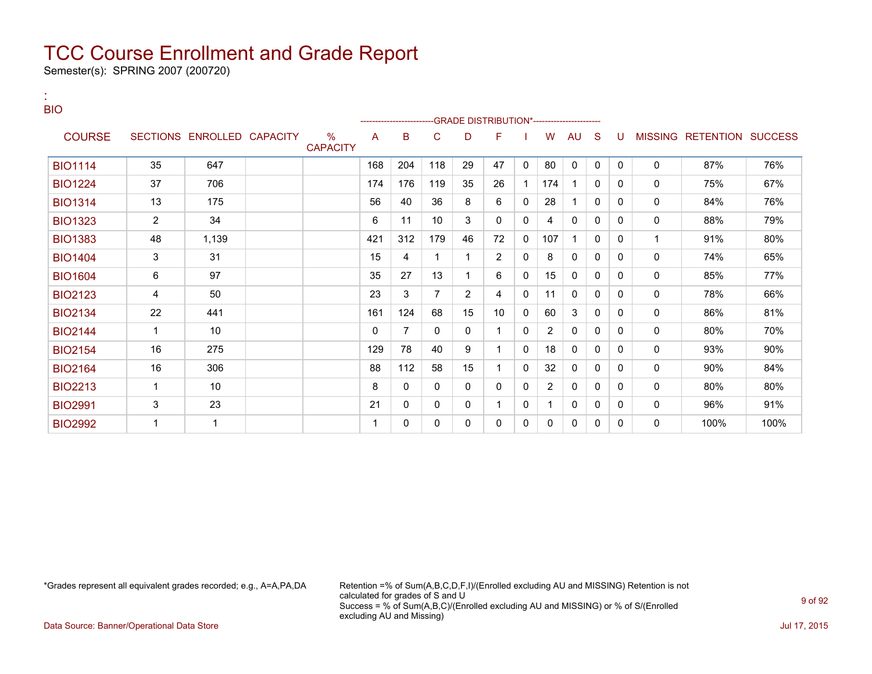Semester(s): SPRING 2007 (200720)

:

| <b>BIO</b>     |                |                            |                         |     | -------------------------GRADE                DISTRIBUTION*--------------------- |          |                |                |          |                |              |              |              |              |                           |      |
|----------------|----------------|----------------------------|-------------------------|-----|----------------------------------------------------------------------------------|----------|----------------|----------------|----------|----------------|--------------|--------------|--------------|--------------|---------------------------|------|
| <b>COURSE</b>  |                | SECTIONS ENROLLED CAPACITY | $\%$<br><b>CAPACITY</b> | A   | B                                                                                | C        | D              | F              |          | W              | AU           | S            | U            |              | MISSING RETENTION SUCCESS |      |
| <b>BIO1114</b> | 35             | 647                        |                         | 168 | 204                                                                              | 118      | 29             | 47             | 0        | 80             | 0            | $\mathbf{0}$ | $\Omega$     | $\mathbf 0$  | 87%                       | 76%  |
| <b>BIO1224</b> | 37             | 706                        |                         | 174 | 176                                                                              | 119      | 35             | 26             |          | 174            |              | 0            | $\mathbf{0}$ | $\mathbf 0$  | 75%                       | 67%  |
| <b>BIO1314</b> | 13             | 175                        |                         | 56  | 40                                                                               | 36       | 8              | 6              | $\Omega$ | 28             |              | 0            | $\Omega$     | $\mathbf{0}$ | 84%                       | 76%  |
| <b>BIO1323</b> | $\overline{2}$ | 34                         |                         | 6   | 11                                                                               | 10       | 3              | 0              | 0        | 4              | $\mathbf{0}$ | 0            | $\Omega$     | 0            | 88%                       | 79%  |
| <b>BIO1383</b> | 48             | 1,139                      |                         | 421 | 312                                                                              | 179      | 46             | 72             | 0        | 107            |              | 0            | 0            | 1            | 91%                       | 80%  |
| <b>BIO1404</b> | 3              | 31                         |                         | 15  | 4                                                                                |          | 1.             | $\overline{2}$ | 0        | 8              | 0            | 0            | $\Omega$     | $\mathbf 0$  | 74%                       | 65%  |
| <b>BIO1604</b> | 6              | 97                         |                         | 35  | 27                                                                               | 13       |                | 6              | 0        | 15             | $\mathbf{0}$ | 0            | 0            | $\mathbf{0}$ | 85%                       | 77%  |
| <b>BIO2123</b> | 4              | 50                         |                         | 23  | 3                                                                                | 7        | $\overline{2}$ | 4              | 0        | 11             | 0            | 0            | $\Omega$     | $\mathbf{0}$ | 78%                       | 66%  |
| <b>BIO2134</b> | 22             | 441                        |                         | 161 | 124                                                                              | 68       | 15             | 10             | $\Omega$ | 60             | 3            | 0            | $\Omega$     | $\mathbf 0$  | 86%                       | 81%  |
| <b>BIO2144</b> | $\mathbf{1}$   | 10                         |                         | 0   | 7                                                                                | 0        | 0              | 1              | $\Omega$ | $\overline{2}$ | $\mathbf{0}$ | 0            | $\mathbf{0}$ | $\mathbf 0$  | 80%                       | 70%  |
| <b>BIO2154</b> | 16             | 275                        |                         | 129 | 78                                                                               | 40       | 9              | 1.             | 0        | 18             | 0            | 0            | $\Omega$     | $\mathbf 0$  | 93%                       | 90%  |
| <b>BIO2164</b> | 16             | 306                        |                         | 88  | 112                                                                              | 58       | 15             | 1              | 0        | 32             | 0            | 0            | $\Omega$     | $\mathbf 0$  | 90%                       | 84%  |
| <b>BIO2213</b> | $\mathbf{1}$   | 10                         |                         | 8   | 0                                                                                | $\Omega$ | 0              | 0              | 0        | $\overline{2}$ | $\mathbf{0}$ | 0            | $\Omega$     | $\mathbf 0$  | 80%                       | 80%  |
| <b>BIO2991</b> | 3              | 23                         |                         | 21  | 0                                                                                | $\Omega$ | 0              | 1              | 0        | 1              | $\mathbf{0}$ | 0            | $\Omega$     | $\mathbf 0$  | 96%                       | 91%  |
| <b>BIO2992</b> | 1              | 1                          |                         |     | 0                                                                                | 0        | 0              | 0              | 0        | 0              | 0            | 0            | 0            | $\mathbf 0$  | 100%                      | 100% |

\*Grades represent all equivalent grades recorded; e.g., A=A,PA,DA Retention =% of Sum(A,B,C,D,F,I)/(Enrolled excluding AU and MISSING) Retention is not calculated for grades of S and U Success = % of Sum(A,B,C)/(Enrolled excluding AU and MISSING) or % of S/(Enrolled excluding AU and Missing)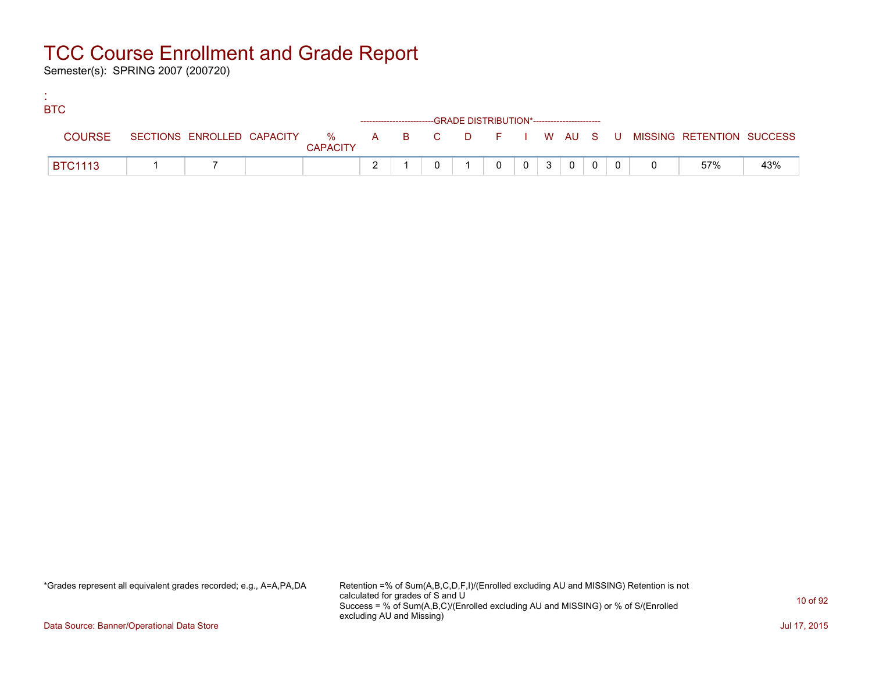Semester(s): SPRING 2007 (200720)

:

| <b>BTC</b> |                |  |                 |  |                                                                    |   |                 |                |                |  |                                                                               |     |
|------------|----------------|--|-----------------|--|--------------------------------------------------------------------|---|-----------------|----------------|----------------|--|-------------------------------------------------------------------------------|-----|
|            |                |  |                 |  | ------------------------GRADE DISTRIBUTION*----------------------- |   |                 |                |                |  |                                                                               |     |
|            | <b>COURSE</b>  |  | <b>CAPACITY</b> |  |                                                                    |   |                 |                |                |  | SECTIONS ENROLLED CAPACITY 5 % A B C D F I W AU S U MISSING RETENTION SUCCESS |     |
|            | <b>BTC1113</b> |  |                 |  |                                                                    | 0 | $0 \mid 3 \mid$ | $\overline{0}$ | $\overline{0}$ |  | 57%                                                                           | 43% |

\*Grades represent all equivalent grades recorded; e.g., A=A,PA,DA Retention =% of Sum(A,B,C,D,F,I)/(Enrolled excluding AU and MISSING) Retention is not calculated for grades of S and U Success = % of Sum(A,B,C)/(Enrolled excluding AU and MISSING) or % of S/(Enrolled excluding AU and Missing)

Data Source: Banner/Operational Data Store Jul 17, 2015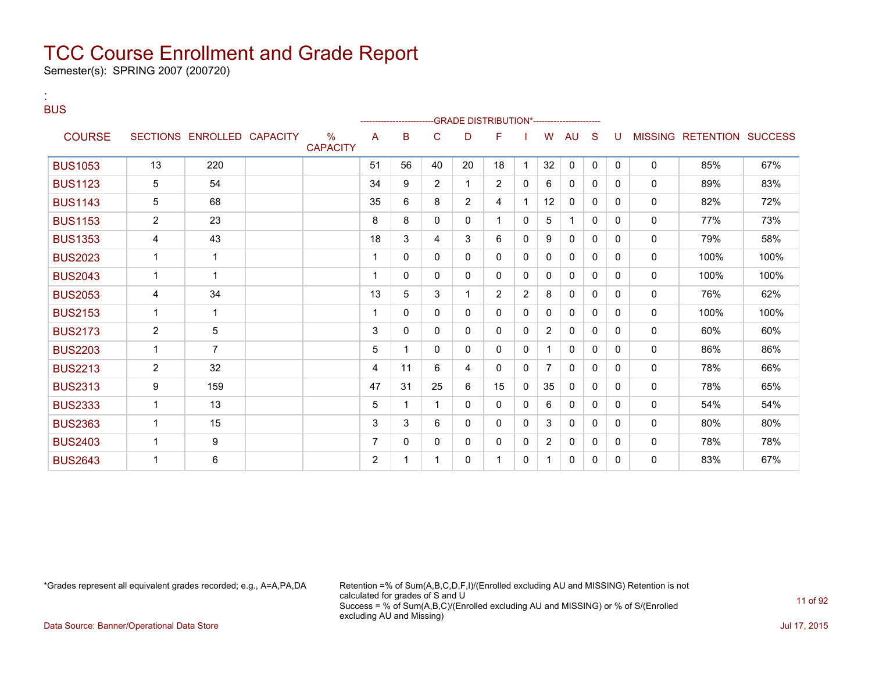Semester(s): SPRING 2007 (200720)

| <b>BUS</b>     |                |                            |                         |    | --------------------- |                | -GRADE DISTRIBUTION*----------------------- |                |                |                |              |              |              |              |                           |      |
|----------------|----------------|----------------------------|-------------------------|----|-----------------------|----------------|---------------------------------------------|----------------|----------------|----------------|--------------|--------------|--------------|--------------|---------------------------|------|
| <b>COURSE</b>  |                | SECTIONS ENROLLED CAPACITY | $\%$<br><b>CAPACITY</b> | A  | B                     | C              | D                                           | F              |                | W              | AU           | -S           | U            |              | MISSING RETENTION SUCCESS |      |
| <b>BUS1053</b> | 13             | 220                        |                         | 51 | 56                    | 40             | 20                                          | 18             | 1              | 32             | 0            | $\mathbf{0}$ | $\mathbf{0}$ | $\mathbf{0}$ | 85%                       | 67%  |
| <b>BUS1123</b> | 5              | 54                         |                         | 34 | 9                     | $\overline{2}$ | 1                                           | 2              | 0              | 6              | $\mathbf{0}$ | $\Omega$     | $\Omega$     | $\mathbf{0}$ | 89%                       | 83%  |
| <b>BUS1143</b> | 5              | 68                         |                         | 35 | 6                     | 8              | $\overline{2}$                              | 4              |                | 12             | 0            | $\Omega$     | $\mathbf{0}$ | $\mathbf 0$  | 82%                       | 72%  |
| <b>BUS1153</b> | $\overline{2}$ | 23                         |                         | 8  | 8                     | $\mathbf{0}$   | 0                                           | 1              | 0              | 5              | 1            | 0            | 0            | 0            | 77%                       | 73%  |
| <b>BUS1353</b> | 4              | 43                         |                         | 18 | 3                     | 4              | 3                                           | 6              | 0              | 9              | $\mathbf{0}$ | 0            | $\Omega$     | 0            | 79%                       | 58%  |
| <b>BUS2023</b> | $\mathbf 1$    | 1                          |                         |    | 0                     | 0              | 0                                           | $\mathbf{0}$   | 0              | 0              | $\mathbf{0}$ | $\Omega$     | $\Omega$     | $\mathbf{0}$ | 100%                      | 100% |
| <b>BUS2043</b> | $\mathbf 1$    | 1                          |                         |    | 0                     | $\mathbf{0}$   | 0                                           | $\mathbf{0}$   | 0              | 0              | $\mathbf{0}$ | 0            | 0            | $\mathbf{0}$ | 100%                      | 100% |
| <b>BUS2053</b> | 4              | 34                         |                         | 13 | 5                     | 3              | $\mathbf{1}$                                | $\overline{2}$ | $\overline{2}$ | 8              | 0            | 0            | 0            | 0            | 76%                       | 62%  |
| <b>BUS2153</b> | $\mathbf{1}$   | $\mathbf{1}$               |                         | 1  | 0                     | $\Omega$       | 0                                           | $\mathbf{0}$   | 0              | 0              | $\mathbf{0}$ | 0            | $\Omega$     | 0            | 100%                      | 100% |
| <b>BUS2173</b> | 2              | 5                          |                         | 3  | 0                     | $\Omega$       | 0                                           | $\Omega$       | $\Omega$       | $\overline{2}$ | $\mathbf{0}$ | 0            | $\Omega$     | 0            | 60%                       | 60%  |
| <b>BUS2203</b> | $\mathbf{1}$   | $\overline{7}$             |                         | 5  | 1                     | 0              | 0                                           | $\mathbf{0}$   | 0              | 1              | $\mathbf{0}$ | 0            | $\Omega$     | 0            | 86%                       | 86%  |
| <b>BUS2213</b> | 2              | 32                         |                         | 4  | 11                    | 6              | 4                                           | $\mathbf{0}$   | $\Omega$       | $\overline{7}$ | $\mathbf{0}$ | $\Omega$     | $\mathbf{0}$ | $\mathbf 0$  | 78%                       | 66%  |
| <b>BUS2313</b> | 9              | 159                        |                         | 47 | 31                    | 25             | 6                                           | 15             | 0              | 35             | 0            | 0            | $\Omega$     | 0            | 78%                       | 65%  |
| <b>BUS2333</b> | 1              | 13                         |                         | 5  | 1                     | 1              | 0                                           | 0              | 0              | 6              | $\mathbf{0}$ | 0            | $\Omega$     | 0            | 54%                       | 54%  |
| <b>BUS2363</b> | $\mathbf 1$    | 15                         |                         | 3  | 3                     | 6              | 0                                           | 0              | $\Omega$       | 3              | 0            | 0            | $\Omega$     | $\mathbf{0}$ | 80%                       | 80%  |
| <b>BUS2403</b> | 1              | 9                          |                         | 7  | 0                     | 0              | $\Omega$                                    | $\mathbf{0}$   | 0              | $\overline{2}$ | 0            | 0            | $\Omega$     | $\mathbf{0}$ | 78%                       | 78%  |
| <b>BUS2643</b> | 1              | 6                          |                         | 2  | 1                     | 1              | 0                                           | 1              | 0              | 1              | $\mathbf{0}$ | 0            | 0            | $\mathbf{0}$ | 83%                       | 67%  |

:

\*Grades represent all equivalent grades recorded; e.g., A=A,PA,DA Retention =% of Sum(A,B,C,D,F,I)/(Enrolled excluding AU and MISSING) Retention is not calculated for grades of S and U Success = % of Sum(A,B,C)/(Enrolled excluding AU and MISSING) or % of S/(Enrolled excluding AU and Missing)

Data Source: Banner/Operational Data Store **July 17, 2015**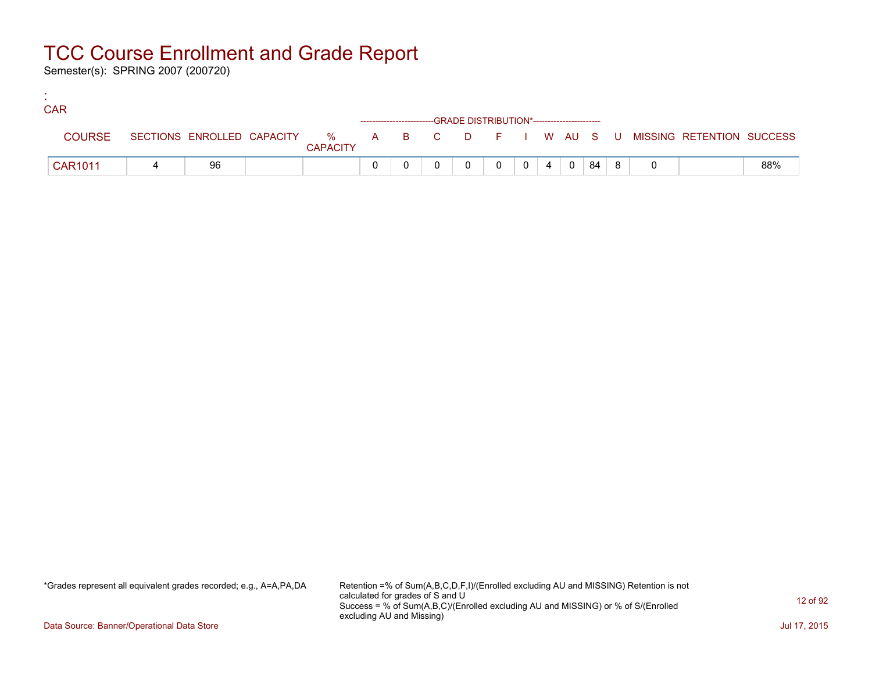Semester(s): SPRING 2007 (200720)

:

| <b>CAR</b>     |    |                 |  |                                                                    |  |                 |              |     |  |                                                                             |     |
|----------------|----|-----------------|--|--------------------------------------------------------------------|--|-----------------|--------------|-----|--|-----------------------------------------------------------------------------|-----|
|                |    |                 |  | ------------------------GRADE DISTRIBUTION*----------------------- |  |                 |              |     |  |                                                                             |     |
| <b>COURSE</b>  |    | <b>CAPACITY</b> |  |                                                                    |  |                 |              |     |  | SECTIONS ENROLLED CAPACITY % A B C D F I W AU S U MISSING RETENTION SUCCESS |     |
| <b>CAR1011</b> | 96 |                 |  |                                                                    |  | $0 \mid 4 \mid$ | $\mathbf{0}$ | -84 |  |                                                                             | 88% |

\*Grades represent all equivalent grades recorded; e.g., A=A,PA,DA Retention =% of Sum(A,B,C,D,F,I)/(Enrolled excluding AU and MISSING) Retention is not calculated for grades of S and U Success = % of Sum(A,B,C)/(Enrolled excluding AU and MISSING) or % of S/(Enrolled excluding AU and Missing)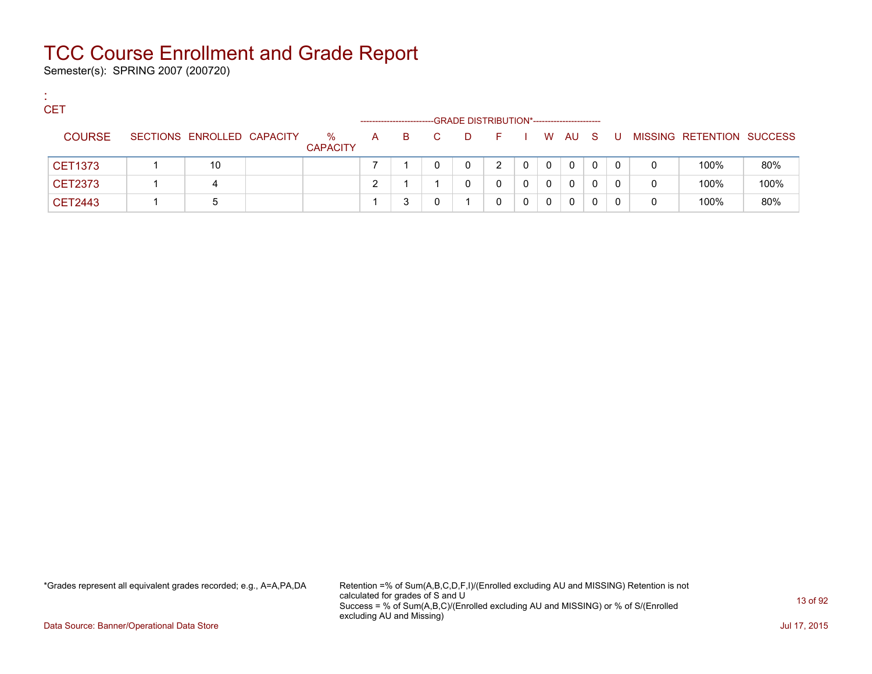Semester(s): SPRING 2007 (200720)

:

| <b>CET</b>     |                            |                         |   |    |    | -GRADE DISTRIBUTION*----------------------- |             |   |              |              |    |     |          |                           |      |
|----------------|----------------------------|-------------------------|---|----|----|---------------------------------------------|-------------|---|--------------|--------------|----|-----|----------|---------------------------|------|
| <b>COURSE</b>  | SECTIONS ENROLLED CAPACITY | $\%$<br><b>CAPACITY</b> | A | B. | C. | D.                                          | <b>Fig.</b> |   |              | W AU         | S. | . U |          | MISSING RETENTION SUCCESS |      |
| <b>CET1373</b> | 10                         |                         |   |    |    | 0                                           | 2           | 0 | $\mathbf{0}$ | 0            | 0  | 0   | 0        | 100%                      | 80%  |
| CET2373        | 4                          |                         |   |    |    |                                             | 0           | 0 | 0            | 0            | 0  | 0   | $\Omega$ | 100%                      | 100% |
| CET2443        | :5                         |                         |   |    |    |                                             | 0           | 0 | 0            | $\mathbf{0}$ | 0  | 0   | 0        | 100%                      | 80%  |

\*Grades represent all equivalent grades recorded; e.g., A=A,PA,DA Retention =% of Sum(A,B,C,D,F,I)/(Enrolled excluding AU and MISSING) Retention is not calculated for grades of S and U Success = % of Sum(A,B,C)/(Enrolled excluding AU and MISSING) or % of S/(Enrolled excluding AU and Missing)

Data Source: Banner/Operational Data Store Jul 17, 2015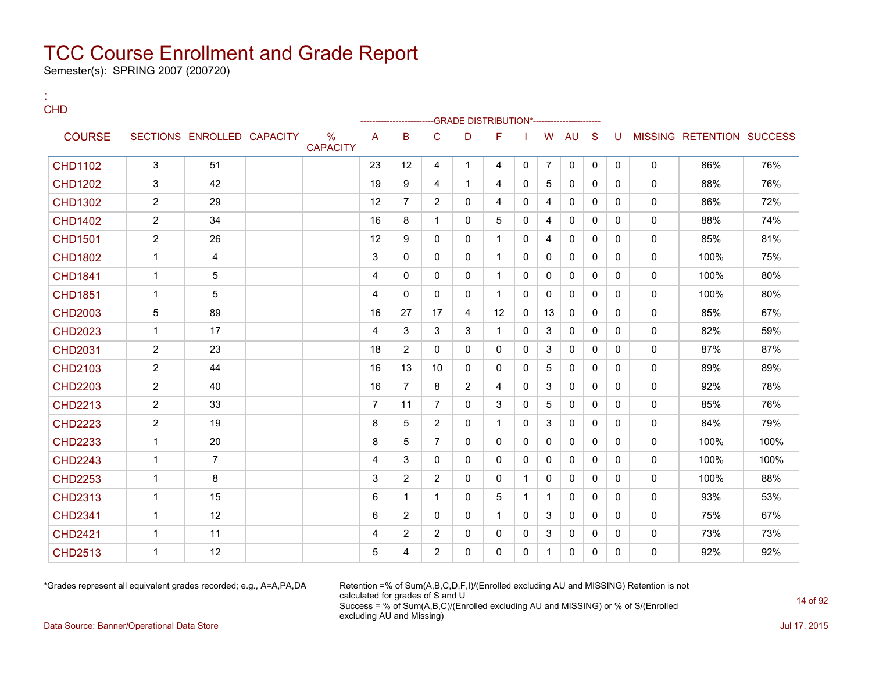Semester(s): SPRING 2007 (200720)

:

| <b>CHD</b>     |                |                            |                         |                |                |                |              | -GRADE DISTRIBUTION*---------------------- |              |                |              |              |              |              |                           |      |
|----------------|----------------|----------------------------|-------------------------|----------------|----------------|----------------|--------------|--------------------------------------------|--------------|----------------|--------------|--------------|--------------|--------------|---------------------------|------|
| <b>COURSE</b>  |                | SECTIONS ENROLLED CAPACITY | $\%$<br><b>CAPACITY</b> | A              | B              | C              | D            | F                                          |              | W              | AU           | <sub>S</sub> | U            |              | MISSING RETENTION SUCCESS |      |
| <b>CHD1102</b> | 3              | 51                         |                         | 23             | 12             | 4              | $\mathbf{1}$ | 4                                          | 0            | $\overline{7}$ | $\mathbf{0}$ | $\mathbf{0}$ | $\mathbf{0}$ | $\mathbf{0}$ | 86%                       | 76%  |
| <b>CHD1202</b> | 3              | 42                         |                         | 19             | 9              | 4              | $\mathbf{1}$ | 4                                          | 0            | 5              | $\Omega$     | $\mathbf{0}$ | $\mathbf{0}$ | $\Omega$     | 88%                       | 76%  |
| <b>CHD1302</b> | $\overline{2}$ | 29                         |                         | 12             | $\overline{7}$ | 2              | $\Omega$     | 4                                          | 0            | 4              | $\Omega$     | $\mathbf{0}$ | $\Omega$     | $\Omega$     | 86%                       | 72%  |
| <b>CHD1402</b> | $\overline{2}$ | 34                         |                         | 16             | 8              | $\mathbf 1$    | 0            | 5                                          | 0            | 4              | 0            | $\mathbf{0}$ | $\mathbf{0}$ | $\mathbf{0}$ | 88%                       | 74%  |
| <b>CHD1501</b> | $\overline{2}$ | 26                         |                         | 12             | 9              | $\Omega$       | $\Omega$     | $\mathbf{1}$                               | $\mathbf{0}$ | 4              | $\mathbf{0}$ | $\Omega$     | $\Omega$     | $\Omega$     | 85%                       | 81%  |
| <b>CHD1802</b> | $\mathbf{1}$   | 4                          |                         | 3              | 0              | $\mathbf{0}$   | $\mathbf{0}$ | $\mathbf{1}$                               | 0            | 0              | 0            | $\mathbf{0}$ | $\Omega$     | $\mathbf{0}$ | 100%                      | 75%  |
| <b>CHD1841</b> | $\mathbf{1}$   | $\sqrt{5}$                 |                         | 4              | 0              | $\Omega$       | 0            | $\mathbf{1}$                               | 0            | $\mathbf 0$    | $\Omega$     | $\Omega$     | $\Omega$     | $\mathbf 0$  | 100%                      | 80%  |
| <b>CHD1851</b> | $\mathbf{1}$   | 5                          |                         | 4              | 0              | $\mathbf{0}$   | $\mathbf{0}$ | $\mathbf{1}$                               | 0            | $\mathbf{0}$   | $\mathbf{0}$ | $\Omega$     | $\Omega$     | $\mathbf{0}$ | 100%                      | 80%  |
| <b>CHD2003</b> | 5              | 89                         |                         | 16             | 27             | 17             | 4            | 12                                         | $\mathbf{0}$ | 13             | $\Omega$     | $\Omega$     | $\Omega$     | $\Omega$     | 85%                       | 67%  |
| <b>CHD2023</b> | $\mathbf{1}$   | 17                         |                         | 4              | 3              | 3              | 3            | $\mathbf{1}$                               | $\mathbf{0}$ | 3              | 0            | 0            | $\mathbf{0}$ | $\mathbf{0}$ | 82%                       | 59%  |
| <b>CHD2031</b> | $\overline{2}$ | 23                         |                         | 18             | $\overline{2}$ | $\Omega$       | $\Omega$     | $\Omega$                                   | $\mathbf{0}$ | 3              | $\Omega$     | $\Omega$     | $\Omega$     | $\Omega$     | 87%                       | 87%  |
| <b>CHD2103</b> | $\overline{2}$ | 44                         |                         | 16             | 13             | 10             | 0            | 0                                          | 0            | 5              | 0            | $\mathbf{0}$ | $\mathbf{0}$ | $\mathbf 0$  | 89%                       | 89%  |
| <b>CHD2203</b> | $\overline{2}$ | 40                         |                         | 16             | $\overline{7}$ | 8              | 2            | 4                                          | $\Omega$     | 3              | $\Omega$     | $\Omega$     | $\Omega$     | $\mathbf{0}$ | 92%                       | 78%  |
| <b>CHD2213</b> | $\overline{2}$ | 33                         |                         | $\overline{7}$ | 11             | $\overline{7}$ | 0            | 3                                          | 0            | 5              | 0            | $\mathbf{0}$ | $\mathbf{0}$ | $\mathbf 0$  | 85%                       | 76%  |
| <b>CHD2223</b> | $\overline{2}$ | 19                         |                         | 8              | 5              | $\overline{2}$ | $\Omega$     | $\mathbf 1$                                | 0            | 3              | $\mathbf{0}$ | $\Omega$     | $\Omega$     | $\mathbf{0}$ | 84%                       | 79%  |
| <b>CHD2233</b> | $\mathbf{1}$   | 20                         |                         | 8              | 5              | $\overline{7}$ | $\Omega$     | $\mathbf{0}$                               | 0            | 0              | 0            | $\mathbf{0}$ | $\mathbf{0}$ | $\mathbf 0$  | 100%                      | 100% |
| <b>CHD2243</b> | $\mathbf{1}$   | $\overline{7}$             |                         | 4              | 3              | $\Omega$       | $\Omega$     | $\Omega$                                   | $\mathbf{0}$ | $\mathbf{0}$   | $\mathbf{0}$ | $\Omega$     | $\Omega$     | $\mathbf{0}$ | 100%                      | 100% |
| <b>CHD2253</b> | $\mathbf{1}$   | 8                          |                         | 3              | $\overline{2}$ | $\overline{2}$ | $\Omega$     | $\mathbf{0}$                               | $\mathbf 1$  | $\mathbf 0$    | 0            | $\mathbf{0}$ | $\mathbf{0}$ | $\mathbf 0$  | 100%                      | 88%  |
| <b>CHD2313</b> | $\mathbf{1}$   | 15                         |                         | 6              | $\mathbf 1$    | $\mathbf{1}$   | $\Omega$     | 5                                          | 1            | $\mathbf{1}$   | $\Omega$     | $\Omega$     | $\Omega$     | $\mathbf{0}$ | 93%                       | 53%  |
| <b>CHD2341</b> | $\mathbf{1}$   | 12                         |                         | 6              | $\overline{2}$ | $\mathbf{0}$   | $\Omega$     | $\mathbf{1}$                               | 0            | 3              | $\mathbf 0$  | $\mathbf{0}$ | $\mathbf{0}$ | $\mathbf 0$  | 75%                       | 67%  |
| <b>CHD2421</b> | $\mathbf{1}$   | 11                         |                         | 4              | $\overline{2}$ | $\overline{2}$ | 0            | $\mathbf{0}$                               | 0            | 3              | 0            | $\mathbf{0}$ | $\mathbf{0}$ | $\mathbf 0$  | 73%                       | 73%  |
| <b>CHD2513</b> | 1              | 12                         |                         | 5              | 4              | $\overline{2}$ | $\Omega$     | $\mathbf{0}$                               | $\mathbf{0}$ | $\mathbf{1}$   | 0            | $\mathbf{0}$ | $\Omega$     | $\mathbf{0}$ | 92%                       | 92%  |

\*Grades represent all equivalent grades recorded; e.g., A=A,PA,DA Retention =% of Sum(A,B,C,D,F,I)/(Enrolled excluding AU and MISSING) Retention is not calculated for grades of S and U Success = % of Sum(A,B,C)/(Enrolled excluding AU and MISSING) or % of S/(Enrolled excluding AU and Missing)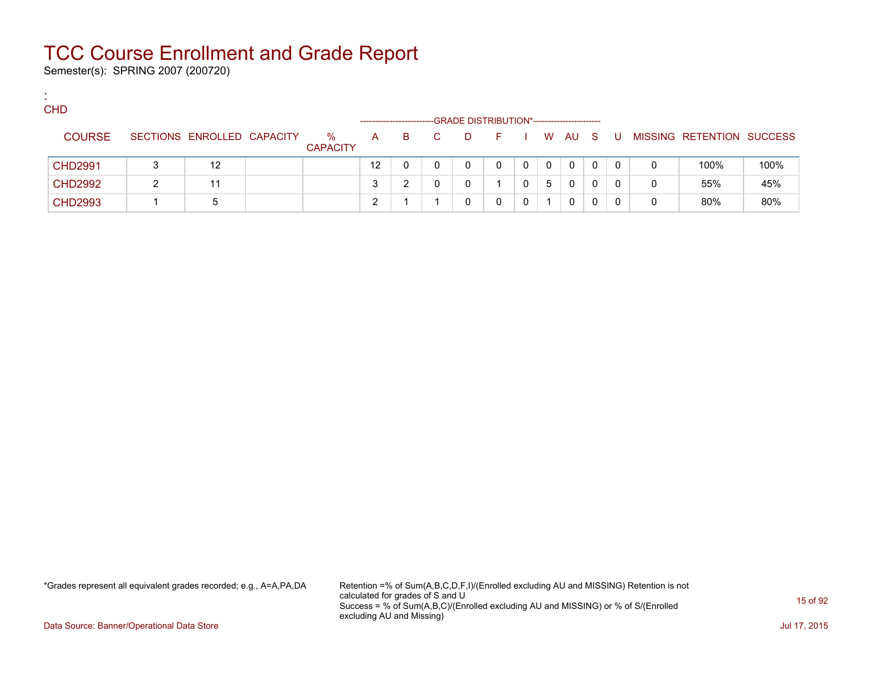Semester(s): SPRING 2007 (200720)

:

| <b>CHD</b>     |                            |                         |    |    |    | -GRADE DISTRIBUTION*----------------------- |    |   |              |      |    |    |   |                           |      |
|----------------|----------------------------|-------------------------|----|----|----|---------------------------------------------|----|---|--------------|------|----|----|---|---------------------------|------|
| <b>COURSE</b>  | SECTIONS ENROLLED CAPACITY | $\%$<br><b>CAPACITY</b> | A  | B. | C. | D.                                          | E. |   |              | W AU | S. | -U |   | MISSING RETENTION SUCCESS |      |
| <b>CHD2991</b> | 12                         |                         | 12 |    |    | 0                                           | 0  | 0 | $\mathbf{0}$ | 0    | 0  | 0  | 0 | 100%                      | 100% |
| <b>CHD2992</b> | 11                         |                         |    |    |    |                                             |    |   | 5            | 0    | 0  | 0  | 0 | 55%                       | 45%  |
| <b>CHD2993</b> | 5                          |                         |    |    |    |                                             |    |   |              | 0    |    | 0  | 0 | 80%                       | 80%  |

\*Grades represent all equivalent grades recorded; e.g., A=A,PA,DA Retention =% of Sum(A,B,C,D,F,I)/(Enrolled excluding AU and MISSING) Retention is not calculated for grades of S and U Success = % of Sum(A,B,C)/(Enrolled excluding AU and MISSING) or % of S/(Enrolled excluding AU and Missing)

Data Source: Banner/Operational Data Store Jul 17, 2015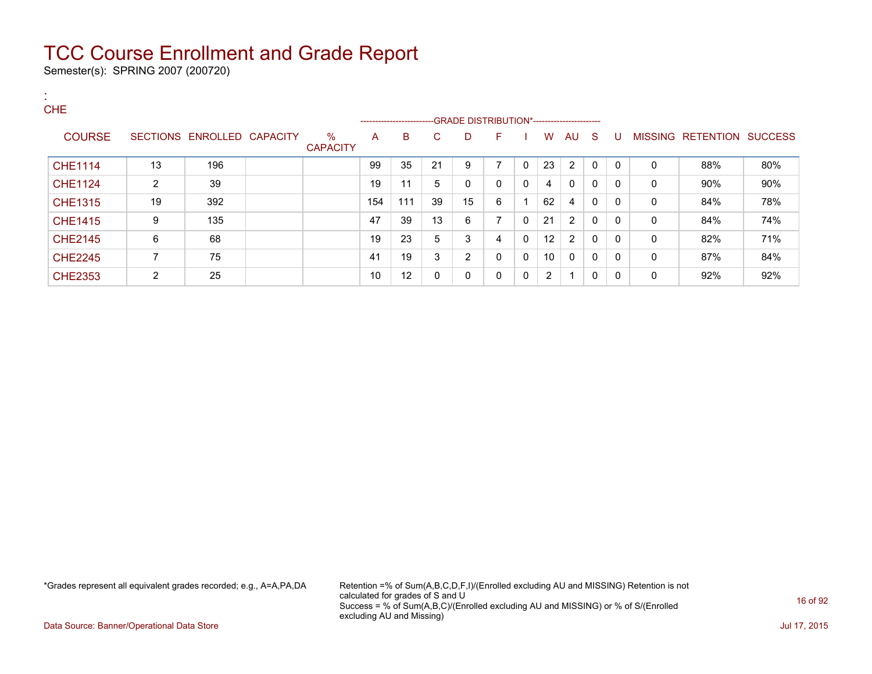Semester(s): SPRING 2007 (200720)

| <b>A</b>       |                |                            |                         |     |                          |    |    |                |              |                |    |          |          |              |                           |     |
|----------------|----------------|----------------------------|-------------------------|-----|--------------------------|----|----|----------------|--------------|----------------|----|----------|----------|--------------|---------------------------|-----|
| <b>CHE</b>     |                |                            |                         |     | ------------------------ |    |    |                |              |                |    |          |          |              |                           |     |
| <b>COURSE</b>  |                | SECTIONS ENROLLED CAPACITY | $\%$<br><b>CAPACITY</b> | A   | B                        | C  | D  | F              |              | W              | AU | -S       | U        |              | MISSING RETENTION SUCCESS |     |
| <b>CHE1114</b> | 13             | 196                        |                         | 99  | 35                       | 21 | 9  | $\overline{ }$ | $\mathbf{0}$ | 23             | 2  | $\Omega$ | $\Omega$ | $\mathbf{0}$ | 88%                       | 80% |
| <b>CHE1124</b> | $\overline{2}$ | 39                         |                         | 19  | 11                       | 5  | 0  | $\mathbf{0}$   | 0            | 4              | 0  | 0        | $\Omega$ | 0            | 90%                       | 90% |
| <b>CHE1315</b> | 19             | 392                        |                         | 154 | 111                      | 39 | 15 | 6              |              | 62             | 4  | 0        | $\Omega$ | 0            | 84%                       | 78% |
| <b>CHE1415</b> | 9              | 135                        |                         | 47  | 39                       | 13 | 6  | $\overline{ }$ | 0            | 21             | 2  | 0        | $\Omega$ | 0            | 84%                       | 74% |
| <b>CHE2145</b> | 6              | 68                         |                         | 19  | 23                       | 5  | 3  | 4              | 0            | 12             | 2  | 0        | $\Omega$ | $\mathbf{0}$ | 82%                       | 71% |
| <b>CHE2245</b> | 7              | 75                         |                         | 41  | 19                       | 3  | 2  | $\mathbf{0}$   | $\mathbf{0}$ | 10             | 0  | 0        | $\Omega$ | 0            | 87%                       | 84% |
| <b>CHE2353</b> | 2              | 25                         |                         | 10  | 12                       | 0  | 0  | $\mathbf{0}$   | 0            | $\overline{2}$ |    | 0        | $\Omega$ | 0            | 92%                       | 92% |

\*Grades represent all equivalent grades recorded; e.g., A=A,PA,DA Retention =% of Sum(A,B,C,D,F,I)/(Enrolled excluding AU and MISSING) Retention is not calculated for grades of S and U Success = % of Sum(A,B,C)/(Enrolled excluding AU and MISSING) or % of S/(Enrolled excluding AU and Missing)

Data Source: Banner/Operational Data Store Jul 17, 2015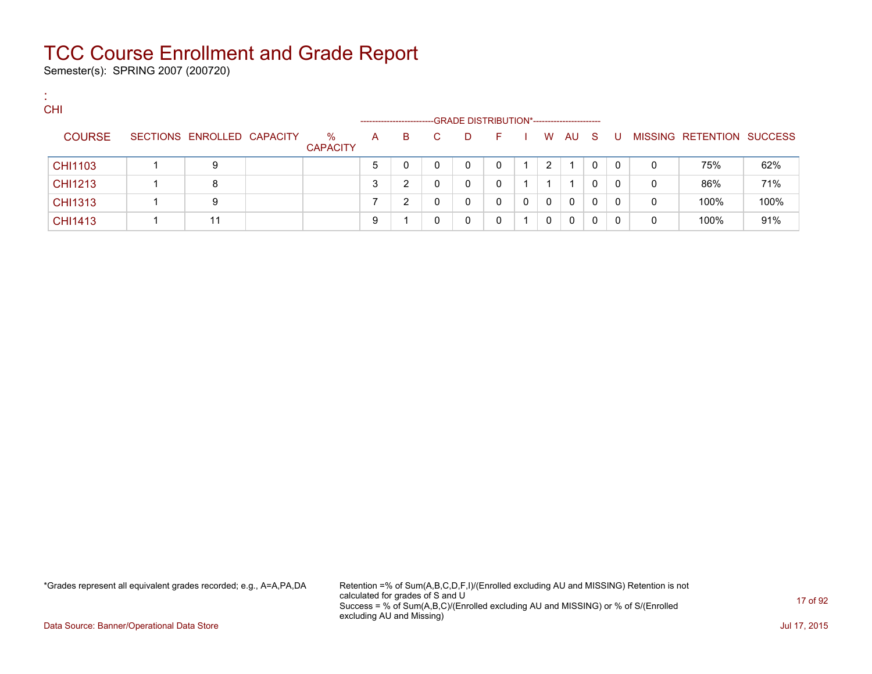Semester(s): SPRING 2007 (200720)

:

| <b>CHI</b>     |                            |                         |   |                       |   |                                             |   |          |              |     |          |   |                           |      |
|----------------|----------------------------|-------------------------|---|-----------------------|---|---------------------------------------------|---|----------|--------------|-----|----------|---|---------------------------|------|
|                |                            |                         |   | --------------------- |   | -GRADE DISTRIBUTION*----------------------- |   |          |              |     |          |   |                           |      |
| <b>COURSE</b>  | SECTIONS ENROLLED CAPACITY | $\%$<br><b>CAPACITY</b> | A | B                     | D | $\vdash$                                    |   | W        | AU           | - S | <b>U</b> |   | MISSING RETENTION SUCCESS |      |
| <b>CHI1103</b> | 9                          |                         | 5 |                       | 0 |                                             |   | 2        |              | 0   | $\Omega$ | 0 | 75%                       | 62%  |
| CHI1213        | 8                          |                         | 3 | ົ                     | 0 |                                             |   |          |              | 0   | 0        | 0 | 86%                       | 71%  |
| <b>CHI1313</b> | 9                          |                         |   | ົ                     | 0 |                                             | 0 | $\Omega$ | $\mathbf{0}$ | 0   | -0       | 0 | 100%                      | 100% |
| CHI1413        | 11                         |                         | 9 |                       | 0 |                                             |   | 0        | 0            | 0   |          | 0 | 100%                      | 91%  |

\*Grades represent all equivalent grades recorded; e.g., A=A,PA,DA Retention =% of Sum(A,B,C,D,F,I)/(Enrolled excluding AU and MISSING) Retention is not calculated for grades of S and U Success = % of Sum(A,B,C)/(Enrolled excluding AU and MISSING) or % of S/(Enrolled excluding AU and Missing)

Data Source: Banner/Operational Data Store **July 17, 2015**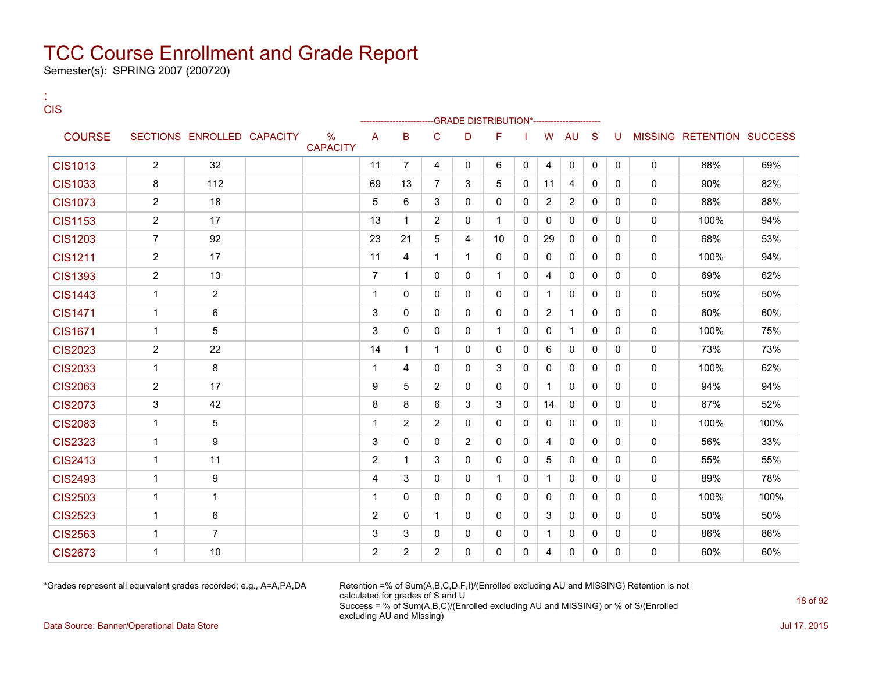Semester(s): SPRING 2007 (200720)

:

| <b>CIS</b>     |                |                            |                                  |                |                |                | -GRADE DISTRIBUTION*---------------------- |              |              |                |              |              |              |              |                           |      |
|----------------|----------------|----------------------------|----------------------------------|----------------|----------------|----------------|--------------------------------------------|--------------|--------------|----------------|--------------|--------------|--------------|--------------|---------------------------|------|
| <b>COURSE</b>  |                | SECTIONS ENROLLED CAPACITY | $\frac{0}{0}$<br><b>CAPACITY</b> | A              | B              | C              | D                                          | F            |              | W              | AU           | <sub>S</sub> | U            |              | MISSING RETENTION SUCCESS |      |
| <b>CIS1013</b> | $\overline{2}$ | 32                         |                                  | 11             | $\overline{7}$ | 4              | $\Omega$                                   | 6            | 0            | 4              | 0            | $\mathbf{0}$ | $\mathbf{0}$ | $\mathbf{0}$ | 88%                       | 69%  |
| <b>CIS1033</b> | 8              | 112                        |                                  | 69             | 13             | $\overline{7}$ | 3                                          | 5            | $\mathbf{0}$ | 11             | 4            | $\mathbf{0}$ | $\mathbf{0}$ | $\mathbf{0}$ | 90%                       | 82%  |
| <b>CIS1073</b> | $\overline{2}$ | 18                         |                                  | 5              | 6              | 3              | $\Omega$                                   | $\Omega$     | 0            | $\overline{2}$ | 2            | $\Omega$     | $\Omega$     | $\mathbf{0}$ | 88%                       | 88%  |
| <b>CIS1153</b> | $\overline{2}$ | 17                         |                                  | 13             | $\mathbf{1}$   | $\overline{2}$ | 0                                          | $\mathbf{1}$ | 0            | 0              | $\mathbf{0}$ | $\mathbf{0}$ | $\mathbf{0}$ | $\mathbf 0$  | 100%                      | 94%  |
| <b>CIS1203</b> | $\overline{7}$ | 92                         |                                  | 23             | 21             | 5              | 4                                          | 10           | $\Omega$     | 29             | $\Omega$     | $\Omega$     | $\Omega$     | $\mathbf{0}$ | 68%                       | 53%  |
| <b>CIS1211</b> | $\overline{2}$ | 17                         |                                  | 11             | 4              | 1              | $\mathbf{1}$                               | $\Omega$     | 0            | $\mathbf{0}$   | $\mathbf{0}$ | $\Omega$     | $\Omega$     | $\mathbf{0}$ | 100%                      | 94%  |
| <b>CIS1393</b> | $\overline{2}$ | 13                         |                                  | $\overline{7}$ | 1              | 0              | $\Omega$                                   | $\mathbf{1}$ | 0            | 4              | $\mathbf{0}$ | $\Omega$     | $\Omega$     | $\mathbf 0$  | 69%                       | 62%  |
| <b>CIS1443</b> | $\mathbf{1}$   | $\overline{2}$             |                                  | $\mathbf 1$    | 0              | 0              | $\mathbf{0}$                               | $\mathbf{0}$ | $\mathbf{0}$ | $\mathbf{1}$   | $\mathbf{0}$ | $\Omega$     | $\Omega$     | $\mathbf{0}$ | 50%                       | 50%  |
| <b>CIS1471</b> | $\mathbf{1}$   | 6                          |                                  | 3              | 0              | $\Omega$       | $\Omega$                                   | $\Omega$     | $\Omega$     | $\overline{2}$ | $\mathbf{1}$ | $\Omega$     | $\Omega$     | $\mathbf{0}$ | 60%                       | 60%  |
| <b>CIS1671</b> | $\mathbf 1$    | 5                          |                                  | 3              | 0              | 0              | 0                                          | $\mathbf{1}$ | 0            | 0              | $\mathbf{1}$ | $\mathbf{0}$ | $\mathbf{0}$ | $\mathbf 0$  | 100%                      | 75%  |
| <b>CIS2023</b> | $\overline{2}$ | 22                         |                                  | 14             | 1              | 1              | $\Omega$                                   | $\Omega$     | 0            | 6              | $\Omega$     | $\Omega$     | $\Omega$     | $\mathbf{0}$ | 73%                       | 73%  |
| <b>CIS2033</b> | $\mathbf{1}$   | 8                          |                                  | $\mathbf{1}$   | 4              | 0              | $\Omega$                                   | 3            | 0            | 0              | $\mathbf{0}$ | $\mathbf{0}$ | $\Omega$     | $\mathbf{0}$ | 100%                      | 62%  |
| <b>CIS2063</b> | $\overline{2}$ | 17                         |                                  | 9              | 5              | 2              | $\Omega$                                   | $\Omega$     | $\mathbf{0}$ | $\mathbf 1$    | $\Omega$     | $\Omega$     | $\Omega$     | $\mathbf{0}$ | 94%                       | 94%  |
| <b>CIS2073</b> | 3              | 42                         |                                  | 8              | 8              | 6              | 3                                          | 3            | 0            | 14             | $\mathbf{0}$ | $\Omega$     | $\Omega$     | $\mathbf{0}$ | 67%                       | 52%  |
| <b>CIS2083</b> | $\mathbf{1}$   | 5                          |                                  | 1              | $\overline{2}$ | $\overline{2}$ | $\Omega$                                   | $\Omega$     | 0            | $\Omega$       | $\mathbf{0}$ | $\Omega$     | $\Omega$     | $\mathbf{0}$ | 100%                      | 100% |
| <b>CIS2323</b> | $\mathbf{1}$   | 9                          |                                  | 3              | 0              | 0              | $\overline{2}$                             | $\mathbf{0}$ | 0            | 4              | $\mathbf{0}$ | $\Omega$     | $\mathbf{0}$ | $\mathbf{0}$ | 56%                       | 33%  |
| <b>CIS2413</b> | $\mathbf{1}$   | 11                         |                                  | $\overline{2}$ | $\mathbf{1}$   | 3              | $\Omega$                                   | $\Omega$     | $\Omega$     | 5              | $\Omega$     | $\Omega$     | $\Omega$     | $\mathbf{0}$ | 55%                       | 55%  |
| <b>CIS2493</b> | $\mathbf{1}$   | 9                          |                                  | 4              | 3              | $\Omega$       | $\mathbf{0}$                               | $\mathbf{1}$ | 0            | $\mathbf{1}$   | 0            | $\mathbf{0}$ | $\mathbf{0}$ | $\mathbf 0$  | 89%                       | 78%  |
| <b>CIS2503</b> | $\mathbf{1}$   | $\mathbf{1}$               |                                  | $\mathbf 1$    | $\Omega$       | $\Omega$       | $\mathbf{0}$                               | $\Omega$     | $\mathbf{0}$ | $\mathbf{0}$   | $\mathbf{0}$ | $\Omega$     | $\Omega$     | $\mathbf{0}$ | 100%                      | 100% |
| <b>CIS2523</b> | $\mathbf{1}$   | $\,6\,$                    |                                  | 2              | 0              | 1              | $\Omega$                                   | $\Omega$     | 0            | 3              | $\mathbf{0}$ | $\mathbf{0}$ | $\Omega$     | $\mathbf{0}$ | 50%                       | 50%  |
| <b>CIS2563</b> | $\mathbf 1$    | $\overline{7}$             |                                  | 3              | 3              | 0              | 0                                          | 0            | 0            | $\mathbf 1$    | 0            | $\mathbf{0}$ | $\Omega$     | $\mathbf 0$  | 86%                       | 86%  |
| <b>CIS2673</b> | 1              | 10                         |                                  | $\overline{2}$ | 2              | $\overline{2}$ | $\mathbf{0}$                               | $\mathbf{0}$ | 0            | 4              | $\mathbf{0}$ | $\Omega$     | $\mathbf{0}$ | $\mathbf{0}$ | 60%                       | 60%  |

\*Grades represent all equivalent grades recorded; e.g., A=A,PA,DA Retention =% of Sum(A,B,C,D,F,I)/(Enrolled excluding AU and MISSING) Retention is not calculated for grades of S and U Success = % of Sum(A,B,C)/(Enrolled excluding AU and MISSING) or % of S/(Enrolled excluding AU and Missing)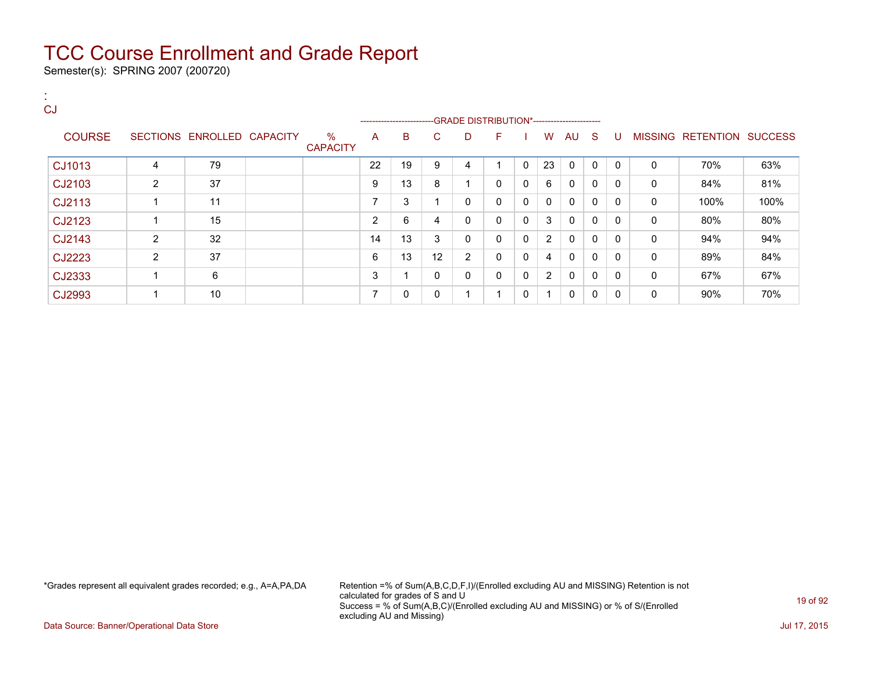Semester(s): SPRING 2007 (200720)

| <b>CJ</b>     |                |                            |                         |                          |                          |              |                         |                         |              |                |              |              |              |              |                           |      |
|---------------|----------------|----------------------------|-------------------------|--------------------------|--------------------------|--------------|-------------------------|-------------------------|--------------|----------------|--------------|--------------|--------------|--------------|---------------------------|------|
|               |                |                            |                         |                          | ------------------------ |              |                         |                         |              |                |              |              |              |              |                           |      |
| <b>COURSE</b> |                | SECTIONS ENROLLED CAPACITY | $\%$<br><b>CAPACITY</b> | A                        | B.                       | C.           | D                       | F                       |              | W              | AU S         |              | -U           |              | MISSING RETENTION SUCCESS |      |
| CJ1013        | $\overline{4}$ | 79                         |                         | 22                       | 19                       | 9            | 4                       |                         | $\mathbf{0}$ | 23             | $\Omega$     | $\mathbf{0}$ | $\Omega$     | 0            | 70%                       | 63%  |
| CJ2103        | $\overline{2}$ | 37                         |                         | 9                        | 13                       | 8            | 1                       | $\mathbf{0}$            | 0            | 6              | $\mathbf{0}$ | $\Omega$     | $\Omega$     | $\mathbf{0}$ | 84%                       | 81%  |
| CJ2113        |                | 11                         |                         | $\overline{\phantom{a}}$ | 3                        |              | 0                       | $\mathbf{0}$            | 0            | $\Omega$       | $\mathbf 0$  | $\Omega$     | 0            | 0            | 100%                      | 100% |
| CJ2123        |                | 15                         |                         | $\overline{2}$           | 6                        | 4            | 0                       | 0                       | 0            | 3              | 0            | 0            | $\mathbf{0}$ | 0            | 80%                       | 80%  |
| CJ2143        | 2              | 32                         |                         | 14                       | 13                       | 3            | 0                       | $\mathbf{0}$            | 0            | 2              | 0            | $\Omega$     | $\mathbf{0}$ | 0            | 94%                       | 94%  |
| CJ2223        | $\overline{2}$ | 37                         |                         | 6                        | 13                       | 12           | 2                       | $\mathbf{0}$            | 0            | 4              | $\mathbf 0$  | $\mathbf{0}$ | $\mathbf{0}$ | $\mathbf 0$  | 89%                       | 84%  |
| CJ2333        |                | 6                          |                         | 3                        |                          | $\mathbf{0}$ | 0                       | $\mathbf{0}$            | 0            | $\overline{2}$ | $\mathbf 0$  | $\Omega$     | $\mathbf{0}$ | 0            | 67%                       | 67%  |
| CJ2993        |                | 10                         |                         | $\overline{\phantom{a}}$ | $\mathbf{0}$             | 0            | $\overline{\mathbf{A}}$ | $\overline{\mathbf{A}}$ | 0            | $\overline{ }$ | $\Omega$     | $\mathbf{0}$ | 0            | 0            | 90%                       | 70%  |

\*Grades represent all equivalent grades recorded; e.g., A=A,PA,DA Retention =% of Sum(A,B,C,D,F,I)/(Enrolled excluding AU and MISSING) Retention is not calculated for grades of S and U Success = % of Sum(A,B,C)/(Enrolled excluding AU and MISSING) or % of S/(Enrolled excluding AU and Missing)

Data Source: Banner/Operational Data Store Jul 17, 2015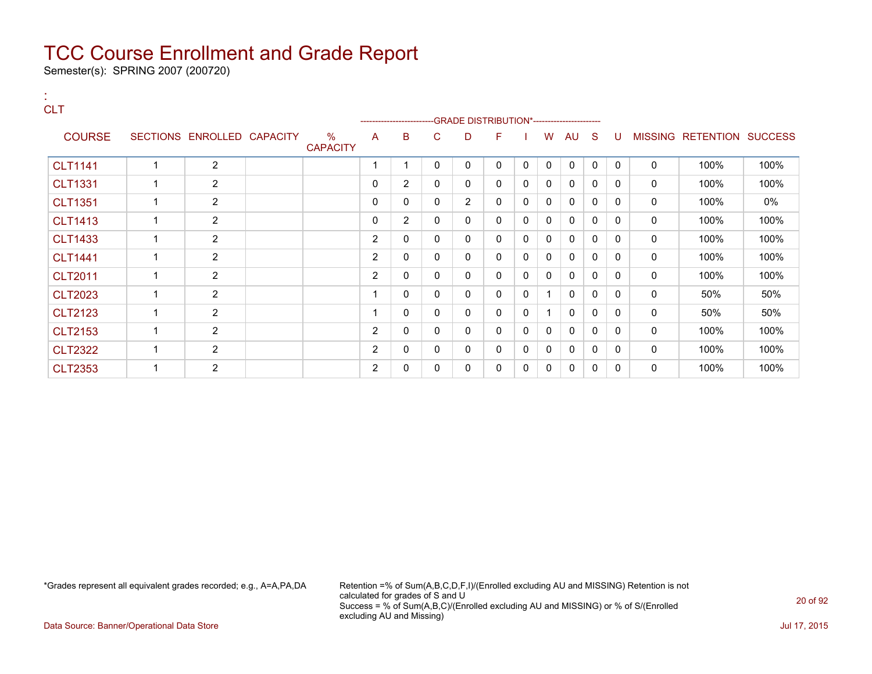Semester(s): SPRING 2007 (200720)

#### : **CLT**

|                |                            |                         |                |                |              |                | ------------------------GRADE DISTRIBUTION*---------------------- |              |              |              |              |              |                |           |                |
|----------------|----------------------------|-------------------------|----------------|----------------|--------------|----------------|-------------------------------------------------------------------|--------------|--------------|--------------|--------------|--------------|----------------|-----------|----------------|
| <b>COURSE</b>  | SECTIONS ENROLLED CAPACITY | $\%$<br><b>CAPACITY</b> | A              | B              | C            | D              | F                                                                 |              | w            | AU           | S            | U            | <b>MISSING</b> | RETENTION | <b>SUCCESS</b> |
| <b>CLT1141</b> | 2                          |                         |                |                | 0            | 0              | 0                                                                 | 0            | 0            | $\mathbf{0}$ | 0            | $\mathbf{0}$ | 0              | 100%      | 100%           |
| <b>CLT1331</b> | $\overline{2}$             |                         | 0              | $\overline{2}$ | 0            | 0              | 0                                                                 | 0            | 0            | 0            | 0            | 0            | 0              | 100%      | 100%           |
| <b>CLT1351</b> | $\overline{2}$             |                         | 0              | 0              | 0            | $\overline{2}$ | 0                                                                 | 0            | 0            | 0            | 0            | $\Omega$     | $\mathbf 0$    | 100%      | 0%             |
| <b>CLT1413</b> | $\overline{2}$             |                         | $\mathbf{0}$   | $\overline{2}$ | $\mathbf{0}$ | 0              | 0                                                                 | 0            | $\Omega$     | $\mathbf{0}$ | $\Omega$     | 0            | $\mathbf 0$    | 100%      | 100%           |
| <b>CLT1433</b> | 2                          |                         | 2              | 0              | 0            | 0              | 0                                                                 | $\Omega$     | 0            | $\mathbf{0}$ | $\mathbf{0}$ | $\Omega$     | 0              | 100%      | 100%           |
| <b>CLT1441</b> | $\overline{2}$             |                         | $\overline{2}$ | 0              | 0            | 0              | 0                                                                 | 0            | 0            | 0            | 0            | 0            | 0              | 100%      | 100%           |
| <b>CLT2011</b> | $\overline{2}$             |                         | $\overline{2}$ | $\mathbf{0}$   | 0            | 0              | 0                                                                 | $\mathbf{0}$ | $\mathbf{0}$ | $\mathbf{0}$ | $\Omega$     | $\mathbf{0}$ | $\mathbf 0$    | 100%      | 100%           |
| <b>CLT2023</b> | $\overline{2}$             |                         |                | 0              | 0            | 0              | 0                                                                 | 0            |              | 0            | 0            | 0            | 0              | 50%       | 50%            |
| <b>CLT2123</b> | 2                          |                         |                | $\Omega$       | 0            | 0              | 0                                                                 | 0            |              | $\mathbf{0}$ | $\mathbf{0}$ | $\Omega$     | 0              | 50%       | 50%            |
| <b>CLT2153</b> | $\overline{2}$             |                         | $\overline{2}$ | 0              | 0            | 0              | 0                                                                 | 0            | 0            | 0            | 0            | 0            | 0              | 100%      | 100%           |
| <b>CLT2322</b> | 2                          |                         | 2              | 0              | 0            | 0              | 0                                                                 | 0            | 0            | $\mathbf{0}$ | 0            | 0            | 0              | 100%      | 100%           |
| <b>CLT2353</b> | 2                          |                         | $\overline{2}$ | 0              | 0            | 0              | 0                                                                 | 0            | 0            | 0            | 0            | 0            | 0              | 100%      | 100%           |

\*Grades represent all equivalent grades recorded; e.g., A=A,PA,DA Retention =% of Sum(A,B,C,D,F,I)/(Enrolled excluding AU and MISSING) Retention is not calculated for grades of S and U Success = % of Sum(A,B,C)/(Enrolled excluding AU and MISSING) or % of S/(Enrolled excluding AU and Missing)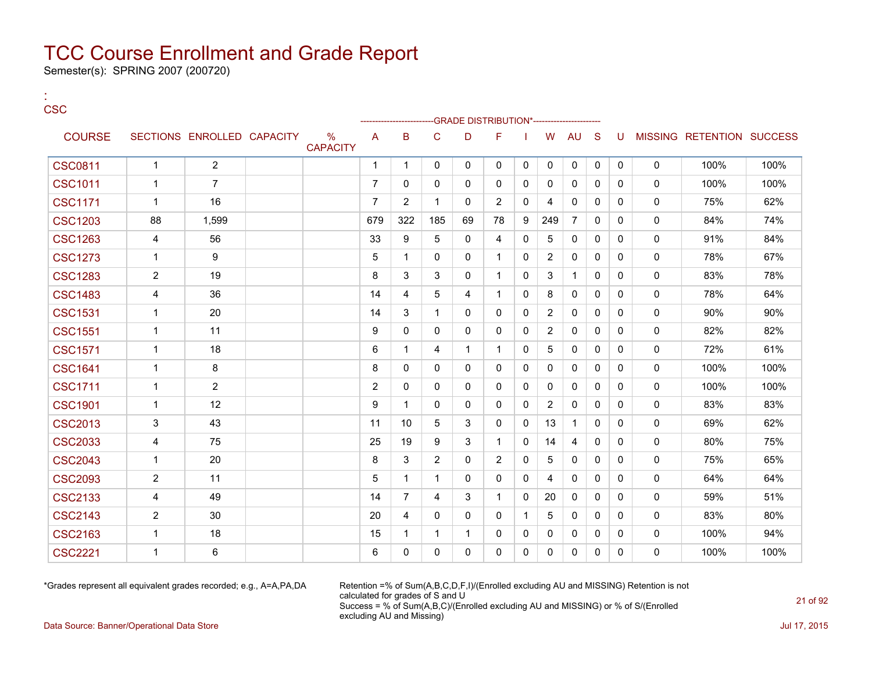Semester(s): SPRING 2007 (200720)

| ×<br>v<br>$\sim$ | -<br>v |
|------------------|--------|

:

|                |                |                            |                      |                |                |              |              | -GRADE DISTRIBUTION*----------------------- |              |                |                |              |              |              |                           |      |
|----------------|----------------|----------------------------|----------------------|----------------|----------------|--------------|--------------|---------------------------------------------|--------------|----------------|----------------|--------------|--------------|--------------|---------------------------|------|
| <b>COURSE</b>  |                | SECTIONS ENROLLED CAPACITY | %<br><b>CAPACITY</b> | A              | B              | C            | D            | F                                           |              | W              | <b>AU</b>      | S            | U            |              | MISSING RETENTION SUCCESS |      |
| <b>CSC0811</b> | $\mathbf{1}$   | $\overline{2}$             |                      | $\mathbf{1}$   | $\mathbf{1}$   | 0            | $\mathbf 0$  | 0                                           | 0            | $\mathbf 0$    | $\mathbf 0$    | 0            | $\mathbf 0$  | $\mathbf 0$  | 100%                      | 100% |
| <b>CSC1011</b> | 1              | $\overline{7}$             |                      | $\overline{7}$ | 0              | $\Omega$     | $\Omega$     | $\mathbf{0}$                                | 0            | 0              | $\mathbf{0}$   | $\mathbf{0}$ | 0            | $\mathbf 0$  | 100%                      | 100% |
| <b>CSC1171</b> | 1              | 16                         |                      | $\overline{7}$ | 2              | 1            | $\Omega$     | 2                                           | 0            | 4              | 0              | $\mathbf{0}$ | $\mathbf{0}$ | 0            | 75%                       | 62%  |
| <b>CSC1203</b> | 88             | 1,599                      |                      | 679            | 322            | 185          | 69           | 78                                          | 9            | 249            | $\overline{7}$ | $\Omega$     | $\Omega$     | $\mathbf 0$  | 84%                       | 74%  |
| <b>CSC1263</b> | 4              | 56                         |                      | 33             | 9              | 5            | $\mathbf{0}$ | 4                                           | $\mathbf{0}$ | 5              | $\mathbf{0}$   | $\mathbf{0}$ | $\Omega$     | $\mathbf 0$  | 91%                       | 84%  |
| <b>CSC1273</b> | 1              | 9                          |                      | 5              | 1              | $\Omega$     | $\mathbf{0}$ | $\overline{1}$                              | $\mathbf{0}$ | $\overline{2}$ | $\mathbf{0}$   | $\Omega$     | $\Omega$     | $\mathbf 0$  | 78%                       | 67%  |
| <b>CSC1283</b> | $\overline{2}$ | 19                         |                      | 8              | 3              | 3            | $\Omega$     | $\overline{1}$                              | $\mathbf{0}$ | 3              | $\mathbf{1}$   | $\mathbf{0}$ | $\mathbf{0}$ | $\mathbf 0$  | 83%                       | 78%  |
| <b>CSC1483</b> | 4              | 36                         |                      | 14             | 4              | 5            | 4            | $\overline{1}$                              | 0            | 8              | $\mathbf{0}$   | $\mathbf{0}$ | $\Omega$     | 0            | 78%                       | 64%  |
| <b>CSC1531</b> | 1              | 20                         |                      | 14             | 3              | 1            | $\Omega$     | $\mathbf{0}$                                | 0            | 2              | $\mathbf{0}$   | $\Omega$     | 0            | $\mathbf 0$  | 90%                       | 90%  |
| <b>CSC1551</b> | 1              | 11                         |                      | 9              | 0              | $\mathbf{0}$ | $\Omega$     | 0                                           | 0            | $\overline{2}$ | $\mathbf{0}$   | $\mathbf{0}$ | 0            | 0            | 82%                       | 82%  |
| <b>CSC1571</b> | 1              | 18                         |                      | 6              | 1              | 4            | $\mathbf 1$  | 1                                           | $\mathbf{0}$ | 5              | $\mathbf{0}$   | $\mathbf{0}$ | 0            | $\mathbf 0$  | 72%                       | 61%  |
| <b>CSC1641</b> | 1              | 8                          |                      | 8              | 0              | $\mathbf{0}$ | 0            | 0                                           | 0            | 0              | 0              | 0            | $\mathbf{0}$ | 0            | 100%                      | 100% |
| <b>CSC1711</b> | 1              | 2                          |                      | 2              | 0              | $\Omega$     | $\Omega$     | $\mathbf{0}$                                | 0            | 0              | 0              | $\mathbf{0}$ | 0            | 0            | 100%                      | 100% |
| <b>CSC1901</b> | $\mathbf 1$    | 12                         |                      | 9              | 1              | $\mathbf{0}$ | $\Omega$     | $\mathbf{0}$                                | $\mathbf{0}$ | $\overline{2}$ | $\mathbf{0}$   | $\mathbf{0}$ | $\mathbf{0}$ | 0            | 83%                       | 83%  |
| <b>CSC2013</b> | 3              | 43                         |                      | 11             | 10             | 5            | 3            | $\mathbf{0}$                                | $\mathbf{0}$ | 13             | $\mathbf{1}$   | $\Omega$     | $\Omega$     | $\mathbf 0$  | 69%                       | 62%  |
| <b>CSC2033</b> | 4              | 75                         |                      | 25             | 19             | 9            | 3            | $\mathbf{1}$                                | $\mathbf{0}$ | 14             | 4              | $\mathbf{0}$ | $\mathbf{0}$ | $\mathbf{0}$ | 80%                       | 75%  |
| <b>CSC2043</b> | 1              | 20                         |                      | 8              | 3              | 2            | $\mathbf{0}$ | 2                                           | $\mathbf{0}$ | 5              | $\mathbf{0}$   | $\mathbf{0}$ | $\mathbf{0}$ | $\mathbf 0$  | 75%                       | 65%  |
| <b>CSC2093</b> | $\overline{2}$ | 11                         |                      | 5              | 1              | $\mathbf 1$  | 0            | 0                                           | 0            | 4              | $\mathbf{0}$   | $\mathbf{0}$ | $\Omega$     | 0            | 64%                       | 64%  |
| <b>CSC2133</b> | 4              | 49                         |                      | 14             | $\overline{7}$ | 4            | 3            | 1                                           | $\mathbf{0}$ | 20             | $\mathbf{0}$   | $\Omega$     | $\Omega$     | 0            | 59%                       | 51%  |
| <b>CSC2143</b> | 2              | 30                         |                      | 20             | 4              | $\mathbf{0}$ | $\Omega$     | $\mathbf{0}$                                | $\mathbf{1}$ | 5              | $\mathbf{0}$   | $\mathbf{0}$ | $\Omega$     | $\mathbf 0$  | 83%                       | 80%  |
| <b>CSC2163</b> | 1              | 18                         |                      | 15             | 1              | 1            | 1            | 0                                           | 0            | 0              | 0              | 0            | 0            | 0            | 100%                      | 94%  |
| <b>CSC2221</b> | 1              | 6                          |                      | 6              | 0              | $\Omega$     | $\Omega$     | 0                                           | 0            | 0              | 0              | 0            | 0            | 0            | 100%                      | 100% |

\*Grades represent all equivalent grades recorded; e.g., A=A,PA,DA Retention =% of Sum(A,B,C,D,F,I)/(Enrolled excluding AU and MISSING) Retention is not calculated for grades of S and U Success = % of Sum(A,B,C)/(Enrolled excluding AU and MISSING) or % of S/(Enrolled excluding AU and Missing)

Data Source: Banner/Operational Data Store Jul 17, 2015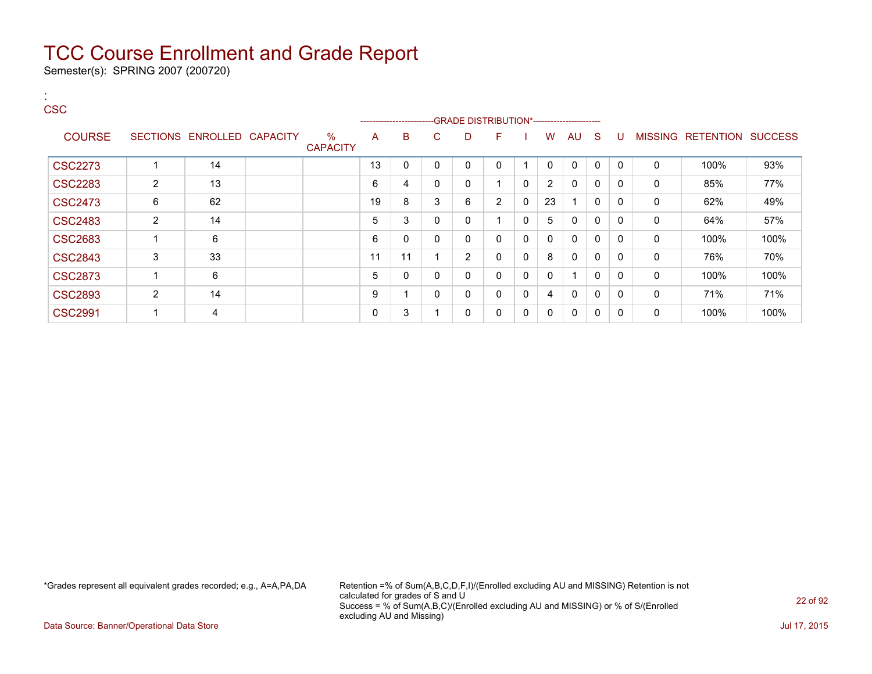Semester(s): SPRING 2007 (200720)

:

### **CSC** ---GRADE DISTRIBUTION\*------------------------COURSE SECTIONS ENROLLED CAPACITY % **CAPACITY** A B C D F I W AU S U MISSING RETENTION SUCCESS CSC2273 1 14 13 0 0 0 0 1 0 0 0 0 0 100% 93% CSC2283 | 2 | 13 | | 6 |4 | 0 | 0 | 1 | 0 | 2 | 0 | 0 | 0 | 85% | 77% CSC2473 | 6 | 62 | | 19 8 3 | 6 2 | 0 | 23 | 1 | 0 | 0 | 0 | 62% | 49%  $\text{CSC2483} \quad | \quad 2 \quad | \quad 14 \quad | \quad \quad | \quad 5 \quad | \quad 3 \quad | \quad 0 \quad | \quad 0 \quad | \quad 1 \quad | \quad 0 \quad | \quad 5 \quad | \quad 0 \quad | \quad 0 \quad | \quad \quad 0 \quad | \quad 64\% \quad | \quad 57\%$ CSC2683 1 6 6 0 0 0 0 0 0 0 0 0 0 100% 100%  $\text{CSC2843} \quad | \quad 3 \quad | \quad 33 \quad | \quad 1 \quad | \quad 11 \quad | \quad 11 \quad | \quad 1 \quad | \quad 2 \quad | \quad 0 \quad | \quad 0 \quad | \quad 0 \quad | \quad 0 \quad | \quad 0 \quad | \quad 76\% \quad | \quad 70\% \quad | \quad 0 \quad | \quad 0 \quad | \quad 0 \quad | \quad 0 \quad | \quad 0 \quad | \quad 0 \quad | \quad 0 \quad | \quad 0 \quad | \quad 0 \quad | \quad 0 \quad | \quad 0 \quad | \quad 0 \quad | \quad 0 \quad | \quad 0 \quad | \quad$ CSC2873 1 6 5 0 0 0 0 0 0 1 0 0 0 100% 100% CSC2893 | 2 | 14 | | 9 | 1 | 0 | 0 | 0 | 0 | 4 | 0 | 0 | 0 | 0 | 71% | 71% CSC2991 | 1 | 4 | | 0 3 | 1 | 0 | 0 | 0 | 0 | 0 | 0 | 0 | 100% | 100%

\*Grades represent all equivalent grades recorded; e.g., A=A,PA,DA Retention =% of Sum(A,B,C,D,F,I)/(Enrolled excluding AU and MISSING) Retention is not calculated for grades of S and U Success = % of Sum(A,B,C)/(Enrolled excluding AU and MISSING) or % of S/(Enrolled excluding AU and Missing)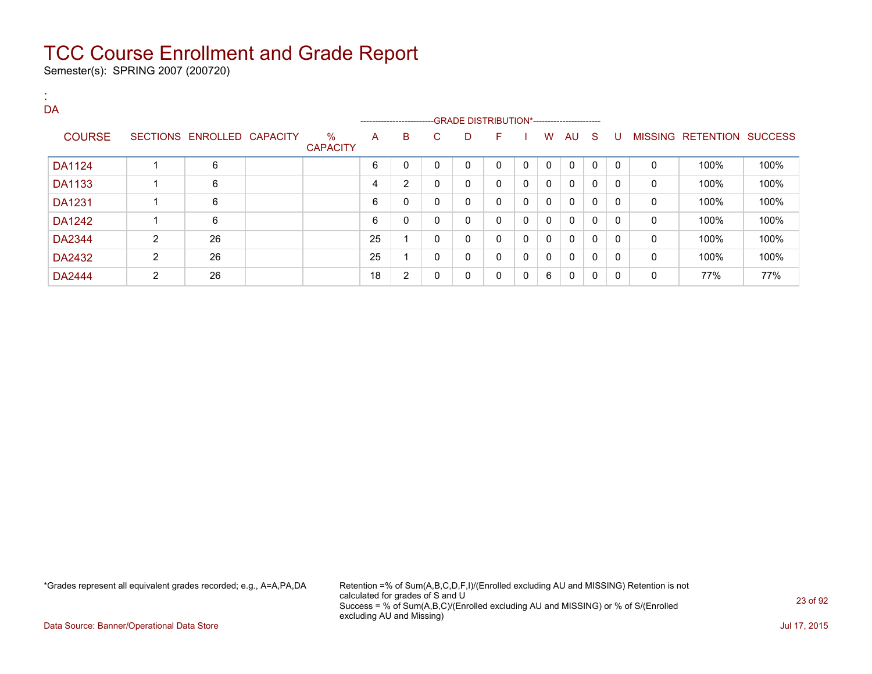Semester(s): SPRING 2007 (200720)

| DA            |   |                            |                         |    |                         |              |                                               |              |              |              |              |              |              |              |                           |      |
|---------------|---|----------------------------|-------------------------|----|-------------------------|--------------|-----------------------------------------------|--------------|--------------|--------------|--------------|--------------|--------------|--------------|---------------------------|------|
|               |   |                            |                         |    | ----------------------- |              | --GRADE DISTRIBUTION*------------------------ |              |              |              |              |              |              |              |                           |      |
| <b>COURSE</b> |   | SECTIONS ENROLLED CAPACITY | $\%$<br><b>CAPACITY</b> | A  | B                       | C.           | D                                             | F            |              | W            | AU S         |              | U            |              | MISSING RETENTION SUCCESS |      |
| DA1124        |   | 6                          |                         | 6  | $\mathbf 0$             | $\mathbf{0}$ | $\Omega$                                      | $\Omega$     | $\mathbf{0}$ | $\mathbf{0}$ | $\mathbf{0}$ | $\mathbf{0}$ | $\mathbf{0}$ | $\Omega$     | 100%                      | 100% |
| <b>DA1133</b> |   | 6                          |                         | 4  | 2                       | 0            | $\mathbf 0$                                   | $\mathbf{0}$ | 0            | $\mathbf{0}$ | $\mathbf{0}$ | $\mathbf{0}$ | 0            | 0            | 100%                      | 100% |
| <b>DA1231</b> |   | 6                          |                         | 6  | 0                       | $\mathbf{0}$ | $\mathbf 0$                                   | $\mathbf{0}$ | $\mathbf{0}$ | $\mathbf{0}$ | $\mathbf{0}$ | $\mathbf{0}$ | 0            | 0            | 100%                      | 100% |
| <b>DA1242</b> |   | 6                          |                         | 6  | $\mathbf 0$             | 0            | 0                                             | $\mathbf{0}$ | $\mathbf 0$  | $\mathbf{0}$ | $\mathbf{0}$ | $\mathbf{0}$ | 0            | 0            | 100%                      | 100% |
| DA2344        | 2 | 26                         |                         | 25 |                         | $\mathbf{0}$ | 0                                             | $\mathbf{0}$ | 0            | $\mathbf{0}$ | $\mathbf{0}$ | 0            | 0            | $\mathbf{0}$ | 100%                      | 100% |
| DA2432        | 2 | 26                         |                         | 25 |                         | 0            | 0                                             | 0            | 0            | 0            | 0            | 0            | $\mathbf{0}$ | 0            | 100%                      | 100% |
| <b>DA2444</b> | 2 | 26                         |                         | 18 | 2                       | 0            | 0                                             | 0            | 0            | 6            | 0            | 0            | $\mathbf{0}$ | 0            | 77%                       | 77%  |

\*Grades represent all equivalent grades recorded; e.g., A=A,PA,DA Retention =% of Sum(A,B,C,D,F,I)/(Enrolled excluding AU and MISSING) Retention is not calculated for grades of S and U Success = % of Sum(A,B,C)/(Enrolled excluding AU and MISSING) or % of S/(Enrolled excluding AU and Missing)

Data Source: Banner/Operational Data Store Jul 17, 2015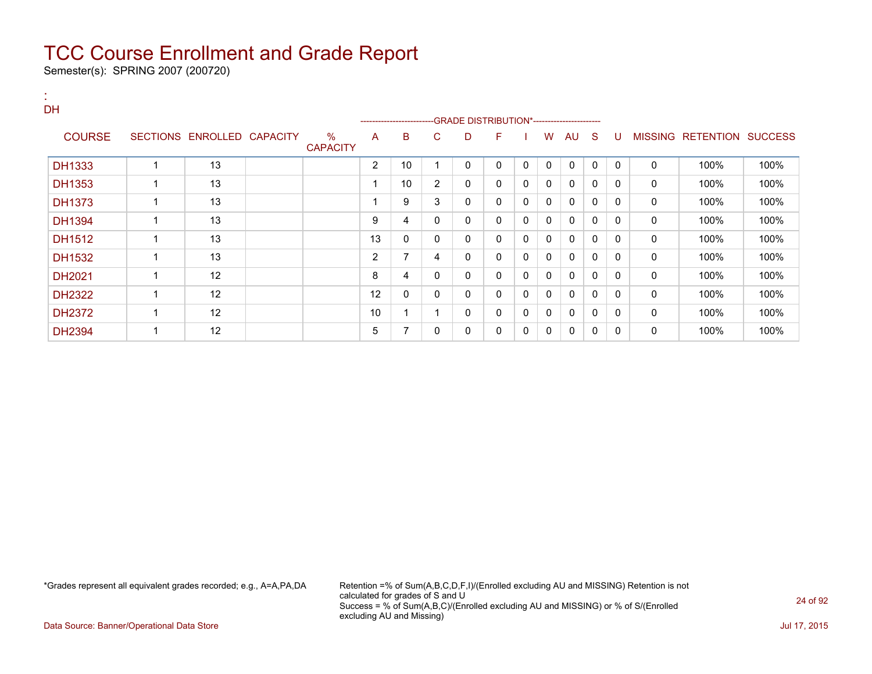Semester(s): SPRING 2007 (200720)

:

| <b>DH</b>     |                            |                      |                |                         |                |                                            |              |              |              |              |              |          |              |                           |      |
|---------------|----------------------------|----------------------|----------------|-------------------------|----------------|--------------------------------------------|--------------|--------------|--------------|--------------|--------------|----------|--------------|---------------------------|------|
|               |                            |                      |                | ----------------------- |                | -GRADE DISTRIBUTION*---------------------- |              |              |              |              |              |          |              |                           |      |
| <b>COURSE</b> | SECTIONS ENROLLED CAPACITY | %<br><b>CAPACITY</b> | A              | B                       | C.             | D                                          | F            |              | W            | AU           | -S           | U        |              | MISSING RETENTION SUCCESS |      |
| <b>DH1333</b> | 13                         |                      | $\overline{2}$ | 10                      | -1             | 0                                          | $\Omega$     | $\mathbf{0}$ | 0            | $\Omega$     | $\mathbf 0$  | $\Omega$ | $\mathbf{0}$ | 100%                      | 100% |
| DH1353        | 13                         |                      |                | 10 <sup>1</sup>         | $\overline{2}$ | 0                                          | $\mathbf{0}$ | 0            | 0            | $\mathbf{0}$ | $\Omega$     | $\Omega$ | $\mathbf{0}$ | 100%                      | 100% |
| <b>DH1373</b> | 13                         |                      |                | 9                       | 3              | 0                                          | $\mathbf{0}$ | $\mathbf{0}$ | $\mathbf{0}$ | $\mathbf{0}$ | $\mathbf{0}$ | $\Omega$ | $\mathbf{0}$ | 100%                      | 100% |
| <b>DH1394</b> | 13                         |                      | 9              | 4                       | $\mathbf{0}$   | $\Omega$                                   | $\mathbf{0}$ | $\mathbf{0}$ | $\mathbf{0}$ | $\mathbf{0}$ | $\mathbf{0}$ | $\Omega$ | 0            | 100%                      | 100% |
| DH1512        | 13                         |                      | 13             | 0                       | $\mathbf{0}$   | 0                                          | $\mathbf{0}$ | 0            | 0            | $\Omega$     | $\mathbf{0}$ | $\Omega$ | $\mathbf{0}$ | 100%                      | 100% |
| DH1532        | 13                         |                      | $\overline{2}$ | 7                       | 4              | 0                                          | $\mathbf{0}$ | $\mathbf{0}$ | $\mathbf{0}$ | $\mathbf{0}$ | $\mathbf{0}$ | $\Omega$ | 0            | 100%                      | 100% |
| DH2021        | 12                         |                      | 8              | 4                       | $\mathbf{0}$   | 0                                          | $\Omega$     | $\mathbf{0}$ | $\mathbf{0}$ | $\mathbf{0}$ | $\mathbf{0}$ | $\Omega$ | 0            | 100%                      | 100% |
| <b>DH2322</b> | 12                         |                      | 12             | 0                       | $\mathbf{0}$   | 0                                          | $\Omega$     | 0            | 0            | $\mathbf{0}$ | $\mathbf{0}$ | $\Omega$ | 0            | 100%                      | 100% |
| <b>DH2372</b> | 12                         |                      | 10             |                         |                | 0                                          | $\mathbf{0}$ | 0            | 0            | $\mathbf{0}$ | 0            | $\Omega$ | 0            | 100%                      | 100% |
| <b>DH2394</b> | 12                         |                      | 5              | 7                       | 0              | 0                                          | 0            | 0            | 0            | $\mathbf{0}$ | 0            | $\Omega$ | 0            | 100%                      | 100% |

\*Grades represent all equivalent grades recorded; e.g., A=A,PA,DA Retention =% of Sum(A,B,C,D,F,I)/(Enrolled excluding AU and MISSING) Retention is not calculated for grades of S and U Success = % of Sum(A,B,C)/(Enrolled excluding AU and MISSING) or % of S/(Enrolled excluding AU and Missing)

Data Source: Banner/Operational Data Store Jul 17, 2015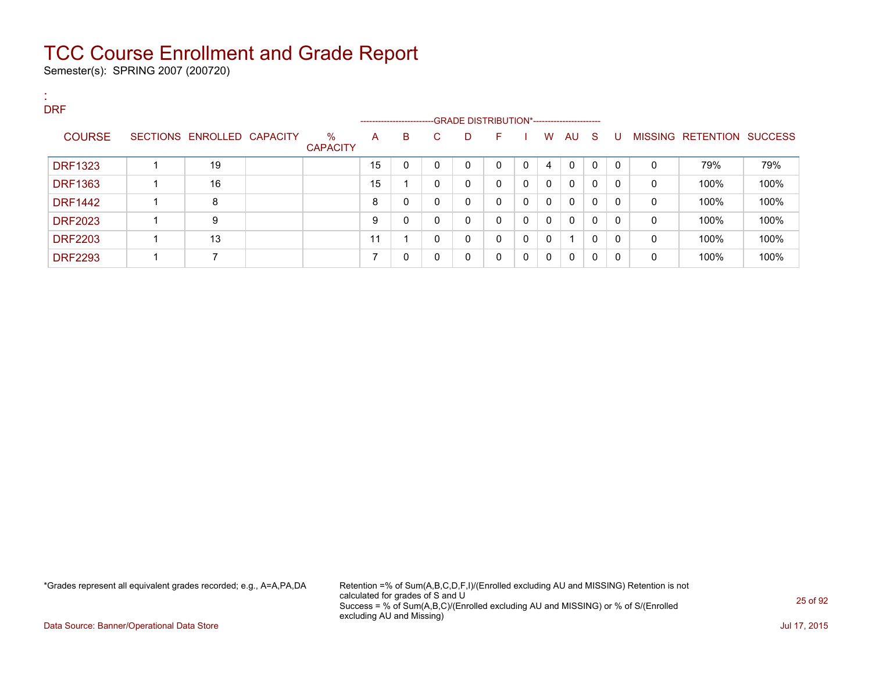Semester(s): SPRING 2007 (200720)

| ж.<br><b>A</b><br><b>DRF</b> |                            |                         |    |   |          | ------------------------GRADE DISTRIBUTION*----------------------- |              |              |              |              |          |              |   |                           |      |
|------------------------------|----------------------------|-------------------------|----|---|----------|--------------------------------------------------------------------|--------------|--------------|--------------|--------------|----------|--------------|---|---------------------------|------|
| <b>COURSE</b>                | SECTIONS ENROLLED CAPACITY | $\%$<br><b>CAPACITY</b> | A  | B | C.       | D                                                                  | н.           |              | W            | AU S         |          | -U           |   | MISSING RETENTION SUCCESS |      |
| <b>DRF1323</b>               | 19                         |                         | 15 | 0 | 0        | 0                                                                  | 0            | $\mathbf{0}$ | 4            | $\mathbf{0}$ | $\Omega$ | $\mathbf{0}$ | 0 | 79%                       | 79%  |
| <b>DRF1363</b>               | 16                         |                         | 15 |   | 0        | 0                                                                  | $\mathbf{0}$ | $\mathbf{0}$ | $\mathbf{0}$ | $\mathbf{0}$ | 0        | 0            | 0 | 100%                      | 100% |
| <b>DRF1442</b>               | 8                          |                         | 8  | 0 | 0        | 0                                                                  | $\mathbf{0}$ | 0            | $\mathbf{0}$ | $\mathbf{0}$ | 0        | 0            | 0 | 100%                      | 100% |
| <b>DRF2023</b>               | 9                          |                         | 9  | 0 | 0        | 0                                                                  | $\mathbf{0}$ | $\Omega$     | $\mathbf{0}$ | $\mathbf{0}$ | 0        | 0            | 0 | 100%                      | 100% |
| <b>DRF2203</b>               | 13                         |                         | 11 |   | $\Omega$ | $\Omega$                                                           | $\mathbf{0}$ | $\Omega$     | $\mathbf{0}$ | -4           | 0        | 0            | 0 | 100%                      | 100% |
| <b>DRF2293</b>               | ⇁                          |                         |    | 0 | 0        | 0                                                                  | $\mathbf{0}$ | $\mathbf{0}$ | $\mathbf{0}$ | $\mathbf{0}$ | 0        | 0            | 0 | 100%                      | 100% |

\*Grades represent all equivalent grades recorded; e.g., A=A,PA,DA Retention =% of Sum(A,B,C,D,F,I)/(Enrolled excluding AU and MISSING) Retention is not calculated for grades of S and U Success = % of Sum(A,B,C)/(Enrolled excluding AU and MISSING) or % of S/(Enrolled excluding AU and Missing)

Data Source: Banner/Operational Data Store Jul 17, 2015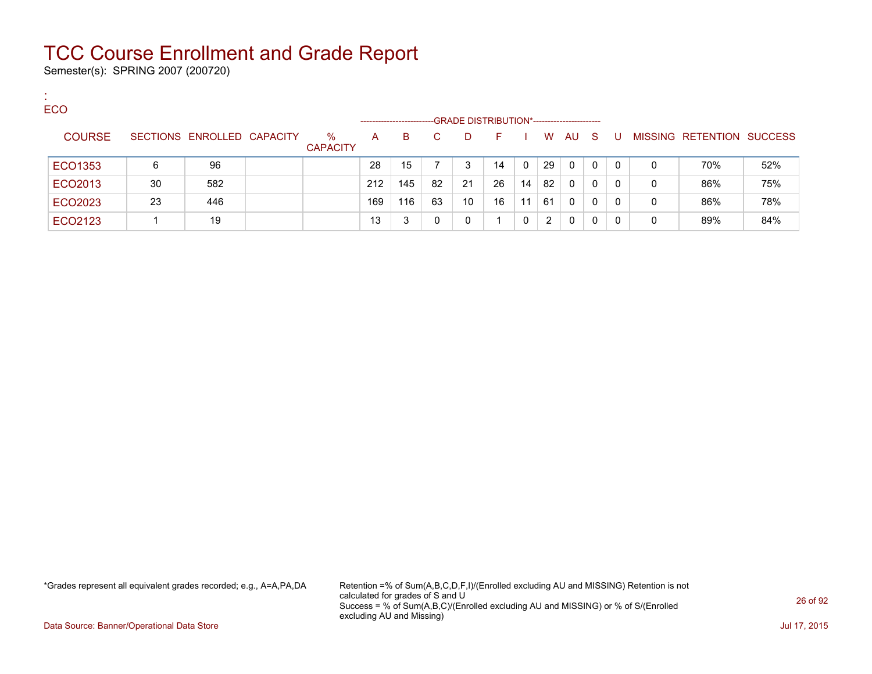Semester(s): SPRING 2007 (200720)

:

| <b>ECO</b>    |    |                            |                         |                   |     |    |                                             |    |          |    |          |              |   |   |                                  |     |
|---------------|----|----------------------------|-------------------------|-------------------|-----|----|---------------------------------------------|----|----------|----|----------|--------------|---|---|----------------------------------|-----|
|               |    |                            |                         | ----------------- |     |    | -GRADE DISTRIBUTION*----------------------- |    |          |    |          |              |   |   |                                  |     |
| <b>COURSE</b> |    | SECTIONS ENROLLED CAPACITY | $\%$<br><b>CAPACITY</b> | A                 | в   |    | D.                                          |    |          | W  | AU       | -S           | U |   | <b>MISSING RETENTION SUCCESS</b> |     |
| ECO1353       | 6  | 96                         |                         | 28                | 15  |    | 3                                           | 14 | $\Omega$ | 29 | $\Omega$ | $\Omega$     | 0 | 0 | 70%                              | 52% |
| ECO2013       | 30 | 582                        |                         | 212               | 145 | 82 | 21                                          | 26 | 14       | 82 | $\Omega$ | 0            | 0 | 0 | 86%                              | 75% |
| ECO2023       | 23 | 446                        |                         | 169               | 116 | 63 | 10                                          | 16 | 11       | 61 | $\Omega$ | $\mathbf{0}$ | 0 | 0 | 86%                              | 78% |
| ECO2123       |    | 19                         |                         | 13                | 3   | 0  |                                             |    |          | 2  | 0        | 0            |   | 0 | 89%                              | 84% |

\*Grades represent all equivalent grades recorded; e.g., A=A,PA,DA Retention =% of Sum(A,B,C,D,F,I)/(Enrolled excluding AU and MISSING) Retention is not calculated for grades of S and U Success = % of Sum(A,B,C)/(Enrolled excluding AU and MISSING) or % of S/(Enrolled excluding AU and Missing)

Data Source: Banner/Operational Data Store Jul 17, 2015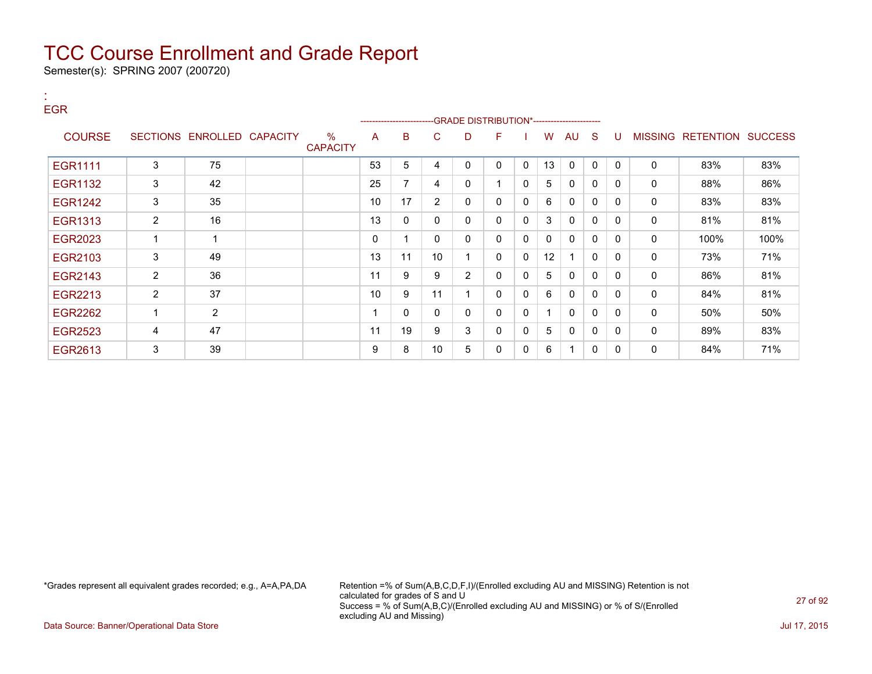Semester(s): SPRING 2007 (200720)

:

| <b>EGR</b>     |                |                            |                         |    | ------------------------GRADE                DISTRIBUTION*---------------------- |                |                |              |              |              |              |              |              |                |                          |      |
|----------------|----------------|----------------------------|-------------------------|----|----------------------------------------------------------------------------------|----------------|----------------|--------------|--------------|--------------|--------------|--------------|--------------|----------------|--------------------------|------|
| <b>COURSE</b>  |                | SECTIONS ENROLLED CAPACITY | $\%$<br><b>CAPACITY</b> | A  | в                                                                                | С              | D              | F            |              | W            | AU           | <sub>S</sub> | U            | <b>MISSING</b> | <b>RETENTION SUCCESS</b> |      |
| <b>EGR1111</b> | 3              | 75                         |                         | 53 | 5                                                                                | 4              | 0              | 0            | $\Omega$     | 13           | $\mathbf{0}$ | $\mathbf{0}$ | $\mathbf{0}$ | $\mathbf{0}$   | 83%                      | 83%  |
| <b>EGR1132</b> | 3              | 42                         |                         | 25 | 7                                                                                | 4              | 0              |              | $\Omega$     | 5            | $\mathbf{0}$ | 0            | 0            | 0              | 88%                      | 86%  |
| <b>EGR1242</b> | 3              | 35                         |                         | 10 | 17                                                                               | $\overline{2}$ | 0              | 0            | $\Omega$     | 6            | 0            | $\Omega$     | 0            | 0              | 83%                      | 83%  |
| <b>EGR1313</b> | 2              | 16                         |                         | 13 | 0                                                                                | 0              | 0              | 0            | $\Omega$     | 3            | $\mathbf{0}$ | $\mathbf{0}$ | 0            | $\mathbf 0$    | 81%                      | 81%  |
| EGR2023        |                |                            |                         | 0  |                                                                                  | 0              | 0              | 0            | $\mathbf{0}$ | $\mathbf{0}$ | $\mathbf{0}$ | 0            | $\mathbf{0}$ | 0              | 100%                     | 100% |
| EGR2103        | 3              | 49                         |                         | 13 | 11                                                                               | 10             |                | 0            | $\Omega$     | 12           |              | $\mathbf{0}$ | 0            | 0              | 73%                      | 71%  |
| EGR2143        | 2              | 36                         |                         | 11 | 9                                                                                | 9              | $\overline{2}$ | $\mathbf{0}$ | $\mathbf{0}$ | 5            | $\mathbf{0}$ | $\mathbf{0}$ | 0            | 0              | 86%                      | 81%  |
| EGR2213        | 2              | 37                         |                         | 10 | 9                                                                                | 11             |                | $\mathbf{0}$ | $\Omega$     | 6            | $\mathbf{0}$ | 0            | 0            | 0              | 84%                      | 81%  |
| <b>EGR2262</b> |                | $\overline{2}$             |                         |    | 0                                                                                | 0              | 0              | 0            | $\mathbf{0}$ |              | $\mathbf{0}$ | 0            | $\Omega$     | 0              | 50%                      | 50%  |
| <b>EGR2523</b> | $\overline{4}$ | 47                         |                         | 11 | 19                                                                               | 9              | 3              | $\Omega$     | $\mathbf{0}$ | 5            | $\mathbf{0}$ | $\mathbf{0}$ | $\Omega$     | $\mathbf{0}$   | 89%                      | 83%  |
| EGR2613        | 3              | 39                         |                         | 9  | 8                                                                                | 10             | 5              | 0            | $\Omega$     | 6            |              | 0            | 0            | 0              | 84%                      | 71%  |

\*Grades represent all equivalent grades recorded; e.g., A=A,PA,DA Retention =% of Sum(A,B,C,D,F,I)/(Enrolled excluding AU and MISSING) Retention is not calculated for grades of S and U Success = % of Sum(A,B,C)/(Enrolled excluding AU and MISSING) or % of S/(Enrolled excluding AU and Missing)

Data Source: Banner/Operational Data Store Jul 17, 2015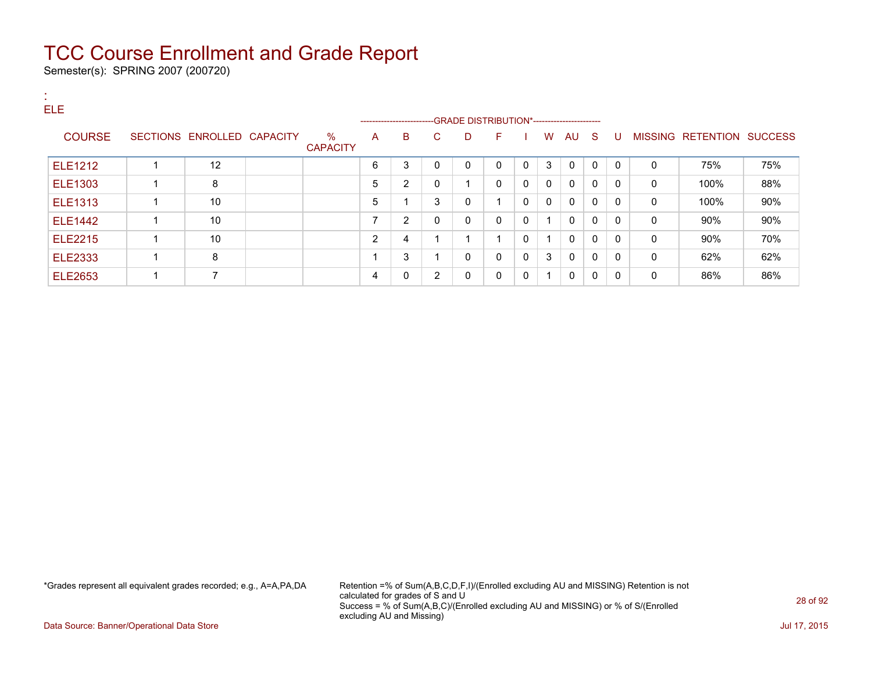Semester(s): SPRING 2007 (200720)

| <b>ELE</b>     |                            |                         |                          |   |              |                                              |              |              |              |              |              |              |              |                           |     |
|----------------|----------------------------|-------------------------|--------------------------|---|--------------|----------------------------------------------|--------------|--------------|--------------|--------------|--------------|--------------|--------------|---------------------------|-----|
|                |                            |                         |                          |   |              | --GRADE DISTRIBUTION*----------------------- |              |              |              |              |              |              |              |                           |     |
| <b>COURSE</b>  | SECTIONS ENROLLED CAPACITY | $\%$<br><b>CAPACITY</b> | A                        | B | C.           | D                                            | F.           |              | W            | AU S         |              | U            |              | MISSING RETENTION SUCCESS |     |
| <b>ELE1212</b> | 12                         |                         | 6                        | 3 | $\mathbf{0}$ | $\mathbf{0}$                                 | $\Omega$     | $\mathbf{0}$ | 3            | $\mathbf{0}$ | $\mathbf{0}$ | $\mathbf{0}$ | $\Omega$     | 75%                       | 75% |
| <b>ELE1303</b> | 8                          |                         | 5                        | 2 | 0            | 4                                            | $\mathbf{0}$ | 0            | $\mathbf{0}$ | $\mathbf{0}$ | $\mathbf{0}$ | $\mathbf{0}$ | 0            | 100%                      | 88% |
| <b>ELE1313</b> | 10                         |                         | 5                        |   | 3            | 0                                            |              | $\Omega$     | $\mathbf{0}$ | $\mathbf{0}$ | $\mathbf{0}$ | $\Omega$     | $\Omega$     | 100%                      | 90% |
| <b>ELE1442</b> | 10                         |                         | $\overline{\phantom{0}}$ | 2 | $\mathbf{0}$ | 0                                            | $\Omega$     | $\Omega$     | 1            | $\mathbf{0}$ | $\mathbf{0}$ | $\mathbf{0}$ | 0            | $90\%$                    | 90% |
| <b>ELE2215</b> | 10                         |                         | 2                        | 4 | 4            | и                                            |              | $\Omega$     | $\mathbf 1$  | $\mathbf{0}$ | $\mathbf{0}$ | $\mathbf{0}$ | $\mathbf{0}$ | 90%                       | 70% |
| <b>ELE2333</b> | 8                          |                         |                          | 3 | 4            | 0                                            | $\Omega$     | $\Omega$     | 3            | 0            | $\mathbf{0}$ | $\mathbf{0}$ | 0            | 62%                       | 62% |
| <b>ELE2653</b> | 7                          |                         | 4                        | 0 | 2            | 0                                            | $\Omega$     | $\Omega$     | $\mathbf 1$  | $\mathbf{0}$ | $\mathbf{0}$ | $\mathbf{0}$ | 0            | 86%                       | 86% |

\*Grades represent all equivalent grades recorded; e.g., A=A,PA,DA Retention =% of Sum(A,B,C,D,F,I)/(Enrolled excluding AU and MISSING) Retention is not calculated for grades of S and U Success = % of Sum(A,B,C)/(Enrolled excluding AU and MISSING) or % of S/(Enrolled excluding AU and Missing)

Data Source: Banner/Operational Data Store Jul 17, 2015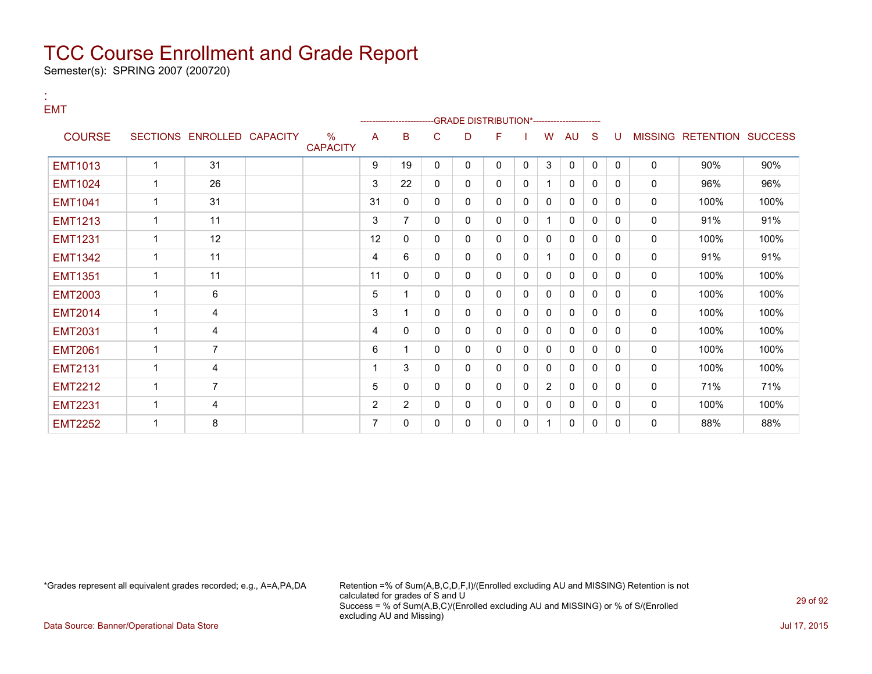Semester(s): SPRING 2007 (200720)

:

| <b>EMT</b>     |                |                            |                                  |                | -------------- |   | -GRADE DISTRIBUTION*--------------------- |              |   |                |              |              |          |              |                           |      |
|----------------|----------------|----------------------------|----------------------------------|----------------|----------------|---|-------------------------------------------|--------------|---|----------------|--------------|--------------|----------|--------------|---------------------------|------|
| <b>COURSE</b>  |                | SECTIONS ENROLLED CAPACITY | $\frac{0}{0}$<br><b>CAPACITY</b> | A              | в              | С | D                                         | F            |   | W              | AU           | S            | U        |              | MISSING RETENTION SUCCESS |      |
| <b>EMT1013</b> | -1             | 31                         |                                  | 9              | 19             | 0 | 0                                         | $\mathbf{0}$ | 0 | 3              | $\mathbf 0$  | $\Omega$     | $\Omega$ | 0            | 90%                       | 90%  |
| <b>EMT1024</b> | -1             | 26                         |                                  | 3              | 22             | 0 | 0                                         | 0            | 0 |                | 0            | $\Omega$     | 0        | 0            | 96%                       | 96%  |
| <b>EMT1041</b> | 1              | 31                         |                                  | 31             | 0              | 0 | 0                                         | $\mathbf{0}$ | 0 | 0              | 0            | $\Omega$     | 0        | 0            | 100%                      | 100% |
| <b>EMT1213</b> | $\overline{1}$ | 11                         |                                  | 3              | $\overline{7}$ | 0 | 0                                         | $\mathbf{0}$ | 0 | 1              | 0            | $\Omega$     | $\Omega$ | $\mathbf 0$  | 91%                       | 91%  |
| <b>EMT1231</b> | 1              | 12                         |                                  | 12             | 0              | 0 | 0                                         | 0            | 0 | 0              | 0            | $\mathbf{0}$ | $\Omega$ | 0            | 100%                      | 100% |
| <b>EMT1342</b> | 1              | 11                         |                                  | 4              | 6              | 0 | 0                                         | 0            | 0 |                | 0            | $\mathbf{0}$ | 0        | 0            | 91%                       | 91%  |
| <b>EMT1351</b> | 1              | 11                         |                                  | 11             | 0              | 0 | 0                                         | 0            | 0 | 0              | 0            | 0            | 0        | 0            | 100%                      | 100% |
| <b>EMT2003</b> | 1              | 6                          |                                  | 5              |                | 0 | 0                                         | 0            | 0 | 0              | $\mathbf{0}$ | $\Omega$     | 0        | $\mathbf 0$  | 100%                      | 100% |
| <b>EMT2014</b> | 1              | 4                          |                                  | 3              |                | 0 | 0                                         | 0            | 0 | 0              | 0            | $\Omega$     | $\Omega$ | 0            | 100%                      | 100% |
| <b>EMT2031</b> | 1              | 4                          |                                  | 4              | 0              | 0 | 0                                         | 0            | 0 | 0              | $\mathbf{0}$ | $\mathbf{0}$ | $\Omega$ | $\Omega$     | 100%                      | 100% |
| <b>EMT2061</b> | 1              | 7                          |                                  | 6              |                | 0 | 0                                         | 0            | 0 | 0              | $\mathbf{0}$ | $\mathbf{0}$ | 0        | 0            | 100%                      | 100% |
| <b>EMT2131</b> | $\overline{1}$ | 4                          |                                  |                | 3              | 0 | 0                                         | $\mathbf{0}$ | 0 | 0              | 0            | 0            | 0        | 0            | 100%                      | 100% |
| <b>EMT2212</b> | $\overline{1}$ | $\overline{7}$             |                                  | 5              | 0              | 0 | 0                                         | 0            | 0 | $\overline{2}$ | $\mathbf{0}$ | 0            | 0        | $\mathbf{0}$ | 71%                       | 71%  |
| <b>EMT2231</b> | $\overline{1}$ | 4                          |                                  | $\overline{2}$ | $\overline{2}$ | 0 | 0                                         | 0            | 0 | 0              | $\mathbf{0}$ | $\mathbf{0}$ | 0        | $\mathbf{0}$ | 100%                      | 100% |
| <b>EMT2252</b> |                | 8                          |                                  |                | 0              | 0 | 0                                         | 0            | 0 |                | 0            | 0            | 0        | 0            | 88%                       | 88%  |

\*Grades represent all equivalent grades recorded; e.g., A=A,PA,DA Retention =% of Sum(A,B,C,D,F,I)/(Enrolled excluding AU and MISSING) Retention is not calculated for grades of S and U Success = % of Sum(A,B,C)/(Enrolled excluding AU and MISSING) or % of S/(Enrolled excluding AU and Missing)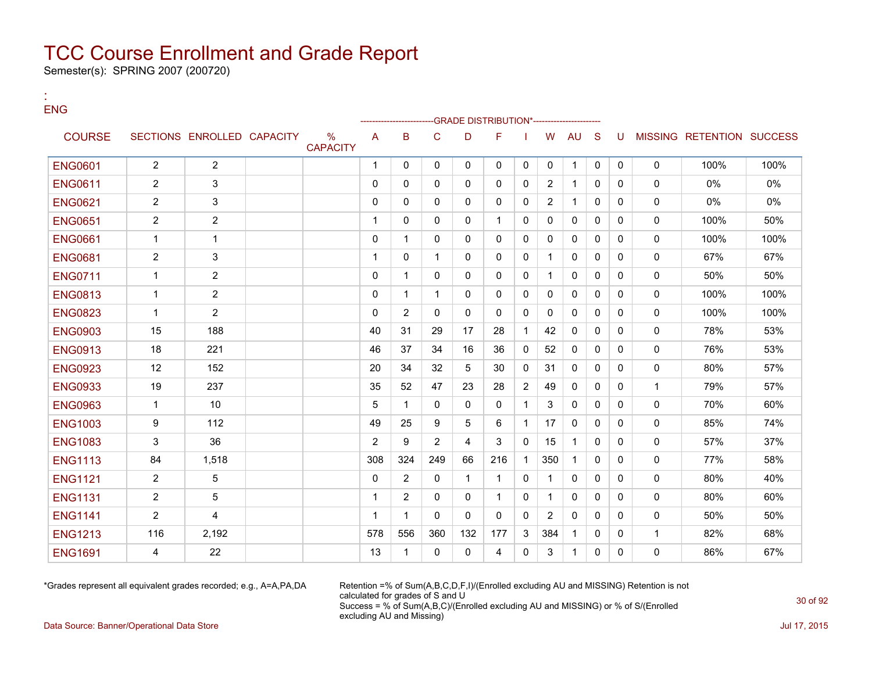Semester(s): SPRING 2007 (200720)

:

| <b>ENG</b>     |                |                            |                      |                |                |                |              | -GRADE DISTRIBUTION*---------------- |              |                |              |              |              |              |                           |       |
|----------------|----------------|----------------------------|----------------------|----------------|----------------|----------------|--------------|--------------------------------------|--------------|----------------|--------------|--------------|--------------|--------------|---------------------------|-------|
| <b>COURSE</b>  |                | SECTIONS ENROLLED CAPACITY | %<br><b>CAPACITY</b> | $\overline{A}$ | B              | C              | D            | F                                    |              | W              | <b>AU</b>    | <sub>S</sub> | U            |              | MISSING RETENTION SUCCESS |       |
| <b>ENG0601</b> | $\overline{2}$ | $\overline{2}$             |                      | $\overline{1}$ | $\Omega$       | $\mathbf{0}$   | $\mathbf{0}$ | $\Omega$                             | $\mathbf{0}$ | $\mathbf{0}$   | $\mathbf 1$  | $\mathbf{0}$ | $\mathbf{0}$ | $\mathbf{0}$ | 100%                      | 100%  |
| <b>ENG0611</b> | $\overline{2}$ | 3                          |                      | $\mathbf{0}$   | $\Omega$       | $\mathbf{0}$   | $\mathbf{0}$ | $\Omega$                             | $\Omega$     | $\overline{2}$ | $\mathbf{1}$ | $\mathbf{0}$ | $\Omega$     | $\mathbf{0}$ | 0%                        | $0\%$ |
| <b>ENG0621</b> | $\overline{2}$ | 3                          |                      | $\Omega$       | $\Omega$       | $\Omega$       | $\Omega$     | $\Omega$                             | $\Omega$     | 2              | $\mathbf{1}$ | $\Omega$     | $\Omega$     | $\mathbf{0}$ | 0%                        | 0%    |
| <b>ENG0651</b> | $\overline{2}$ | $\overline{2}$             |                      | $\overline{1}$ | $\Omega$       | $\mathbf 0$    | $\mathbf{0}$ |                                      | $\Omega$     | $\mathbf{0}$   | 0            | $\mathbf{0}$ | $\Omega$     | $\mathbf 0$  | 100%                      | 50%   |
| <b>ENG0661</b> | $\mathbf{1}$   | $\mathbf{1}$               |                      | $\mathbf{0}$   | 1              | $\Omega$       | $\Omega$     | $\Omega$                             | $\Omega$     | $\Omega$       | $\mathbf{0}$ | $\Omega$     | $\Omega$     | $\mathbf{0}$ | 100%                      | 100%  |
| <b>ENG0681</b> | $\overline{2}$ | 3                          |                      | $\overline{1}$ | $\Omega$       | $\mathbf 1$    | 0            | 0                                    | $\Omega$     | 1              | 0            | $\mathbf{0}$ | $\Omega$     | $\mathbf 0$  | 67%                       | 67%   |
| <b>ENG0711</b> | $\mathbf{1}$   | $\overline{2}$             |                      | $\mathbf{0}$   | 1              | $\mathbf{0}$   | $\Omega$     | $\Omega$                             | $\Omega$     | -1             | $\mathbf{0}$ | $\Omega$     | $\Omega$     | $\mathbf{0}$ | 50%                       | 50%   |
| <b>ENG0813</b> | $\mathbf{1}$   | $\overline{2}$             |                      | $\mathbf{0}$   | 1              | $\mathbf 1$    | 0            | 0                                    | $\Omega$     | $\mathbf{0}$   | 0            | $\mathbf{0}$ | $\Omega$     | $\mathbf 0$  | 100%                      | 100%  |
| <b>ENG0823</b> | $\mathbf{1}$   | $\overline{2}$             |                      | $\Omega$       | $\overline{2}$ | $\Omega$       | $\Omega$     | $\Omega$                             | $\Omega$     | $\Omega$       | $\Omega$     | $\Omega$     | $\Omega$     | $\mathbf{0}$ | 100%                      | 100%  |
| <b>ENG0903</b> | 15             | 188                        |                      | 40             | 31             | 29             | 17           | 28                                   | $\mathbf 1$  | 42             | 0            | $\mathbf{0}$ | $\Omega$     | $\mathbf 0$  | 78%                       | 53%   |
| <b>ENG0913</b> | 18             | 221                        |                      | 46             | 37             | 34             | 16           | 36                                   | $\mathbf{0}$ | 52             | $\Omega$     | $\mathbf{0}$ | $\Omega$     | $\mathbf{0}$ | 76%                       | 53%   |
| <b>ENG0923</b> | 12             | 152                        |                      | 20             | 34             | 32             | 5            | 30                                   | $\Omega$     | 31             | $\Omega$     | $\mathbf{0}$ | $\Omega$     | $\mathbf 0$  | 80%                       | 57%   |
| <b>ENG0933</b> | 19             | 237                        |                      | 35             | 52             | 47             | 23           | 28                                   | 2            | 49             | $\mathbf{0}$ | $\Omega$     | $\Omega$     | $\mathbf{1}$ | 79%                       | 57%   |
| <b>ENG0963</b> | $\mathbf{1}$   | 10                         |                      | 5              | $\mathbf 1$    | $\mathbf{0}$   | 0            | $\Omega$                             | $\mathbf 1$  | 3              | $\Omega$     | $\mathbf{0}$ | $\Omega$     | $\mathbf 0$  | 70%                       | 60%   |
| <b>ENG1003</b> | 9              | 112                        |                      | 49             | 25             | 9              | 5            | 6                                    | $\mathbf 1$  | 17             | $\Omega$     | $\mathbf{0}$ | $\Omega$     | $\mathbf{0}$ | 85%                       | 74%   |
| <b>ENG1083</b> | 3              | 36                         |                      | 2              | 9              | $\overline{2}$ | 4            | 3                                    | $\Omega$     | 15             | $\mathbf{1}$ | $\mathbf{0}$ | $\Omega$     | $\mathbf 0$  | 57%                       | 37%   |
| <b>ENG1113</b> | 84             | 1,518                      |                      | 308            | 324            | 249            | 66           | 216                                  | $\mathbf 1$  | 350            | $\mathbf{1}$ | $\mathbf{0}$ | $\Omega$     | $\mathbf{0}$ | 77%                       | 58%   |
| <b>ENG1121</b> | $\overline{2}$ | 5                          |                      | $\mathbf{0}$   | $\overline{2}$ | $\mathbf{0}$   | $\mathbf{1}$ | $\mathbf{1}$                         | $\mathbf{0}$ | $\mathbf{1}$   | $\mathbf{0}$ | $\mathbf{0}$ | $\Omega$     | $\mathbf 0$  | 80%                       | 40%   |
| <b>ENG1131</b> | $\overline{2}$ | 5                          |                      | $\overline{1}$ | $\overline{2}$ | $\mathbf{0}$   | 0            | $\mathbf 1$                          | $\mathbf{0}$ | $\mathbf 1$    | $\Omega$     | $\mathbf{0}$ | $\Omega$     | $\mathbf{0}$ | 80%                       | 60%   |
| <b>ENG1141</b> | $\overline{2}$ | 4                          |                      | $\overline{1}$ | 1              | $\Omega$       | $\mathbf{0}$ | $\Omega$                             | $\Omega$     | 2              | $\Omega$     | $\Omega$     | $\Omega$     | $\mathbf 0$  | 50%                       | 50%   |
| <b>ENG1213</b> | 116            | 2,192                      |                      | 578            | 556            | 360            | 132          | 177                                  | 3            | 384            | $\mathbf 1$  | $\mathbf{0}$ | $\Omega$     | $\mathbf{1}$ | 82%                       | 68%   |
| <b>ENG1691</b> | 4              | 22                         |                      | 13             | $\mathbf 1$    | $\mathbf{0}$   | $\mathbf{0}$ | 4                                    | $\Omega$     | 3              | $\mathbf{1}$ | $\mathbf{0}$ | $\Omega$     | $\mathbf 0$  | 86%                       | 67%   |

\*Grades represent all equivalent grades recorded; e.g., A=A,PA,DA Retention =% of Sum(A,B,C,D,F,I)/(Enrolled excluding AU and MISSING) Retention is not calculated for grades of S and U Success = % of Sum(A,B,C)/(Enrolled excluding AU and MISSING) or % of S/(Enrolled excluding AU and Missing)

Data Source: Banner/Operational Data Store Jul 17, 2015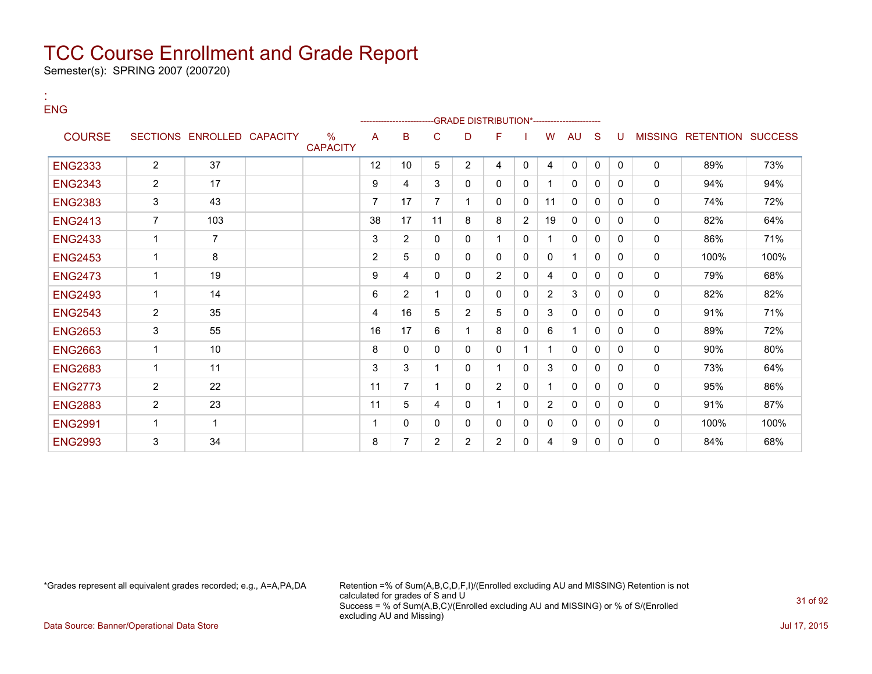Semester(s): SPRING 2007 (200720)

| <b>ENG</b>     |                |                            |                         |                | ---------------------- |                |                | -GRADE DISTRIBUTION*---------------------- |                |                |              |              |              |                |                          |      |
|----------------|----------------|----------------------------|-------------------------|----------------|------------------------|----------------|----------------|--------------------------------------------|----------------|----------------|--------------|--------------|--------------|----------------|--------------------------|------|
| <b>COURSE</b>  |                | SECTIONS ENROLLED CAPACITY | $\%$<br><b>CAPACITY</b> | A              | B                      | C              | D              | F                                          |                | w              | AU           | S            |              | <b>MISSING</b> | <b>RETENTION SUCCESS</b> |      |
| <b>ENG2333</b> | $\overline{2}$ | 37                         |                         | 12             | 10                     | 5              | $\overline{2}$ | 4                                          | 0              | 4              | $\mathbf 0$  | $\mathbf{0}$ | $\Omega$     | $\mathbf{0}$   | 89%                      | 73%  |
| <b>ENG2343</b> | $\overline{2}$ | 17                         |                         | 9              | 4                      | 3              | 0              | $\Omega$                                   | $\Omega$       |                | $\mathbf{0}$ | $\Omega$     | $\Omega$     | $\mathbf{0}$   | 94%                      | 94%  |
| <b>ENG2383</b> | 3              | 43                         |                         | $\overline{7}$ | 17                     |                |                | $\Omega$                                   | $\Omega$       | 11             | $\Omega$     | $\Omega$     | $\Omega$     | $\mathbf{0}$   | 74%                      | 72%  |
| <b>ENG2413</b> | $\overline{7}$ | 103                        |                         | 38             | 17                     | 11             | 8              | 8                                          | $\overline{2}$ | 19             | $\Omega$     | $\Omega$     | 0            | $\mathbf{0}$   | 82%                      | 64%  |
| <b>ENG2433</b> | 1              | $\overline{7}$             |                         | 3              | $\overline{2}$         | $\Omega$       | 0              |                                            | $\Omega$       |                | $\mathbf{0}$ | $\Omega$     | $\Omega$     | $\mathbf{0}$   | 86%                      | 71%  |
| <b>ENG2453</b> | 1              | 8                          |                         | $\overline{2}$ | 5                      | $\Omega$       | 0              | $\Omega$                                   | $\Omega$       | $\mathbf{0}$   | 1            | $\Omega$     | $\Omega$     | $\mathbf 0$    | 100%                     | 100% |
| <b>ENG2473</b> | 1              | 19                         |                         | 9              | 4                      | 0              | 0              | $\overline{2}$                             | $\Omega$       | 4              | $\Omega$     | $\Omega$     | $\Omega$     | $\mathbf 0$    | 79%                      | 68%  |
| <b>ENG2493</b> | $\overline{1}$ | 14                         |                         | 6              | 2                      |                | 0              | 0                                          | 0              | $\overline{2}$ | 3            | $\mathbf{0}$ | $\mathbf{0}$ | 0              | 82%                      | 82%  |
| <b>ENG2543</b> | $\overline{2}$ | 35                         |                         | 4              | 16                     | 5              | $\overline{2}$ | 5                                          | $\Omega$       | 3              | 0            | $\mathbf{0}$ | $\mathbf{0}$ | 0              | 91%                      | 71%  |
| <b>ENG2653</b> | 3              | 55                         |                         | 16             | 17                     | 6              |                | 8                                          | 0              | 6              |              | $\mathbf{0}$ | $\mathbf{0}$ | $\mathbf 0$    | 89%                      | 72%  |
| <b>ENG2663</b> | 1              | 10                         |                         | 8              | 0                      | 0              | $\mathbf{0}$   | 0                                          | f              |                | $\mathbf{0}$ | $\mathbf{0}$ | $\mathbf{0}$ | 0              | 90%                      | 80%  |
| <b>ENG2683</b> | 1              | 11                         |                         | 3              | 3                      |                | 0              |                                            | $\Omega$       | 3              | 0            | $\mathbf{0}$ | 0            | 0              | 73%                      | 64%  |
| <b>ENG2773</b> | $\overline{2}$ | 22                         |                         | 11             | 7                      |                | 0              | $\overline{2}$                             | 0              |                | 0            | 0            | 0            | 0              | 95%                      | 86%  |
| <b>ENG2883</b> | 2              | 23                         |                         | 11             | 5                      | 4              | 0              |                                            | 0              | $\overline{2}$ | $\mathbf{0}$ | 0            | 0            | $\mathbf{0}$   | 91%                      | 87%  |
| <b>ENG2991</b> | $\overline{1}$ | 1                          |                         | 1              | 0                      | 0              | 0              | 0                                          | 0              | 0              | 0            | 0            | 0            | 0              | 100%                     | 100% |
| <b>ENG2993</b> | 3              | 34                         |                         | 8              | 7                      | $\overline{2}$ | $\overline{2}$ | $\overline{2}$                             | 0              | 4              | 9            | 0            | $\Omega$     | 0              | 84%                      | 68%  |

:

\*Grades represent all equivalent grades recorded; e.g., A=A,PA,DA Retention =% of Sum(A,B,C,D,F,I)/(Enrolled excluding AU and MISSING) Retention is not calculated for grades of S and U Success = % of Sum(A,B,C)/(Enrolled excluding AU and MISSING) or % of S/(Enrolled excluding AU and Missing)

Data Source: Banner/Operational Data Store Jul 17, 2015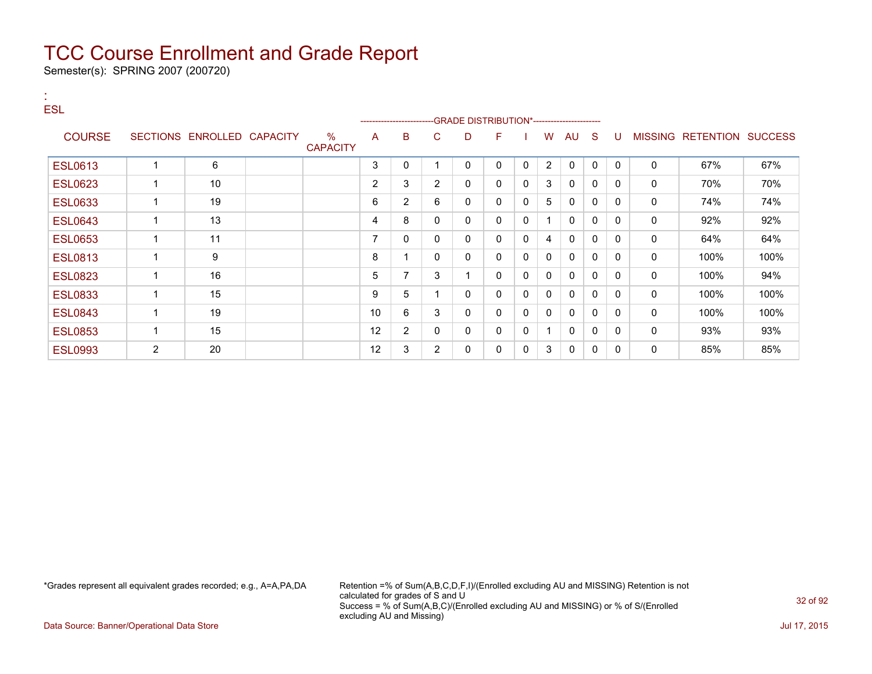Semester(s): SPRING 2007 (200720)

| $\sim$<br><b>ESL</b> |                |                            |                         | -------------------- |                |                |             | -GRADE DISTRIBUTION*---------------------- |              |          |              |              |          |             |                                  |      |
|----------------------|----------------|----------------------------|-------------------------|----------------------|----------------|----------------|-------------|--------------------------------------------|--------------|----------|--------------|--------------|----------|-------------|----------------------------------|------|
| <b>COURSE</b>        |                | SECTIONS ENROLLED CAPACITY | $\%$<br><b>CAPACITY</b> | A                    | B              | C.             | D           | F.                                         |              | W        | AU           | <sub>S</sub> | U        |             | <b>MISSING RETENTION SUCCESS</b> |      |
| <b>ESL0613</b>       |                | 6                          |                         | 3                    | 0              |                | 0           | 0                                          | $\Omega$     | 2        | 0            | $\Omega$     | $\Omega$ | 0           | 67%                              | 67%  |
| <b>ESL0623</b>       | 1              | 10                         |                         | $\overline{2}$       | 3              | $\overline{2}$ | 0           | 0                                          | $\Omega$     | 3        | $\mathbf{0}$ | $\Omega$     | $\Omega$ | 0           | 70%                              | 70%  |
| <b>ESL0633</b>       | 1              | 19                         |                         | 6                    | $\overline{2}$ | 6              | $\mathbf 0$ | $\mathbf{0}$                               | $\Omega$     | 5        | $\mathbf{0}$ | 0            | $\Omega$ | 0           | 74%                              | 74%  |
| <b>ESL0643</b>       |                | 13                         |                         | 4                    | 8              | $\mathbf{0}$   | $\mathbf 0$ | 0                                          | $\Omega$     | 1        | $\mathbf{0}$ | $\mathbf{0}$ | 0        | $\mathbf 0$ | 92%                              | 92%  |
| <b>ESL0653</b>       | $\mathbf 1$    | 11                         |                         | 7                    | 0              | 0              | 0           | 0                                          | $\mathbf{0}$ | 4        | $\Omega$     | 0            | 0        | 0           | 64%                              | 64%  |
| <b>ESL0813</b>       |                | 9                          |                         | 8                    | 4              | $\mathbf{0}$   | 0           | 0                                          | $\Omega$     | 0        | $\mathbf{0}$ | 0            | 0        | 0           | 100%                             | 100% |
| <b>ESL0823</b>       |                | 16                         |                         | 5                    | 7              | 3              | 1           | $\mathbf{0}$                               | $\mathbf{0}$ | $\Omega$ | $\mathbf{0}$ | 0            | 0        | 0           | 100%                             | 94%  |
| <b>ESL0833</b>       | 1              | 15                         |                         | 9                    | 5              |                | 0           | 0                                          | $\Omega$     | 0        | $\mathbf{0}$ | 0            | $\Omega$ | $\mathbf 0$ | 100%                             | 100% |
| <b>ESL0843</b>       |                | 19                         |                         | 10 <sup>1</sup>      | 6              | 3              | $\mathbf 0$ | 0                                          | $\mathbf{0}$ | 0        | 0            | 0            | 0        | 0           | 100%                             | 100% |
| <b>ESL0853</b>       | 1              | 15                         |                         | 12                   | $\overline{2}$ | 0              | 0           | 0                                          | 0            | 1        | 0            | 0            | 0        | 0           | 93%                              | 93%  |
| <b>ESL0993</b>       | $\overline{2}$ | 20                         |                         | 12                   | 3              | $\overline{2}$ | 0           | 0                                          | 0            | 3        | 0            | 0            | 0        | 0           | 85%                              | 85%  |

\*Grades represent all equivalent grades recorded; e.g., A=A,PA,DA Retention =% of Sum(A,B,C,D,F,I)/(Enrolled excluding AU and MISSING) Retention is not calculated for grades of S and U Success = % of Sum(A,B,C)/(Enrolled excluding AU and MISSING) or % of S/(Enrolled excluding AU and Missing)

Data Source: Banner/Operational Data Store **July 17, 2015**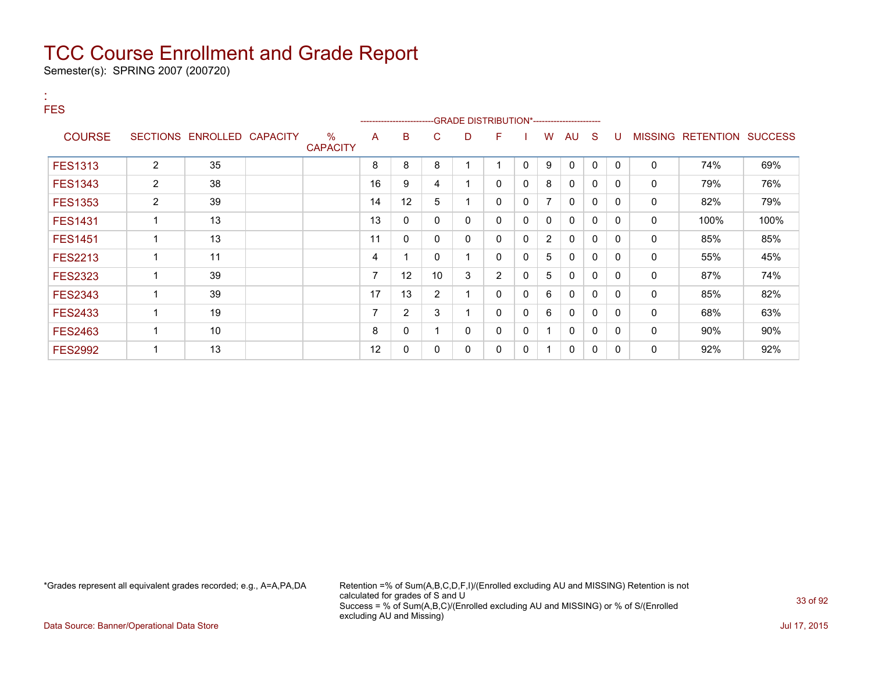Semester(s): SPRING 2007 (200720)

| $\sim$         |                |                            |                 |                          |                        |                 |              |                                            |          |              |              |              |              |             |                                  |      |
|----------------|----------------|----------------------------|-----------------|--------------------------|------------------------|-----------------|--------------|--------------------------------------------|----------|--------------|--------------|--------------|--------------|-------------|----------------------------------|------|
| <b>FES</b>     |                |                            |                 |                          | ---------------------- |                 |              | -GRADE DISTRIBUTION*---------------------- |          |              |              |              |              |             |                                  |      |
| <b>COURSE</b>  |                | SECTIONS ENROLLED CAPACITY | $\%$            | A                        | B                      | C.              | D            | F                                          |          | W            | AU           | <sub>S</sub> | -11          |             | <b>MISSING RETENTION SUCCESS</b> |      |
|                |                |                            | <b>CAPACITY</b> |                          |                        |                 |              |                                            |          |              |              |              |              |             |                                  |      |
| <b>FES1313</b> | $\overline{2}$ | 35                         |                 | 8                        | 8                      | 8               |              |                                            | 0        | 9            | $\Omega$     | $\mathbf{0}$ | $\mathbf{0}$ | 0           | 74%                              | 69%  |
| <b>FES1343</b> | $\overline{2}$ | 38                         |                 | 16                       | 9                      | 4               |              | 0                                          | $\Omega$ | 8            | $\mathbf{0}$ | 0            | $\mathbf{0}$ | 0           | 79%                              | 76%  |
| <b>FES1353</b> | $\overline{2}$ | 39                         |                 | 14                       | 12                     | 5               |              | $\mathbf{0}$                               | 0        | 7            | $\mathbf{0}$ | 0            | $\Omega$     | $\mathbf 0$ | 82%                              | 79%  |
| <b>FES1431</b> | 1              | 13                         |                 | 13                       | 0                      | 0               | $\mathbf{0}$ | $\mathbf{0}$                               | 0        | $\mathbf{0}$ | $\mathbf{0}$ | $\mathbf{0}$ | $\Omega$     | 0           | 100%                             | 100% |
| <b>FES1451</b> | $\mathbf 1$    | 13                         |                 | 11                       | 0                      | 0               | 0            | 0                                          | 0        | 2            | $\mathbf{0}$ | 0            | $\Omega$     | 0           | 85%                              | 85%  |
| <b>FES2213</b> | 1              | 11                         |                 | 4                        | 1                      | 0               |              | $\mathbf{0}$                               | $\Omega$ | 5            | $\mathbf{0}$ | 0            | $\Omega$     | 0           | 55%                              | 45%  |
| <b>FES2323</b> | 1              | 39                         |                 | $\overline{\phantom{a}}$ | 12                     | 10 <sup>°</sup> | 3            | $\overline{2}$                             | 0        | 5            | $\mathbf{0}$ | 0            | $\mathbf{0}$ | 0           | 87%                              | 74%  |
| <b>FES2343</b> | 1              | 39                         |                 | 17                       | 13                     | $\overline{2}$  |              | $\mathbf{0}$                               | $\Omega$ | 6            | $\mathbf{0}$ | $\mathbf{0}$ | $\mathbf{0}$ | 0           | 85%                              | 82%  |
| <b>FES2433</b> | 1              | 19                         |                 | $\overline{\phantom{a}}$ | $\overline{2}$         | 3               |              | 0                                          | 0        | 6            | 0            | $\mathbf{0}$ | $\mathbf{0}$ | $\mathbf 0$ | 68%                              | 63%  |
| <b>FES2463</b> | 1              | 10                         |                 | 8                        | 0                      |                 | 0            | $\mathbf{0}$                               | 0        | 1            | $\mathbf{0}$ | 0            | $\Omega$     | 0           | $90\%$                           | 90%  |
| <b>FES2992</b> | 1              | 13                         |                 | 12                       | 0                      | 0               | 0            | $\mathbf{0}$                               | 0        | 1            | $\mathbf{0}$ | 0            | $\Omega$     | 0           | 92%                              | 92%  |

\*Grades represent all equivalent grades recorded; e.g., A=A,PA,DA Retention =% of Sum(A,B,C,D,F,I)/(Enrolled excluding AU and MISSING) Retention is not calculated for grades of S and U Success = % of Sum(A,B,C)/(Enrolled excluding AU and MISSING) or % of S/(Enrolled excluding AU and Missing)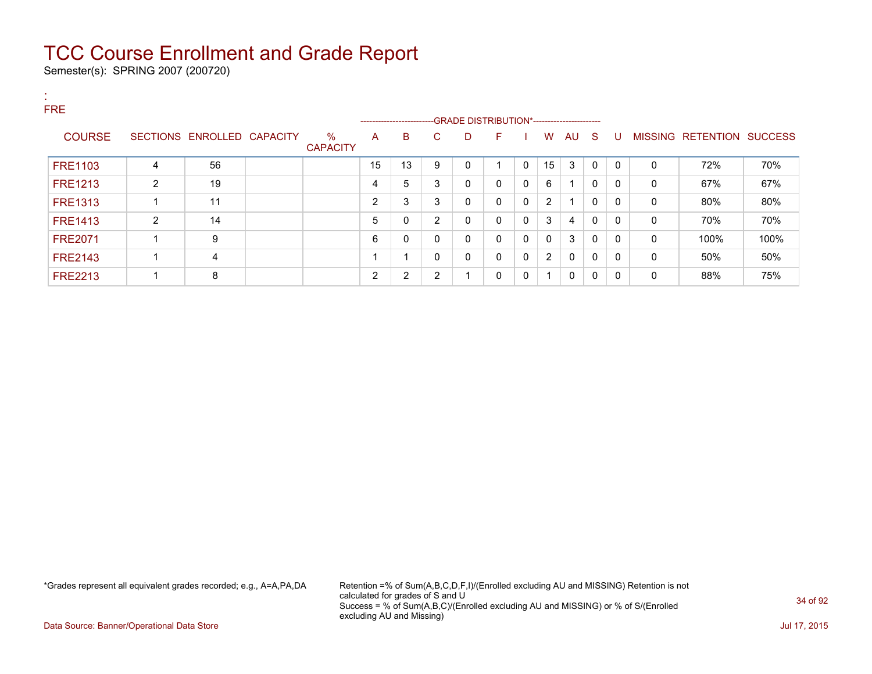Semester(s): SPRING 2007 (200720)

| л.<br><b>A</b><br><b>FRE</b> |                |                            |                      |                |                          |                |                                              |              |          |                |              |              |              |              |                           |      |
|------------------------------|----------------|----------------------------|----------------------|----------------|--------------------------|----------------|----------------------------------------------|--------------|----------|----------------|--------------|--------------|--------------|--------------|---------------------------|------|
|                              |                |                            |                      |                | -----------------------  |                | --GRADE DISTRIBUTION*----------------------- |              |          |                |              |              |              |              |                           |      |
| <b>COURSE</b>                |                | SECTIONS ENROLLED CAPACITY | %<br><b>CAPACITY</b> | A              | B                        | C.             | D                                            | F.           |          | W              | AU S         |              | U            |              | MISSING RETENTION SUCCESS |      |
| <b>FRE1103</b>               | 4              | 56                         |                      | 15             | 13                       | 9              | 0                                            |              | $\Omega$ | 15             | 3            | $\mathbf{0}$ | $\Omega$     | 0            | 72%                       | 70%  |
| <b>FRE1213</b>               | $\overline{2}$ | 19                         |                      | 4              | 5                        | 3              | $\mathbf 0$                                  | $\mathbf{0}$ | 0        | 6              |              | $\mathbf{0}$ | $\mathbf{0}$ | 0            | 67%                       | 67%  |
| <b>FRE1313</b>               |                | 11                         |                      | $\overline{2}$ | 3                        | 3              | 0                                            | $\mathbf{0}$ | 0        | $\overline{2}$ | -4           | $\mathbf{0}$ | 0            | $\mathbf{0}$ | 80%                       | 80%  |
| <b>FRE1413</b>               | $\overline{2}$ | 14                         |                      | 5              | 0                        | $\overline{2}$ | 0                                            | $\mathbf{0}$ | 0        | 3              | 4            | $\mathbf{0}$ | $\mathbf{0}$ | 0            | 70%                       | 70%  |
| <b>FRE2071</b>               |                | 9                          |                      | 6              | 0                        | $\Omega$       | 0                                            | $\mathbf{0}$ | 0        | $\mathbf{0}$   | 3            | 0            | 0            | $\mathbf{0}$ | 100%                      | 100% |
| <b>FRE2143</b>               |                | 4                          |                      |                | $\overline{\phantom{a}}$ | 0              | 0                                            | $\mathbf{0}$ | 0        | $\overline{2}$ | $\mathbf{0}$ | $\mathbf{0}$ | 0            | 0            | 50%                       | 50%  |
| <b>FRE2213</b>               |                | 8                          |                      | 2              | 2                        | 2              |                                              | 0            | 0        |                | 0            | $\mathbf{0}$ | $\mathbf{0}$ | 0            | 88%                       | 75%  |

\*Grades represent all equivalent grades recorded; e.g., A=A,PA,DA Retention =% of Sum(A,B,C,D,F,I)/(Enrolled excluding AU and MISSING) Retention is not calculated for grades of S and U Success = % of Sum(A,B,C)/(Enrolled excluding AU and MISSING) or % of S/(Enrolled excluding AU and Missing)

Data Source: Banner/Operational Data Store Jul 17, 2015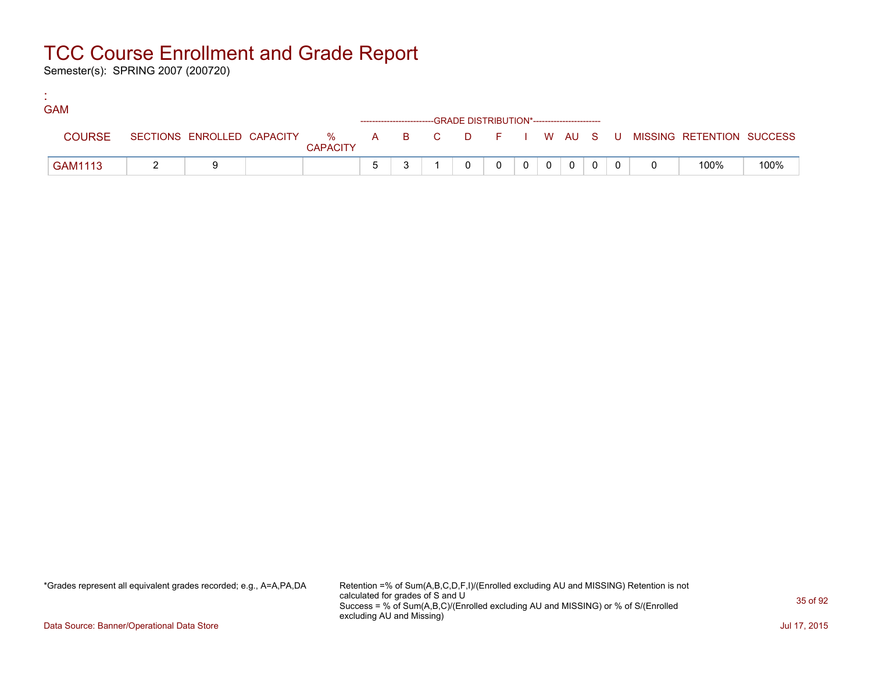Semester(s): SPRING 2007 (200720)

:

| <b>GAM</b>    |  |                 |              |  |                                                                    |  |          |                |  |                                                                             |      |
|---------------|--|-----------------|--------------|--|--------------------------------------------------------------------|--|----------|----------------|--|-----------------------------------------------------------------------------|------|
|               |  |                 |              |  | ------------------------GRADE DISTRIBUTION*----------------------- |  |          |                |  |                                                                             |      |
| <b>COURSE</b> |  | <b>CAPACITY</b> |              |  |                                                                    |  |          |                |  | SECTIONS ENROLLED CAPACITY % A B C D F I W AU S U MISSING RETENTION SUCCESS |      |
| GAM1113       |  |                 | <sub>5</sub> |  |                                                                    |  | $\Omega$ | $\overline{0}$ |  | 100%                                                                        | 100% |

\*Grades represent all equivalent grades recorded; e.g., A=A,PA,DA Retention =% of Sum(A,B,C,D,F,I)/(Enrolled excluding AU and MISSING) Retention is not calculated for grades of S and U Success = % of Sum(A,B,C)/(Enrolled excluding AU and MISSING) or % of S/(Enrolled excluding AU and Missing)

Data Source: Banner/Operational Data Store Jul 17, 2015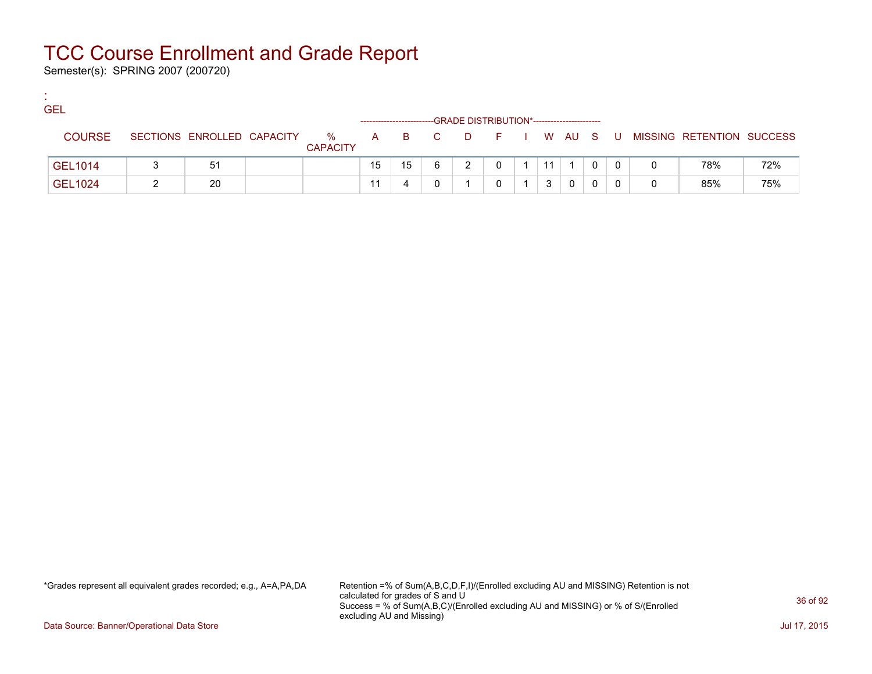Semester(s): SPRING 2007 (200720)

:

| <b>GEL</b>     |                            |                      |    |    |       | -GRADE DISTRIBUTION*----------------------- |            |    |  |         |   |                           |     |
|----------------|----------------------------|----------------------|----|----|-------|---------------------------------------------|------------|----|--|---------|---|---------------------------|-----|
| <b>COURSE</b>  | SECTIONS ENROLLED CAPACITY | %<br><b>CAPACITY</b> |    |    | A B C | <b>D</b>                                    | F I W AU S |    |  | . U . J |   | MISSING RETENTION SUCCESS |     |
| GEL1014        | 51                         |                      | 15 | 15 |       |                                             |            | 11 |  |         | 0 | 78%                       | 72% |
| <b>GEL1024</b> | 20                         |                      | 11 |    |       |                                             |            |    |  |         | 0 | 85%                       | 75% |

\*Grades represent all equivalent grades recorded; e.g., A=A,PA,DA Retention =% of Sum(A,B,C,D,F,I)/(Enrolled excluding AU and MISSING) Retention is not calculated for grades of S and U Success = % of Sum(A,B,C)/(Enrolled excluding AU and MISSING) or % of S/(Enrolled excluding AU and Missing)

Data Source: Banner/Operational Data Store Jul 17, 2015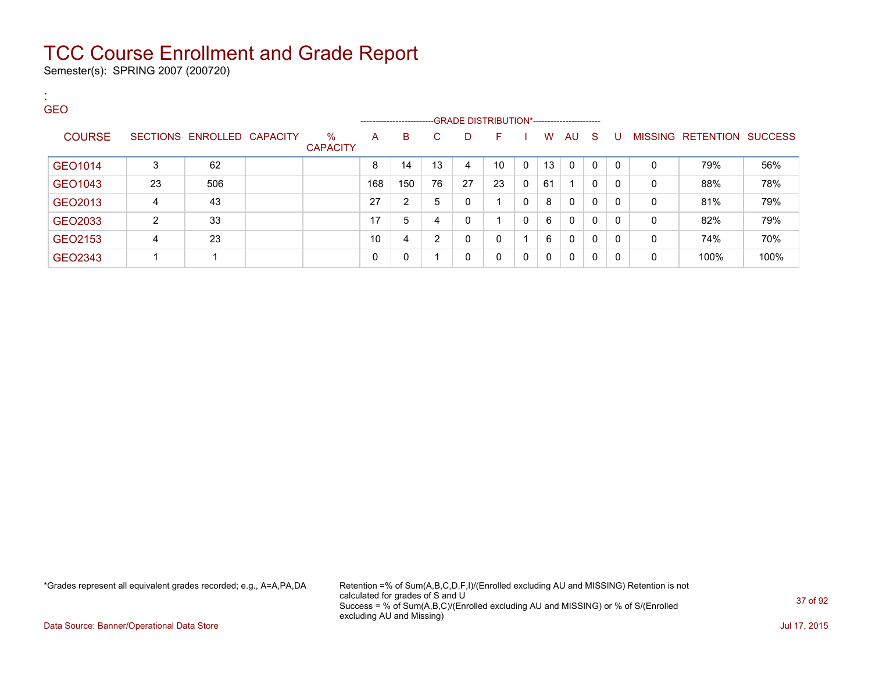Semester(s): SPRING 2007 (200720)

| л.<br><b>A</b><br><b>GEO</b> |                |                            |                         |     |                         |    |    |                                                |              |              |              |              |              |          |                   |                |
|------------------------------|----------------|----------------------------|-------------------------|-----|-------------------------|----|----|------------------------------------------------|--------------|--------------|--------------|--------------|--------------|----------|-------------------|----------------|
|                              |                |                            |                         |     | ----------------------- |    |    | -- GRADE DISTRIBUTION*------------------------ |              |              |              |              |              |          |                   |                |
| <b>COURSE</b>                |                | SECTIONS ENROLLED CAPACITY | $\%$<br><b>CAPACITY</b> | A   | B                       | C. | D  | F                                              |              | W            | AU S         |              | U            |          | MISSING RETENTION | <b>SUCCESS</b> |
| GEO1014                      | 3              | 62                         |                         | 8   | 14                      | 13 | 4  | 10                                             | $\mathbf{0}$ | 13           | $\mathbf{0}$ | $\mathbf{0}$ | $\mathbf{0}$ | 0        | 79%               | 56%            |
| GEO1043                      | 23             | 506                        |                         | 168 | 150                     | 76 | 27 | 23                                             | 0            | 61           |              | 0            | 0            | 0        | 88%               | 78%            |
| GEO2013                      | 4              | 43                         |                         | 27  | $\overline{2}$          | 5  | 0  |                                                | 0            | 8            | 0            | 0            | $\Omega$     | 0        | 81%               | 79%            |
| GEO2033                      | $\overline{2}$ | 33                         |                         | 17  | 5                       | 4  | 0  | 4                                              | $\mathbf{0}$ | 6            | $\mathbf{0}$ | 0            | 0            | $\Omega$ | 82%               | 79%            |
| GEO2153                      | 4              | 23                         |                         | 10  | 4                       | 2  | 0  | 0                                              |              | 6            | 0            | 0            | $\Omega$     | 0        | 74%               | 70%            |
| GEO2343                      |                |                            |                         | 0   | 0                       |    | 0  | 0                                              | 0            | $\mathbf{0}$ | 0            | 0            | $\Omega$     | 0        | 100%              | 100%           |

\*Grades represent all equivalent grades recorded; e.g., A=A,PA,DA Retention =% of Sum(A,B,C,D,F,I)/(Enrolled excluding AU and MISSING) Retention is not calculated for grades of S and U Success = % of Sum(A,B,C)/(Enrolled excluding AU and MISSING) or % of S/(Enrolled excluding AU and Missing)

Data Source: Banner/Operational Data Store Jul 17, 2015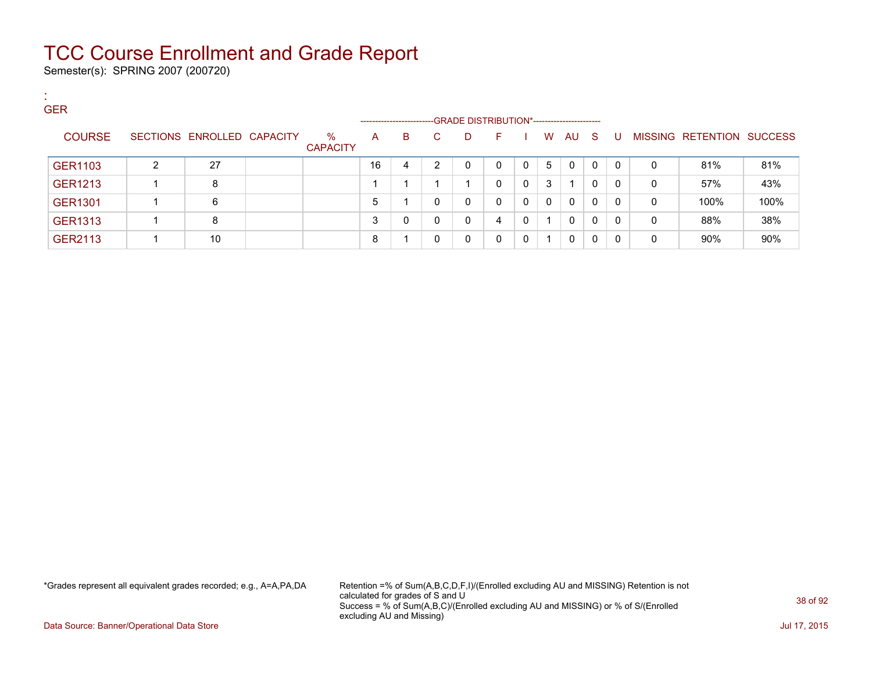Semester(s): SPRING 2007 (200720)

:

| <b>GER</b>     |   |                            |                         | -------------------- |    |    |   | -GRADE DISTRIBUTION*----------------------- |              |   |              |              |          |   |                           |      |
|----------------|---|----------------------------|-------------------------|----------------------|----|----|---|---------------------------------------------|--------------|---|--------------|--------------|----------|---|---------------------------|------|
| <b>COURSE</b>  |   | SECTIONS ENROLLED CAPACITY | $\%$<br><b>CAPACITY</b> | $\mathsf{A}$         | B. | C. | D | F                                           |              | W | AU           | - S          | U        |   | MISSING RETENTION SUCCESS |      |
| GER1103        | 2 | 27                         |                         | 16                   | 4  | ົ  | 0 | $\Omega$                                    | 0            | 5 | $\mathbf{0}$ | $\mathbf{0}$ | $\Omega$ | 0 | 81%                       | 81%  |
| <b>GER1213</b> |   | 8                          |                         |                      |    |    |   | $\Omega$                                    | $\mathbf{0}$ | 3 |              | 0            | $\Omega$ | 0 | 57%                       | 43%  |
| <b>GER1301</b> |   | 6                          |                         | 5                    |    | 0  | 0 | $\Omega$                                    | 0            | 0 | $\Omega$     | 0            | -0       | 0 | 100%                      | 100% |
| <b>GER1313</b> |   | 8                          |                         |                      |    | 0  | 0 | 4                                           | 0            |   | $\mathbf{0}$ | $\Omega$     | $\Omega$ | 0 | 88%                       | 38%  |
| GER2113        |   | 10                         |                         | 8                    |    | 0  | 0 | $\Omega$                                    | 0            |   | $\mathbf{0}$ | $\Omega$     | 0        | 0 | 90%                       | 90%  |

\*Grades represent all equivalent grades recorded; e.g., A=A,PA,DA Retention =% of Sum(A,B,C,D,F,I)/(Enrolled excluding AU and MISSING) Retention is not calculated for grades of S and U Success = % of Sum(A,B,C)/(Enrolled excluding AU and MISSING) or % of S/(Enrolled excluding AU and Missing)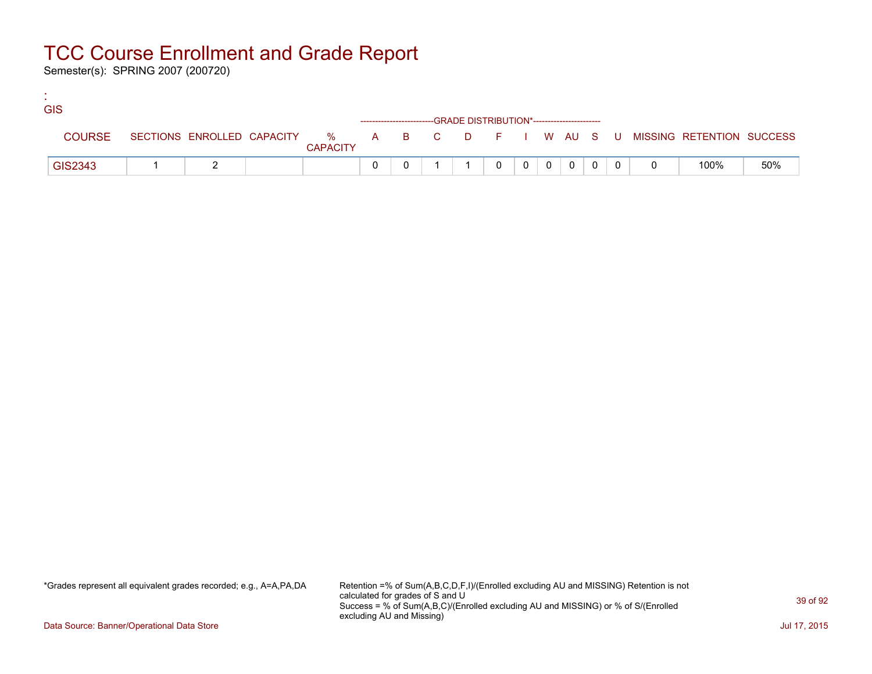Semester(s): SPRING 2007 (200720)

:

| <b>GIS</b>    |  |                 |  |                                                                    |          |                |                |              |     |                                                                               |     |
|---------------|--|-----------------|--|--------------------------------------------------------------------|----------|----------------|----------------|--------------|-----|-------------------------------------------------------------------------------|-----|
|               |  |                 |  | ------------------------GRADE DISTRIBUTION*----------------------- |          |                |                |              |     |                                                                               |     |
| <b>COURSE</b> |  | <b>CAPACITY</b> |  |                                                                    |          |                |                |              |     | SECTIONS ENROLLED CAPACITY 5 % A B C D F I W AU S U MISSING RETENTION SUCCESS |     |
| GIS2343       |  |                 |  |                                                                    | $\Omega$ | 0 <sup>1</sup> | $\overline{0}$ | $\mathbf{0}$ | - 0 | 100%                                                                          | 50% |

\*Grades represent all equivalent grades recorded; e.g., A=A,PA,DA Retention =% of Sum(A,B,C,D,F,I)/(Enrolled excluding AU and MISSING) Retention is not calculated for grades of S and U Success = % of Sum(A,B,C)/(Enrolled excluding AU and MISSING) or % of S/(Enrolled excluding AU and Missing)

Data Source: Banner/Operational Data Store Jul 17, 2015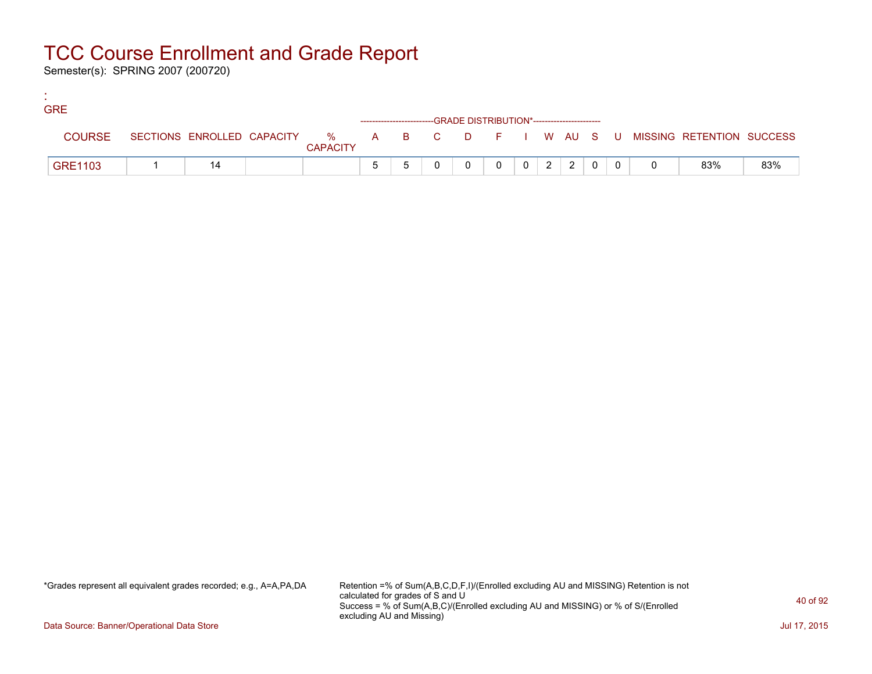Semester(s): SPRING 2007 (200720)

:

| <b>GRE</b> |                |    |                 |                                                                    |  |          |                |                |                |  |                                                                             |     |
|------------|----------------|----|-----------------|--------------------------------------------------------------------|--|----------|----------------|----------------|----------------|--|-----------------------------------------------------------------------------|-----|
|            |                |    |                 | ------------------------GRADE DISTRIBUTION*----------------------- |  |          |                |                |                |  |                                                                             |     |
|            | <b>COURSE</b>  |    | <b>CAPACITY</b> |                                                                    |  |          |                |                |                |  | SECTIONS ENROLLED CAPACITY % A B C D F I W AU S U MISSING RETENTION SUCCESS |     |
|            | <b>GRE1103</b> | 14 |                 |                                                                    |  | $\Omega$ | 0 <sup>1</sup> | 2 <sup>1</sup> | 2 <sup>1</sup> |  | 83%                                                                         | 83% |

\*Grades represent all equivalent grades recorded; e.g., A=A,PA,DA Retention =% of Sum(A,B,C,D,F,I)/(Enrolled excluding AU and MISSING) Retention is not calculated for grades of S and U Success = % of Sum(A,B,C)/(Enrolled excluding AU and MISSING) or % of S/(Enrolled excluding AU and Missing)

Data Source: Banner/Operational Data Store Jul 17, 2015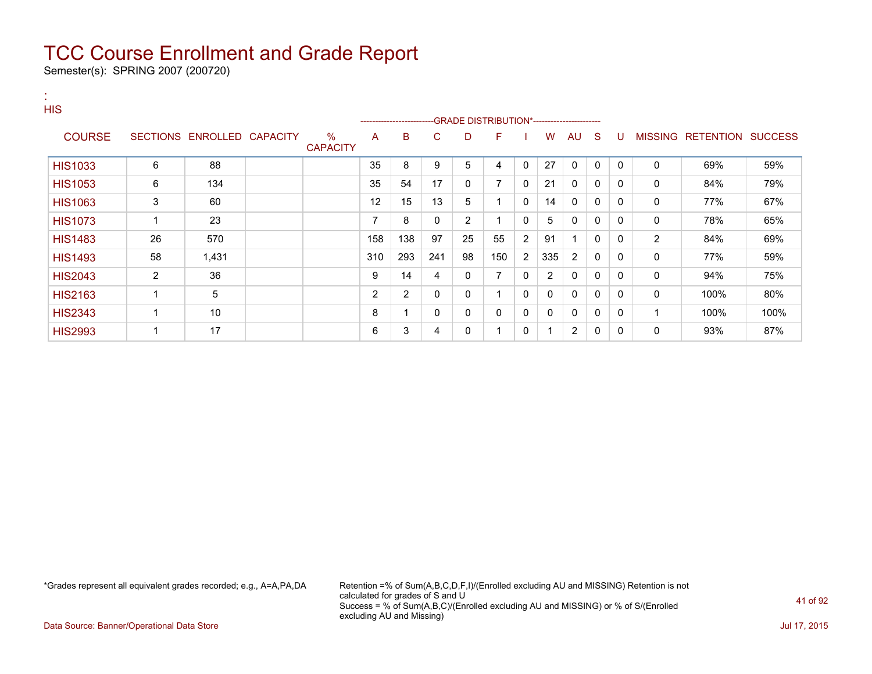Semester(s): SPRING 2007 (200720)

| $\mathbf{a}$ .<br><b>HIS</b> |                |                            |                         |     |                |     |                |                                                  |              |                |              |              |              |              |                                  |      |
|------------------------------|----------------|----------------------------|-------------------------|-----|----------------|-----|----------------|--------------------------------------------------|--------------|----------------|--------------|--------------|--------------|--------------|----------------------------------|------|
| <b>COURSE</b>                |                | SECTIONS ENROLLED CAPACITY | $\%$<br><b>CAPACITY</b> | A   | B              | C   | D              | -GRADE DISTRIBUTION*-----------------------<br>F |              | W              | AU           | -S           | U            |              | <b>MISSING RETENTION SUCCESS</b> |      |
| <b>HIS1033</b>               | 6              | 88                         |                         | 35  | 8              | 9   | 5              | 4                                                | $\mathbf{0}$ | 27             | $\mathbf{0}$ | $\mathbf{0}$ | $\Omega$     | $\mathbf{0}$ | 69%                              | 59%  |
| <b>HIS1053</b>               | 6              | 134                        |                         | 35  | 54             | 17  | 0              | $\overline{7}$                                   | $\mathbf{0}$ | 21             | $\Omega$     | 0            | $\mathbf{0}$ | $\mathbf 0$  | 84%                              | 79%  |
| <b>HIS1063</b>               | 3              | 60                         |                         | 12  | 15             | 13  | 5              |                                                  | $\Omega$     | 14             | $\Omega$     | 0            | 0            | 0            | 77%                              | 67%  |
| <b>HIS1073</b>               | 1              | 23                         |                         | 7   | 8              | 0   | $\overline{2}$ |                                                  | $\mathbf{0}$ | 5              | $\mathbf{0}$ | 0            | $\Omega$     | 0            | 78%                              | 65%  |
| <b>HIS1483</b>               | 26             | 570                        |                         | 158 | 138            | 97  | 25             | 55                                               | 2            | 91             |              | 0            | $\Omega$     | 2            | 84%                              | 69%  |
| <b>HIS1493</b>               | 58             | 1,431                      |                         | 310 | 293            | 241 | 98             | 150                                              | 2            | 335            | 2            | 0            | $\Omega$     | 0            | 77%                              | 59%  |
| <b>HIS2043</b>               | $\overline{2}$ | 36                         |                         | 9   | 14             | 4   | 0              | 7                                                | $\mathbf{0}$ | $\overline{2}$ | 0            | 0            | 0            | 0            | 94%                              | 75%  |
| <b>HIS2163</b>               | 1              | 5                          |                         | 2   | $\overline{2}$ | 0   | 0              |                                                  | 0            | 0              | 0            | 0            | $\Omega$     | 0            | 100%                             | 80%  |
| <b>HIS2343</b>               | 1              | 10                         |                         | 8   |                | 0   | 0              | 0                                                | $\mathbf{0}$ | $\mathbf{0}$   | 0            | $\mathbf 0$  | 0            |              | 100%                             | 100% |
| <b>HIS2993</b>               | 1              | 17                         |                         | 6   | 3              | 4   | 0              |                                                  | 0            | 1              | 2            | 0            | 0            | 0            | 93%                              | 87%  |

\*Grades represent all equivalent grades recorded; e.g., A=A,PA,DA Retention =% of Sum(A,B,C,D,F,I)/(Enrolled excluding AU and MISSING) Retention is not calculated for grades of S and U Success = % of Sum(A,B,C)/(Enrolled excluding AU and MISSING) or % of S/(Enrolled excluding AU and Missing)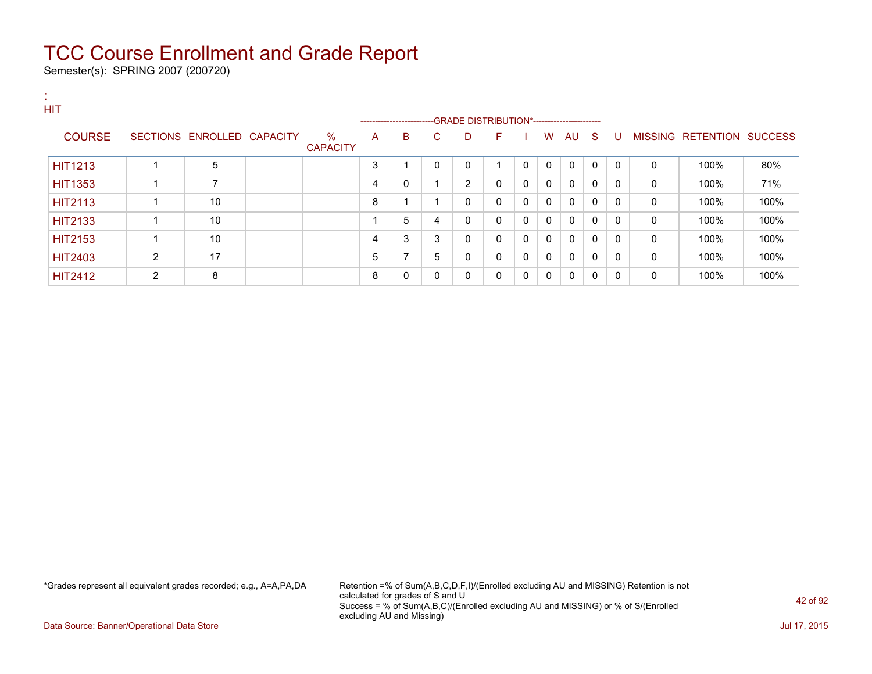Semester(s): SPRING 2007 (200720)

| п.<br><b>HIT</b> |   |                            |                         |   |                           |              |                                              |              |   |              |             |          |          |              |                           |      |
|------------------|---|----------------------------|-------------------------|---|---------------------------|--------------|----------------------------------------------|--------------|---|--------------|-------------|----------|----------|--------------|---------------------------|------|
|                  |   |                            |                         |   | ------------------------- |              | --GRADE DISTRIBUTION*----------------------- |              |   |              |             |          |          |              |                           |      |
| <b>COURSE</b>    |   | SECTIONS ENROLLED CAPACITY | $\%$<br><b>CAPACITY</b> | A | B                         | C            | D                                            | F            |   | W            | AU.         | -S       | U        |              | MISSING RETENTION SUCCESS |      |
| <b>HIT1213</b>   |   | 5                          |                         | 3 |                           | $\Omega$     | 0                                            |              | 0 | $\Omega$     | $\mathbf 0$ | $\Omega$ | $\Omega$ | $\Omega$     | 100%                      | 80%  |
| <b>HIT1353</b>   |   | 7                          |                         | 4 | $\mathbf 0$               |              | 2                                            | $\Omega$     | 0 | $\mathbf{0}$ | $\Omega$    | 0        | 0        | 0            | 100%                      | 71%  |
| <b>HIT2113</b>   |   | 10                         |                         | 8 |                           |              | 0                                            | $\mathbf{0}$ | 0 | $\Omega$     | $\Omega$    | $\Omega$ | 0        | $\mathbf{0}$ | 100%                      | 100% |
| <b>HIT2133</b>   |   | 10                         |                         |   | 5                         | 4            | 0                                            | $\mathbf{0}$ | 0 | $\Omega$     | $\mathbf 0$ | 0        | 0        | 0            | 100%                      | 100% |
| <b>HIT2153</b>   |   | 10                         |                         | 4 | 3                         | 3            | 0                                            | 0            | 0 | $\Omega$     | $\Omega$    | $\Omega$ | 0        | 0            | 100%                      | 100% |
| <b>HIT2403</b>   | 2 | 17                         |                         | 5 | $\overline{ }$            | 5            | 0                                            | 0            | 0 | 0            | 0           | $\Omega$ | 0        | 0            | 100%                      | 100% |
| <b>HIT2412</b>   | 2 | 8                          |                         | 8 | 0                         | $\mathbf{0}$ | 0                                            | $\mathbf{0}$ | 0 | 0            | 0           | 0        | 0        | 0            | 100%                      | 100% |

\*Grades represent all equivalent grades recorded; e.g., A=A,PA,DA Retention =% of Sum(A,B,C,D,F,I)/(Enrolled excluding AU and MISSING) Retention is not calculated for grades of S and U Success = % of Sum(A,B,C)/(Enrolled excluding AU and MISSING) or % of S/(Enrolled excluding AU and Missing)

Data Source: Banner/Operational Data Store Jul 17, 2015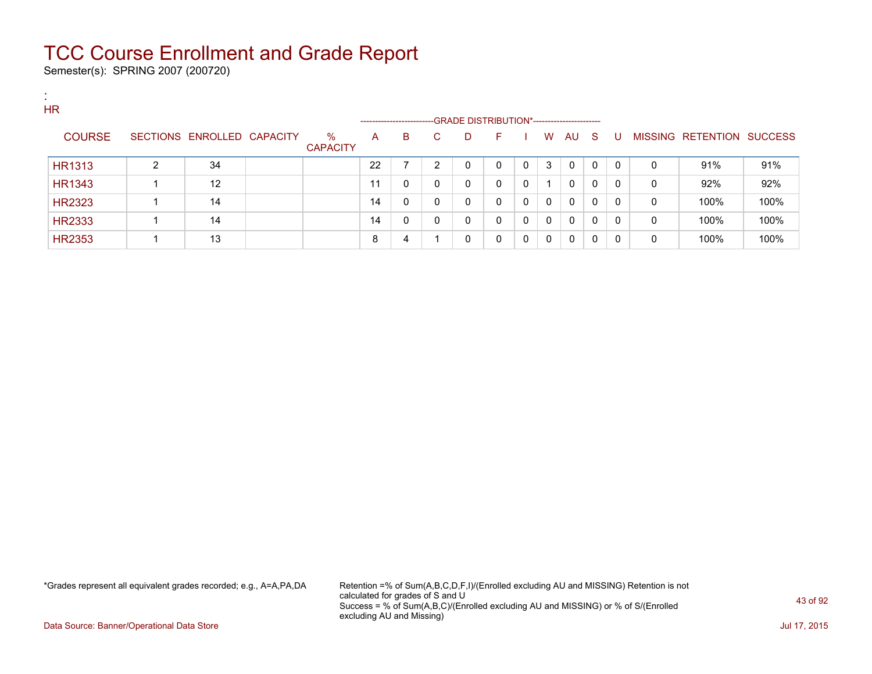Semester(s): SPRING 2007 (200720)

:

| . .<br><b>HR</b> |   |                   |                 |                         | ------------------ |              |   | -GRADE DISTRIBUTION*---------------------- |   |   |   |     |              |          |   |                           |      |
|------------------|---|-------------------|-----------------|-------------------------|--------------------|--------------|---|--------------------------------------------|---|---|---|-----|--------------|----------|---|---------------------------|------|
| <b>COURSE</b>    |   | SECTIONS ENROLLED | <b>CAPACITY</b> | $\%$<br><b>CAPACITY</b> | A                  | В            |   | D                                          | F |   | W | AU. | - S          | U        |   | MISSING RETENTION SUCCESS |      |
| <b>HR1313</b>    | 2 | 34                |                 |                         | 22                 |              | ົ | 0                                          | 0 | 0 | 3 | 0   | $\mathbf{0}$ | $\Omega$ | 0 | 91%                       | 91%  |
| <b>HR1343</b>    |   | 12                |                 |                         | 11                 | $\mathbf{0}$ | 0 | 0                                          | 0 | 0 |   | 0   | $\mathbf{0}$ | $\Omega$ | 0 | 92%                       | 92%  |
| <b>HR2323</b>    |   | 14                |                 |                         | 14                 | $\mathbf{0}$ | 0 | $\mathbf 0$                                | 0 | 0 | 0 | 0   | $\mathbf{0}$ | $\Omega$ | 0 | 100%                      | 100% |
| <b>HR2333</b>    |   | 14                |                 |                         | 14                 | 0            | 0 | 0                                          | 0 | 0 | 0 | 0   | 0            | 0        | 0 | 100%                      | 100% |
| <b>HR2353</b>    |   | 13                |                 |                         | 8                  | 4            |   | 0                                          | 0 |   | 0 | 0   | $\mathbf{0}$ | $\Omega$ | 0 | 100%                      | 100% |

\*Grades represent all equivalent grades recorded; e.g., A=A,PA,DA Retention =% of Sum(A,B,C,D,F,I)/(Enrolled excluding AU and MISSING) Retention is not calculated for grades of S and U Success = % of Sum(A,B,C)/(Enrolled excluding AU and MISSING) or % of S/(Enrolled excluding AU and Missing)

Data Source: Banner/Operational Data Store Jul 17, 2015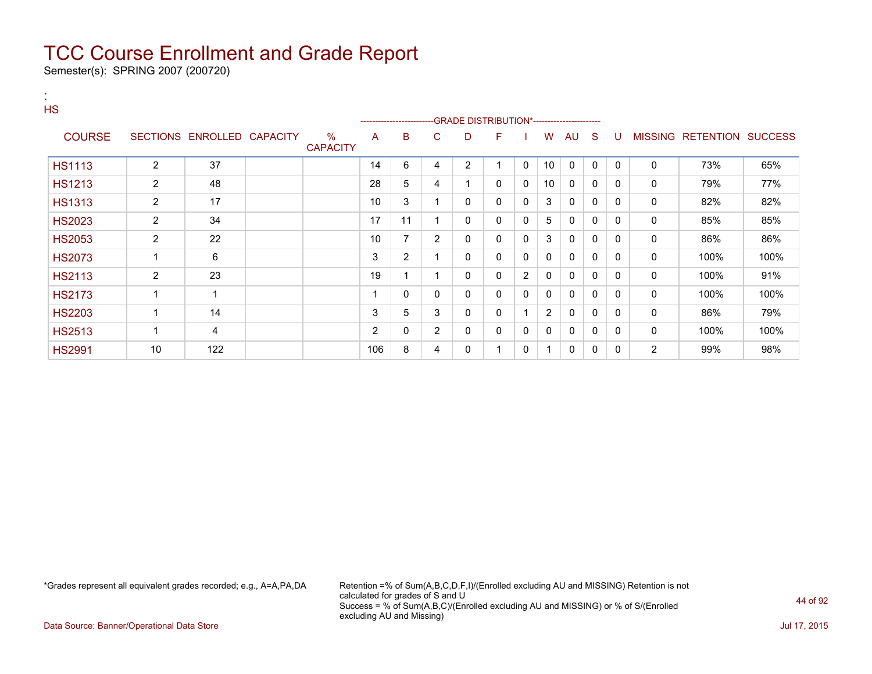Semester(s): SPRING 2007 (200720)

| <b>A</b><br><b>HS</b> |                 |                   |                         |     |                         |                |                |              |              |                |              |              |              |                |                                  |      |
|-----------------------|-----------------|-------------------|-------------------------|-----|-------------------------|----------------|----------------|--------------|--------------|----------------|--------------|--------------|--------------|----------------|----------------------------------|------|
| <b>COURSE</b>         | <b>SECTIONS</b> | ENROLLED CAPACITY | $\%$<br><b>CAPACITY</b> | A   | B                       | C.             | D              | F            |              | W              | AU           | <sub>S</sub> | U            |                | <b>MISSING RETENTION SUCCESS</b> |      |
| <b>HS1113</b>         | $\overline{2}$  | 37                |                         | 14  | 6                       | 4              | $\overline{2}$ |              | $\mathbf{0}$ | 10             | 0            | $\Omega$     | $\Omega$     | $\mathbf 0$    | 73%                              | 65%  |
| <b>HS1213</b>         | $\overline{2}$  | 48                |                         | 28  | 5                       | 4              |                | $\mathbf{0}$ | $\mathbf{0}$ | 10             | $\mathbf{0}$ | 0            | $\Omega$     | $\mathbf 0$    | 79%                              | 77%  |
| <b>HS1313</b>         | $\overline{2}$  | 17                |                         | 10  | 3                       |                | 0              | 0            | $\mathbf{0}$ | 3              | $\mathbf{0}$ | 0            | $\Omega$     | $\mathbf 0$    | 82%                              | 82%  |
| <b>HS2023</b>         | $\overline{2}$  | 34                |                         | 17  | 11                      |                | 0              | 0            | $\mathbf{0}$ | 5              | $\mathbf{0}$ | 0            | $\mathbf{0}$ | $\mathbf 0$    | 85%                              | 85%  |
| <b>HS2053</b>         | $\overline{2}$  | 22                |                         | 10  | 7                       | $\overline{2}$ | 0              | 0            | 0            | 3              | $\mathbf{0}$ | $\Omega$     | 0            | $\mathbf 0$    | 86%                              | 86%  |
| <b>HS2073</b>         | $\mathbf 1$     | 6                 |                         | 3   | 2                       |                | 0              | 0            | 0            | 0              | 0            | 0            | 0            | 0              | 100%                             | 100% |
| <b>HS2113</b>         | $\overline{2}$  | 23                |                         | 19  | $\overline{\mathbf{A}}$ |                | 0              | 0            | 2            | 0              | $\Omega$     | 0            | 0            | 0              | 100%                             | 91%  |
| <b>HS2173</b>         | $\mathbf 1$     |                   |                         | 4   | 0                       | 0              | 0              | 0            | $\mathbf{0}$ | 0              | $\mathbf{0}$ | 0            | 0            | $\mathbf 0$    | 100%                             | 100% |
| <b>HS2203</b>         | 1               | 14                |                         | 3   | 5                       | 3              | 0              | 0            |              | $\overline{2}$ | 0            | $\mathbf{0}$ | $\mathbf{0}$ | 0              | 86%                              | 79%  |
| <b>HS2513</b>         | 1               | 4                 |                         | 2   | 0                       | $\overline{2}$ | 0              | 0            | 0            | $\mathbf{0}$   | 0            | 0            | 0            | $\mathbf 0$    | 100%                             | 100% |
| <b>HS2991</b>         | 10              | 122               |                         | 106 | 8                       | 4              | 0              |              | 0            |                | 0            | 0            | 0            | $\overline{c}$ | 99%                              | 98%  |

\*Grades represent all equivalent grades recorded; e.g., A=A,PA,DA Retention =% of Sum(A,B,C,D,F,I)/(Enrolled excluding AU and MISSING) Retention is not calculated for grades of S and U Success = % of Sum(A,B,C)/(Enrolled excluding AU and MISSING) or % of S/(Enrolled excluding AU and Missing)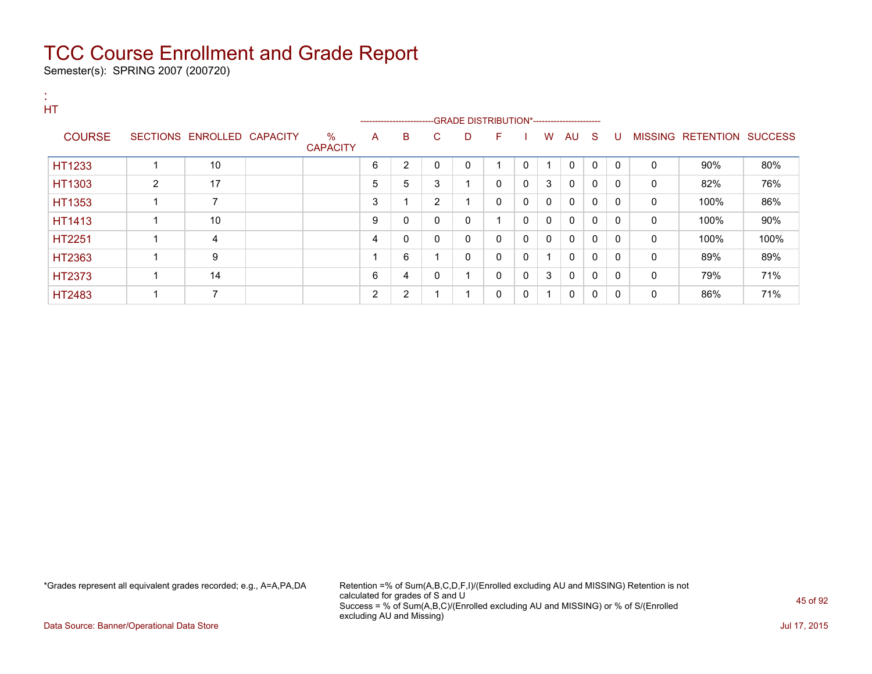Semester(s): SPRING 2007 (200720)

| HT            |                |                            |                         |                          | ----------------------- |    |             |              |              |                |              |              |          |          |                           |      |
|---------------|----------------|----------------------------|-------------------------|--------------------------|-------------------------|----|-------------|--------------|--------------|----------------|--------------|--------------|----------|----------|---------------------------|------|
| <b>COURSE</b> |                | SECTIONS ENROLLED CAPACITY | $\%$<br><b>CAPACITY</b> | A                        | B                       | C. | D           | F.           |              | W              |              | AU S         | -U       |          | MISSING RETENTION SUCCESS |      |
| HT1233        | -1             | 10                         |                         | 6                        | $\overline{2}$          | 0  | $\mathbf 0$ |              | $\Omega$     |                | $\Omega$     | $\Omega$     | $\Omega$ | $\Omega$ | 90%                       | 80%  |
| HT1303        | $\overline{2}$ | 17                         |                         | 5                        | 5                       | 3  |             | 0            | 0            | 3              | 0            | $\mathbf{0}$ | 0        | 0        | 82%                       | 76%  |
| HT1353        | 1              | $\overline{7}$             |                         | 3                        |                         | 2  |             | $\mathbf{0}$ | $\Omega$     | $\mathbf{0}$   | $\mathbf{0}$ | $\Omega$     | $\Omega$ | 0        | 100%                      | 86%  |
| HT1413        | 1              | 10                         |                         | 9                        | 0                       | 0  | 0           |              | $\Omega$     | $\mathbf{0}$   | $\mathbf{0}$ | $\Omega$     | $\Omega$ | 0        | 100%                      | 90%  |
| HT2251        | 1              | 4                          |                         | 4                        | 0                       | 0  | 0           | 0            | 0            | $\mathbf{0}$   | $\mathbf{0}$ | 0            | 0        | 0        | 100%                      | 100% |
| HT2363        | 4              | 9                          |                         | $\overline{\phantom{a}}$ | 6                       |    | 0           | $\mathbf{0}$ | 0            |                | $\Omega$     | $\mathbf{0}$ | $\Omega$ | 0        | 89%                       | 89%  |
| HT2373        | 1              | 14                         |                         | 6                        | 4                       | 0  |             | $\mathbf{0}$ | $\mathbf{0}$ | 3              | $\mathbf{0}$ | $\Omega$     | $\Omega$ | 0        | 79%                       | 71%  |
| HT2483        | 1              | $\overline{ }$             |                         | 2                        | $\overline{2}$          |    |             | 0            | 0            | $\overline{ }$ | $\mathbf{0}$ | $\mathbf{0}$ | $\Omega$ | 0        | 86%                       | 71%  |

\*Grades represent all equivalent grades recorded; e.g., A=A,PA,DA Retention =% of Sum(A,B,C,D,F,I)/(Enrolled excluding AU and MISSING) Retention is not calculated for grades of S and U Success = % of Sum(A,B,C)/(Enrolled excluding AU and MISSING) or % of S/(Enrolled excluding AU and Missing)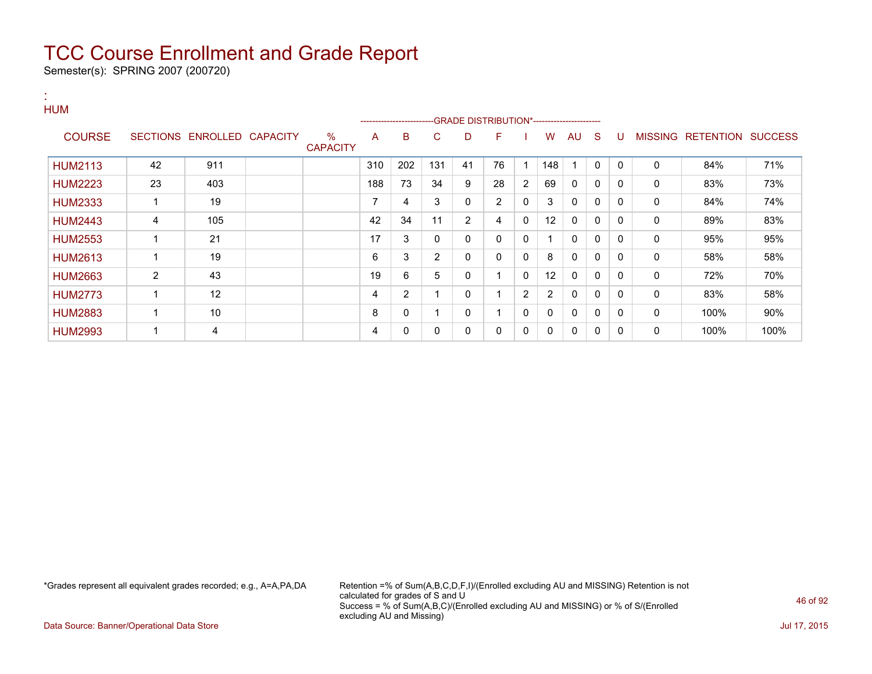Semester(s): SPRING 2007 (200720)

#### : HUM

|                |    |                            |                      |     |     | ------------------------GRADE DISTRIBUTION*----------------------- |             |              |                |                   |          |              |          |                |                          |      |
|----------------|----|----------------------------|----------------------|-----|-----|--------------------------------------------------------------------|-------------|--------------|----------------|-------------------|----------|--------------|----------|----------------|--------------------------|------|
| <b>COURSE</b>  |    | SECTIONS ENROLLED CAPACITY | %<br><b>CAPACITY</b> | A   | B   | C                                                                  | D           | F            |                | W                 | AU       | <sub>S</sub> | U        | <b>MISSING</b> | <b>RETENTION SUCCESS</b> |      |
| <b>HUM2113</b> | 42 | 911                        |                      | 310 | 202 | 131                                                                | 41          | 76           |                | 148               |          | $\mathbf{0}$ | $\Omega$ | $\mathbf{0}$   | 84%                      | 71%  |
| <b>HUM2223</b> | 23 | 403                        |                      | 188 | 73  | 34                                                                 | 9           | 28           | $\overline{2}$ | 69                | 0        | $\mathbf{0}$ | $\Omega$ | 0              | 83%                      | 73%  |
| <b>HUM2333</b> |    | 19                         |                      | 7   | 4   | 3                                                                  | $\mathbf 0$ | 2            | 0              | 3                 | 0        | $\mathbf{0}$ | $\Omega$ | 0              | 84%                      | 74%  |
| <b>HUM2443</b> | 4  | 105                        |                      | 42  | 34  | 11                                                                 | 2           | 4            | $\mathbf{0}$   | $12 \overline{ }$ | 0        | $\mathbf{0}$ | $\Omega$ | 0              | 89%                      | 83%  |
| <b>HUM2553</b> |    | 21                         |                      | 17  | 3   | 0                                                                  | 0           | $\mathbf{0}$ | $\mathbf{0}$   |                   | 0        | $\mathbf{0}$ | $\Omega$ | 0              | 95%                      | 95%  |
| <b>HUM2613</b> |    | 19                         |                      | 6   | 3   | $\overline{2}$                                                     | $\mathbf 0$ | $\mathbf{0}$ | $\mathbf{0}$   | 8                 | $\Omega$ | $\mathbf{0}$ | $\Omega$ | $\mathbf{0}$   | 58%                      | 58%  |
| <b>HUM2663</b> | 2  | 43                         |                      | 19  | 6   | 5                                                                  | 0           |              | $\mathbf{0}$   | 12                | 0        | $\mathbf{0}$ | $\Omega$ | 0              | 72%                      | 70%  |
| <b>HUM2773</b> |    | 12                         |                      | 4   | 2   |                                                                    | $\Omega$    |              | $\overline{2}$ | 2                 | 0        | $\mathbf{0}$ | $\Omega$ | 0              | 83%                      | 58%  |
| <b>HUM2883</b> |    | 10                         |                      | 8   | 0   |                                                                    | $\Omega$    |              | $\mathbf{0}$   | $\Omega$          | 0        | $\mathbf{0}$ | $\Omega$ | 0              | 100%                     | 90%  |
| <b>HUM2993</b> |    | 4                          |                      | 4   | 0   | 0                                                                  | 0           | 0            | $\mathbf{0}$   | 0                 | 0        | 0            | 0        | 0              | 100%                     | 100% |

\*Grades represent all equivalent grades recorded; e.g., A=A,PA,DA Retention =% of Sum(A,B,C,D,F,I)/(Enrolled excluding AU and MISSING) Retention is not calculated for grades of S and U Success = % of Sum(A,B,C)/(Enrolled excluding AU and MISSING) or % of S/(Enrolled excluding AU and Missing)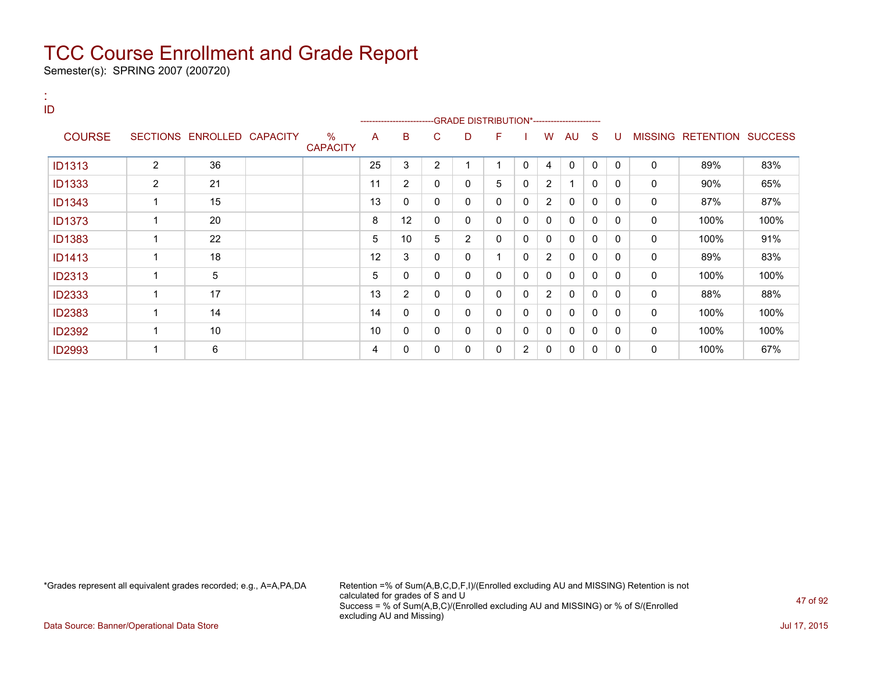Semester(s): SPRING 2007 (200720)

:

| ID            |                |                            |                                  |    | ------------------------ |                | -GRADE DISTRIBUTION*---------------------- |              |                |                |              |              |              |              |                           |      |
|---------------|----------------|----------------------------|----------------------------------|----|--------------------------|----------------|--------------------------------------------|--------------|----------------|----------------|--------------|--------------|--------------|--------------|---------------------------|------|
| <b>COURSE</b> |                | SECTIONS ENROLLED CAPACITY | $\frac{0}{0}$<br><b>CAPACITY</b> | A  | в                        | C              | D                                          | F            |                | W              | AU           | <sub>S</sub> | U            |              | MISSING RETENTION SUCCESS |      |
| <b>ID1313</b> | $\overline{2}$ | 36                         |                                  | 25 | 3                        | $\overline{2}$ | 4                                          | 1            | $\Omega$       | 4              | $\mathbf{0}$ | $\mathbf{0}$ | $\Omega$     | $\mathbf{0}$ | 89%                       | 83%  |
| <b>ID1333</b> | $\overline{2}$ | 21                         |                                  | 11 | 2                        | 0              | 0                                          | 5            | 0              | 2              | 1            | 0            | 0            | 0            | 90%                       | 65%  |
| <b>ID1343</b> | 1              | 15                         |                                  | 13 | 0                        | 0              | 0                                          | 0            | 0              | $\overline{2}$ | 0            | 0            | 0            | 0            | 87%                       | 87%  |
| <b>ID1373</b> | $\mathbf 1$    | 20                         |                                  | 8  | 12                       | 0              | 0                                          | $\mathbf{0}$ | 0              | $\mathbf{0}$   | $\mathbf{0}$ | $\Omega$     | $\mathbf{0}$ | $\mathbf{0}$ | 100%                      | 100% |
| <b>ID1383</b> | 1              | 22                         |                                  | 5  | 10                       | 5              | $\overline{2}$                             | 0            | 0              | 0              | $\mathbf{0}$ | 0            | $\Omega$     | 0            | 100%                      | 91%  |
| <b>ID1413</b> | 1              | 18                         |                                  | 12 | 3                        | 0              | 0                                          |              | 0              | $\overline{2}$ | 0            | 0            | 0            | 0            | 89%                       | 83%  |
| <b>ID2313</b> | $\mathbf 1$    | 5                          |                                  | 5  | $\Omega$                 | 0              | 0                                          | $\mathbf{0}$ | 0              | $\Omega$       | $\mathbf{0}$ | $\Omega$     | 0            | $\mathbf{0}$ | 100%                      | 100% |
| <b>ID2333</b> | 1              | 17                         |                                  | 13 | $\overline{2}$           | 0              | 0                                          | $\mathbf{0}$ | 0              | $\overline{2}$ | $\mathbf{0}$ | 0            | 0            | 0            | 88%                       | 88%  |
| <b>ID2383</b> | 1              | 14                         |                                  | 14 | 0                        | 0              | 0                                          | 0            | 0              | 0              | 0            | 0            | $\Omega$     | $\mathbf{0}$ | 100%                      | 100% |
| <b>ID2392</b> | 1              | 10                         |                                  | 10 | 0                        | 0              | 0                                          | $\mathbf{0}$ | 0              | $\mathbf{0}$   | $\mathbf 0$  | $\Omega$     | 0            | 0            | 100%                      | 100% |
| <b>ID2993</b> | 1              | 6                          |                                  | 4  | 0                        | 0              | 0                                          | 0            | $\overline{2}$ | 0              | 0            | 0            | 0            | 0            | 100%                      | 67%  |

\*Grades represent all equivalent grades recorded; e.g., A=A,PA,DA Retention =% of Sum(A,B,C,D,F,I)/(Enrolled excluding AU and MISSING) Retention is not calculated for grades of S and U Success = % of Sum(A,B,C)/(Enrolled excluding AU and MISSING) or % of S/(Enrolled excluding AU and Missing)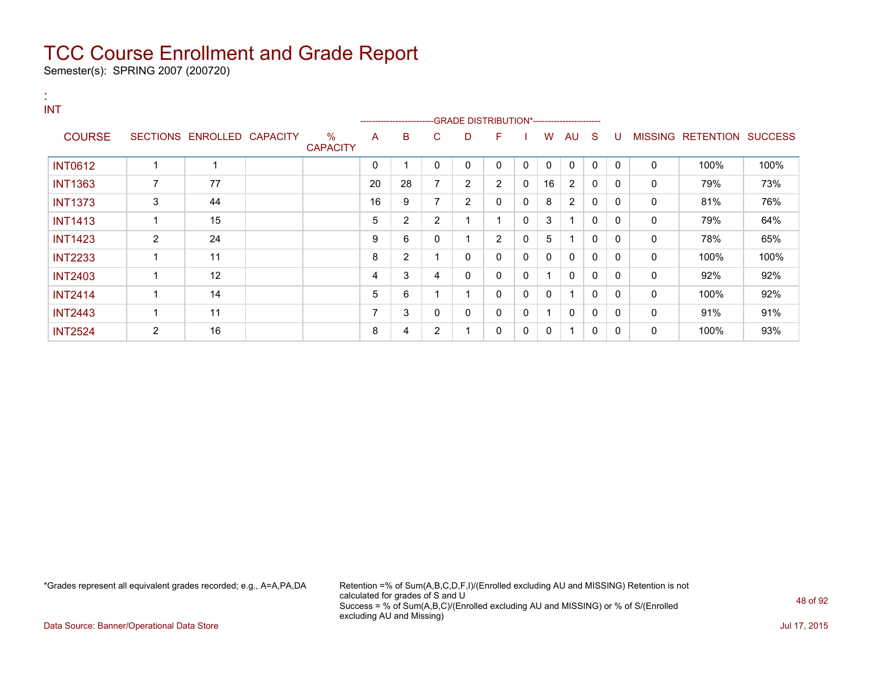Semester(s): SPRING 2007 (200720)

| $\mathbf{a}$ .<br><b>INT</b> |                         |                            |                      |    |                |                | -GRADE DISTRIBUTION*---------------------- |                |              |              |              |              |          |              |                           |      |
|------------------------------|-------------------------|----------------------------|----------------------|----|----------------|----------------|--------------------------------------------|----------------|--------------|--------------|--------------|--------------|----------|--------------|---------------------------|------|
| <b>COURSE</b>                |                         | SECTIONS ENROLLED CAPACITY | %<br><b>CAPACITY</b> | A  | B              | C.             | D                                          | F.             |              | W            | AU           | -S           | U        |              | MISSING RETENTION SUCCESS |      |
| <b>INT0612</b>               | 1                       | 1                          |                      | 0  | 1              | 0              | $\Omega$                                   | $\Omega$       | $\mathbf{0}$ | $\mathbf{0}$ | $\mathbf{0}$ | $\mathbf{0}$ | $\Omega$ | $\mathbf 0$  | 100%                      | 100% |
| <b>INT1363</b>               | 7                       | 77                         |                      | 20 | 28             | $\overline{7}$ | $\overline{2}$                             | $\overline{2}$ | $\Omega$     | 16           | 2            | 0            | $\Omega$ | $\mathbf 0$  | 79%                       | 73%  |
| <b>INT1373</b>               | 3                       | 44                         |                      | 16 | 9              | 7              | $\overline{2}$                             | $\Omega$       | 0            | 8            | 2            | 0            | $\Omega$ | 0            | 81%                       | 76%  |
| <b>INT1413</b>               | 1                       | 15                         |                      | 5  | $\overline{2}$ | $\overline{2}$ |                                            |                | $\Omega$     | 3            |              | 0            | $\Omega$ | $\mathbf 0$  | 79%                       | 64%  |
| <b>INT1423</b>               | 2                       | 24                         |                      | 9  | 6              | 0              |                                            | $\overline{2}$ | $\mathbf{0}$ | 5            |              | $\Omega$     | $\Omega$ | $\mathbf{0}$ | 78%                       | 65%  |
| <b>INT2233</b>               | $\overline{\mathbf{A}}$ | 11                         |                      | 8  | $\overline{2}$ | 1              | 0                                          | 0              | $\mathbf{0}$ | 0            | $\mathbf{0}$ | 0            | $\Omega$ | 0            | 100%                      | 100% |
| <b>INT2403</b>               | 1                       | 12                         |                      | 4  | 3              | 4              | 0                                          | 0              | 0            | 1            | $\mathbf{0}$ | $\Omega$     | $\Omega$ | 0            | 92%                       | 92%  |
| <b>INT2414</b>               | 1                       | 14                         |                      | 5  | 6              | 1              |                                            | 0              | 0            | 0            |              | 0            | $\Omega$ | 0            | 100%                      | 92%  |
| <b>INT2443</b>               | $\overline{\mathbf{A}}$ | 11                         |                      |    | 3              | 0              | 0                                          | 0              | 0            | 1            | $\mathbf 0$  | 0            | $\Omega$ | 0            | 91%                       | 91%  |
| <b>INT2524</b>               | 2                       | 16                         |                      | 8  | 4              | 2              |                                            | 0              | 0            | 0            |              | 0            | 0        | 0            | 100%                      | 93%  |

\*Grades represent all equivalent grades recorded; e.g., A=A,PA,DA Retention =% of Sum(A,B,C,D,F,I)/(Enrolled excluding AU and MISSING) Retention is not calculated for grades of S and U Success = % of Sum(A,B,C)/(Enrolled excluding AU and MISSING) or % of S/(Enrolled excluding AU and Missing)

Data Source: Banner/Operational Data Store Jul 17, 2015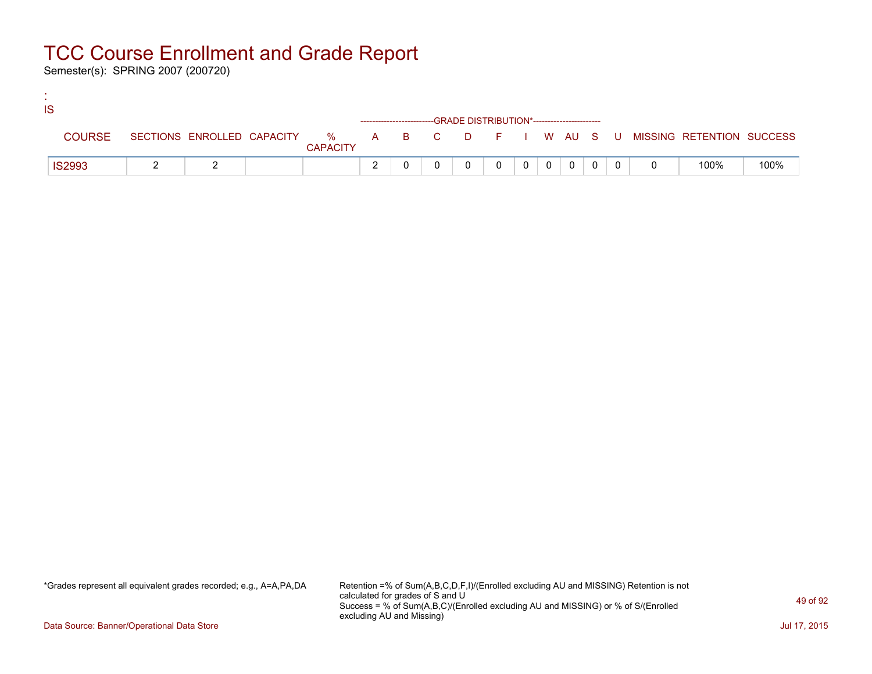Semester(s): SPRING 2007 (200720)

:

| IS            |  |                 |                                                                    |  |  |           |                |  |                                                                             |      |
|---------------|--|-----------------|--------------------------------------------------------------------|--|--|-----------|----------------|--|-----------------------------------------------------------------------------|------|
|               |  |                 | ------------------------GRADE DISTRIBUTION*----------------------- |  |  |           |                |  |                                                                             |      |
| <b>COURSE</b> |  | <b>CAPACITY</b> |                                                                    |  |  |           |                |  | SECTIONS ENROLLED CAPACITY % A B C D F I W AU S U MISSING RETENTION SUCCESS |      |
| <b>IS2993</b> |  |                 |                                                                    |  |  | $0$   $0$ | $\overline{0}$ |  | 100%                                                                        | 100% |

\*Grades represent all equivalent grades recorded; e.g., A=A,PA,DA Retention =% of Sum(A,B,C,D,F,I)/(Enrolled excluding AU and MISSING) Retention is not calculated for grades of S and U Success = % of Sum(A,B,C)/(Enrolled excluding AU and MISSING) or % of S/(Enrolled excluding AU and Missing)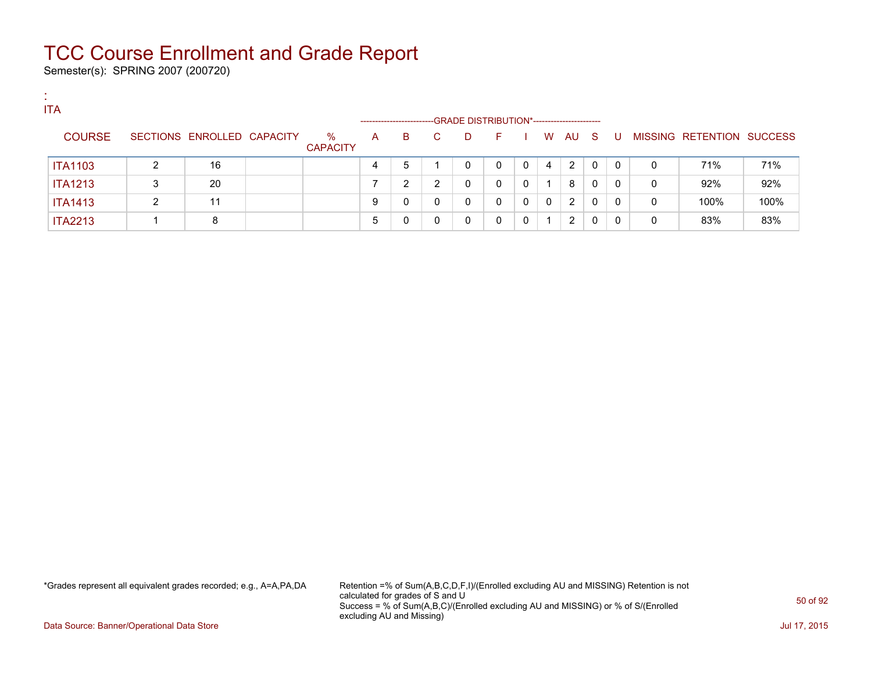Semester(s): SPRING 2007 (200720)

:

| <b>ITA</b>     |   |                            |                         |                      |        |    |                                             |    |              |          |      |          |          |   |                           |      |
|----------------|---|----------------------------|-------------------------|----------------------|--------|----|---------------------------------------------|----|--------------|----------|------|----------|----------|---|---------------------------|------|
|                |   |                            |                         | -------------------- |        |    | -GRADE DISTRIBUTION*----------------------- |    |              |          |      |          |          |   |                           |      |
| <b>COURSE</b>  |   | SECTIONS ENROLLED CAPACITY | $\%$<br><b>CAPACITY</b> | A                    | B.     | C. | D                                           | F. |              | W        | AU S |          | -U       |   | MISSING RETENTION SUCCESS |      |
| <b>ITA1103</b> |   | 16                         |                         |                      | 5      |    |                                             | 0  | $\Omega$     | 4        | 2    | $\Omega$ | $\Omega$ | 0 | 71%                       | 71%  |
| <b>ITA1213</b> | 3 | 20                         |                         |                      | ົ<br>▵ | ົ  |                                             | 0  | $\mathbf{0}$ |          | 8    | 0        | 0        | 0 | 92%                       | 92%  |
| <b>ITA1413</b> | ົ | 11                         |                         | 9                    | 0      |    |                                             | 0  | $\mathbf{0}$ | $\Omega$ | 2    | $\Omega$ | 0        | 0 | 100%                      | 100% |
| <b>ITA2213</b> |   | 8                          |                         | b                    | 0      |    |                                             | 0  | $\Omega$     |          | 2    | 0        |          | 0 | 83%                       | 83%  |

\*Grades represent all equivalent grades recorded; e.g., A=A,PA,DA Retention =% of Sum(A,B,C,D,F,I)/(Enrolled excluding AU and MISSING) Retention is not calculated for grades of S and U Success = % of Sum(A,B,C)/(Enrolled excluding AU and MISSING) or % of S/(Enrolled excluding AU and Missing)

Data Source: Banner/Operational Data Store Jul 17, 2015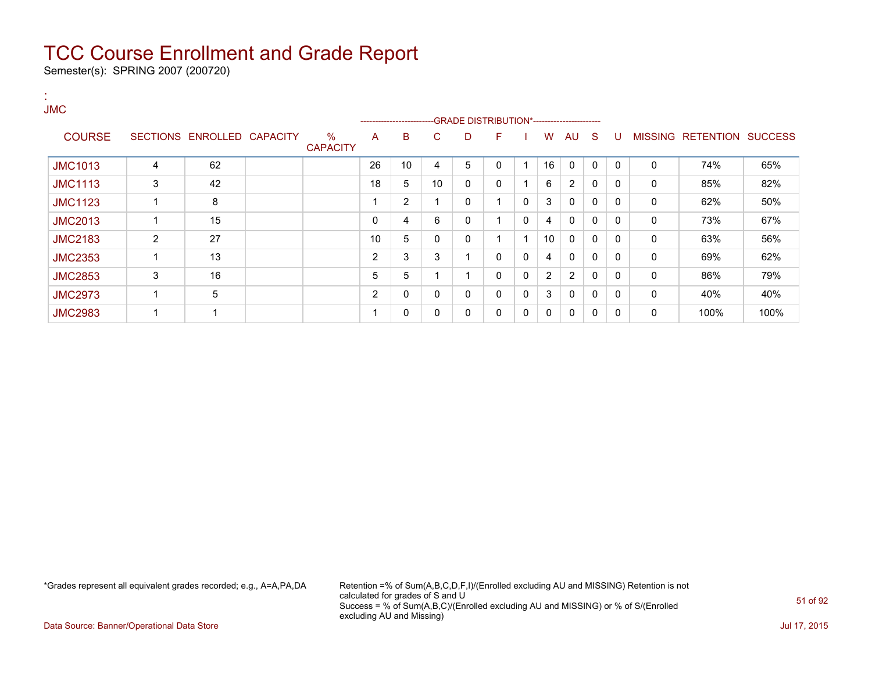Semester(s): SPRING 2007 (200720)

:

| <b>JMC</b>     |   |                   |                 |                         |                | -------------------------GRADE                DISTRIBUTION*---------------------- |    |   |              |              |              |                |              |              |                |                  |                |
|----------------|---|-------------------|-----------------|-------------------------|----------------|-----------------------------------------------------------------------------------|----|---|--------------|--------------|--------------|----------------|--------------|--------------|----------------|------------------|----------------|
| <b>COURSE</b>  |   | SECTIONS ENROLLED | <b>CAPACITY</b> | $\%$<br><b>CAPACITY</b> | A              | в                                                                                 | C  | D | F            |              | w            | AU             | <sub>S</sub> | U            | <b>MISSING</b> | <b>RETENTION</b> | <b>SUCCESS</b> |
| <b>JMC1013</b> | 4 | 62                |                 |                         | 26             | 10                                                                                | 4  | 5 | 0            |              | 16           | $\mathbf{0}$   | 0            | $\Omega$     | 0              | 74%              | 65%            |
| <b>JMC1113</b> | 3 | 42                |                 |                         | 18             | 5                                                                                 | 10 | 0 | $\mathbf{0}$ |              | 6            | $\overline{2}$ | 0            | 0            | 0              | 85%              | 82%            |
| <b>JMC1123</b> | 4 | 8                 |                 |                         |                | $\overline{2}$                                                                    |    | 0 |              | 0            | 3            | $\mathbf 0$    | $\mathbf{0}$ | $\mathbf{0}$ | 0              | 62%              | 50%            |
| <b>JMC2013</b> |   | 15                |                 |                         | 0              | 4                                                                                 | 6  | 0 |              | $\mathbf{0}$ | 4            | $\Omega$       | $\mathbf{0}$ | $\mathbf{0}$ | 0              | 73%              | 67%            |
| <b>JMC2183</b> | 2 | 27                |                 |                         | 10             | 5                                                                                 | 0  | 0 |              |              | 10           | $\mathbf{0}$   | $\mathbf{0}$ | $\mathbf{0}$ | 0              | 63%              | 56%            |
| <b>JMC2353</b> | 1 | 13                |                 |                         | $\overline{2}$ | 3                                                                                 | 3  |   | $\mathbf{0}$ | 0            | 4            | $\Omega$       | 0            | $\mathbf{0}$ | 0              | 69%              | 62%            |
| <b>JMC2853</b> | 3 | 16                |                 |                         | 5              | 5                                                                                 |    |   | $\Omega$     | $\mathbf{0}$ | 2            | $\overline{2}$ | $\mathbf{0}$ | $\Omega$     | 0              | 86%              | 79%            |
| <b>JMC2973</b> | 1 | 5                 |                 |                         | 2              | 0                                                                                 | 0  | 0 | $\mathbf{0}$ | $\mathbf{0}$ | 3            | $\Omega$       | $\mathbf{0}$ | 0            | 0              | 40%              | 40%            |
| <b>JMC2983</b> | 1 |                   |                 |                         |                | 0                                                                                 | 0  | 0 | 0            | 0            | $\mathbf{0}$ | $\Omega$       | 0            | 0            | 0              | 100%             | 100%           |

\*Grades represent all equivalent grades recorded; e.g., A=A,PA,DA Retention =% of Sum(A,B,C,D,F,I)/(Enrolled excluding AU and MISSING) Retention is not calculated for grades of S and U Success = % of Sum(A,B,C)/(Enrolled excluding AU and MISSING) or % of S/(Enrolled excluding AU and Missing)

Data Source: Banner/Operational Data Store Jul 17, 2015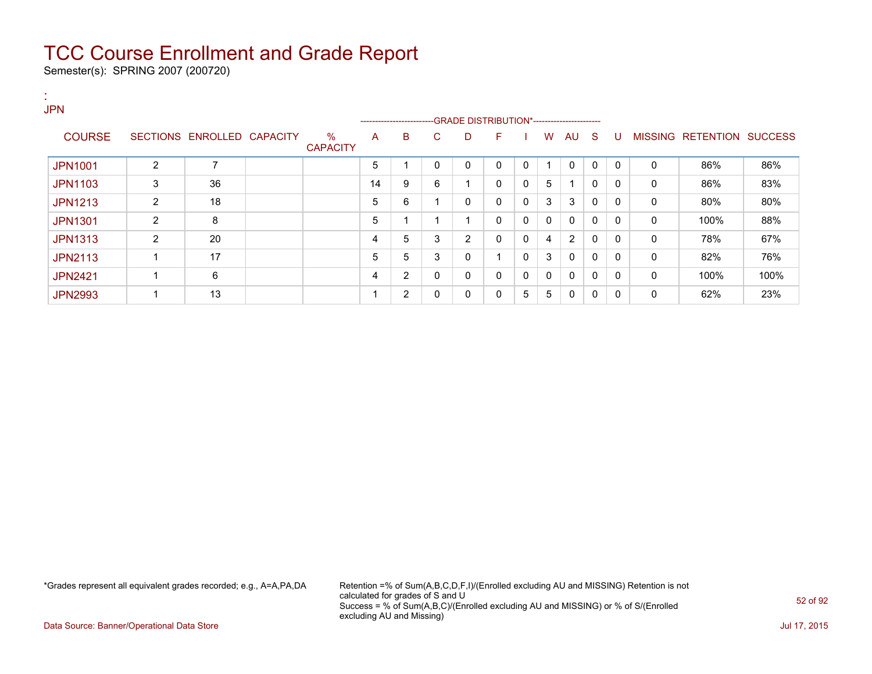Semester(s): SPRING 2007 (200720)

| . н.<br><b>JPN</b> |                |                            |                         |    | ------------------------ |              |                         |              |   |   |              |              |              |              |                           |      |
|--------------------|----------------|----------------------------|-------------------------|----|--------------------------|--------------|-------------------------|--------------|---|---|--------------|--------------|--------------|--------------|---------------------------|------|
| <b>COURSE</b>      |                | SECTIONS ENROLLED CAPACITY | $\%$<br><b>CAPACITY</b> | A  | B                        | C            | D                       | F            |   | W | AU S         |              | U            |              | MISSING RETENTION SUCCESS |      |
| <b>JPN1001</b>     | 2              | 7                          |                         | 5  |                          | $\Omega$     | $\mathbf{0}$            | 0            | 0 |   | $\mathbf{0}$ | $\mathbf{0}$ | $\mathbf{0}$ | $\mathbf{0}$ | 86%                       | 86%  |
| <b>JPN1103</b>     | 3              | 36                         |                         | 14 | 9                        | 6            | $\overline{\mathbf{A}}$ | $\mathbf{0}$ | 0 | 5 |              | 0            | $\Omega$     | $\mathbf{0}$ | 86%                       | 83%  |
| <b>JPN1213</b>     | 2              | 18                         |                         | 5  | 6                        |              | 0                       | $\mathbf{0}$ | 0 | 3 | 3            | 0            | $\Omega$     | $\mathbf{0}$ | 80%                       | 80%  |
| <b>JPN1301</b>     | $\overline{2}$ | 8                          |                         | 5  |                          |              | 4                       | 0            | 0 | 0 | 0            | $\mathbf 0$  | $\Omega$     | 0            | 100%                      | 88%  |
| <b>JPN1313</b>     | 2              | 20                         |                         | 4  | 5                        | 3            | $\overline{2}$          | $\mathbf{0}$ | 0 | 4 | 2            | 0            | $\Omega$     | 0            | 78%                       | 67%  |
| <b>JPN2113</b>     |                | 17                         |                         | 5  | 5                        | 3            | 0                       | 4            | 0 | 3 | $\mathbf{0}$ | $\mathbf{0}$ | $\Omega$     | $\mathbf{0}$ | 82%                       | 76%  |
| <b>JPN2421</b>     |                | 6                          |                         | 4  | $\overline{2}$           | 0            | 0                       | $\mathbf{0}$ | 0 | 0 | $\mathbf{0}$ | 0            | $\Omega$     | $\mathbf{0}$ | 100%                      | 100% |
| <b>JPN2993</b>     |                | 13                         |                         |    | $\overline{2}$           | $\mathbf{0}$ | 0                       | 0            | 5 | 5 | $\mathbf{0}$ | 0            | $\mathbf{0}$ | 0            | 62%                       | 23%  |

\*Grades represent all equivalent grades recorded; e.g., A=A,PA,DA Retention =% of Sum(A,B,C,D,F,I)/(Enrolled excluding AU and MISSING) Retention is not calculated for grades of S and U Success = % of Sum(A,B,C)/(Enrolled excluding AU and MISSING) or % of S/(Enrolled excluding AU and Missing)

Data Source: Banner/Operational Data Store Jul 17, 2015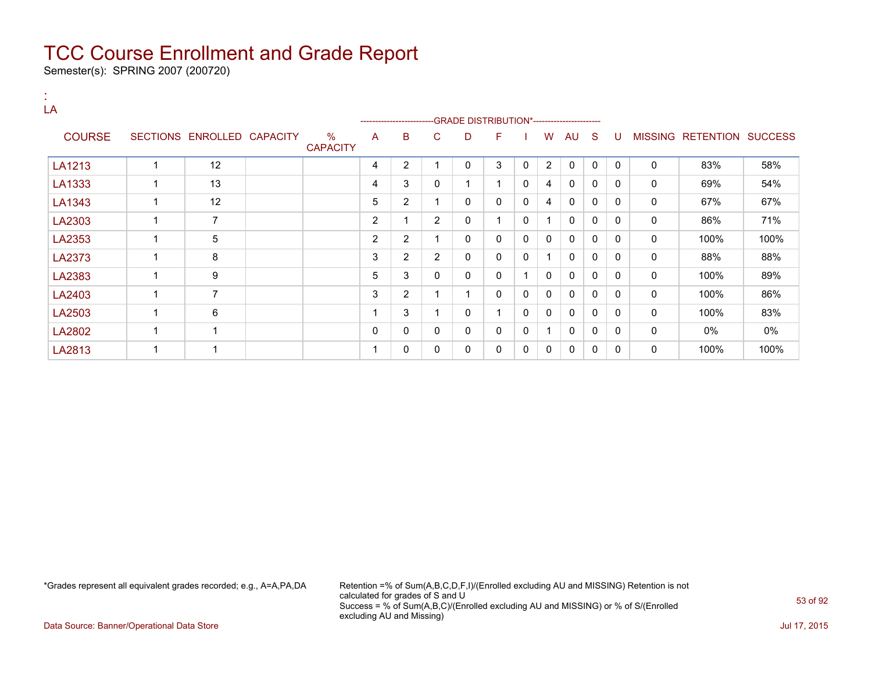Semester(s): SPRING 2007 (200720)

:

| LA            |             |                            |                         |                | ---------------------- |                |              | ----GRADE DISTRIBUTION*----------------------- |              |              |              |              |              |              |                           |      |
|---------------|-------------|----------------------------|-------------------------|----------------|------------------------|----------------|--------------|------------------------------------------------|--------------|--------------|--------------|--------------|--------------|--------------|---------------------------|------|
| <b>COURSE</b> |             | SECTIONS ENROLLED CAPACITY | $\%$<br><b>CAPACITY</b> | A              | B                      | C              | D            | F                                              |              | W            | AU           | <sub>S</sub> | U            |              | MISSING RETENTION SUCCESS |      |
| LA1213        |             | 12                         |                         | 4              | $\overline{2}$         |                | 0            | 3                                              | $\mathbf{0}$ | 2            | $\mathbf{0}$ | $\mathbf{0}$ | $\mathbf{0}$ | $\mathbf{0}$ | 83%                       | 58%  |
| LA1333        | $\mathbf 1$ | 13                         |                         | 4              | 3                      | 0              |              | 1                                              | 0            | 4            | $\mathbf{0}$ | 0            | $\Omega$     | $\mathbf{0}$ | 69%                       | 54%  |
| LA1343        | 1           | 12                         |                         | 5              | 2                      |                | 0            | 0                                              | 0            | 4            | $\mathbf 0$  | $\mathbf{0}$ | $\mathbf{0}$ | $\mathbf 0$  | 67%                       | 67%  |
| LA2303        | 1           | 7                          |                         | $\overline{2}$ |                        | $\overline{2}$ | 0            | 1                                              | $\mathbf{0}$ |              | $\mathbf 0$  | $\mathbf{0}$ | $\mathbf{0}$ | $\mathbf 0$  | 86%                       | 71%  |
| LA2353        | 1           | 5                          |                         | $\overline{2}$ | 2                      |                | 0            | 0                                              | $\mathbf 0$  | 0            | $\mathbf 0$  | $\mathbf{0}$ | $\mathbf{0}$ | 0            | 100%                      | 100% |
| LA2373        | 1           | 8                          |                         | 3              | 2                      | $\overline{2}$ | $\mathbf{0}$ | 0                                              | $\mathbf{0}$ |              | $\mathbf{0}$ | $\mathbf{0}$ | $\Omega$     | $\mathbf 0$  | 88%                       | 88%  |
| LA2383        | 1           | 9                          |                         | 5              | 3                      | 0              | $\mathbf{0}$ | 0                                              |              | $\mathbf{0}$ | $\mathbf{0}$ | $\mathbf{0}$ | $\mathbf{0}$ | $\mathbf 0$  | 100%                      | 89%  |
| LA2403        | 1           | 7                          |                         | 3              | $\overline{2}$         |                |              | 0                                              | 0            | 0            | $\mathbf{0}$ | 0            | $\Omega$     | 0            | 100%                      | 86%  |
| LA2503        | 1           | 6                          |                         |                | 3                      |                | 0            | 4                                              | $\mathbf{0}$ | 0            | $\mathbf 0$  | $\mathbf{0}$ | $\Omega$     | $\mathbf 0$  | 100%                      | 83%  |
| LA2802        | 1           |                            |                         | $\mathbf{0}$   | $\Omega$               | 0              | $\mathbf{0}$ | 0                                              | 0            |              | $\mathbf{0}$ | $\mathbf{0}$ | $\mathbf{0}$ | 0            | $0\%$                     | 0%   |
| LA2813        | 1           | -4                         |                         |                | 0                      |                | 0            | 0                                              | 0            | 0            | 0            | 0            | 0            | 0            | 100%                      | 100% |

\*Grades represent all equivalent grades recorded; e.g., A=A,PA,DA Retention =% of Sum(A,B,C,D,F,I)/(Enrolled excluding AU and MISSING) Retention is not calculated for grades of S and U Success = % of Sum(A,B,C)/(Enrolled excluding AU and MISSING) or % of S/(Enrolled excluding AU and Missing)

Data Source: Banner/Operational Data Store Jul 17, 2015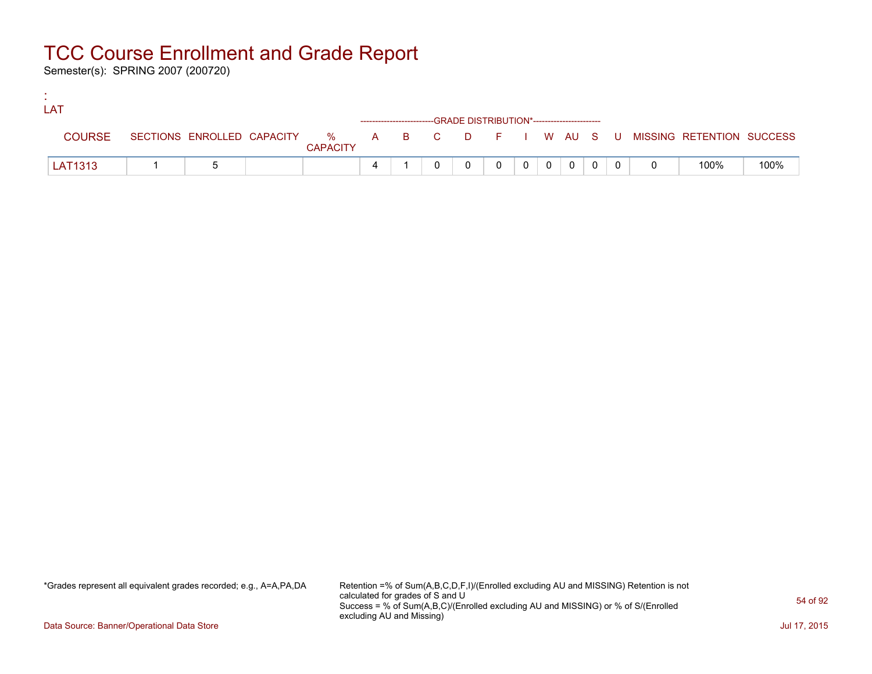Semester(s): SPRING 2007 (200720)

:

| LAT |               |  |                 |                                                                    |  |  |                |                |                |  |                                                                             |      |
|-----|---------------|--|-----------------|--------------------------------------------------------------------|--|--|----------------|----------------|----------------|--|-----------------------------------------------------------------------------|------|
|     |               |  |                 | ------------------------GRADE DISTRIBUTION*----------------------- |  |  |                |                |                |  |                                                                             |      |
|     | <b>COURSE</b> |  | <b>CAPACITY</b> |                                                                    |  |  |                |                |                |  | SECTIONS ENROLLED CAPACITY % A B C D F I W AU S U MISSING RETENTION SUCCESS |      |
|     | LAT1313       |  |                 |                                                                    |  |  | 0 <sup>1</sup> | $\overline{0}$ | $\overline{0}$ |  | 100%                                                                        | 100% |

\*Grades represent all equivalent grades recorded; e.g., A=A,PA,DA Retention =% of Sum(A,B,C,D,F,I)/(Enrolled excluding AU and MISSING) Retention is not calculated for grades of S and U Success = % of Sum(A,B,C)/(Enrolled excluding AU and MISSING) or % of S/(Enrolled excluding AU and Missing)

Data Source: Banner/Operational Data Store Jul 17, 2015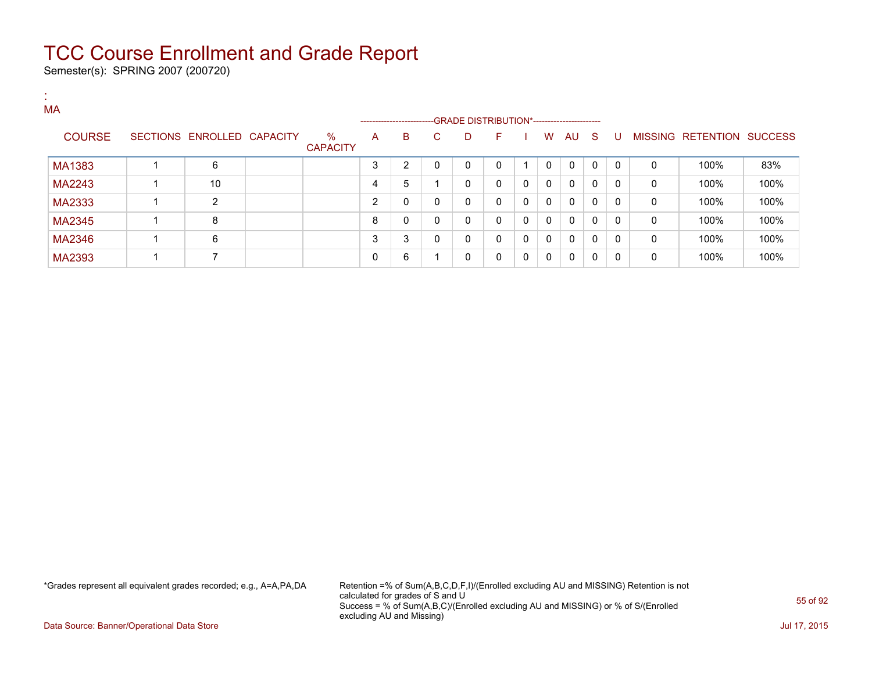Semester(s): SPRING 2007 (200720)

| л.<br><b>A</b><br>MA |                            |                      |   | ------------------------ |    | --GRADE DISTRIBUTION*----------------------- |              |   |              |              |              |              |              |                           |      |
|----------------------|----------------------------|----------------------|---|--------------------------|----|----------------------------------------------|--------------|---|--------------|--------------|--------------|--------------|--------------|---------------------------|------|
| <b>COURSE</b>        | SECTIONS ENROLLED CAPACITY | %<br><b>CAPACITY</b> | A | B                        | C. | D                                            | F            |   | W            | AU S         |              | -U           |              | MISSING RETENTION SUCCESS |      |
| MA1383               | 6                          |                      | 3 | 2                        | 0  | 0                                            | 0            |   | 0            | $\mathbf{0}$ | $\mathbf{0}$ | $\Omega$     | 0            | 100%                      | 83%  |
| MA2243               | 10                         |                      | 4 | 5                        |    | 0                                            | $\mathbf{0}$ | 0 | $\mathbf{0}$ | $\mathbf{0}$ | $\mathbf{0}$ | 0            | 0            | 100%                      | 100% |
| MA2333               | 2                          |                      | 2 | 0                        | 0  | 0                                            | $\mathbf{0}$ | 0 | 0            | 0            | $\mathbf{0}$ | $\mathbf{0}$ | 0            | 100%                      | 100% |
| MA2345               | 8                          |                      | 8 | $\mathbf{0}$             | 0  | 0                                            | $\mathbf{0}$ | 0 | 0            | $\mathbf{0}$ | $\mathbf{0}$ | 0            | 0            | 100%                      | 100% |
| MA2346               | 6                          |                      | 3 | 3                        | 0  | 0                                            | $\mathbf{0}$ | 0 | 0            | $\mathbf{0}$ | $\mathbf{0}$ | $\Omega$     | $\mathbf{0}$ | 100%                      | 100% |
| MA2393               | 7                          |                      | 0 | 6                        |    | 0                                            | $\mathbf{0}$ | 0 | 0            | 0            | 0            | $\mathbf{0}$ | 0            | 100%                      | 100% |

\*Grades represent all equivalent grades recorded; e.g., A=A,PA,DA Retention =% of Sum(A,B,C,D,F,I)/(Enrolled excluding AU and MISSING) Retention is not calculated for grades of S and U Success = % of Sum(A,B,C)/(Enrolled excluding AU and MISSING) or % of S/(Enrolled excluding AU and Missing)

Data Source: Banner/Operational Data Store Jul 17, 2015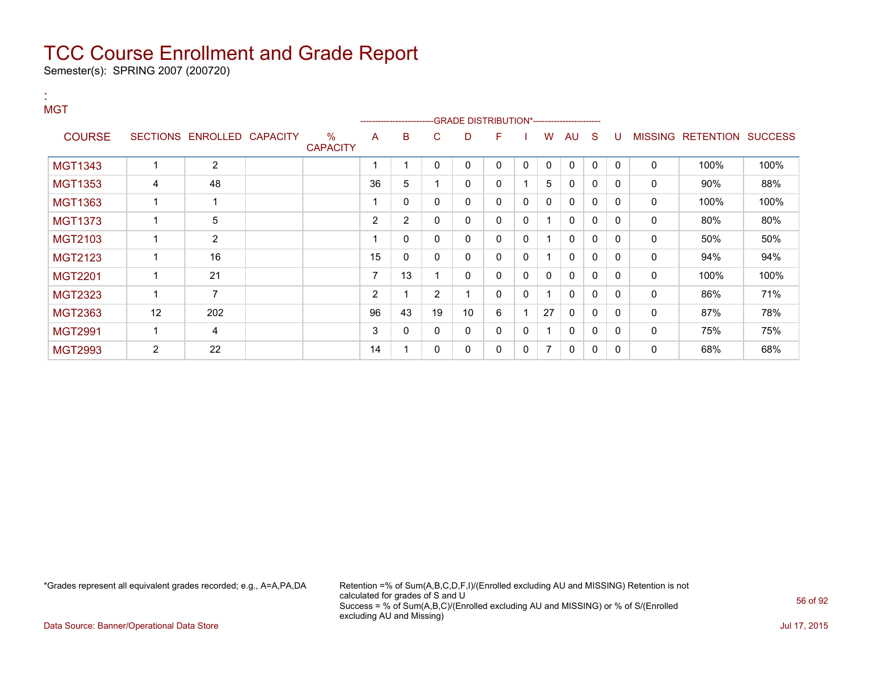Semester(s): SPRING 2007 (200720)

| <b>MGT</b>     |                |                            |                         |                | ------------------------ |                | -GRADE DISTRIBUTION*----------------------- |          |              |              |              |              |              |                |                          |      |
|----------------|----------------|----------------------------|-------------------------|----------------|--------------------------|----------------|---------------------------------------------|----------|--------------|--------------|--------------|--------------|--------------|----------------|--------------------------|------|
| <b>COURSE</b>  |                | SECTIONS ENROLLED CAPACITY | $\%$<br><b>CAPACITY</b> | A              | в                        | С              | D                                           | F        |              | W            | AU           | S            | U            | <b>MISSING</b> | <b>RETENTION SUCCESS</b> |      |
| <b>MGT1343</b> |                | $\overline{2}$             |                         |                |                          | 0              | 0                                           | 0        | $\mathbf{0}$ | $\mathbf{0}$ | $\mathbf{0}$ | $\Omega$     | $\mathbf{0}$ | $\mathbf 0$    | 100%                     | 100% |
| <b>MGT1353</b> | 4              | 48                         |                         | 36             | 5                        |                | 0                                           | 0        |              | 5            | $\mathbf{0}$ | 0            | $\Omega$     | 0              | 90%                      | 88%  |
| <b>MGT1363</b> | 1              |                            |                         |                | 0                        | 0              | 0                                           | 0        | $\mathbf{0}$ | 0            | $\mathbf 0$  | 0            | $\Omega$     | $\mathbf 0$    | 100%                     | 100% |
| <b>MGT1373</b> |                | 5                          |                         | 2              | $\overline{2}$           | 0              | 0                                           | 0        | 0            | 1            | $\mathbf{0}$ | $\mathbf{0}$ | $\Omega$     | 0              | 80%                      | 80%  |
| MGT2103        |                | $\overline{2}$             |                         |                | 0                        | 0              | 0                                           | 0        | 0            |              | $\mathbf{0}$ | 0            | $\Omega$     | 0              | 50%                      | 50%  |
| <b>MGT2123</b> | 1              | 16                         |                         | 15             | 0                        | 0              | 0                                           | 0        | $\mathbf{0}$ | 1            | $\Omega$     | 0            | $\Omega$     | 0              | 94%                      | 94%  |
| <b>MGT2201</b> |                | 21                         |                         |                | 13                       |                | 0                                           | 0        | $\mathbf{0}$ | 0            | $\mathbf{0}$ | $\mathbf{0}$ | $\Omega$     | 0              | 100%                     | 100% |
| <b>MGT2323</b> | 1              | 7                          |                         | $\overline{2}$ |                          | $\overline{2}$ | 1                                           | 0        | 0            | ◢            | 0            | 0            | 0            | 0              | 86%                      | 71%  |
| <b>MGT2363</b> | 12             | 202                        |                         | 96             | 43                       | 19             | 10                                          | 6        |              | 27           | $\mathbf{0}$ | 0            | <sup>0</sup> | 0              | 87%                      | 78%  |
| <b>MGT2991</b> | 1              | 4                          |                         | 3              | 0                        | 0              | 0                                           | $\Omega$ | 0            | 1            | $\Omega$     | $\Omega$     | $\Omega$     | 0              | 75%                      | 75%  |
| <b>MGT2993</b> | $\overline{2}$ | 22                         |                         | 14             |                          | 0              | 0                                           | 0        | $\mathbf{0}$ | 7            | 0            | 0            | $\Omega$     | 0              | 68%                      | 68%  |

:

\*Grades represent all equivalent grades recorded; e.g., A=A,PA,DA Retention =% of Sum(A,B,C,D,F,I)/(Enrolled excluding AU and MISSING) Retention is not calculated for grades of S and U Success = % of Sum(A,B,C)/(Enrolled excluding AU and MISSING) or % of S/(Enrolled excluding AU and Missing)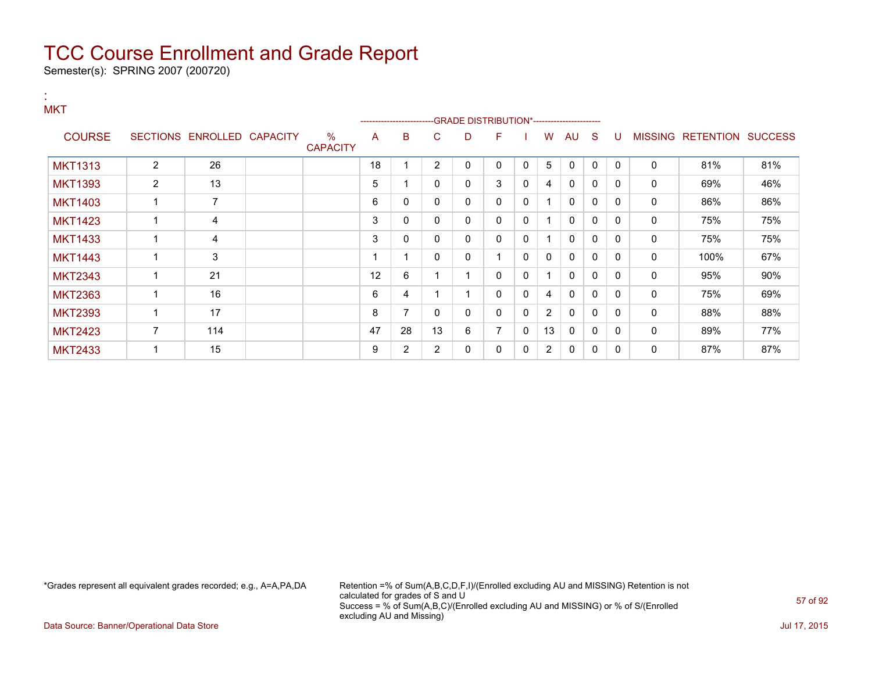Semester(s): SPRING 2007 (200720)

| <b>MKT</b>     |                |                            |                         |    | -------------------------GRADE                DISTRIBUTION*---------------------- |                |              |                |              |                |              |              |              |              |                           |     |
|----------------|----------------|----------------------------|-------------------------|----|-----------------------------------------------------------------------------------|----------------|--------------|----------------|--------------|----------------|--------------|--------------|--------------|--------------|---------------------------|-----|
| <b>COURSE</b>  |                | SECTIONS ENROLLED CAPACITY | $\%$<br><b>CAPACITY</b> | A  | B                                                                                 | С              | D            | F              |              | W              | AU           | -S           | U            |              | MISSING RETENTION SUCCESS |     |
| <b>MKT1313</b> | $\overline{2}$ | 26                         |                         | 18 |                                                                                   | $\overline{2}$ | $\mathbf{0}$ | 0              | $\Omega$     | 5              | $\mathbf{0}$ | $\mathbf{0}$ | $\Omega$     | 0            | 81%                       | 81% |
| <b>MKT1393</b> | 2              | 13                         |                         | 5  |                                                                                   | 0              | 0            | 3              | 0            | 4              | $\mathbf{0}$ | $\Omega$     | $\mathbf{0}$ | 0            | 69%                       | 46% |
| <b>MKT1403</b> | 1              | 7                          |                         | 6  | 0                                                                                 | 0              | 0            | 0              | $\mathbf{0}$ |                | 0            | $\mathbf{0}$ | $\mathbf{0}$ | 0            | 86%                       | 86% |
| <b>MKT1423</b> | 1              | 4                          |                         | 3  | 0                                                                                 | 0              | 0            | $\mathbf{0}$   | 0            | 4              | $\mathbf{0}$ | 0            | $\mathbf{0}$ | 0            | 75%                       | 75% |
| <b>MKT1433</b> | 1              | 4                          |                         | 3  | 0                                                                                 | 0              | 0            | $\mathbf{0}$   | 0            | 1              | $\mathbf{0}$ | $\Omega$     | 0            | 0            | 75%                       | 75% |
| <b>MKT1443</b> | 1              | 3                          |                         |    |                                                                                   | 0              | 0            |                | $\mathbf{0}$ | 0              | $\Omega$     | $\mathbf{0}$ | $\mathbf{0}$ | $\mathbf 0$  | 100%                      | 67% |
| <b>MKT2343</b> | $\mathbf 1$    | 21                         |                         | 12 | 6                                                                                 |                |              | $\mathbf{0}$   | $\mathbf{0}$ | 1              | $\Omega$     | 0            | $\mathbf{0}$ | 0            | 95%                       | 90% |
| <b>MKT2363</b> | 1              | 16                         |                         | 6  | 4                                                                                 |                |              | 0              | 0            | 4              | $\Omega$     | 0            | 0            | 0            | 75%                       | 69% |
| <b>MKT2393</b> | 1              | 17                         |                         | 8  | 7                                                                                 | 0              | 0            | 0              | 0            | $\overline{2}$ | $\Omega$     | $\Omega$     | $\Omega$     | $\mathbf 0$  | 88%                       | 88% |
| <b>MKT2423</b> | $\overline{7}$ | 114                        |                         | 47 | 28                                                                                | 13             | 6            | $\overline{7}$ | $\Omega$     | 13             | $\mathbf{0}$ | 0            | $\Omega$     | $\mathbf{0}$ | 89%                       | 77% |
| <b>MKT2433</b> |                | 15                         |                         | 9  | 2                                                                                 | 2              | 0            | 0              | 0            | 2              | 0            | 0            | $\mathbf{0}$ | 0            | 87%                       | 87% |

:

\*Grades represent all equivalent grades recorded; e.g., A=A,PA,DA Retention =% of Sum(A,B,C,D,F,I)/(Enrolled excluding AU and MISSING) Retention is not calculated for grades of S and U Success = % of Sum(A,B,C)/(Enrolled excluding AU and MISSING) or % of S/(Enrolled excluding AU and Missing)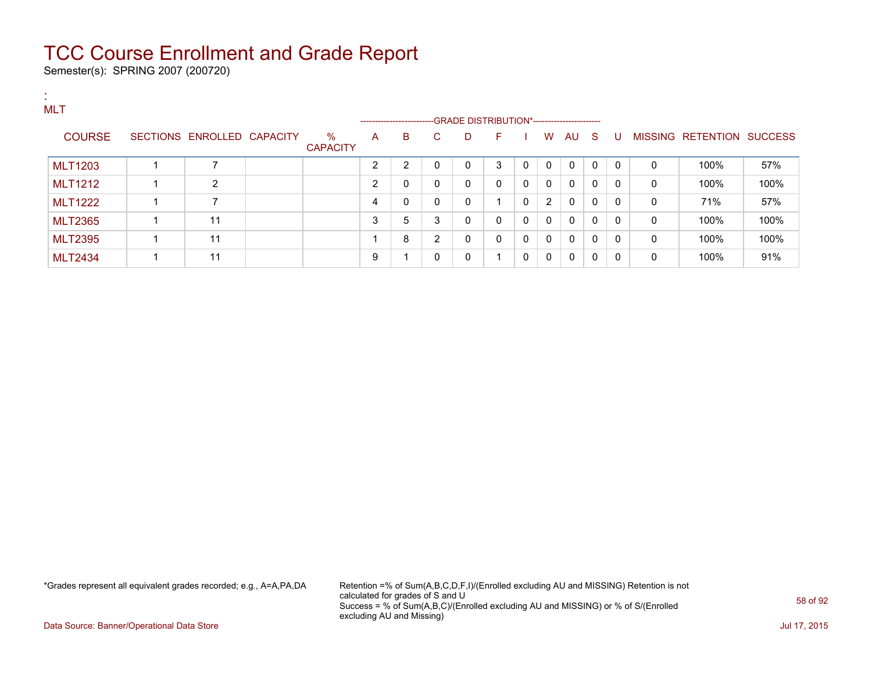Semester(s): SPRING 2007 (200720)

| <b>MLT</b>     |                            |                      |   | ----------------------- |              |              |                          |              |              |              |          |              |              |                   |                |
|----------------|----------------------------|----------------------|---|-------------------------|--------------|--------------|--------------------------|--------------|--------------|--------------|----------|--------------|--------------|-------------------|----------------|
| <b>COURSE</b>  | SECTIONS ENROLLED CAPACITY | %<br><b>CAPACITY</b> | A | B                       | C.           | D            | F.                       |              | W            | AU S         |          | -U           |              | MISSING RETENTION | <b>SUCCESS</b> |
| <b>MLT1203</b> |                            |                      | ົ | 2                       | 0            | $\mathbf{0}$ | 3                        | $\mathbf{0}$ | $\mathbf{0}$ | 0            | $\Omega$ | $\mathbf{0}$ | 0            | 100%              | 57%            |
| <b>MLT1212</b> | $\overline{2}$             |                      | 2 | 0                       | $\mathbf{0}$ | 0            | $\mathbf{0}$             | $\mathbf 0$  | $\mathbf{0}$ | $\Omega$     | $\Omega$ | $\Omega$     | 0            | 100%              | 100%           |
| <b>MLT1222</b> | ⇁                          |                      | 4 | 0                       | $\mathbf{0}$ | 0            |                          | $\mathbf 0$  | 2            | $\mathbf{0}$ | $\Omega$ | $\Omega$     | 0            | 71%               | 57%            |
| <b>MLT2365</b> | 11                         |                      | 3 | 5                       | 3            | $\mathbf 0$  | $\mathbf{0}$             | 0            | 0            | 0            | $\Omega$ | $\Omega$     | 0            | 100%              | 100%           |
| <b>MLT2395</b> | 11                         |                      |   | 8                       | 2            | 0            | $\Omega$                 | $\mathbf 0$  | $\mathbf{0}$ | $\Omega$     | $\Omega$ | $\Omega$     | $\mathbf{0}$ | 100%              | 100%           |
| <b>MLT2434</b> | 11                         |                      | 9 |                         | 0            | 0            | $\overline{\phantom{a}}$ | $\mathbf{0}$ | 0            | $\Omega$     | 0        | $\Omega$     | 0            | 100%              | 91%            |

\*Grades represent all equivalent grades recorded; e.g., A=A,PA,DA Retention =% of Sum(A,B,C,D,F,I)/(Enrolled excluding AU and MISSING) Retention is not calculated for grades of S and U Success = % of Sum(A,B,C)/(Enrolled excluding AU and MISSING) or % of S/(Enrolled excluding AU and Missing)

Data Source: Banner/Operational Data Store **July 17, 2015**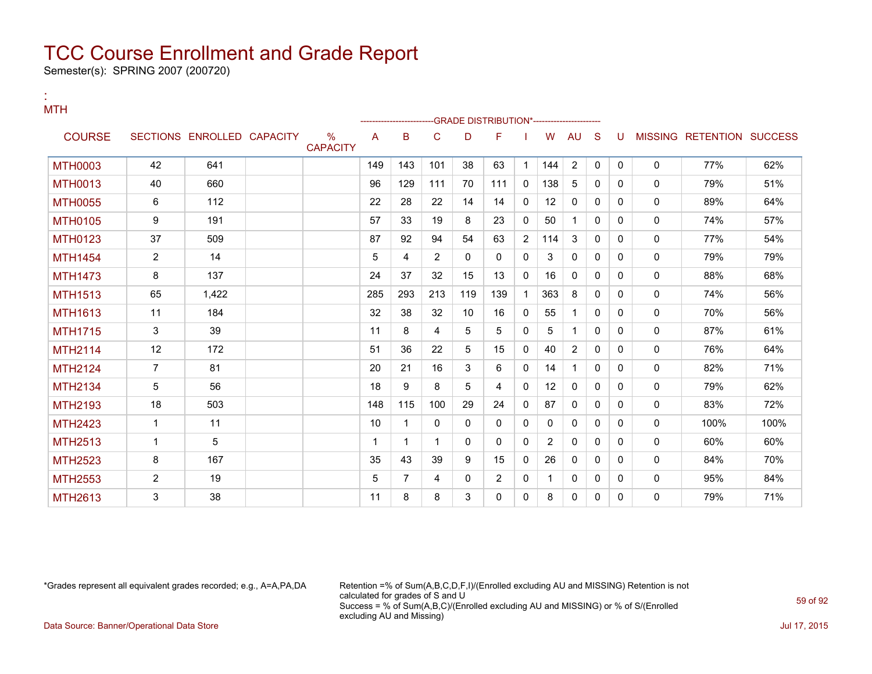Semester(s): SPRING 2007 (200720)

| <b>MTH</b>     |                |                            |                                  |     |     |                |          | -GRADE DISTRIBUTION*---------------------- |              |                   |              |          |              |              |                           |      |
|----------------|----------------|----------------------------|----------------------------------|-----|-----|----------------|----------|--------------------------------------------|--------------|-------------------|--------------|----------|--------------|--------------|---------------------------|------|
| <b>COURSE</b>  |                | SECTIONS ENROLLED CAPACITY | $\frac{0}{0}$<br><b>CAPACITY</b> | A   | в   | C              | D        | F                                          |              | W                 | AU           | S        | -U           |              | MISSING RETENTION SUCCESS |      |
| <b>MTH0003</b> | 42             | 641                        |                                  | 149 | 143 | 101            | 38       | 63                                         | 1            | 144               | 2            | 0        | $\mathbf{0}$ | $\mathbf{0}$ | 77%                       | 62%  |
| <b>MTH0013</b> | 40             | 660                        |                                  | 96  | 129 | 111            | 70       | 111                                        | 0            | 138               | 5            | 0        | $\Omega$     | 0            | 79%                       | 51%  |
| <b>MTH0055</b> | 6              | 112                        |                                  | 22  | 28  | 22             | 14       | 14                                         | 0            | 12                | $\mathbf{0}$ | 0        | $\Omega$     | $\mathbf{0}$ | 89%                       | 64%  |
| <b>MTH0105</b> | 9              | 191                        |                                  | 57  | 33  | 19             | 8        | 23                                         | 0            | 50                | 1            | 0        | $\Omega$     | 0            | 74%                       | 57%  |
| <b>MTH0123</b> | 37             | 509                        |                                  | 87  | 92  | 94             | 54       | 63                                         | 2            | 114               | 3            | 0        | $\Omega$     | $\mathbf{0}$ | 77%                       | 54%  |
| <b>MTH1454</b> | $\overline{2}$ | 14                         |                                  | 5   | 4   | $\overline{2}$ | $\Omega$ | $\Omega$                                   | $\mathbf{0}$ | 3                 | $\mathbf{0}$ | 0        | 0            | 0            | 79%                       | 79%  |
| <b>MTH1473</b> | 8              | 137                        |                                  | 24  | 37  | 32             | 15       | 13                                         | $\Omega$     | 16                | $\Omega$     | $\Omega$ | $\Omega$     | $\mathbf{0}$ | 88%                       | 68%  |
| <b>MTH1513</b> | 65             | 1,422                      |                                  | 285 | 293 | 213            | 119      | 139                                        | 1            | 363               | 8            | $\Omega$ | $\Omega$     | $\mathbf{0}$ | 74%                       | 56%  |
| <b>MTH1613</b> | 11             | 184                        |                                  | 32  | 38  | 32             | 10       | 16                                         | 0            | 55                | $\mathbf 1$  | 0        | $\Omega$     | 0            | 70%                       | 56%  |
| <b>MTH1715</b> | 3              | 39                         |                                  | 11  | 8   | 4              | 5        | 5                                          | 0            | 5                 | $\mathbf 1$  | $\Omega$ | $\Omega$     | $\mathbf{0}$ | 87%                       | 61%  |
| <b>MTH2114</b> | 12             | 172                        |                                  | 51  | 36  | 22             | 5        | 15                                         | 0            | 40                | 2            | 0        | $\Omega$     | $\mathbf{0}$ | 76%                       | 64%  |
| <b>MTH2124</b> | $\overline{7}$ | 81                         |                                  | 20  | 21  | 16             | 3        | 6                                          | $\Omega$     | 14                | $\mathbf{1}$ | 0        | 0            | $\mathbf{0}$ | 82%                       | 71%  |
| <b>MTH2134</b> | 5              | 56                         |                                  | 18  | 9   | 8              | 5        | 4                                          | $\Omega$     | $12 \overline{ }$ | $\mathbf{0}$ | 0        | 0            | $\mathbf{0}$ | 79%                       | 62%  |
| MTH2193        | 18             | 503                        |                                  | 148 | 115 | 100            | 29       | 24                                         | $\mathbf{0}$ | 87                | $\mathbf{0}$ | $\Omega$ | $\Omega$     | 0            | 83%                       | 72%  |
| <b>MTH2423</b> | $\mathbf{1}$   | 11                         |                                  | 10  |     | $\Omega$       | $\Omega$ | $\Omega$                                   | $\Omega$     | $\Omega$          | $\Omega$     | $\Omega$ | $\Omega$     | $\mathbf{0}$ | 100%                      | 100% |
| <b>MTH2513</b> | $\mathbf{1}$   | 5                          |                                  | 1   | 1   | 1              | $\Omega$ | 0                                          | $\Omega$     | $\overline{2}$    | $\mathbf{0}$ | $\Omega$ | $\Omega$     | 0            | 60%                       | 60%  |
| <b>MTH2523</b> | 8              | 167                        |                                  | 35  | 43  | 39             | 9        | 15                                         | 0            | 26                | $\mathbf{0}$ | 0        | $\Omega$     | $\mathbf{0}$ | 84%                       | 70%  |
| <b>MTH2553</b> | $\overline{2}$ | 19                         |                                  | 5   | 7   | 4              | 0        | $\overline{2}$                             | 0            | -1                | 0            | 0        | $\Omega$     | 0            | 95%                       | 84%  |
| MTH2613        | 3              | 38                         |                                  | 11  | 8   | 8              | 3        | 0                                          | $\Omega$     | 8                 | 0            | $\Omega$ | 0            | $\Omega$     | 79%                       | 71%  |

:

\*Grades represent all equivalent grades recorded; e.g., A=A,PA,DA Retention =% of Sum(A,B,C,D,F,I)/(Enrolled excluding AU and MISSING) Retention is not calculated for grades of S and U Success = % of Sum(A,B,C)/(Enrolled excluding AU and MISSING) or % of S/(Enrolled excluding AU and Missing) Data Source: Banner/Operational Data Store Jul 17, 2015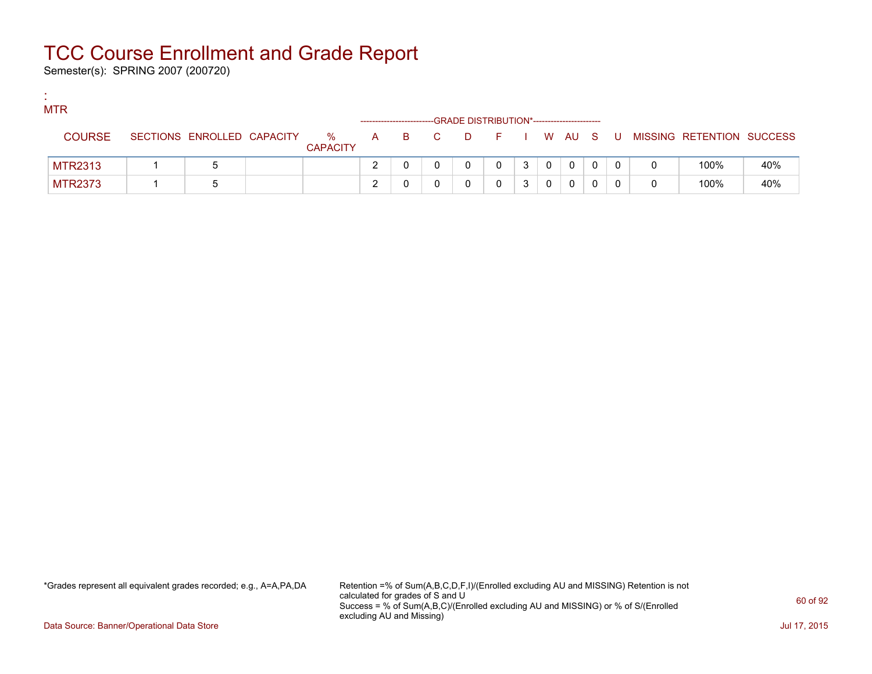Semester(s): SPRING 2007 (200720)

:

| <b>MTR</b>     |                            |                      |  |       | -GRADE DISTRIBUTION*----------------------- |         |   |          |   |                           |     |
|----------------|----------------------------|----------------------|--|-------|---------------------------------------------|---------|---|----------|---|---------------------------|-----|
| <b>COURSE</b>  | SECTIONS ENROLLED CAPACITY | %<br><b>CAPACITY</b> |  | A B C | <b>D</b>                                    | $F = 1$ |   | I WAUS   | U | MISSING RETENTION SUCCESS |     |
| <b>MTR2313</b> |                            |                      |  |       |                                             |         | 0 | $\Omega$ |   | 100%                      | 40% |
| <b>MTR2373</b> |                            |                      |  |       |                                             |         |   | 0        |   | 100%                      | 40% |

\*Grades represent all equivalent grades recorded; e.g., A=A,PA,DA Retention =% of Sum(A,B,C,D,F,I)/(Enrolled excluding AU and MISSING) Retention is not calculated for grades of S and U Success = % of Sum(A,B,C)/(Enrolled excluding AU and MISSING) or % of S/(Enrolled excluding AU and Missing)

Data Source: Banner/Operational Data Store Jul 17, 2015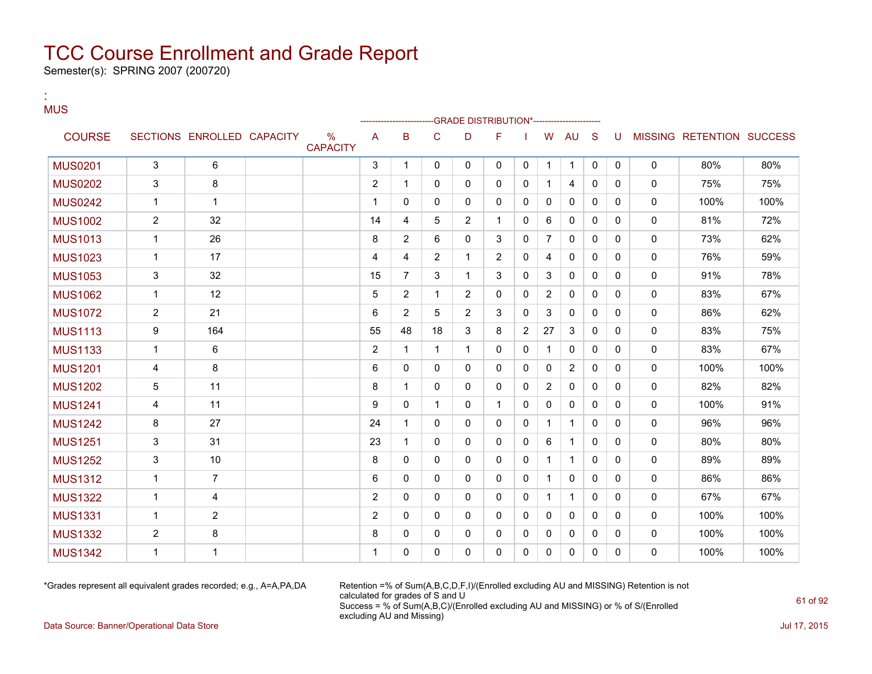Semester(s): SPRING 2007 (200720)

#### : MUS

|                |                |                            |                         |                | -------------------- |                |                | -- GRADE DISTRIBUTION*------------------------ |                |                |              |              |          |              |                           |      |
|----------------|----------------|----------------------------|-------------------------|----------------|----------------------|----------------|----------------|------------------------------------------------|----------------|----------------|--------------|--------------|----------|--------------|---------------------------|------|
| <b>COURSE</b>  |                | SECTIONS ENROLLED CAPACITY | $\%$<br><b>CAPACITY</b> | A              | B                    | C              | D              | F                                              |                | W              | AU           | S            | U        |              | MISSING RETENTION SUCCESS |      |
| <b>MUS0201</b> | 3              | 6                          |                         | 3              | $\mathbf 1$          | 0              | 0              | $\mathbf{0}$                                   | 0              | $\mathbf{1}$   | $\mathbf{1}$ | 0            | 0        | 0            | 80%                       | 80%  |
| <b>MUS0202</b> | 3              | 8                          |                         | 2              | 1                    | $\mathbf{0}$   | 0              | $\mathbf{0}$                                   | 0              | 1              | 4            | 0            | 0        | 0            | 75%                       | 75%  |
| <b>MUS0242</b> | $\mathbf 1$    | $\mathbf 1$                |                         | 1              | 0                    | $\mathbf{0}$   | 0              | $\mathbf{0}$                                   | 0              | 0              | $\mathbf{0}$ | $\mathbf{0}$ | 0        | 0            | 100%                      | 100% |
| <b>MUS1002</b> | $\overline{2}$ | 32                         |                         | 14             | 4                    | 5              | $\overline{2}$ | $\mathbf{1}$                                   | 0              | 6              | $\mathbf{0}$ | $\mathbf{0}$ | 0        | 0            | 81%                       | 72%  |
| <b>MUS1013</b> | $\mathbf 1$    | 26                         |                         | 8              | 2                    | 6              | 0              | 3                                              | 0              | $\overline{7}$ | $\mathbf{0}$ | $\mathbf{0}$ | 0        | $\mathbf{0}$ | 73%                       | 62%  |
| <b>MUS1023</b> | $\mathbf{1}$   | 17                         |                         | $\overline{4}$ | 4                    | $\overline{2}$ | $\mathbf{1}$   | $\overline{2}$                                 | $\Omega$       | 4              | $\mathbf{0}$ | $\Omega$     | $\Omega$ | 0            | 76%                       | 59%  |
| <b>MUS1053</b> | 3              | 32                         |                         | 15             | $\overline{7}$       | 3              | $\mathbf{1}$   | 3                                              | 0              | 3              | $\mathbf{0}$ | $\mathbf{0}$ | 0        | 0            | 91%                       | 78%  |
| <b>MUS1062</b> | $\mathbf{1}$   | 12                         |                         | 5              | 2                    | 1              | $\overline{2}$ | $\Omega$                                       | 0              | $\overline{2}$ | $\mathbf{0}$ | $\mathbf{0}$ | 0        | $\mathbf{0}$ | 83%                       | 67%  |
| <b>MUS1072</b> | $\overline{2}$ | 21                         |                         | 6              | $\overline{2}$       | 5              | $\overline{2}$ | 3                                              | 0              | 3              | $\mathbf{0}$ | $\mathbf{0}$ | 0        | 0            | 86%                       | 62%  |
| <b>MUS1113</b> | 9              | 164                        |                         | 55             | 48                   | 18             | 3              | 8                                              | $\overline{2}$ | 27             | 3            | $\Omega$     | 0        | $\mathbf{0}$ | 83%                       | 75%  |
| <b>MUS1133</b> | 1              | 6                          |                         | $\overline{2}$ | $\mathbf 1$          | $\mathbf{1}$   | $\mathbf{1}$   | $\mathbf{0}$                                   | 0              | $\mathbf 1$    | 0            | $\mathbf{0}$ | 0        | 0            | 83%                       | 67%  |
| <b>MUS1201</b> | 4              | 8                          |                         | 6              | $\mathbf{0}$         | 0              | 0              | 0                                              | 0              | 0              | 2            | 0            | 0        | 0            | 100%                      | 100% |
| <b>MUS1202</b> | 5              | 11                         |                         | 8              | -1                   | $\mathbf{0}$   | 0              | 0                                              | 0              | $\overline{2}$ | 0            | $\mathbf{0}$ | 0        | 0            | 82%                       | 82%  |
| <b>MUS1241</b> | 4              | 11                         |                         | 9              | 0                    | 1              | 0              | $\mathbf 1$                                    | 0              | 0              | 0            | 0            | 0        | 0            | 100%                      | 91%  |
| <b>MUS1242</b> | 8              | 27                         |                         | 24             | 1                    | $\mathbf{0}$   | 0              | $\mathbf{0}$                                   | 0              | $\mathbf{1}$   | $\mathbf{1}$ | $\mathbf{0}$ | 0        | 0            | 96%                       | 96%  |
| <b>MUS1251</b> | 3              | 31                         |                         | 23             | $\mathbf{1}$         | 0              | 0              | 0                                              | 0              | 6              | $\mathbf{1}$ | $\mathbf{0}$ | 0        | 0            | 80%                       | 80%  |
| <b>MUS1252</b> | 3              | 10                         |                         | 8              | $\mathbf{0}$         | 0              | 0              | $\mathbf{0}$                                   | 0              | $\mathbf{1}$   | $\mathbf{1}$ | $\mathbf{0}$ | 0        | 0            | 89%                       | 89%  |
| <b>MUS1312</b> | 1              | $\overline{7}$             |                         | 6              | $\mathbf{0}$         | $\mathbf 0$    | 0              | $\mathbf{0}$                                   | 0              | $\mathbf{1}$   | 0            | $\mathbf{0}$ | 0        | 0            | 86%                       | 86%  |
| <b>MUS1322</b> | $\mathbf 1$    | 4                          |                         | $\overline{2}$ | $\mathbf{0}$         | $\mathbf{0}$   | 0              | $\mathbf{0}$                                   | 0              | $\mathbf{1}$   | $\mathbf{1}$ | $\mathbf{0}$ | 0        | 0            | 67%                       | 67%  |
| <b>MUS1331</b> | $\mathbf 1$    | $\overline{2}$             |                         | 2              | $\mathbf{0}$         | $\mathbf{0}$   | 0              | $\mathbf{0}$                                   | 0              | $\mathbf{0}$   | $\mathbf{0}$ | $\Omega$     | 0        | 0            | 100%                      | 100% |
| <b>MUS1332</b> | 2              | 8                          |                         | 8              | $\mathbf{0}$         | 0              | 0              | 0                                              | 0              | 0              | 0            | 0            | 0        | 0            | 100%                      | 100% |
| <b>MUS1342</b> |                | 1                          |                         |                | 0                    | 0              | 0              | 0                                              | 0              | 0              | 0            | 0            | 0        | 0            | 100%                      | 100% |

\*Grades represent all equivalent grades recorded; e.g., A=A,PA,DA Retention =% of Sum(A,B,C,D,F,I)/(Enrolled excluding AU and MISSING) Retention is not calculated for grades of S and U Success = % of Sum(A,B,C)/(Enrolled excluding AU and MISSING) or % of S/(Enrolled excluding AU and Missing)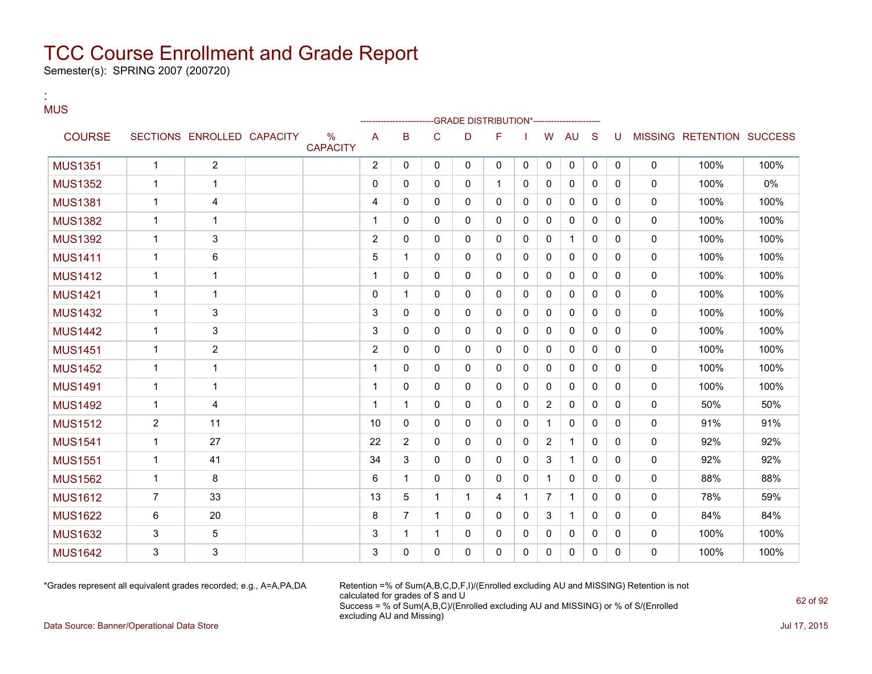Semester(s): SPRING 2007 (200720)

:

| <b>MUS</b>     |                |                            |                      |                |                |              |              | -GRADE DISTRIBUTION*----------------- |              |                |              |              |              |              |                           |       |
|----------------|----------------|----------------------------|----------------------|----------------|----------------|--------------|--------------|---------------------------------------|--------------|----------------|--------------|--------------|--------------|--------------|---------------------------|-------|
| <b>COURSE</b>  |                | SECTIONS ENROLLED CAPACITY | %<br><b>CAPACITY</b> | A              | B              | C            | D            | F                                     |              | W              | <b>AU</b>    | <sub>S</sub> | U            |              | MISSING RETENTION SUCCESS |       |
| <b>MUS1351</b> | $\mathbf{1}$   | $\overline{2}$             |                      | $\overline{2}$ | $\Omega$       | $\Omega$     | 0            | $\Omega$                              | $\mathbf{0}$ | $\mathbf 0$    | $\mathbf 0$  | $\mathbf 0$  | $\mathbf 0$  | $\mathbf 0$  | 100%                      | 100%  |
| <b>MUS1352</b> | $\mathbf{1}$   | $\mathbf{1}$               |                      | 0              | $\Omega$       | $\mathbf{0}$ | 0            | $\mathbf{1}$                          | 0            | $\mathbf{0}$   | $\mathbf{0}$ | $\mathbf{0}$ | $\mathbf{0}$ | $\mathbf{0}$ | 100%                      | $0\%$ |
| <b>MUS1381</b> | $\mathbf{1}$   | 4                          |                      | 4              | $\Omega$       | $\Omega$     | 0            | $\Omega$                              | $\mathbf{0}$ | 0              | 0            | $\Omega$     | $\Omega$     | 0            | 100%                      | 100%  |
| <b>MUS1382</b> | $\mathbf{1}$   | $\mathbf 1$                |                      | 1              | $\mathbf{0}$   | $\mathbf{0}$ | 0            | $\mathbf{0}$                          | 0            | 0              | 0            | $\mathbf{0}$ | $\mathbf{0}$ | 0            | 100%                      | 100%  |
| <b>MUS1392</b> | $\mathbf{1}$   | 3                          |                      | $\overline{2}$ | $\Omega$       | $\Omega$     | 0            | $\Omega$                              | $\mathbf{0}$ | $\mathbf{0}$   | $\mathbf{1}$ | $\Omega$     | $\mathbf{0}$ | 0            | 100%                      | 100%  |
| <b>MUS1411</b> | $\mathbf{1}$   | 6                          |                      | 5              | 1              | $\mathbf{0}$ | 0            | $\mathbf{0}$                          | 0            | 0              | 0            | $\mathbf{0}$ | $\mathbf{0}$ | 0            | 100%                      | 100%  |
| <b>MUS1412</b> | $\mathbf{1}$   | 1                          |                      | 1              | $\Omega$       | $\Omega$     | 0            | $\Omega$                              | 0            | 0              | 0            | $\Omega$     | $\Omega$     | 0            | 100%                      | 100%  |
| <b>MUS1421</b> | $\mathbf{1}$   | 1                          |                      | 0              | 1              | $\Omega$     | 0            | $\Omega$                              | 0            | $\mathbf{0}$   | 0            | $\Omega$     | $\Omega$     | 0            | 100%                      | 100%  |
| <b>MUS1432</b> | $\mathbf{1}$   | 3                          |                      | 3              | $\Omega$       | $\Omega$     | 0            | $\Omega$                              | $\Omega$     | $\mathbf{0}$   | $\mathbf{0}$ | $\Omega$     | $\Omega$     | $\Omega$     | 100%                      | 100%  |
| <b>MUS1442</b> | $\mathbf{1}$   | 3                          |                      | 3              | $\Omega$       | $\Omega$     | 0            | $\mathbf{0}$                          | $\mathbf{0}$ | 0              | 0            | $\Omega$     | $\mathbf{0}$ | 0            | 100%                      | 100%  |
| <b>MUS1451</b> | $\mathbf{1}$   | $\overline{2}$             |                      | $\overline{2}$ | $\Omega$       | $\Omega$     | 0            | $\Omega$                              | $\Omega$     | $\mathbf{0}$   | $\mathbf{0}$ | $\Omega$     | $\Omega$     | $\Omega$     | 100%                      | 100%  |
| <b>MUS1452</b> | $\mathbf{1}$   | 1                          |                      | 1              | $\Omega$       | $\Omega$     | 0            | $\mathbf{0}$                          | $\mathbf{0}$ | 0              | $\mathbf 0$  | $\mathbf{0}$ | $\mathbf{0}$ | 0            | 100%                      | 100%  |
| <b>MUS1491</b> | $\mathbf{1}$   | 1                          |                      | 1              | $\Omega$       | $\Omega$     | 0            | $\Omega$                              | $\Omega$     | $\Omega$       | $\mathbf{0}$ | $\Omega$     | $\Omega$     | 0            | 100%                      | 100%  |
| <b>MUS1492</b> | $\mathbf{1}$   | 4                          |                      | 1              | $\mathbf 1$    | $\mathbf{0}$ | 0            | $\mathbf{0}$                          | 0            | $\overline{2}$ | 0            | $\mathbf{0}$ | $\mathbf{0}$ | 0            | 50%                       | 50%   |
| <b>MUS1512</b> | $\overline{2}$ | 11                         |                      | 10             | $\Omega$       | $\Omega$     | 0            | $\Omega$                              | $\Omega$     | $\mathbf{1}$   | $\mathbf{0}$ | $\Omega$     | $\Omega$     | $\mathbf 0$  | 91%                       | 91%   |
| <b>MUS1541</b> | $\mathbf{1}$   | 27                         |                      | 22             | $\overline{2}$ | $\mathbf{0}$ | 0            | $\mathbf{0}$                          | $\Omega$     | $\overline{2}$ | 1            | $\Omega$     | $\Omega$     | 0            | 92%                       | 92%   |
| <b>MUS1551</b> | $\mathbf{1}$   | 41                         |                      | 34             | 3              | $\Omega$     | 0            | $\Omega$                              | $\mathbf{0}$ | 3              | $\mathbf{1}$ | $\Omega$     | $\Omega$     | $\mathbf 0$  | 92%                       | 92%   |
| <b>MUS1562</b> | $\mathbf{1}$   | 8                          |                      | 6              | $\mathbf 1$    | $\mathbf{0}$ | 0            | $\mathbf{0}$                          | $\mathbf{0}$ | $\mathbf 1$    | $\mathbf{0}$ | $\Omega$     | $\Omega$     | 0            | 88%                       | 88%   |
| <b>MUS1612</b> | $\overline{7}$ | 33                         |                      | 13             | 5              | $\mathbf{1}$ | $\mathbf{1}$ | 4                                     | 1            | $\overline{7}$ | $\mathbf{1}$ | $\Omega$     | $\mathbf{0}$ | 0            | 78%                       | 59%   |
| <b>MUS1622</b> | 6              | 20                         |                      | 8              | $\overline{7}$ | $\mathbf{1}$ | 0            | $\mathbf{0}$                          | $\mathbf{0}$ | 3              | $\mathbf{1}$ | $\Omega$     | $\Omega$     | 0            | 84%                       | 84%   |
| <b>MUS1632</b> | 3              | 5                          |                      | 3              | $\mathbf 1$    | $\mathbf{1}$ | 0            | $\mathbf{0}$                          | 0            | 0              | $\mathbf{0}$ | $\mathbf{0}$ | $\mathbf{0}$ | 0            | 100%                      | 100%  |
| <b>MUS1642</b> | 3              | 3                          |                      | 3              | $\Omega$       | 0            | 0            | $\Omega$                              | $\Omega$     | 0              | 0            | $\Omega$     | $\Omega$     | 0            | 100%                      | 100%  |

\*Grades represent all equivalent grades recorded; e.g., A=A,PA,DA Retention =% of Sum(A,B,C,D,F,I)/(Enrolled excluding AU and MISSING) Retention is not calculated for grades of S and U Success = % of Sum(A,B,C)/(Enrolled excluding AU and MISSING) or % of S/(Enrolled excluding AU and Missing)

Data Source: Banner/Operational Data Store Jul 17, 2015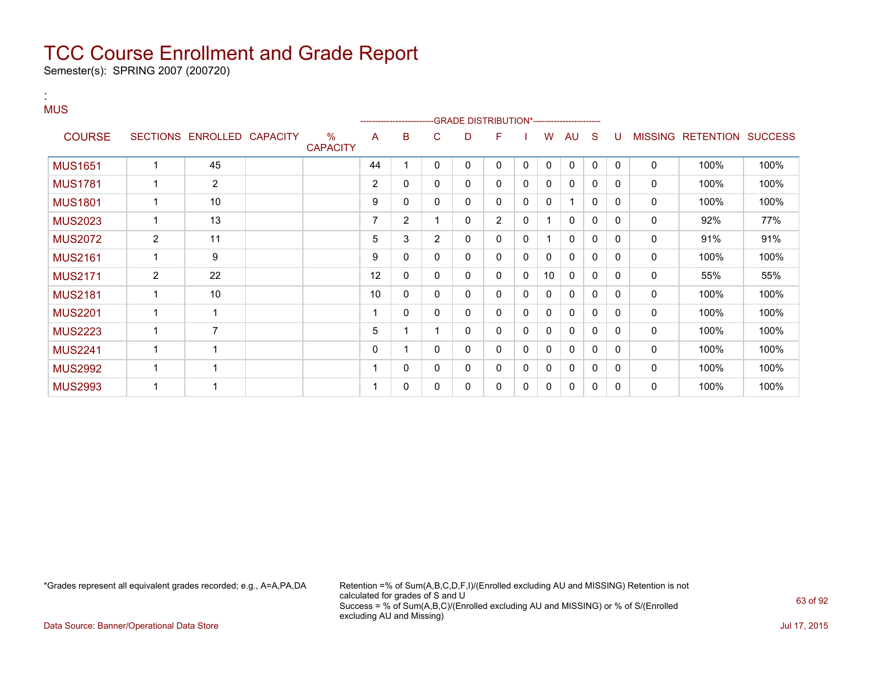Semester(s): SPRING 2007 (200720)

:

#### **MUS** ---GRADE DISTRIBUTION\*------------------------COURSE SECTIONS ENROLLED CAPACITY % **CAPACITY** A B C D F I W AU S U MISSING RETENTION SUCCESS MUS1651 1 45 44 1 0 0 0 0 0 0 0 0 0 100% 100% MUS1781 1 2 2 0 0 0 0 0 0 0 0 0 0 100% 100% MUS1801 | 1 | 10 | | | 9 |0 |0 |0 |0 |0 |1 |0 |0 | 0 | 100% | 100% MUS2023 | 1 | 13 | | 7 | 2 | 1 | 0 | 2 | 0 | 1 | 0 | 0 | 0 | 0 | 92% | 77% MUS2072 2 11 2 15 3 2 0 0 1 0 0 0 0 0 91% 91% MUS2161 1 9 9 0 0 0 0 0 0 0 0 0 0 100% 100% MUS2171 2 22 12 0 0 0 0 0 10 0 0 0 0 55% 55% MUS2181 1 10 10 0 0 0 0 0 0 0 0 0 0 100% 100% MUS2201 1 1 1 0 0 0 0 0 0 0 0 0 0 100% 100% MUS2223 | 1 | 7 | | | 5 | 1 | 1 | 0 | 0 | 0 | 0 | 0 | 0 | 0 | 100% | 100% MUS2241 1 1 0 1 0 0 0 0 0 0 0 0 0 100% 100% MUS2992 1 1 1 0 0 0 0 0 0 0 0 0 0 100% 100% MUS2993 1 1 1 0 0 0 0 0 0 0 0 0 0 100% 100%

\*Grades represent all equivalent grades recorded; e.g., A=A,PA,DA Retention =% of Sum(A,B,C,D,F,I)/(Enrolled excluding AU and MISSING) Retention is not calculated for grades of S and U Success = % of Sum(A,B,C)/(Enrolled excluding AU and MISSING) or % of S/(Enrolled excluding AU and Missing)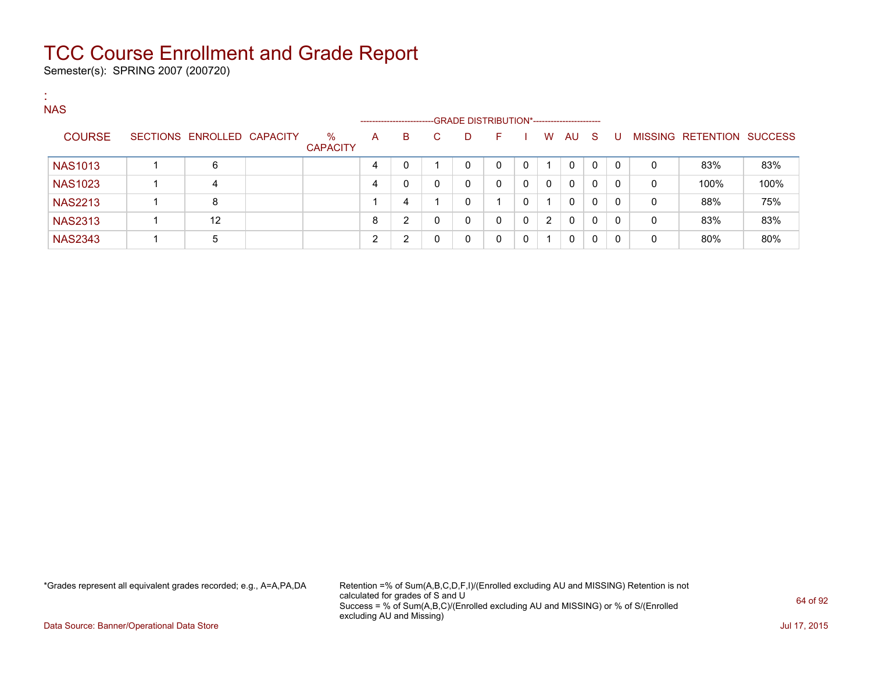Semester(s): SPRING 2007 (200720)

| <b>COL</b> |                |                            |                         |   |                             |    |                                                  |              |              |                |          |              |              |   |                           |      |
|------------|----------------|----------------------------|-------------------------|---|-----------------------------|----|--------------------------------------------------|--------------|--------------|----------------|----------|--------------|--------------|---|---------------------------|------|
|            | <b>NAS</b>     |                            |                         |   |                             |    |                                                  |              |              |                |          |              |              |   |                           |      |
|            | <b>COURSE</b>  | SECTIONS ENROLLED CAPACITY | $\%$<br><b>CAPACITY</b> | A | ----------------------<br>B | C. | -GRADE DISTRIBUTION*-----------------------<br>D | F.           |              | W              | AU S     |              | - U          |   | MISSING RETENTION SUCCESS |      |
|            | <b>NAS1013</b> | 6                          |                         | 4 | 0                           |    | 0                                                | 0            | $\mathbf{0}$ | 1              | 0        | $\Omega$     | $\Omega$     | 0 | 83%                       | 83%  |
|            | <b>NAS1023</b> | 4                          |                         | 4 | 0                           | 0  | $\mathbf{0}$                                     | $\mathbf{0}$ | $\Omega$     | $\Omega$       | $\Omega$ | $\Omega$     | $\Omega$     | 0 | 100%                      | 100% |
|            | <b>NAS2213</b> | 8                          |                         |   | 4                           |    | 0                                                |              | 0            | 1              | $\Omega$ | $\mathbf{0}$ | $\Omega$     | 0 | 88%                       | 75%  |
|            | <b>NAS2313</b> | 12                         |                         | 8 | $\overline{2}$              | 0  | 0                                                | 0            | 0            | $\overline{2}$ | $\Omega$ | $\mathbf{0}$ | $\mathbf{0}$ | 0 | 83%                       | 83%  |
|            | <b>NAS2343</b> | 5                          |                         | ົ | $\overline{2}$              | 0  | 0                                                | $\Omega$     | $\Omega$     | 1.             | 0        | $\mathbf{0}$ | $\mathbf{0}$ | 0 | 80%                       | 80%  |

\*Grades represent all equivalent grades recorded; e.g., A=A,PA,DA Retention =% of Sum(A,B,C,D,F,I)/(Enrolled excluding AU and MISSING) Retention is not calculated for grades of S and U Success = % of Sum(A,B,C)/(Enrolled excluding AU and MISSING) or % of S/(Enrolled excluding AU and Missing)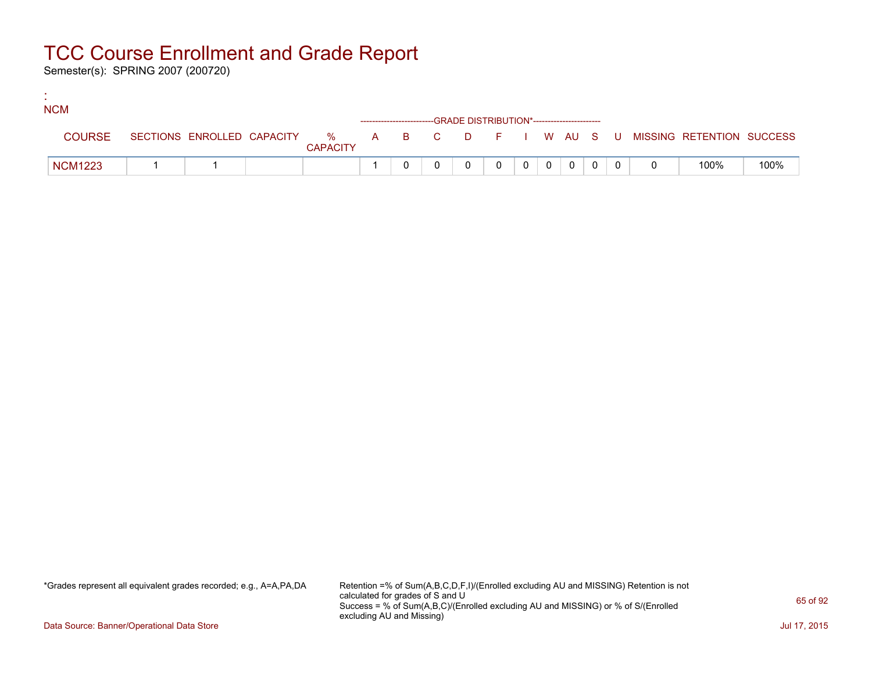Semester(s): SPRING 2007 (200720)

:

| <b>NCM</b>     |  |                 |  |                                                                    |          |          |                |  |                                                                             |      |
|----------------|--|-----------------|--|--------------------------------------------------------------------|----------|----------|----------------|--|-----------------------------------------------------------------------------|------|
|                |  |                 |  | ------------------------GRADE DISTRIBUTION*----------------------- |          |          |                |  |                                                                             |      |
| <b>COURSE</b>  |  | <b>CAPACITY</b> |  |                                                                    |          |          |                |  | SECTIONS ENROLLED CAPACITY % A B C D F I W AU S U MISSING RETENTION SUCCESS |      |
| <b>NCM1223</b> |  |                 |  |                                                                    | $\Omega$ | $\Omega$ | $\overline{0}$ |  | 100%                                                                        | 100% |

\*Grades represent all equivalent grades recorded; e.g., A=A,PA,DA Retention =% of Sum(A,B,C,D,F,I)/(Enrolled excluding AU and MISSING) Retention is not calculated for grades of S and U Success = % of Sum(A,B,C)/(Enrolled excluding AU and MISSING) or % of S/(Enrolled excluding AU and Missing)

Data Source: Banner/Operational Data Store Jul 17, 2015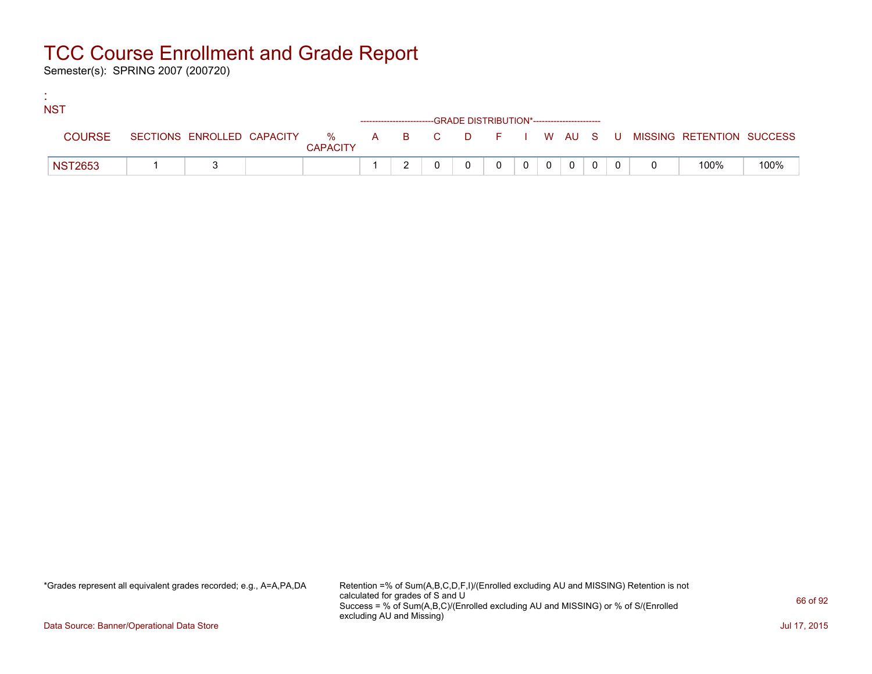Semester(s): SPRING 2007 (200720)

:

| <b>NST</b>     |  |                 |  |                                                                    |          |          |                |  |                                                                             |      |
|----------------|--|-----------------|--|--------------------------------------------------------------------|----------|----------|----------------|--|-----------------------------------------------------------------------------|------|
|                |  |                 |  | ------------------------GRADE DISTRIBUTION*----------------------- |          |          |                |  |                                                                             |      |
| <b>COURSE</b>  |  | <b>CAPACITY</b> |  |                                                                    |          |          |                |  | SECTIONS ENROLLED CAPACITY % A B C D F I W AU S U MISSING RETENTION SUCCESS |      |
| <b>NST2653</b> |  |                 |  |                                                                    | $\Omega$ | $\Omega$ | $\overline{0}$ |  | 100%                                                                        | 100% |

\*Grades represent all equivalent grades recorded; e.g., A=A,PA,DA Retention =% of Sum(A,B,C,D,F,I)/(Enrolled excluding AU and MISSING) Retention is not calculated for grades of S and U Success = % of Sum(A,B,C)/(Enrolled excluding AU and MISSING) or % of S/(Enrolled excluding AU and Missing)

Data Source: Banner/Operational Data Store Jul 17, 2015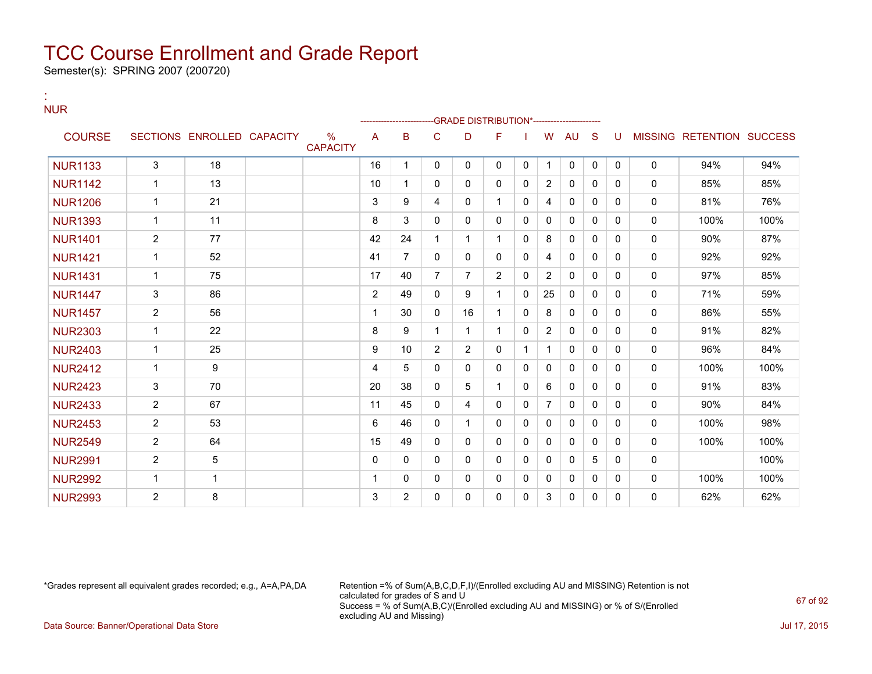Semester(s): SPRING 2007 (200720)

:

| <b>NUR</b>     |                |                            |                         |              |                |                |                | -GRADE DISTRIBUTION*---------------------- |              |                |              |              |              |              |                           |      |
|----------------|----------------|----------------------------|-------------------------|--------------|----------------|----------------|----------------|--------------------------------------------|--------------|----------------|--------------|--------------|--------------|--------------|---------------------------|------|
| <b>COURSE</b>  |                | SECTIONS ENROLLED CAPACITY | $\%$<br><b>CAPACITY</b> | A            | в              | C              | D              | F                                          |              | W              | <b>AU</b>    | S            | U            |              | MISSING RETENTION SUCCESS |      |
| <b>NUR1133</b> | 3              | 18                         |                         | 16           | 1              | 0              | 0              | 0                                          | 0            |                | 0            | 0            | $\mathbf{0}$ | 0            | 94%                       | 94%  |
| <b>NUR1142</b> | $\mathbf{1}$   | 13                         |                         | 10           | 1              | 0              | 0              | 0                                          | 0            | $\overline{2}$ | 0            | $\mathbf{0}$ | 0            | 0            | 85%                       | 85%  |
| <b>NUR1206</b> | $\mathbf{1}$   | 21                         |                         | 3            | 9              | 4              | 0              | 1                                          | 0            | 4              | $\mathbf{0}$ | $\mathbf{0}$ | 0            | $\mathbf{0}$ | 81%                       | 76%  |
| <b>NUR1393</b> | $\mathbf{1}$   | 11                         |                         | 8            | 3              | 0              | 0              | 0                                          | 0            | 0              | 0            | $\Omega$     | 0            | 0            | 100%                      | 100% |
| <b>NUR1401</b> | $\overline{2}$ | 77                         |                         | 42           | 24             |                |                |                                            | $\mathbf{0}$ | 8              | $\mathbf{0}$ | $\Omega$     | 0            | 0            | 90%                       | 87%  |
| <b>NUR1421</b> | 1              | 52                         |                         | 41           | 7              | 0              | 0              | 0                                          | 0            | 4              | $\mathbf{0}$ | $\mathbf{0}$ | $\Omega$     | 0            | 92%                       | 92%  |
| <b>NUR1431</b> | $\mathbf{1}$   | 75                         |                         | 17           | 40             | $\overline{7}$ | $\overline{7}$ | $\overline{2}$                             | $\Omega$     | $\overline{2}$ | $\Omega$     | $\Omega$     | $\Omega$     | 0            | 97%                       | 85%  |
| <b>NUR1447</b> | 3              | 86                         |                         | 2            | 49             | $\Omega$       | 9              | 1                                          | $\Omega$     | 25             | $\mathbf{0}$ | $\Omega$     | 0            | $\mathbf{0}$ | 71%                       | 59%  |
| <b>NUR1457</b> | $\overline{2}$ | 56                         |                         | 1            | 30             | $\mathbf{0}$   | 16             | 1                                          | $\mathbf{0}$ | 8              | $\mathbf{0}$ | $\mathbf{0}$ | 0            | 0            | 86%                       | 55%  |
| <b>NUR2303</b> | $\mathbf{1}$   | 22                         |                         | 8            | 9              | 1              | $\mathbf{1}$   | 1                                          | 0            | $\overline{2}$ | $\mathbf{0}$ | $\mathbf{0}$ | 0            | $\mathbf{0}$ | 91%                       | 82%  |
| <b>NUR2403</b> | $\mathbf{1}$   | 25                         |                         | 9            | 10             | $\overline{2}$ | $\overline{2}$ | 0                                          | 1            |                | $\mathbf{0}$ | $\mathbf{0}$ | 0            | 0            | 96%                       | 84%  |
| <b>NUR2412</b> | $\mathbf{1}$   | 9                          |                         | 4            | 5              | 0              | 0              | 0                                          | 0            | 0              | $\mathbf{0}$ | $\Omega$     | $\Omega$     | $\mathbf{0}$ | 100%                      | 100% |
| <b>NUR2423</b> | 3              | 70                         |                         | 20           | 38             | 0              | 5              |                                            | 0            | 6              | $\mathbf{0}$ | $\mathbf{0}$ | 0            | 0            | 91%                       | 83%  |
| <b>NUR2433</b> | $\overline{2}$ | 67                         |                         | 11           | 45             | 0              | 4              | 0                                          | 0            | $\overline{7}$ | $\mathbf{0}$ | $\Omega$     | $\Omega$     | 0            | 90%                       | 84%  |
| <b>NUR2453</b> | $\overline{2}$ | 53                         |                         | 6            | 46             | $\Omega$       |                | $\Omega$                                   | $\Omega$     | $\mathbf{0}$   | $\mathbf{0}$ | $\Omega$     | $\Omega$     | $\mathbf{0}$ | 100%                      | 98%  |
| <b>NUR2549</b> | $\overline{2}$ | 64                         |                         | 15           | 49             | $\Omega$       | 0              | 0                                          | 0            | 0              | $\mathbf{0}$ | $\mathbf{0}$ | $\Omega$     | $\mathbf{0}$ | 100%                      | 100% |
| <b>NUR2991</b> | $\overline{2}$ | 5                          |                         | $\mathbf{0}$ | 0              | 0              | 0              | 0                                          | 0            | 0              | $\mathbf{0}$ | 5            | 0            | 0            |                           | 100% |
| <b>NUR2992</b> | $\mathbf{1}$   | $\mathbf 1$                |                         | 1            | 0              | 0              | 0              | 0                                          | 0            | 0              | 0            | $\mathbf{0}$ | 0            | 0            | 100%                      | 100% |
| <b>NUR2993</b> | $\mathbf{2}$   | 8                          |                         | 3            | $\overline{2}$ | $\Omega$       | 0              | 0                                          | $\Omega$     | 3              | $\mathbf{0}$ | $\mathbf{0}$ | 0            | $\Omega$     | 62%                       | 62%  |

\*Grades represent all equivalent grades recorded; e.g., A=A,PA,DA Retention =% of Sum(A,B,C,D,F,I)/(Enrolled excluding AU and MISSING) Retention is not calculated for grades of S and U Success = % of Sum(A,B,C)/(Enrolled excluding AU and MISSING) or % of S/(Enrolled excluding AU and Missing) Data Source: Banner/Operational Data Store Jul 17, 2015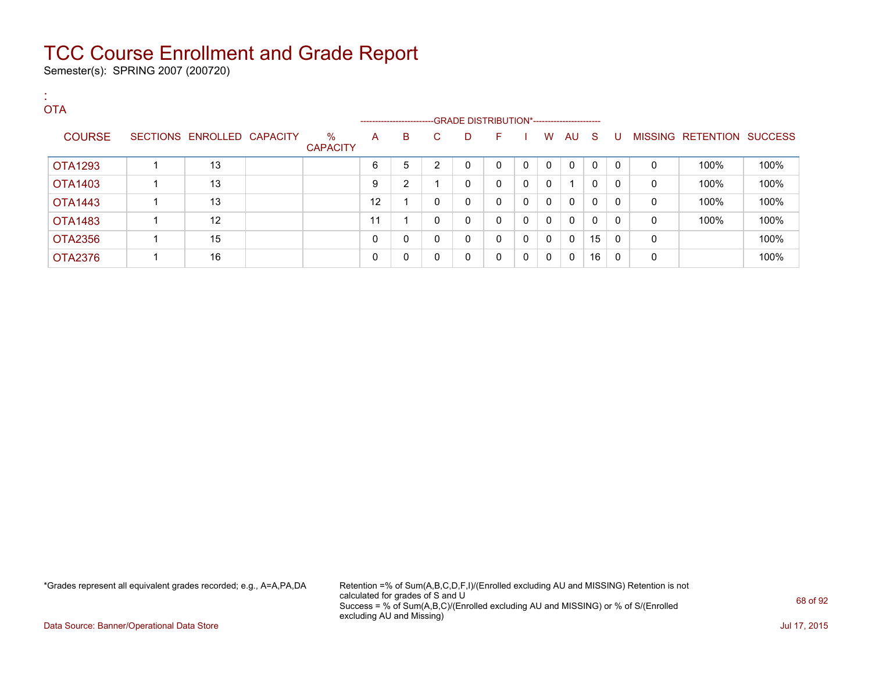Semester(s): SPRING 2007 (200720)

| <b>COL</b> | <b>OTA</b>     |                            |                      |              |                                                                    |                |   |              |              |              |             |              |              |              |                           |      |
|------------|----------------|----------------------------|----------------------|--------------|--------------------------------------------------------------------|----------------|---|--------------|--------------|--------------|-------------|--------------|--------------|--------------|---------------------------|------|
|            |                |                            |                      |              | ------------------------GRADE DISTRIBUTION*----------------------- |                |   |              |              |              |             |              |              |              |                           |      |
|            | <b>COURSE</b>  | SECTIONS ENROLLED CAPACITY | %<br><b>CAPACITY</b> | A            | B                                                                  | C.             | D | F            |              | W            | AU S        |              | . U          |              | MISSING RETENTION SUCCESS |      |
|            | <b>OTA1293</b> | 13                         |                      | 6            | 5                                                                  | $\overline{2}$ | 0 | $\mathbf{0}$ | $\mathbf{0}$ | $\Omega$     | 0           | $\mathbf{0}$ | $\Omega$     | $\mathbf{0}$ | 100%                      | 100% |
|            | OTA1403        | 13                         |                      | 9            | 2                                                                  |                | 0 | $\mathbf{0}$ | 0            | $\mathbf{0}$ |             | 0            | $\mathbf{0}$ | 0            | 100%                      | 100% |
|            | OTA1443        | 13                         |                      | 12           |                                                                    | 0              | 0 | $\mathbf{0}$ | 0            | $\Omega$     | 0           | $\Omega$     | $\Omega$     | 0            | 100%                      | 100% |
|            | <b>OTA1483</b> | 12                         |                      | 11           |                                                                    | 0              | 0 | $\mathbf{0}$ | 0            | 0            | 0           | $\Omega$     | $\Omega$     | 0            | 100%                      | 100% |
|            | OTA2356        | 15                         |                      | $\mathbf{0}$ | 0                                                                  | 0              | 0 | $\mathbf{0}$ | $\mathbf{0}$ | 0            | $\mathbf 0$ | 15           | $\Omega$     | 0            |                           | 100% |
|            | <b>OTA2376</b> | 16                         |                      | 0            | 0                                                                  | 0              | 0 | 0            | $\mathbf{0}$ | 0            | 0           | 16           | $\Omega$     | 0            |                           | 100% |

\*Grades represent all equivalent grades recorded; e.g., A=A,PA,DA Retention =% of Sum(A,B,C,D,F,I)/(Enrolled excluding AU and MISSING) Retention is not calculated for grades of S and U Success = % of Sum(A,B,C)/(Enrolled excluding AU and MISSING) or % of S/(Enrolled excluding AU and Missing)

Data Source: Banner/Operational Data Store Jul 17, 2015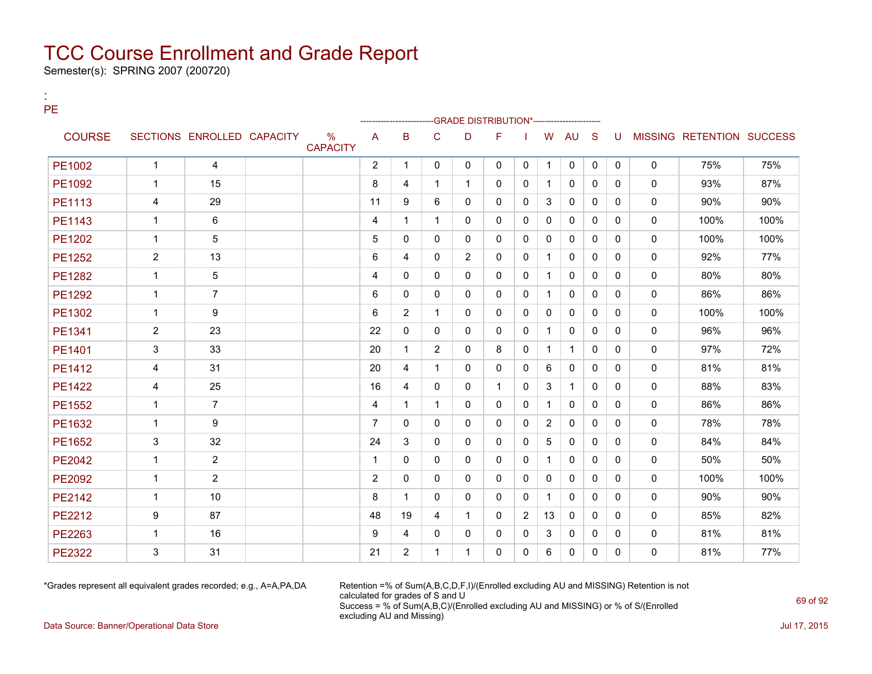Semester(s): SPRING 2007 (200720)

:

| PЕ            |                |                            |                                  |                |                |                | -GRADE DISTRIBUTION*-------------- |              |              |              |              |              |          |              |                           |      |
|---------------|----------------|----------------------------|----------------------------------|----------------|----------------|----------------|------------------------------------|--------------|--------------|--------------|--------------|--------------|----------|--------------|---------------------------|------|
| <b>COURSE</b> |                | SECTIONS ENROLLED CAPACITY | $\frac{0}{0}$<br><b>CAPACITY</b> | $\overline{A}$ | B              | $\mathsf{C}$   | D                                  | F            |              | W            | <b>AU</b>    | S            | U        |              | MISSING RETENTION SUCCESS |      |
| PE1002        | $\mathbf{1}$   | 4                          |                                  | 2              | 1              | $\Omega$       | $\Omega$                           | $\Omega$     | $\Omega$     | $\mathbf{1}$ | $\mathbf{0}$ | $\mathbf{0}$ | $\Omega$ | $\mathbf 0$  | 75%                       | 75%  |
| PE1092        | $\mathbf{1}$   | 15                         |                                  | 8              | 4              | $\mathbf 1$    | 1                                  | 0            | $\mathbf{0}$ | $\mathbf{1}$ | $\mathbf{0}$ | 0            | 0        | 0            | 93%                       | 87%  |
| PE1113        | 4              | 29                         |                                  | 11             | 9              | 6              | $\Omega$                           | $\Omega$     | $\Omega$     | 3            | $\Omega$     | $\Omega$     | $\Omega$ | $\Omega$     | 90%                       | 90%  |
| <b>PE1143</b> | $\mathbf{1}$   | 6                          |                                  | $\overline{4}$ | 1              | $\mathbf{1}$   | $\mathbf{0}$                       | 0            | $\mathbf{0}$ | $\Omega$     | $\mathbf{0}$ | $\Omega$     | 0        | $\Omega$     | 100%                      | 100% |
| PE1202        | $\mathbf{1}$   | 5                          |                                  | 5              | 0              | $\Omega$       | 0                                  | 0            | $\mathbf{0}$ | $\mathbf{0}$ | $\mathbf{0}$ | $\Omega$     | 0        | 0            | 100%                      | 100% |
| PE1252        | $\overline{2}$ | 13                         |                                  | 6              | 4              | $\mathbf{0}$   | $\overline{2}$                     | 0            | $\Omega$     | $\mathbf{1}$ | $\Omega$     | $\Omega$     | 0        | $\Omega$     | 92%                       | 77%  |
| PE1282        | $\mathbf{1}$   | 5                          |                                  | 4              | $\Omega$       | $\Omega$       | $\Omega$                           | $\Omega$     | $\Omega$     | $\mathbf{1}$ | $\mathbf{0}$ | $\Omega$     | $\Omega$ | $\Omega$     | 80%                       | 80%  |
| PE1292        | $\mathbf{1}$   | $\overline{7}$             |                                  | 6              | 0              | 0              | 0                                  | 0            | $\mathbf{0}$ | $\mathbf{1}$ | $\mathbf{0}$ | 0            | 0        | 0            | 86%                       | 86%  |
| PE1302        | $\mathbf{1}$   | 9                          |                                  | 6              | $\overline{2}$ | $\mathbf 1$    | $\Omega$                           | $\Omega$     | $\Omega$     | $\Omega$     | $\Omega$     | $\Omega$     | $\Omega$ | $\Omega$     | 100%                      | 100% |
| PE1341        | $\overline{2}$ | 23                         |                                  | 22             | 0              | $\Omega$       | $\Omega$                           | 0            | $\mathbf{0}$ | $\mathbf{1}$ | $\mathbf{0}$ | $\Omega$     | 0        | $\Omega$     | 96%                       | 96%  |
| PE1401        | 3              | 33                         |                                  | 20             | 1              | $\overline{2}$ | $\Omega$                           | 8            | $\mathbf{0}$ | $\mathbf{1}$ | $\mathbf{1}$ | $\Omega$     | 0        | 0            | 97%                       | 72%  |
| <b>PE1412</b> | 4              | 31                         |                                  | 20             | 4              | $\mathbf 1$    | $\Omega$                           | $\Omega$     | $\Omega$     | 6            | $\Omega$     | $\Omega$     | 0        | $\Omega$     | 81%                       | 81%  |
| <b>PE1422</b> | 4              | 25                         |                                  | 16             | 4              | $\Omega$       | $\Omega$                           | $\mathbf{1}$ | $\Omega$     | 3            | $\mathbf{1}$ | $\Omega$     | $\Omega$ | $\Omega$     | 88%                       | 83%  |
| <b>PE1552</b> | $\mathbf{1}$   | $\overline{7}$             |                                  | $\overline{4}$ | 1              | $\mathbf 1$    | 0                                  | 0            | $\mathbf{0}$ | $\mathbf{1}$ | $\mathbf{0}$ | 0            | 0        | $\mathbf 0$  | 86%                       | 86%  |
| PE1632        | $\mathbf{1}$   | 9                          |                                  | $\overline{7}$ | 0              | $\mathbf{0}$   | 0                                  | 0            | $\mathbf{0}$ | 2            | $\mathbf{0}$ | 0            | 0        | $\Omega$     | 78%                       | 78%  |
| PE1652        | 3              | 32                         |                                  | 24             | 3              | $\Omega$       | $\Omega$                           | 0            | $\mathbf{0}$ | 5            | $\mathbf{0}$ | $\Omega$     | 0        | $\Omega$     | 84%                       | 84%  |
| PE2042        | $\mathbf{1}$   | $\overline{2}$             |                                  | $\mathbf{1}$   | $\Omega$       | $\Omega$       | 0                                  | 0            | $\mathbf{0}$ | $\mathbf{1}$ | $\mathbf{0}$ | $\Omega$     | 0        | $\mathbf 0$  | 50%                       | 50%  |
| <b>PE2092</b> | $\mathbf{1}$   | $\overline{2}$             |                                  | 2              | 0              | 0              | 0                                  | 0            | 0            | 0            | $\mathbf{0}$ | 0            | 0        | $\mathbf 0$  | 100%                      | 100% |
| <b>PE2142</b> | $\mathbf{1}$   | 10                         |                                  | 8              | 1              | $\Omega$       | $\Omega$                           | $\Omega$     | $\Omega$     | $\mathbf{1}$ | $\Omega$     | $\Omega$     | $\Omega$ | $\mathbf{0}$ | 90%                       | 90%  |
| <b>PE2212</b> | 9              | 87                         |                                  | 48             | 19             | 4              | $\mathbf{1}$                       | 0            | 2            | 13           | $\mathbf{0}$ | 0            | 0        | $\Omega$     | 85%                       | 82%  |
| <b>PE2263</b> | $\mathbf{1}$   | 16                         |                                  | 9              | 4              | $\mathbf{0}$   | 0                                  | 0            | $\mathbf{0}$ | 3            | $\mathbf{0}$ | 0            | 0        | 0            | 81%                       | 81%  |
| <b>PE2322</b> | 3              | 31                         |                                  | 21             | $\overline{2}$ | $\overline{1}$ | 1                                  | 0            | $\Omega$     | 6            | $\mathbf{0}$ | $\Omega$     | $\Omega$ | $\mathbf{0}$ | 81%                       | 77%  |

\*Grades represent all equivalent grades recorded; e.g., A=A,PA,DA Retention =% of Sum(A,B,C,D,F,I)/(Enrolled excluding AU and MISSING) Retention is not calculated for grades of S and U Success = % of Sum(A,B,C)/(Enrolled excluding AU and MISSING) or % of S/(Enrolled excluding AU and Missing)

Data Source: Banner/Operational Data Store Jul 17, 2015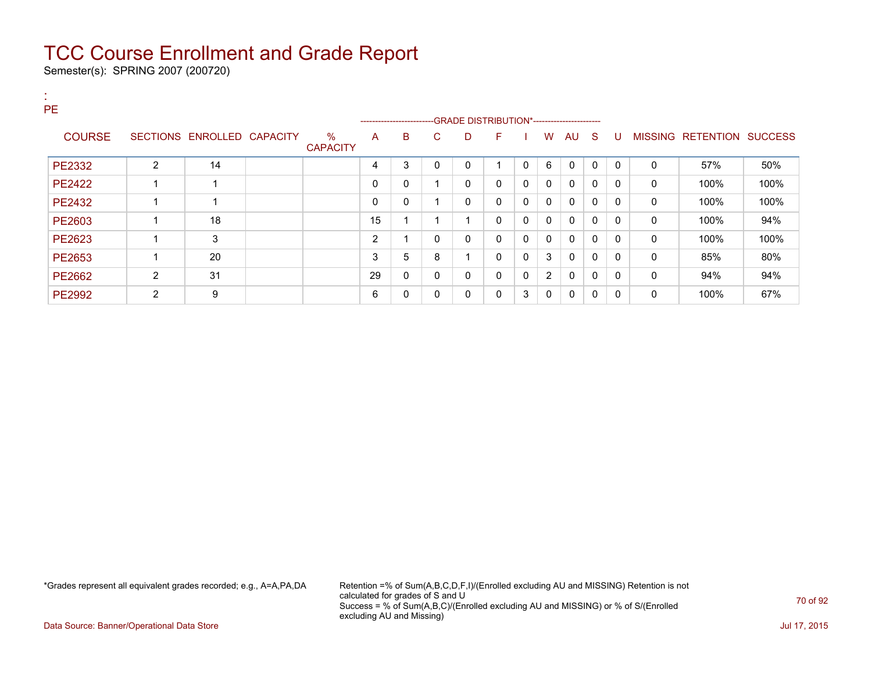Semester(s): SPRING 2007 (200720)

| <b>PE</b>     |                         |                            |                         |                |                         |              |   |                                             |              |                |              |              |          |              |                           |      |
|---------------|-------------------------|----------------------------|-------------------------|----------------|-------------------------|--------------|---|---------------------------------------------|--------------|----------------|--------------|--------------|----------|--------------|---------------------------|------|
|               |                         |                            |                         |                | ----------------------  |              |   | -GRADE DISTRIBUTION*----------------------- |              |                |              |              |          |              |                           |      |
| <b>COURSE</b> |                         | SECTIONS ENROLLED CAPACITY | $\%$<br><b>CAPACITY</b> | A              | B                       | C            | D | F                                           |              | W              | AU S         |              | -U       |              | MISSING RETENTION SUCCESS |      |
| PE2332        | 2                       | 14                         |                         | 4              | 3                       | 0            | 0 |                                             | $\Omega$     | 6              | $\Omega$     | $\mathbf{0}$ | $\Omega$ | $\mathbf{0}$ | 57%                       | 50%  |
| PE2422        | 4                       | -1                         |                         | $\Omega$       | $\mathbf{0}$            |              | 0 | $\mathbf{0}$                                | $\mathbf{0}$ | $\mathbf{0}$   | $\mathbf{0}$ | $\mathbf{0}$ | $\Omega$ | $\mathbf{0}$ | 100%                      | 100% |
| PE2432        | 4                       | -1                         |                         | $\Omega$       | 0                       |              | 0 | $\mathbf{0}$                                | $\mathbf{0}$ | $\mathbf{0}$   | $\mathbf{0}$ | $\mathbf{0}$ | $\Omega$ | 0            | 100%                      | 100% |
| PE2603        |                         | 18                         |                         | 15             | 4                       |              | 1 | $\mathbf{0}$                                | $\Omega$     | $\mathbf{0}$   | $\mathbf{0}$ | $\Omega$     | $\Omega$ | 0            | 100%                      | 94%  |
| PE2623        | $\overline{\mathbf{A}}$ | 3                          |                         | $\overline{2}$ | $\overline{\mathbf{A}}$ | 0            | 0 | $\mathbf{0}$                                | 0            | $\mathbf{0}$   | $\mathbf{0}$ | $\mathbf{0}$ | 0        | 0            | 100%                      | 100% |
| PE2653        | 4                       | 20                         |                         | 3              | 5                       | 8            | и | $\mathbf{0}$                                | 0            | 3              | $\mathbf{0}$ | $\mathbf{0}$ | $\Omega$ | $\mathbf{0}$ | 85%                       | 80%  |
| PE2662        | $\overline{2}$          | 31                         |                         | 29             | $\mathbf 0$             | $\mathbf{0}$ | 0 | $\mathbf{0}$                                | $\Omega$     | $\overline{2}$ | $\mathbf{0}$ | $\Omega$     | $\Omega$ | 0            | 94%                       | 94%  |
| <b>PE2992</b> | $\overline{2}$          | 9                          |                         | 6              | 0                       | $\Omega$     | 0 | $\mathbf{0}$                                | 3            | $\mathbf{0}$   | $\mathbf{0}$ | $\mathbf{0}$ | $\Omega$ | $\mathbf{0}$ | 100%                      | 67%  |

\*Grades represent all equivalent grades recorded; e.g., A=A,PA,DA Retention =% of Sum(A,B,C,D,F,I)/(Enrolled excluding AU and MISSING) Retention is not calculated for grades of S and U Success = % of Sum(A,B,C)/(Enrolled excluding AU and MISSING) or % of S/(Enrolled excluding AU and Missing)

Data Source: Banner/Operational Data Store Jul 17, 2015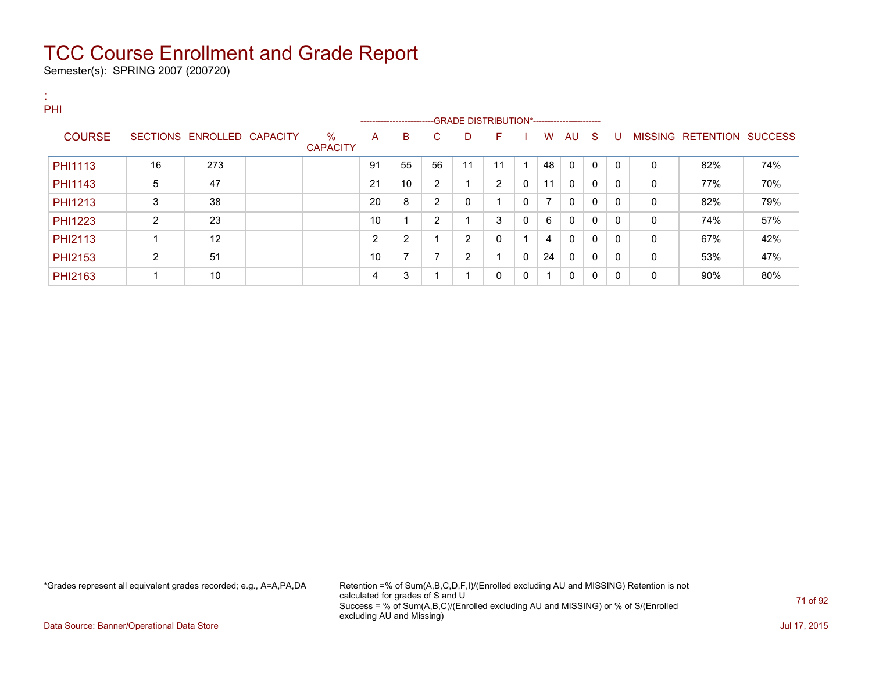Semester(s): SPRING 2007 (200720)

| х.<br>PHI      |                |                            |                         |    |                                                                      |                |                |              |              |                |             |              |          |              |                           |     |
|----------------|----------------|----------------------------|-------------------------|----|----------------------------------------------------------------------|----------------|----------------|--------------|--------------|----------------|-------------|--------------|----------|--------------|---------------------------|-----|
|                |                |                            |                         |    | --------------------------GRADE DISTRIBUTION*----------------------- |                |                |              |              |                |             |              |          |              |                           |     |
| <b>COURSE</b>  |                | SECTIONS ENROLLED CAPACITY | $\%$<br><b>CAPACITY</b> | A  | B                                                                    | C.             | D              | F.           |              | W              | AU          | - S          | U        |              | MISSING RETENTION SUCCESS |     |
| PHI1113        | 16             | 273                        |                         | 91 | 55                                                                   | 56             | 11             | 11           |              | 48             | $\mathbf 0$ | $\mathbf{0}$ | $\Omega$ | $\mathbf{0}$ | 82%                       | 74% |
| PHI1143        | 5              | 47                         |                         | 21 | 10 <sup>1</sup>                                                      | 2              |                | 2            | 0            | 11             | $\Omega$    | 0            | $\Omega$ | 0            | 77%                       | 70% |
| PHI1213        | 3              | 38                         |                         | 20 | 8                                                                    | $\overline{2}$ | 0              |              | $\mathbf{0}$ | $\overline{ }$ | $\Omega$    | $\mathbf{0}$ | $\Omega$ | $\mathbf{0}$ | 82%                       | 79% |
| <b>PHI1223</b> | 2              | 23                         |                         | 10 | и                                                                    | 2              |                | 3            | 0            | 6              | $\Omega$    | $\mathbf{0}$ | $\Omega$ | 0            | 74%                       | 57% |
| PHI2113        |                | 12                         |                         | 2  | $\overline{2}$                                                       |                | $\overline{2}$ | $\mathbf{0}$ |              | 4              | $\Omega$    | 0            | $\Omega$ | $\mathbf{0}$ | 67%                       | 42% |
| PHI2153        | $\overline{2}$ | 51                         |                         | 10 | 7                                                                    | ⇁              | 2              |              | $\mathbf{0}$ | 24             | 0           | $\mathbf{0}$ | $\Omega$ | 0            | 53%                       | 47% |
| PHI2163        |                | 10                         |                         | 4  | 3                                                                    |                |                | 0            | 0            | -1             | $\Omega$    | 0            | $\Omega$ | $\mathbf{0}$ | 90%                       | 80% |

\*Grades represent all equivalent grades recorded; e.g., A=A,PA,DA Retention =% of Sum(A,B,C,D,F,I)/(Enrolled excluding AU and MISSING) Retention is not calculated for grades of S and U Success = % of Sum(A,B,C)/(Enrolled excluding AU and MISSING) or % of S/(Enrolled excluding AU and Missing)

Data Source: Banner/Operational Data Store **July 17, 2015**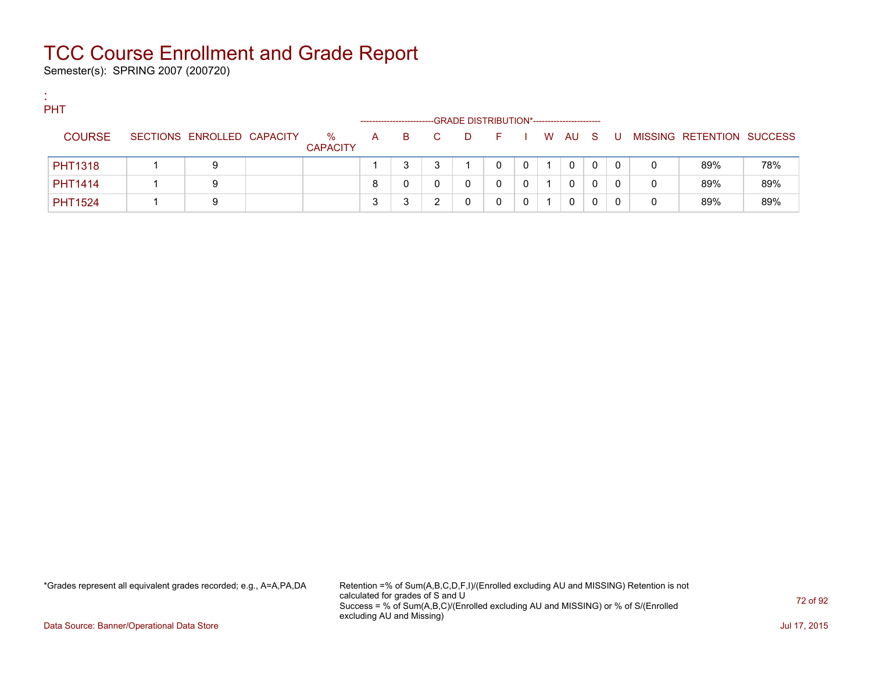Semester(s): SPRING 2007 (200720)

:

| <b>PHT</b>     |                            |                      |              |                       |    |   |                                             |              |        |   |             |              |                           |     |
|----------------|----------------------------|----------------------|--------------|-----------------------|----|---|---------------------------------------------|--------------|--------|---|-------------|--------------|---------------------------|-----|
|                |                            |                      |              | --------------------- |    |   | -GRADE DISTRIBUTION*----------------------- |              |        |   |             |              |                           |     |
| <b>COURSE</b>  | SECTIONS ENROLLED CAPACITY | %<br><b>CAPACITY</b> | $\mathsf{A}$ | B.                    | C. | D | <b>Figure</b>                               |              | I WAUS |   | - U -       |              | MISSING RETENTION SUCCESS |     |
| <b>PHT1318</b> | 9                          |                      |              |                       |    |   | 0                                           | $\Omega$     | 0      | 0 | $\mathbf 0$ | 0            | 89%                       | 78% |
| <b>PHT1414</b> | 9                          |                      | 8            |                       |    |   |                                             | $\mathbf{0}$ | 0      |   | 0           | $\mathbf{0}$ | 89%                       | 89% |
| <b>PHT1524</b> | 9                          |                      |              |                       |    |   |                                             |              | 0      |   |             | 0            | 89%                       | 89% |

\*Grades represent all equivalent grades recorded; e.g., A=A,PA,DA Retention =% of Sum(A,B,C,D,F,I)/(Enrolled excluding AU and MISSING) Retention is not calculated for grades of S and U Success = % of Sum(A,B,C)/(Enrolled excluding AU and MISSING) or % of S/(Enrolled excluding AU and Missing)

Data Source: Banner/Operational Data Store **July 17, 2015**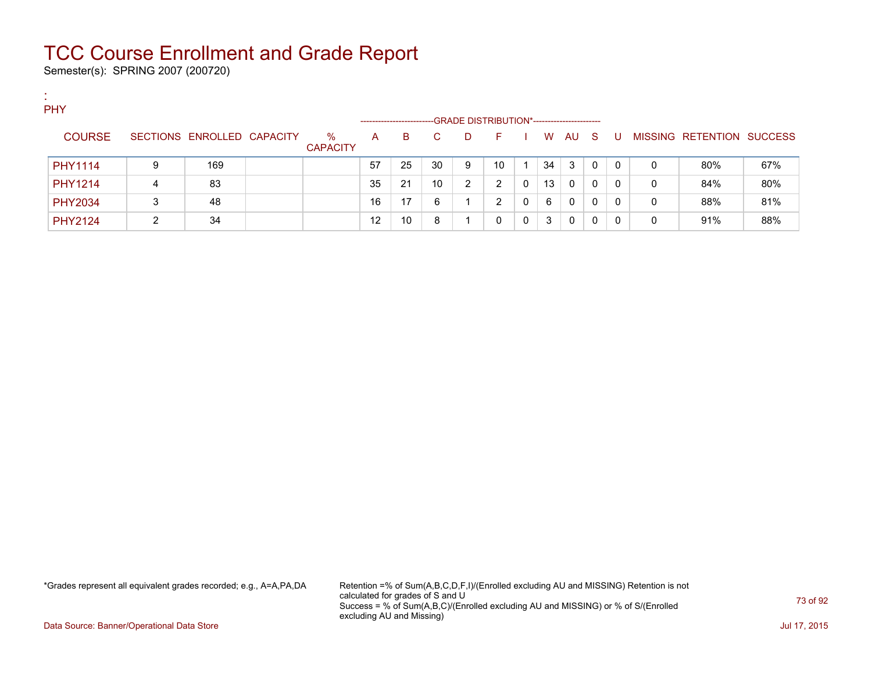Semester(s): SPRING 2007 (200720)

:

| <b>PHY</b>     |   |                            |                         |    |                        |    |   |                                             |   |    |    |              |          |   |                           |     |
|----------------|---|----------------------------|-------------------------|----|------------------------|----|---|---------------------------------------------|---|----|----|--------------|----------|---|---------------------------|-----|
|                |   |                            |                         |    | ---------------------- |    |   | -GRADE DISTRIBUTION*----------------------- |   |    |    |              |          |   |                           |     |
| <b>COURSE</b>  |   | SECTIONS ENROLLED CAPACITY | $\%$<br><b>CAPACITY</b> | A  | B.                     |    | D | н.                                          |   | W  | AU | -S           | - U      |   | MISSING RETENTION SUCCESS |     |
| PHY1114        | 9 | 169                        |                         | 57 | 25                     | 30 | 9 | 10                                          |   | 34 | 3  | $\mathbf{0}$ | $\Omega$ | 0 | 80%                       | 67% |
| <b>PHY1214</b> | 4 | 83                         |                         | 35 | 21                     | 10 | 2 | ົ                                           |   | 13 | 0  | 0            | 0        | 0 | 84%                       | 80% |
| <b>PHY2034</b> | ິ | 48                         |                         | 16 | 17                     | 6  |   | ົ                                           |   | 6  | 0  | 0            | 0        | 0 | 88%                       | 81% |
| <b>PHY2124</b> |   | 34                         |                         | 12 | 10                     | 8  |   |                                             | 0 | 3  | 0  | 0            |          |   | 91%                       | 88% |

\*Grades represent all equivalent grades recorded; e.g., A=A,PA,DA Retention =% of Sum(A,B,C,D,F,I)/(Enrolled excluding AU and MISSING) Retention is not calculated for grades of S and U Success = % of Sum(A,B,C)/(Enrolled excluding AU and MISSING) or % of S/(Enrolled excluding AU and Missing)

Data Source: Banner/Operational Data Store **July 17, 2015**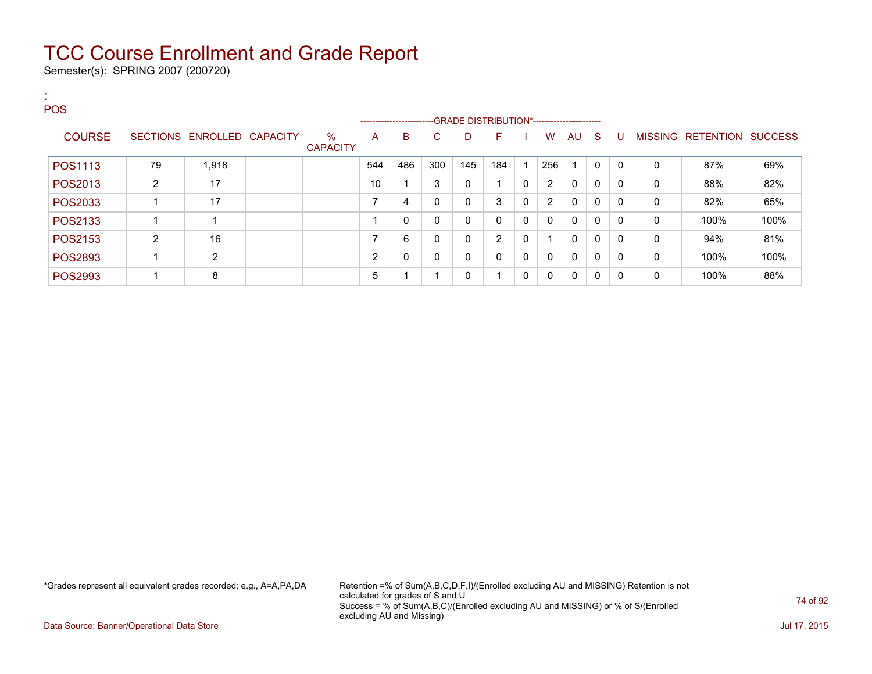Semester(s): SPRING 2007 (200720)

| <b>POS</b>     |                |                            |                         |     |                                                                    |     |              |                |             |                |              |              |              |              |                   |                |
|----------------|----------------|----------------------------|-------------------------|-----|--------------------------------------------------------------------|-----|--------------|----------------|-------------|----------------|--------------|--------------|--------------|--------------|-------------------|----------------|
|                |                |                            |                         |     | ------------------------GRADE DISTRIBUTION*----------------------- |     |              |                |             |                |              |              |              |              |                   |                |
| <b>COURSE</b>  |                | SECTIONS ENROLLED CAPACITY | $\%$<br><b>CAPACITY</b> | A   | B                                                                  | С   | D            | F              |             | W              | AU           | - S          | U            |              | MISSING RETENTION | <b>SUCCESS</b> |
| POS1113        | 79             | 1,918                      |                         | 544 | 486                                                                | 300 | 145          | 184            |             | 256            |              | $\mathbf{0}$ | $\Omega$     | $\Omega$     | 87%               | 69%            |
| POS2013        | $\overline{2}$ | 17                         |                         | 10  |                                                                    | 3   | 0            |                | 0           | $\overline{2}$ | $\mathbf{0}$ | 0            | $\mathbf{0}$ | 0            | 88%               | 82%            |
| POS2033        |                | 17                         |                         | 7   | 4                                                                  |     | $\mathbf{0}$ | 3              | 0           | $\overline{2}$ | $\mathbf{0}$ | $\mathbf{0}$ | $\Omega$     | $\mathbf{0}$ | 82%               | 65%            |
| POS2133        | 1              |                            |                         |     | 0                                                                  |     | 0            | 0              | $\mathbf 0$ | 0              | $\mathbf{0}$ | $\mathbf{0}$ | $\mathbf{0}$ | 0            | 100%              | 100%           |
| POS2153        | $\overline{2}$ | 16                         |                         | 7   | 6                                                                  | 0   | 0            | $\overline{2}$ | $\mathbf 0$ | ٠              | $\mathbf{0}$ | $\mathbf{0}$ | $\Omega$     | $\mathbf{0}$ | 94%               | 81%            |
| POS2893        | 1              | $\overline{2}$             |                         | 2   | 0                                                                  |     | 0            | 0              | $\mathbf 0$ | 0              | $\mathbf{0}$ | 0            | $\mathbf{0}$ | 0            | 100%              | 100%           |
| <b>POS2993</b> | 1              | 8                          |                         | 5   |                                                                    |     | 0            | ◢              | 0           | 0              | $\mathbf{0}$ | 0            | $\Omega$     | $\mathbf{0}$ | 100%              | 88%            |

\*Grades represent all equivalent grades recorded; e.g., A=A,PA,DA Retention =% of Sum(A,B,C,D,F,I)/(Enrolled excluding AU and MISSING) Retention is not calculated for grades of S and U Success = % of Sum(A,B,C)/(Enrolled excluding AU and MISSING) or % of S/(Enrolled excluding AU and Missing)

Data Source: Banner/Operational Data Store Jul 17, 2015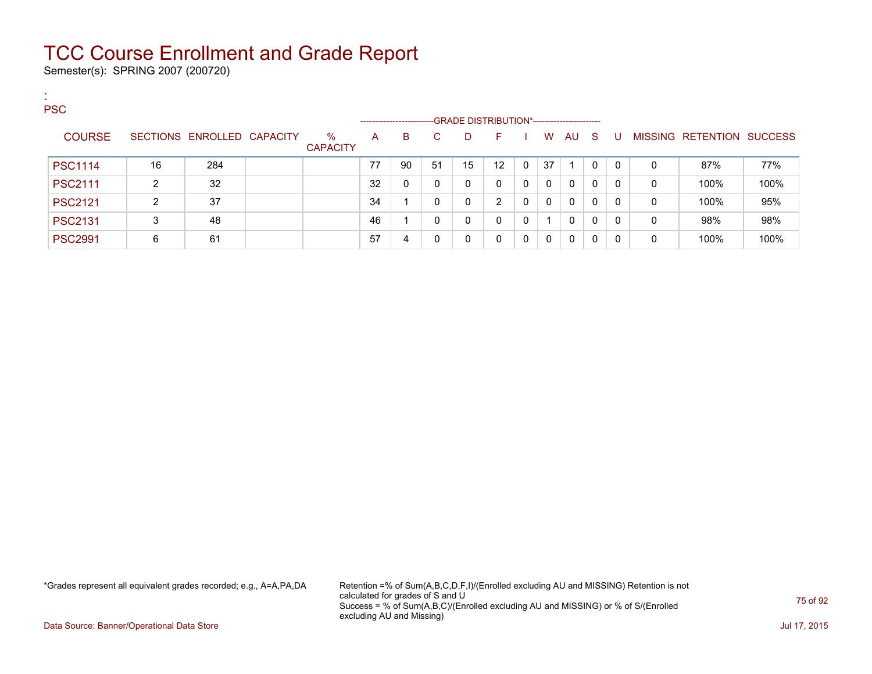Semester(s): SPRING 2007 (200720)

:

| <b>PSC</b>     |    |                            |                 |    |                             |    | -GRADE DISTRIBUTION*----------------------- |          |              |              |          |          |              |   |                   |                |
|----------------|----|----------------------------|-----------------|----|-----------------------------|----|---------------------------------------------|----------|--------------|--------------|----------|----------|--------------|---|-------------------|----------------|
| <b>COURSE</b>  |    | SECTIONS ENROLLED CAPACITY | $\%$            | A  | ----------------------<br>B | C. | D.                                          | E        |              | W            | AU.      | -S       | U            |   | MISSING RETENTION | <b>SUCCESS</b> |
|                |    |                            | <b>CAPACITY</b> |    |                             |    |                                             |          |              |              |          |          |              |   |                   |                |
| <b>PSC1114</b> | 16 | 284                        |                 | 77 | 90                          | 51 | 15                                          | 12       | $\mathbf{0}$ | 37           |          |          | 0            | 0 | 87%               | 77%            |
| <b>PSC2111</b> | າ  | 32                         |                 | 32 |                             | 0  | 0                                           | 0        | $\Omega$     | $\mathbf{0}$ | $\Omega$ | $\Omega$ | $\mathbf{0}$ | 0 | 100%              | 100%           |
| <b>PSC2121</b> | ົ  | 37                         |                 | 34 |                             |    | 0                                           | ົ        | 0            | $\Omega$     | $\Omega$ | $\Omega$ | $\mathbf{0}$ | 0 | 100%              | 95%            |
| <b>PSC2131</b> | 3  | 48                         |                 | 46 |                             | 0  | $\mathbf{0}$                                | $\Omega$ | 0            | 1            | $\Omega$ | 0        | 0            | 0 | 98%               | 98%            |
| <b>PSC2991</b> | 6  | 61                         |                 | 57 | 4                           | 0  | 0                                           |          | 0            | $\Omega$     | 0        | 0        |              | 0 | 100%              | 100%           |

\*Grades represent all equivalent grades recorded; e.g., A=A,PA,DA Retention =% of Sum(A,B,C,D,F,I)/(Enrolled excluding AU and MISSING) Retention is not calculated for grades of S and U Success = % of Sum(A,B,C)/(Enrolled excluding AU and MISSING) or % of S/(Enrolled excluding AU and Missing)

Data Source: Banner/Operational Data Store **July 17, 2015**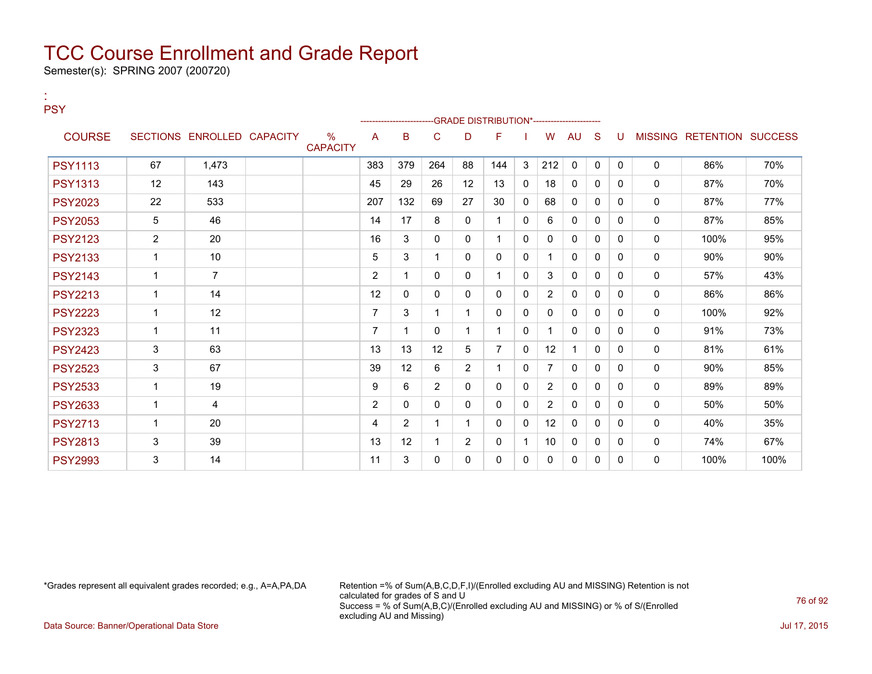Semester(s): SPRING 2007 (200720)

:

| <b>PSY</b>     |                |                            |                         |                |                |                |                | -GRADE DISTRIBUTION*---------------------- |          |                |              |              |              |              |                           |      |
|----------------|----------------|----------------------------|-------------------------|----------------|----------------|----------------|----------------|--------------------------------------------|----------|----------------|--------------|--------------|--------------|--------------|---------------------------|------|
| <b>COURSE</b>  |                | SECTIONS ENROLLED CAPACITY | $\%$<br><b>CAPACITY</b> | A              | в              | C              | D              | F                                          |          | W              | <b>AU</b>    | <sub>S</sub> | U            |              | MISSING RETENTION SUCCESS |      |
| <b>PSY1113</b> | 67             | 1.473                      |                         | 383            | 379            | 264            | 88             | 144                                        | 3        | 212            | $\mathbf{0}$ | $\mathbf{0}$ | $\mathbf{0}$ | $\mathbf{0}$ | 86%                       | 70%  |
| <b>PSY1313</b> | 12             | 143                        |                         | 45             | 29             | 26             | 12             | 13                                         | $\Omega$ | 18             | $\mathbf{0}$ | $\Omega$     | 0            | $\mathbf{0}$ | 87%                       | 70%  |
| <b>PSY2023</b> | 22             | 533                        |                         | 207            | 132            | 69             | 27             | 30                                         | $\Omega$ | 68             | $\mathbf{0}$ | $\Omega$     | $\Omega$     | $\mathbf 0$  | 87%                       | 77%  |
| <b>PSY2053</b> | 5              | 46                         |                         | 14             | 17             | 8              | $\mathbf{0}$   |                                            | 0        | 6              | 0            | 0            | 0            | 0            | 87%                       | 85%  |
| <b>PSY2123</b> | 2              | 20                         |                         | 16             | 3              | $\Omega$       | $\mathbf{0}$   |                                            | $\Omega$ | 0              | $\mathbf{0}$ | $\Omega$     | $\Omega$     | 0            | 100%                      | 95%  |
| <b>PSY2133</b> | 1              | 10                         |                         | 5              | 3              |                | $\Omega$       | 0                                          | $\Omega$ |                | 0            | $\Omega$     | 0            | $\mathbf{0}$ | 90%                       | 90%  |
| <b>PSY2143</b> | 1              | $\overline{7}$             |                         | $\overline{2}$ | 1              | 0              | 0              |                                            | $\Omega$ | 3              | $\mathbf{0}$ | $\Omega$     | 0            | $\mathbf{0}$ | 57%                       | 43%  |
| <b>PSY2213</b> | $\overline{1}$ | 14                         |                         | 12             | 0              | 0              | $\mathbf{0}$   | 0                                          | 0        | $\overline{2}$ | 0            | 0            | 0            | $\mathbf{0}$ | 86%                       | 86%  |
| <b>PSY2223</b> | $\mathbf 1$    | 12                         |                         | $\overline{7}$ | 3              |                | 1              | 0                                          | 0        | $\Omega$       | $\mathbf{0}$ | 0            | 0            | $\mathbf{0}$ | 100%                      | 92%  |
| <b>PSY2323</b> | 1              | 11                         |                         | 7              | 1              | 0              |                |                                            | $\Omega$ |                | $\mathbf{0}$ | 0            | 0            | 0            | 91%                       | 73%  |
| <b>PSY2423</b> | 3              | 63                         |                         | 13             | 13             | 12             | 5              | $\overline{7}$                             | $\Omega$ | 12             | $\mathbf 1$  | $\Omega$     | 0            | $\mathbf{0}$ | 81%                       | 61%  |
| <b>PSY2523</b> | 3              | 67                         |                         | 39             | 12             | 6              | $\overline{2}$ |                                            | $\Omega$ | $\overline{7}$ | $\mathbf{0}$ | $\mathbf{0}$ | $\mathbf{0}$ | 0            | 90%                       | 85%  |
| <b>PSY2533</b> | $\overline{1}$ | 19                         |                         | 9              | 6              | $\overline{2}$ | $\mathbf{0}$   | 0                                          | $\Omega$ | $\overline{2}$ | 0            | 0            | 0            | 0            | 89%                       | 89%  |
| <b>PSY2633</b> | 1              | 4                          |                         | $\overline{2}$ | 0              | $\Omega$       | $\Omega$       | 0                                          | $\Omega$ | $\overline{2}$ | $\Omega$     | $\Omega$     | <sup>0</sup> | 0            | 50%                       | 50%  |
| <b>PSY2713</b> | 1              | 20                         |                         | 4              | $\overline{2}$ |                |                | 0                                          | 0        | 12             | 0            | $\Omega$     | 0            | $\mathbf{0}$ | 40%                       | 35%  |
| <b>PSY2813</b> | 3              | 39                         |                         | 13             | 12             |                | $\overline{2}$ | $\Omega$                                   | -1       | 10             | 0            | $\Omega$     | 0            | $\mathbf{0}$ | 74%                       | 67%  |
| <b>PSY2993</b> | 3              | 14                         |                         | 11             | 3              | 0              | 0              | 0                                          | 0        | 0              | 0            | 0            | 0            | $\mathbf{0}$ | 100%                      | 100% |

\*Grades represent all equivalent grades recorded; e.g., A=A,PA,DA Retention =% of Sum(A,B,C,D,F,I)/(Enrolled excluding AU and MISSING) Retention is not calculated for grades of S and U Success = % of Sum(A,B,C)/(Enrolled excluding AU and MISSING) or % of S/(Enrolled excluding AU and Missing)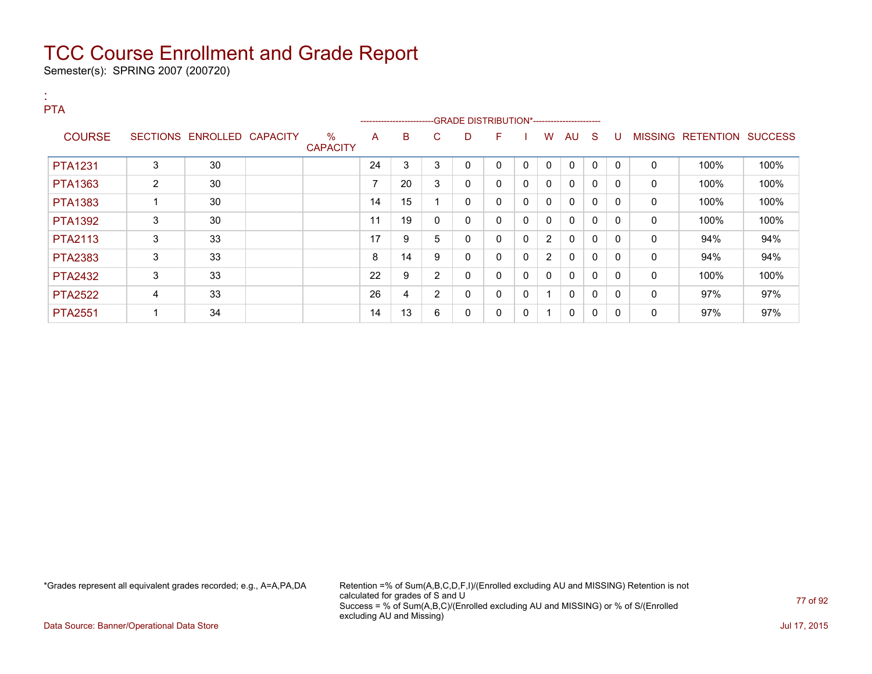Semester(s): SPRING 2007 (200720)

:

| <b>PTA</b>     |   |                            |                         |                          | ------------------------ |                |   |              |   |                |              |              |              |   |                   |                |
|----------------|---|----------------------------|-------------------------|--------------------------|--------------------------|----------------|---|--------------|---|----------------|--------------|--------------|--------------|---|-------------------|----------------|
| <b>COURSE</b>  |   | SECTIONS ENROLLED CAPACITY | $\%$<br><b>CAPACITY</b> | A                        | B                        | C              | D | F            |   | W              | AU           | -S           | U            |   | MISSING RETENTION | <b>SUCCESS</b> |
| <b>PTA1231</b> | 3 | 30                         |                         | 24                       | 3                        | 3              | 0 | 0            | 0 | $\mathbf{0}$   | 0            | $\Omega$     | $\mathbf{0}$ | 0 | 100%              | 100%           |
| <b>PTA1363</b> | 2 | 30                         |                         | $\overline{\phantom{a}}$ | 20                       | 3              | 0 | $\mathbf{0}$ | 0 | 0              | 0            | 0            | 0            | 0 | 100%              | 100%           |
| <b>PTA1383</b> |   | 30                         |                         | 14                       | 15                       |                | 0 | $\mathbf{0}$ | 0 | 0              | $\mathbf{0}$ | $\Omega$     | 0            | 0 | 100%              | 100%           |
| <b>PTA1392</b> | 3 | 30                         |                         | 11                       | 19                       | 0              | 0 | $\mathbf{0}$ | 0 | 0              | 0            | $\mathbf{0}$ | $\mathbf{0}$ | 0 | 100%              | 100%           |
| <b>PTA2113</b> | 3 | 33                         |                         | 17                       | 9                        | 5              | 0 | $\mathbf{0}$ | 0 | 2              | $\mathbf{0}$ | $\mathbf{0}$ | $\Omega$     | 0 | 94%               | 94%            |
| <b>PTA2383</b> | 3 | 33                         |                         | 8                        | 14                       | 9              | 0 | $\mathbf{0}$ | 0 | $\overline{2}$ | $\mathbf{0}$ | $\Omega$     | $\Omega$     | 0 | 94%               | 94%            |
| <b>PTA2432</b> | 3 | 33                         |                         | 22                       | 9                        | $\overline{2}$ | 0 | $\mathbf{0}$ | 0 | 0              | 0            | $\mathbf{0}$ | 0            | 0 | 100%              | 100%           |
| <b>PTA2522</b> | 4 | 33                         |                         | 26                       | 4                        | $\overline{2}$ | 0 | $\mathbf{0}$ | 0 |                | $\mathbf{0}$ | 0            | 0            | 0 | 97%               | 97%            |
| <b>PTA2551</b> |   | 34                         |                         | 14                       | 13                       | 6              | 0 | 0            | 0 |                | 0            | 0            | 0            | 0 | 97%               | 97%            |

\*Grades represent all equivalent grades recorded; e.g., A=A,PA,DA Retention =% of Sum(A,B,C,D,F,I)/(Enrolled excluding AU and MISSING) Retention is not calculated for grades of S and U Success = % of Sum(A,B,C)/(Enrolled excluding AU and MISSING) or % of S/(Enrolled excluding AU and Missing)

Data Source: Banner/Operational Data Store **July 17, 2015**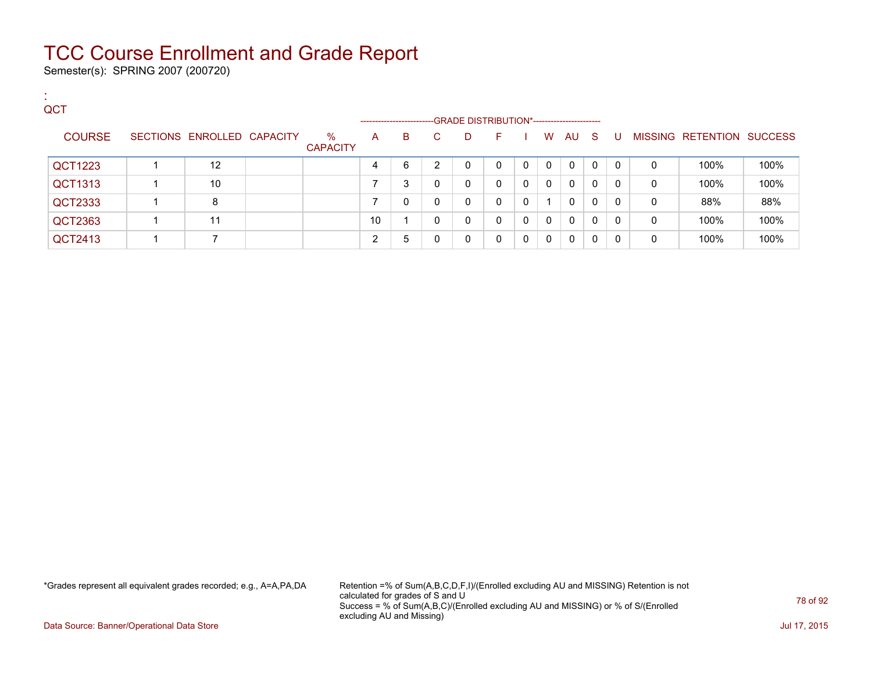Semester(s): SPRING 2007 (200720)

:

| . .<br>QCT    |                            |                         | --------------------- |   |    | -GRADE DISTRIBUTION*----------------------- |    |          |              |          |              |              |   |                           |      |
|---------------|----------------------------|-------------------------|-----------------------|---|----|---------------------------------------------|----|----------|--------------|----------|--------------|--------------|---|---------------------------|------|
| <b>COURSE</b> | SECTIONS ENROLLED CAPACITY | $\%$<br><b>CAPACITY</b> | A                     | B | C. | D                                           | F. |          | W            | AU.      | -S           | -0           |   | MISSING RETENTION SUCCESS |      |
| QCT1223       | $12 \overline{ }$          |                         |                       | 6 | C. | 0                                           | 0  | 0        | $\mathbf{0}$ | 0        | $\mathbf{0}$ | $\mathbf{0}$ | 0 | 100%                      | 100% |
| QCT1313       | 10                         |                         |                       | 3 | 0  | 0                                           | 0  | $\Omega$ | $\Omega$     | $\Omega$ | 0            | $\Omega$     | 0 | 100%                      | 100% |
| QCT2333       | 8                          |                         |                       | 0 | 0  | 0                                           | 0  |          | 1            | $\Omega$ | $\mathbf{0}$ | $\Omega$     | 0 | 88%                       | 88%  |
| QCT2363       | 11                         |                         | 10                    |   | 0  | 0                                           | 0  | 0        | $\Omega$     | $\Omega$ | $\mathbf{0}$ | $\mathbf{0}$ | 0 | 100%                      | 100% |
| QCT2413       |                            |                         | ົ                     | 5 |    | 0                                           | 0  | 0        | $\Omega$     | $\Omega$ | $\Omega$     | 0            | 0 | 100%                      | 100% |

\*Grades represent all equivalent grades recorded; e.g., A=A,PA,DA Retention =% of Sum(A,B,C,D,F,I)/(Enrolled excluding AU and MISSING) Retention is not calculated for grades of S and U Success = % of Sum(A,B,C)/(Enrolled excluding AU and MISSING) or % of S/(Enrolled excluding AU and Missing)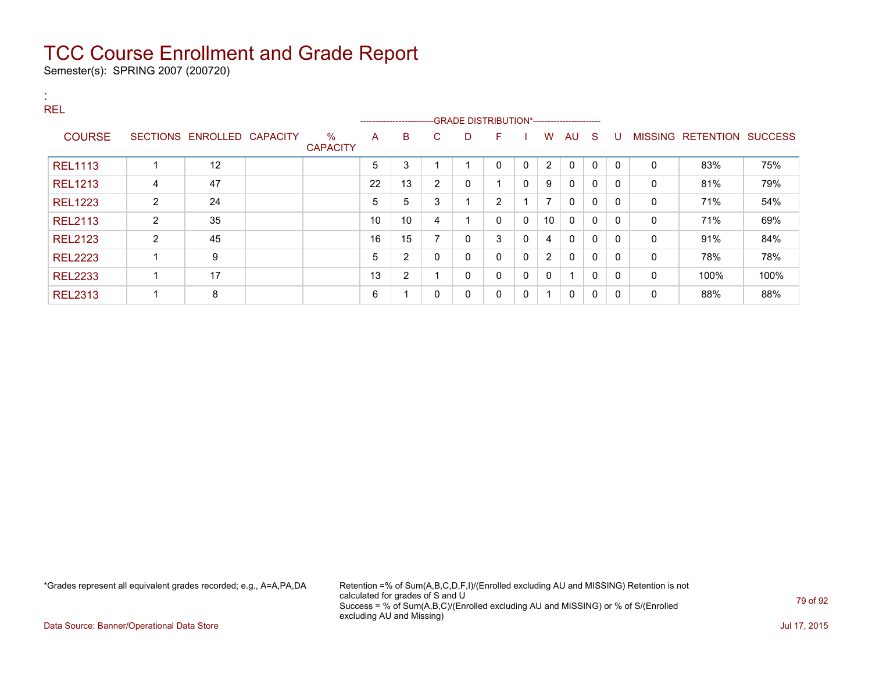Semester(s): SPRING 2007 (200720)

| х.<br>. н.<br><b>REL</b> |                |                            |                         |    |                                                                         |                |   |              |              |                |                         |              |          |              |                           |      |
|--------------------------|----------------|----------------------------|-------------------------|----|-------------------------------------------------------------------------|----------------|---|--------------|--------------|----------------|-------------------------|--------------|----------|--------------|---------------------------|------|
| <b>COURSE</b>            |                | SECTIONS ENROLLED CAPACITY | $\%$<br><b>CAPACITY</b> | A  | ------------------------GRADE DISTRIBUTION*-----------------------<br>B | C              | D | F            |              | W              | AU                      | - S          | -U       |              | MISSING RETENTION SUCCESS |      |
| <b>REL1113</b>           |                | 12                         |                         | 5  | 3                                                                       |                |   | $\mathbf{0}$ | $\Omega$     | 2              | $\mathbf{0}$            | $\Omega$     | $\Omega$ | $\Omega$     | 83%                       | 75%  |
| <b>REL1213</b>           | 4              | 47                         |                         | 22 | 13                                                                      | $\overline{2}$ | 0 |              | $\Omega$     | 9              | $\mathbf{0}$            | $\Omega$     | $\Omega$ | $\mathbf{0}$ | 81%                       | 79%  |
| <b>REL1223</b>           | 2              | 24                         |                         | 5  | 5                                                                       | 3              |   | 2            |              | $\overline{7}$ | $\mathbf{0}$            | $\mathbf 0$  | 0        | 0            | 71%                       | 54%  |
| <b>REL2113</b>           | $\overline{2}$ | 35                         |                         | 10 | 10                                                                      | 4              |   | $\mathbf{0}$ | $\mathbf{0}$ | 10             | $\mathbf{0}$            | $\Omega$     | 0        | 0            | 71%                       | 69%  |
| <b>REL2123</b>           | $\overline{2}$ | 45                         |                         | 16 | 15                                                                      | $\overline{ }$ | 0 | 3            | $\mathbf{0}$ | 4              | $\mathbf{0}$            | $\mathbf{0}$ | $\Omega$ | 0            | 91%                       | 84%  |
| <b>REL2223</b>           |                | 9                          |                         | 5  | $\overline{2}$                                                          | 0              | 0 | $\mathbf{0}$ | $\mathbf{0}$ | 2              | $\mathbf{0}$            | $\Omega$     | $\Omega$ | 0            | 78%                       | 78%  |
| <b>REL2233</b>           |                | 17                         |                         | 13 | $\overline{2}$                                                          |                | 0 | $\mathbf{0}$ | $\mathbf{0}$ | $\mathbf{0}$   | $\overline{\mathbf{A}}$ | $\Omega$     | 0        | 0            | 100%                      | 100% |
| <b>REL2313</b>           |                | 8                          |                         | 6  | $\overline{\mathbf{A}}$                                                 | 0              | 0 | 0            | $\mathbf{0}$ | -1             | $\mathbf{0}$            | 0            | 0        | 0            | 88%                       | 88%  |

\*Grades represent all equivalent grades recorded; e.g., A=A,PA,DA Retention =% of Sum(A,B,C,D,F,I)/(Enrolled excluding AU and MISSING) Retention is not calculated for grades of S and U Success = % of Sum(A,B,C)/(Enrolled excluding AU and MISSING) or % of S/(Enrolled excluding AU and Missing)

Data Source: Banner/Operational Data Store Jul 17, 2015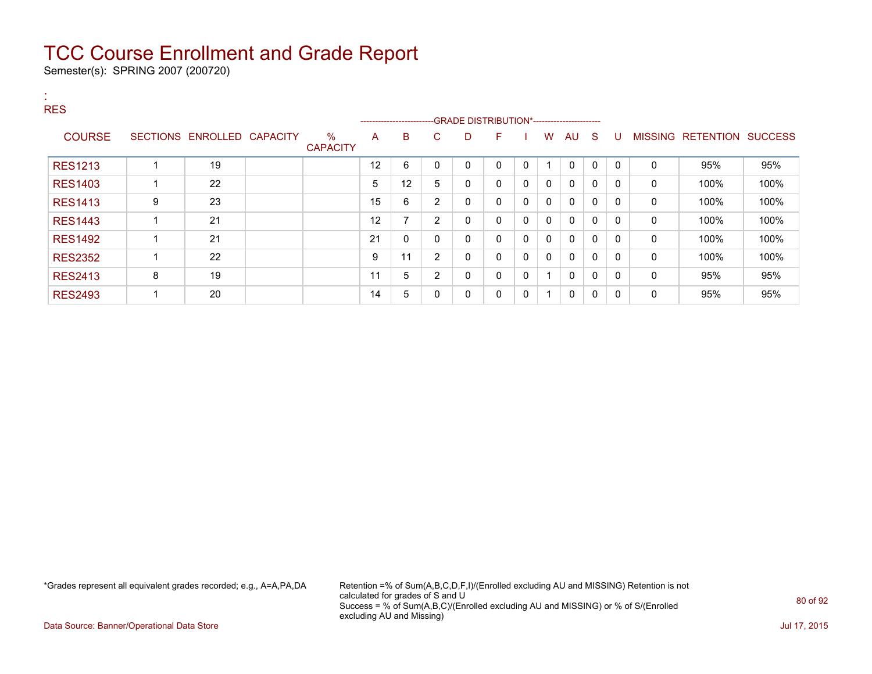Semester(s): SPRING 2007 (200720)

| <b>A</b><br><b>RES</b> |   |                            |                         |    | ------------------------- |                |             |              |              |                |              |              |              |              |                           |      |
|------------------------|---|----------------------------|-------------------------|----|---------------------------|----------------|-------------|--------------|--------------|----------------|--------------|--------------|--------------|--------------|---------------------------|------|
| <b>COURSE</b>          |   | SECTIONS ENROLLED CAPACITY | $\%$<br><b>CAPACITY</b> | A  | B                         | C              | D           | F.           |              | W              | AU           | - S          | -U           |              | MISSING RETENTION SUCCESS |      |
| <b>RES1213</b>         |   | 19                         |                         | 12 | 6                         |                | 0           | $\mathbf{0}$ | 0            |                | $\mathbf 0$  | $\Omega$     | $\mathbf{0}$ | 0            | 95%                       | 95%  |
| <b>RES1403</b>         |   | 22                         |                         | 5  | 12                        | 5              | 0           | $\mathbf{0}$ | $\mathbf{0}$ | $\mathbf{0}$   | $\mathbf{0}$ | 0            | 0            | $\mathbf{0}$ | 100%                      | 100% |
| <b>RES1413</b>         | 9 | 23                         |                         | 15 | 6                         | 2              | 0           | 0            | $\mathbf{0}$ | 0              | 0            | 0            | 0            | 0            | 100%                      | 100% |
| <b>RES1443</b>         |   | 21                         |                         | 12 | 7                         | 2              | $\mathbf 0$ | 0            | 0            | 0              | 0            | 0            | 0            | 0            | 100%                      | 100% |
| <b>RES1492</b>         |   | 21                         |                         | 21 | 0                         | 0              | 0           | 0            | $\mathbf{0}$ | $\mathbf{0}$   | $\mathbf{0}$ | $\mathbf{0}$ | 0            | 0            | 100%                      | 100% |
| <b>RES2352</b>         |   | 22                         |                         | 9  | 11                        | $\overline{2}$ | 0           | $\mathbf{0}$ | $\mathbf{0}$ | $\mathbf{0}$   | $\Omega$     | $\Omega$     | $\Omega$     | $\mathbf{0}$ | 100%                      | 100% |
| <b>RES2413</b>         | 8 | 19                         |                         | 11 | 5                         | 2              | 0           | $\mathbf{0}$ | $\mathbf{0}$ | $\overline{ }$ | $\mathbf{0}$ | $\Omega$     | $\Omega$     | $\mathbf{0}$ | 95%                       | 95%  |
| <b>RES2493</b>         |   | 20                         |                         | 14 | 5                         | 0              | 0           | 0            | $\mathbf{0}$ | -1             | 0            | 0            | 0            | 0            | 95%                       | 95%  |

\*Grades represent all equivalent grades recorded; e.g., A=A,PA,DA Retention =% of Sum(A,B,C,D,F,I)/(Enrolled excluding AU and MISSING) Retention is not calculated for grades of S and U Success = % of Sum(A,B,C)/(Enrolled excluding AU and MISSING) or % of S/(Enrolled excluding AU and Missing)

Data Source: Banner/Operational Data Store Jul 17, 2015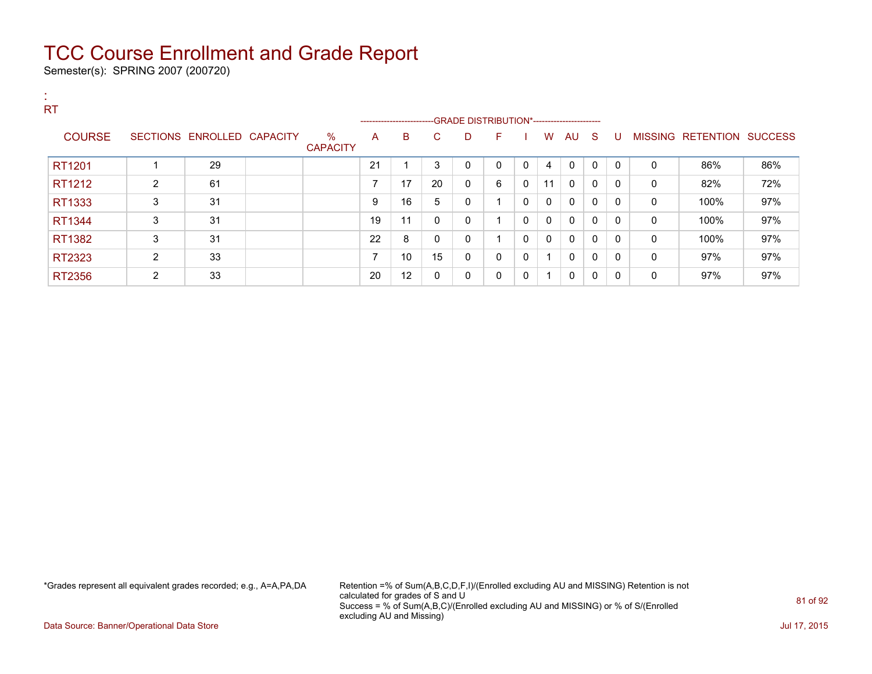Semester(s): SPRING 2007 (200720)

| <b>RT</b>     |                |                            |                         |                          |                          |              |                                              |          |             |                          |              |              |              |          |                           |     |
|---------------|----------------|----------------------------|-------------------------|--------------------------|--------------------------|--------------|----------------------------------------------|----------|-------------|--------------------------|--------------|--------------|--------------|----------|---------------------------|-----|
|               |                |                            |                         |                          | ------------------------ |              | --GRADE DISTRIBUTION*----------------------- |          |             |                          |              |              |              |          |                           |     |
| <b>COURSE</b> |                | SECTIONS ENROLLED CAPACITY | $\%$<br><b>CAPACITY</b> | A                        | B                        | C.           | D                                            | F        |             | W                        | AU S         |              | U            |          | MISSING RETENTION SUCCESS |     |
| RT1201        |                | 29                         |                         | 21                       |                          | 3            | 0                                            | $\Omega$ | 0           | 4                        | $\mathbf{0}$ | $\mathbf{0}$ | $\mathbf{0}$ | 0        | 86%                       | 86% |
| RT1212        | $\overline{2}$ | 61                         |                         | ⇁                        | 17                       | 20           | 0                                            | 6        | $\mathbf 0$ | 11                       | 0            | 0            | 0            | 0        | 82%                       | 72% |
| RT1333        | 3              | 31                         |                         | 9                        | 16                       | 5            | 0                                            | 4        | 0           | 0                        | 0            | 0            | 0            | 0        | 100%                      | 97% |
| RT1344        | 3              | 31                         |                         | 19                       | 11                       | $\mathbf{0}$ | 0                                            | и        | 0           | $\Omega$                 | 0            | 0            | 0            | 0        | 100%                      | 97% |
| RT1382        | 3              | 31                         |                         | 22                       | 8                        | $\mathbf{0}$ | 0                                            | и        | 0           | 0                        | 0            | 0            | 0            | $\Omega$ | 100%                      | 97% |
| RT2323        | $\overline{2}$ | 33                         |                         | $\overline{\phantom{a}}$ | 10                       | 15           | 0                                            | $\Omega$ | 0           |                          | $\mathbf{0}$ | 0            | 0            | 0        | 97%                       | 97% |
| RT2356        | $\overline{2}$ | 33                         |                         | 20                       | 12                       | $\mathbf{0}$ | 0                                            | $\Omega$ | 0           | $\overline{\phantom{a}}$ | $\mathbf 0$  | 0            | $\Omega$     | 0        | 97%                       | 97% |

\*Grades represent all equivalent grades recorded; e.g., A=A,PA,DA Retention =% of Sum(A,B,C,D,F,I)/(Enrolled excluding AU and MISSING) Retention is not calculated for grades of S and U Success = % of Sum(A,B,C)/(Enrolled excluding AU and MISSING) or % of S/(Enrolled excluding AU and Missing)

Data Source: Banner/Operational Data Store Jul 17, 2015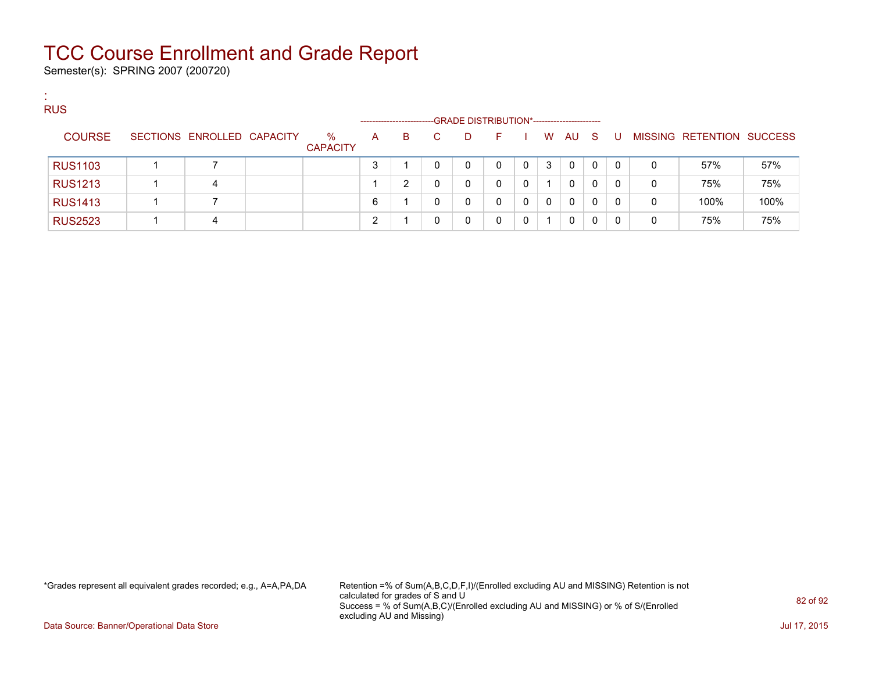Semester(s): SPRING 2007 (200720)

:

| <b>RUS</b>     |                            |                         |   | ---------------------- |    | -GRADE DISTRIBUTION*----------------------- |    |          |   |              |              |          |   |                           |      |
|----------------|----------------------------|-------------------------|---|------------------------|----|---------------------------------------------|----|----------|---|--------------|--------------|----------|---|---------------------------|------|
| <b>COURSE</b>  | SECTIONS ENROLLED CAPACITY | $\%$<br><b>CAPACITY</b> | A | B                      | C. | D.                                          | н. |          | W | AU           | - S          | U        |   | MISSING RETENTION SUCCESS |      |
| <b>RUS1103</b> |                            |                         | 3 |                        | 0  | 0                                           | 0  | $\Omega$ | 3 | $\Omega$     | $\mathbf{0}$ | $\Omega$ | 0 | 57%                       | 57%  |
| <b>RUS1213</b> | 4                          |                         |   | ົ                      |    |                                             | 0  | 0        |   | 0            | 0            | 0        | 0 | 75%                       | 75%  |
| <b>RUS1413</b> |                            |                         | 6 |                        | 0  |                                             | 0  |          | 0 | $\mathbf{0}$ | 0            | 0        | 0 | 100%                      | 100% |
| <b>RUS2523</b> |                            |                         | ∩ |                        | 0  |                                             | 0  |          |   | 0            | 0            |          | 0 | 75%                       | 75%  |

\*Grades represent all equivalent grades recorded; e.g., A=A,PA,DA Retention =% of Sum(A,B,C,D,F,I)/(Enrolled excluding AU and MISSING) Retention is not calculated for grades of S and U Success = % of Sum(A,B,C)/(Enrolled excluding AU and MISSING) or % of S/(Enrolled excluding AU and Missing)

Data Source: Banner/Operational Data Store **July 17, 2015**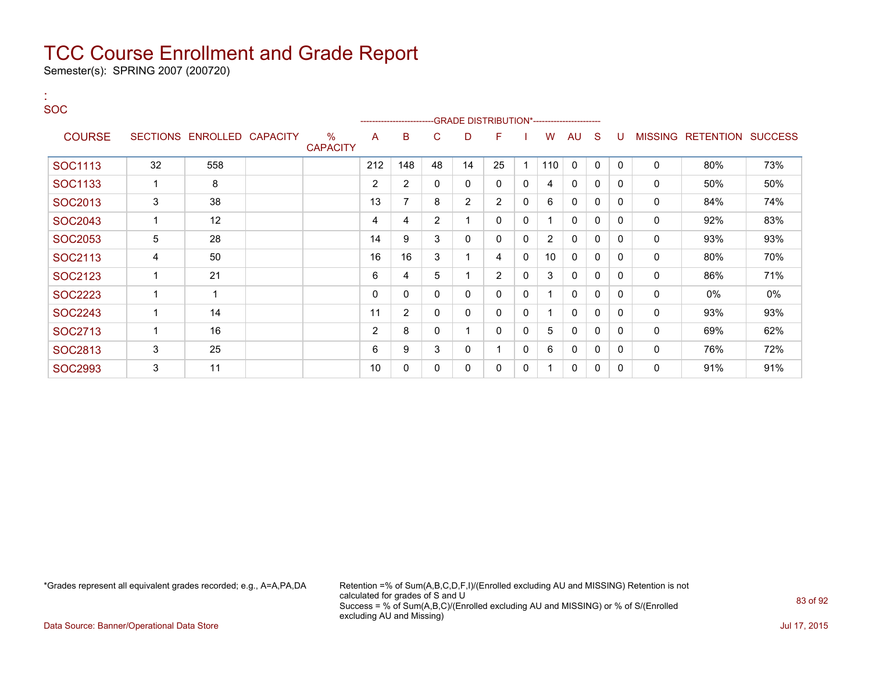Semester(s): SPRING 2007 (200720)

| <b>SOC</b>    |    |                            |                         |                | ---------------------- |                | -GRADE DISTRIBUTION*---------------------- |                |              |                |          |              |              |   |                                  |     |
|---------------|----|----------------------------|-------------------------|----------------|------------------------|----------------|--------------------------------------------|----------------|--------------|----------------|----------|--------------|--------------|---|----------------------------------|-----|
| <b>COURSE</b> |    | SECTIONS ENROLLED CAPACITY | $\%$<br><b>CAPACITY</b> | A              | B                      | C.             | D                                          | F              |              | W              | AU       | <sub>S</sub> | U            |   | <b>MISSING RETENTION SUCCESS</b> |     |
| SOC1113       | 32 | 558                        |                         | 212            | 148                    | 48             | 14                                         | 25             | 1            | 110            | $\Omega$ | 0            | $\Omega$     | 0 | 80%                              | 73% |
| SOC1133       |    | 8                          |                         | $\overline{2}$ | $\overline{2}$         | 0              | 0                                          | 0              | $\mathbf{0}$ | 4              | 0        | $\mathbf 0$  | $\mathbf{0}$ | 0 | 50%                              | 50% |
| SOC2013       | 3  | 38                         |                         | 13             | 7                      | 8              | $\overline{2}$                             | $\overline{2}$ | $\mathbf{0}$ | 6              | 0        | 0            | $\mathbf{0}$ | 0 | 84%                              | 74% |
| SOC2043       |    | 12                         |                         | 4              | 4                      | $\overline{2}$ |                                            | 0              | $\mathbf{0}$ |                | 0        | 0            | $\Omega$     | 0 | 92%                              | 83% |
| SOC2053       | 5  | 28                         |                         | 14             | 9                      | 3              | 0                                          | 0              | 0            | $\overline{2}$ | 0        | 0            | $\Omega$     | 0 | 93%                              | 93% |
| SOC2113       | 4  | 50                         |                         | 16             | 16                     | 3              |                                            | 4              | $\mathbf{0}$ | 10             | 0        | 0            | $\mathbf{0}$ | 0 | 80%                              | 70% |
| SOC2123       | 1  | 21                         |                         | 6              | 4                      | 5              |                                            | $\overline{2}$ | $\mathbf{0}$ | 3              | 0        | 0            | $\Omega$     | 0 | 86%                              | 71% |
| SOC2223       |    | 1                          |                         | $\mathbf{0}$   | 0                      | 0              | 0                                          | 0              | $\mathbf{0}$ |                | 0        | 0            | $\Omega$     | 0 | 0%                               | 0%  |
| SOC2243       |    | 14                         |                         | 11             | $\overline{2}$         | 0              | 0                                          | 0              | 0            |                | 0        | 0            | 0            | 0 | 93%                              | 93% |
| SOC2713       | 1  | 16                         |                         | 2              | 8                      | $\mathbf{0}$   |                                            | 0              | $\mathbf{0}$ | 5              | $\Omega$ | 0            | $\Omega$     | 0 | 69%                              | 62% |
| SOC2813       | 3  | 25                         |                         | 6              | 9                      | 3              | 0                                          |                | 0            | 6              | 0        | 0            | $\Omega$     | 0 | 76%                              | 72% |
| SOC2993       | 3  | 11                         |                         | 10             | $\mathbf{0}$           | 0              | 0                                          | 0              | 0            |                | $\Omega$ | 0            | $\Omega$     | 0 | 91%                              | 91% |

:

\*Grades represent all equivalent grades recorded; e.g., A=A,PA,DA Retention =% of Sum(A,B,C,D,F,I)/(Enrolled excluding AU and MISSING) Retention is not calculated for grades of S and U Success = % of Sum(A,B,C)/(Enrolled excluding AU and MISSING) or % of S/(Enrolled excluding AU and Missing)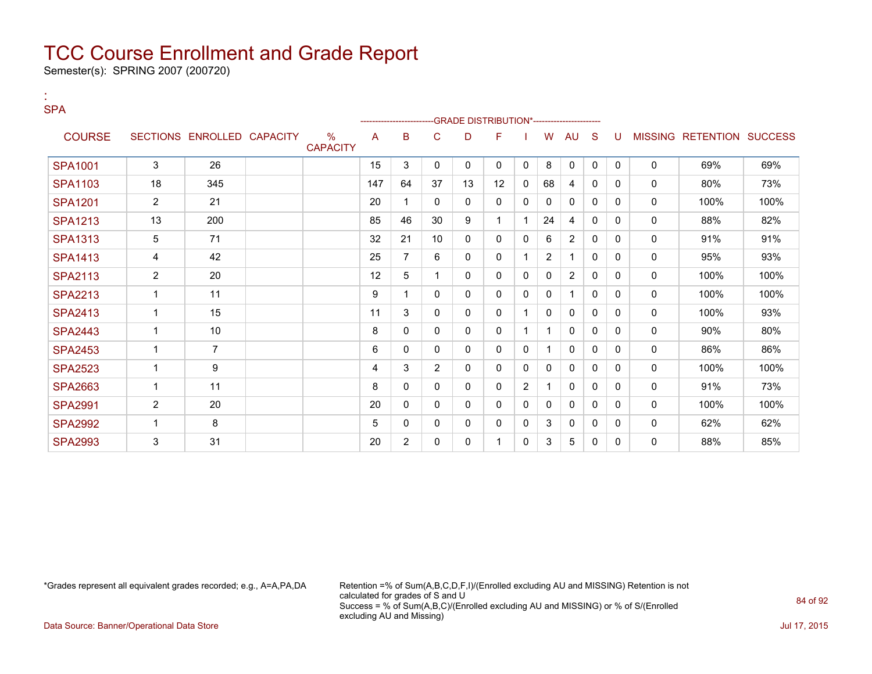Semester(s): SPRING 2007 (200720)

:

| <b>SPA</b>     |                |                            |                         |     |                          |              |              |                                                 |                |              |              |              |          |              |                                  |      |
|----------------|----------------|----------------------------|-------------------------|-----|--------------------------|--------------|--------------|-------------------------------------------------|----------------|--------------|--------------|--------------|----------|--------------|----------------------------------|------|
| <b>COURSE</b>  |                | SECTIONS ENROLLED CAPACITY | $\%$<br><b>CAPACITY</b> | A   | -------------------<br>B | C            | D            | -GRADE DISTRIBUTION*----------------------<br>F |                | W            | <b>AU</b>    | S            | U        |              | <b>MISSING RETENTION SUCCESS</b> |      |
| <b>SPA1001</b> | 3              | 26                         |                         | 15  | 3                        | $\Omega$     | $\mathbf{0}$ | $\mathbf{0}$                                    | $\mathbf{0}$   | 8            | $\mathbf{0}$ | $\mathbf{0}$ | $\Omega$ | $\Omega$     | 69%                              | 69%  |
| <b>SPA1103</b> | 18             | 345                        |                         | 147 | 64                       | 37           | 13           | 12                                              | 0              | 68           | 4            | $\mathbf{0}$ | 0        | 0            | 80%                              | 73%  |
| <b>SPA1201</b> | $\overline{2}$ | 21                         |                         | 20  | $\mathbf{1}$             | 0            | $\mathbf 0$  | 0                                               | 0              | 0            | 0            | 0            | 0        | 0            | 100%                             | 100% |
| <b>SPA1213</b> | 13             | 200                        |                         | 85  | 46                       | 30           | 9            | 1                                               |                | 24           | 4            | $\mathbf{0}$ | 0        | 0            | 88%                              | 82%  |
| <b>SPA1313</b> | $\sqrt{5}$     | 71                         |                         | 32  | 21                       | 10           | 0            | 0                                               | 0              | 6            | 2            | 0            | 0        | 0            | 91%                              | 91%  |
| <b>SPA1413</b> | 4              | 42                         |                         | 25  | $\overline{7}$           | 6            | 0            | 0                                               |                | 2            |              | $\Omega$     | 0        | 0            | 95%                              | 93%  |
| <b>SPA2113</b> | $\overline{2}$ | 20                         |                         | 12  | 5                        | 1            | 0            | $\mathbf{0}$                                    | 0              | 0            | 2            | $\mathbf{0}$ | 0        | 0            | 100%                             | 100% |
| <b>SPA2213</b> | $\mathbf{1}$   | 11                         |                         | 9   | 1                        | 0            | $\mathbf{0}$ | 0                                               | 0              | 0            |              | $\mathbf{0}$ | 0        | $\Omega$     | 100%                             | 100% |
| <b>SPA2413</b> | 1              | 15                         |                         | 11  | 3                        | $\mathbf{0}$ | $\mathbf{0}$ | $\mathbf{0}$                                    |                | 0            | 0            | $\mathbf{0}$ | 0        | $\mathbf{0}$ | 100%                             | 93%  |
| <b>SPA2443</b> | $\mathbf 1$    | 10                         |                         | 8   | $\mathbf{0}$             | $\mathbf{0}$ | $\mathbf{0}$ | $\mathbf{0}$                                    |                |              | $\mathbf{0}$ | $\mathbf{0}$ | 0        | 0            | 90%                              | 80%  |
| <b>SPA2453</b> | 1              | $\overline{7}$             |                         | 6   | 0                        | 0            | 0            | $\mathbf{0}$                                    | 0              | 1            | 0            | $\Omega$     | $\Omega$ | 0            | 86%                              | 86%  |
| <b>SPA2523</b> | $\mathbf{1}$   | 9                          |                         | 4   | 3                        | 2            | 0            | $\mathbf{0}$                                    | 0              | 0            | 0            | $\Omega$     | $\Omega$ | 0            | 100%                             | 100% |
| <b>SPA2663</b> | 1              | 11                         |                         | 8   | $\mathbf{0}$             | 0            | $\mathbf{0}$ | $\mathbf{0}$                                    | $\overline{2}$ | $\mathbf{1}$ | 0            | $\Omega$     | $\Omega$ | $\Omega$     | 91%                              | 73%  |
| <b>SPA2991</b> | $\overline{2}$ | 20                         |                         | 20  | $\mathbf{0}$             | $\mathbf{0}$ | $\mathbf{0}$ | $\Omega$                                        | 0              | 0            | 0            | $\Omega$     | 0        | $\Omega$     | 100%                             | 100% |
| <b>SPA2992</b> | 1              | 8                          |                         | 5   | $\mathbf{0}$             | $\mathbf{0}$ | $\mathbf{0}$ | 0                                               | 0              | 3            | $\mathbf{0}$ | $\Omega$     | 0        | $\Omega$     | 62%                              | 62%  |
| <b>SPA2993</b> | 3              | 31                         |                         | 20  | $\overline{2}$           | $\mathbf{0}$ | $\mathbf{0}$ | 1                                               | 0              | 3            | 5            | $\mathbf{0}$ | $\Omega$ | 0            | 88%                              | 85%  |

\*Grades represent all equivalent grades recorded; e.g., A=A,PA,DA Retention =% of Sum(A,B,C,D,F,I)/(Enrolled excluding AU and MISSING) Retention is not calculated for grades of S and U Success = % of Sum(A,B,C)/(Enrolled excluding AU and MISSING) or % of S/(Enrolled excluding AU and Missing)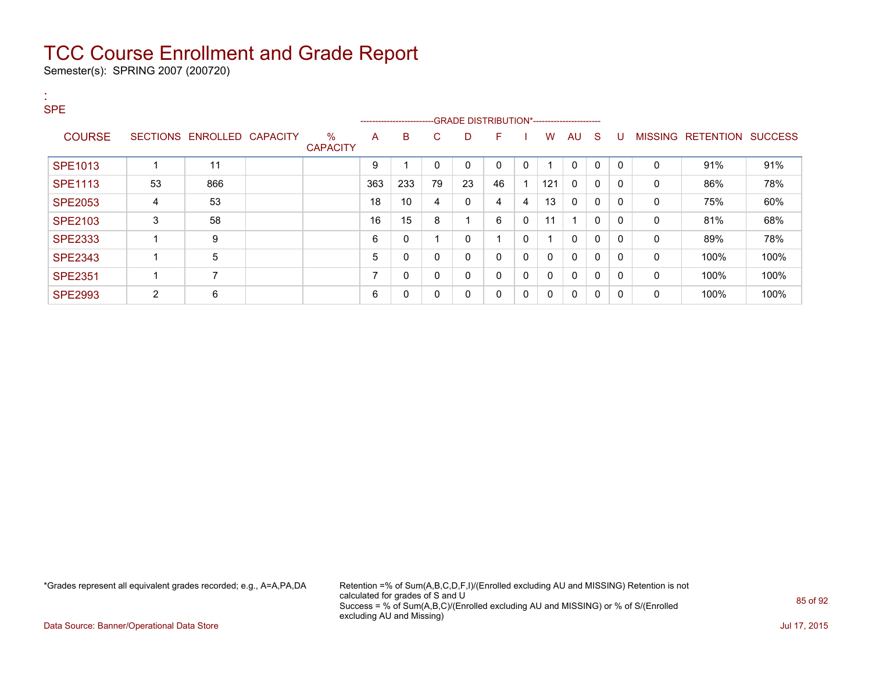Semester(s): SPRING 2007 (200720)

| <b>SPE</b>     |                |                            |                         |                | ------------------------ |    |    |              |   |          |              |              |              |              |                   |                |
|----------------|----------------|----------------------------|-------------------------|----------------|--------------------------|----|----|--------------|---|----------|--------------|--------------|--------------|--------------|-------------------|----------------|
| <b>COURSE</b>  |                | SECTIONS ENROLLED CAPACITY | $\%$<br><b>CAPACITY</b> | A              | B                        | C. | D  | F            |   | W        | AU           | $\mathbf{S}$ | U            |              | MISSING RETENTION | <b>SUCCESS</b> |
| <b>SPE1013</b> |                | 11                         |                         | 9              |                          |    | 0  | $\mathbf 0$  | 0 |          | $\Omega$     | $\Omega$     | $\mathbf{0}$ | $\Omega$     | 91%               | 91%            |
| <b>SPE1113</b> | 53             | 866                        |                         | 363            | 233                      | 79 | 23 | 46           |   | 121      | $\Omega$     | $\mathbf{0}$ | $\Omega$     | $\mathbf{0}$ | 86%               | 78%            |
| <b>SPE2053</b> | 4              | 53                         |                         | 18             | 10                       | 4  | 0  | 4            | 4 | 13       | $\Omega$     | 0            | $\Omega$     | $\mathbf{0}$ | 75%               | 60%            |
| <b>SPE2103</b> | 3              | 58                         |                         | 16             | 15                       | 8  |    | 6            | 0 | 11       | ٠            | 0            | $\mathbf{0}$ | 0            | 81%               | 68%            |
| <b>SPE2333</b> |                | 9                          |                         | 6              | 0                        |    | 0  |              | 0 |          | $\mathbf{0}$ | $\Omega$     | $\Omega$     | 0            | 89%               | 78%            |
| <b>SPE2343</b> |                | 5                          |                         | 5              | 0                        |    | 0  | 0            | 0 | $\Omega$ | $\Omega$     | $\mathbf{0}$ | $\Omega$     | $\mathbf{0}$ | 100%              | 100%           |
| <b>SPE2351</b> |                | 7                          |                         | $\overline{ }$ | 0                        | 0  | 0  | $\mathbf{0}$ | 0 | 0        | $\Omega$     | $\Omega$     | $\Omega$     | $\mathbf{0}$ | 100%              | 100%           |
| <b>SPE2993</b> | $\overline{2}$ | 6                          |                         | 6              | 0                        | 0  | 0  | 0            | 0 | $\Omega$ | 0            | 0            | 0            | 0            | 100%              | 100%           |

\*Grades represent all equivalent grades recorded; e.g., A=A,PA,DA Retention =% of Sum(A,B,C,D,F,I)/(Enrolled excluding AU and MISSING) Retention is not calculated for grades of S and U Success = % of Sum(A,B,C)/(Enrolled excluding AU and MISSING) or % of S/(Enrolled excluding AU and Missing)

Data Source: Banner/Operational Data Store Jul 17, 2015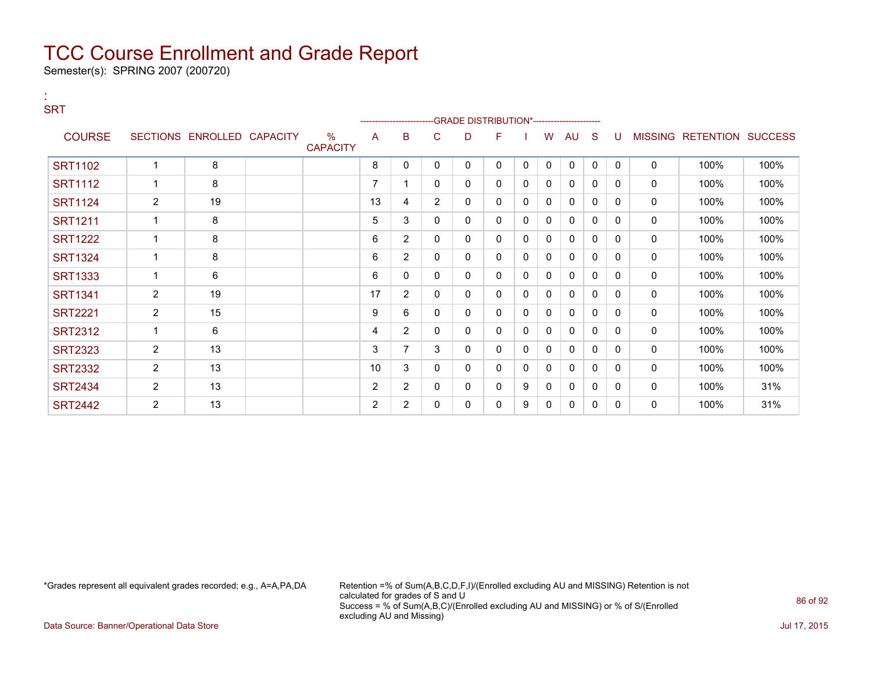Semester(s): SPRING 2007 (200720)

:

| <b>SRT</b>     |                |                            |                                  |    |                |                |   | -GRADE DISTRIBUTION*---------------------- |              |              |              |              |              |             |                           |      |
|----------------|----------------|----------------------------|----------------------------------|----|----------------|----------------|---|--------------------------------------------|--------------|--------------|--------------|--------------|--------------|-------------|---------------------------|------|
| <b>COURSE</b>  |                | SECTIONS ENROLLED CAPACITY | $\frac{0}{0}$<br><b>CAPACITY</b> | A  | B              | C              | D | F                                          |              | W            | AU           | S            | U            |             | MISSING RETENTION SUCCESS |      |
| <b>SRT1102</b> | $\mathbf{1}$   | 8                          |                                  | 8  | 0              | 0              | 0 | 0                                          | $\mathbf{0}$ | $\mathbf 0$  | $\mathbf 0$  | $\mathbf 0$  | $\Omega$     | $\mathbf 0$ | 100%                      | 100% |
| <b>SRT1112</b> | 1              | 8                          |                                  | 7  |                | 0              | 0 | 0                                          | 0            | 0            | $\mathbf{0}$ | $\mathbf{0}$ | $\Omega$     | 0           | 100%                      | 100% |
| <b>SRT1124</b> | $\overline{2}$ | 19                         |                                  | 13 | 4              | $\overline{2}$ | 0 | 0                                          | 0            | 0            | $\mathbf{0}$ | $\Omega$     | $\Omega$     | 0           | 100%                      | 100% |
| <b>SRT1211</b> | $\mathbf{1}$   | 8                          |                                  | 5  | 3              | 0              | 0 | 0                                          | 0            | $\mathbf{0}$ | 0            | $\mathbf{0}$ | 0            | 0           | 100%                      | 100% |
| <b>SRT1222</b> | 1              | 8                          |                                  | 6  | 2              | 0              | 0 | 0                                          | 0            | $\mathbf{0}$ | $\mathbf{0}$ | $\mathbf{0}$ | $\Omega$     | 0           | 100%                      | 100% |
| <b>SRT1324</b> | 1              | 8                          |                                  | 6  | $\overline{2}$ | 0              | 0 | 0                                          | 0            | 0            | 0            | 0            | 0            | 0           | 100%                      | 100% |
| <b>SRT1333</b> | 1              | 6                          |                                  | 6  | 0              | 0              | 0 | 0                                          | 0            | 0            | $\mathbf{0}$ | $\Omega$     | $\Omega$     | 0           | 100%                      | 100% |
| <b>SRT1341</b> | $\overline{2}$ | 19                         |                                  | 17 | $\overline{2}$ | 0              | 0 | 0                                          | 0            | 0            | 0            | 0            | $\Omega$     | 0           | 100%                      | 100% |
| <b>SRT2221</b> | $\overline{2}$ | 15                         |                                  | 9  | 6              | 0              | 0 | 0                                          | 0            | $\Omega$     | $\mathbf{0}$ | $\mathbf{0}$ | $\mathbf{0}$ | 0           | 100%                      | 100% |
| <b>SRT2312</b> | 1              | 6                          |                                  | 4  | $\overline{2}$ | 0              | 0 | 0                                          | 0            | 0            | $\mathbf{0}$ | $\mathbf{0}$ | $\Omega$     | 0           | 100%                      | 100% |
| <b>SRT2323</b> | $\overline{2}$ | 13                         |                                  | 3  | 7              | 3              | 0 | 0                                          | 0            | 0            | 0            | $\mathbf{0}$ | 0            | 0           | 100%                      | 100% |
| <b>SRT2332</b> | $\overline{2}$ | 13                         |                                  | 10 | 3              | 0              | 0 | 0                                          | 0            | 0            | $\Omega$     | $\Omega$     | $\Omega$     | 0           | 100%                      | 100% |
| <b>SRT2434</b> | $\overline{2}$ | 13                         |                                  | 2  | 2              | 0              | 0 | 0                                          | 9            | $\mathbf{0}$ | 0            | $\mathbf{0}$ | 0            | 0           | 100%                      | 31%  |
| <b>SRT2442</b> | $\overline{2}$ | 13                         |                                  | 2  | $\overline{2}$ | 0              | 0 | 0                                          | 9            | 0            | $\mathbf{0}$ | $\mathbf{0}$ | $\Omega$     | 0           | 100%                      | 31%  |

\*Grades represent all equivalent grades recorded; e.g., A=A,PA,DA Retention =% of Sum(A,B,C,D,F,I)/(Enrolled excluding AU and MISSING) Retention is not calculated for grades of S and U Success = % of Sum(A,B,C)/(Enrolled excluding AU and MISSING) or % of S/(Enrolled excluding AU and Missing)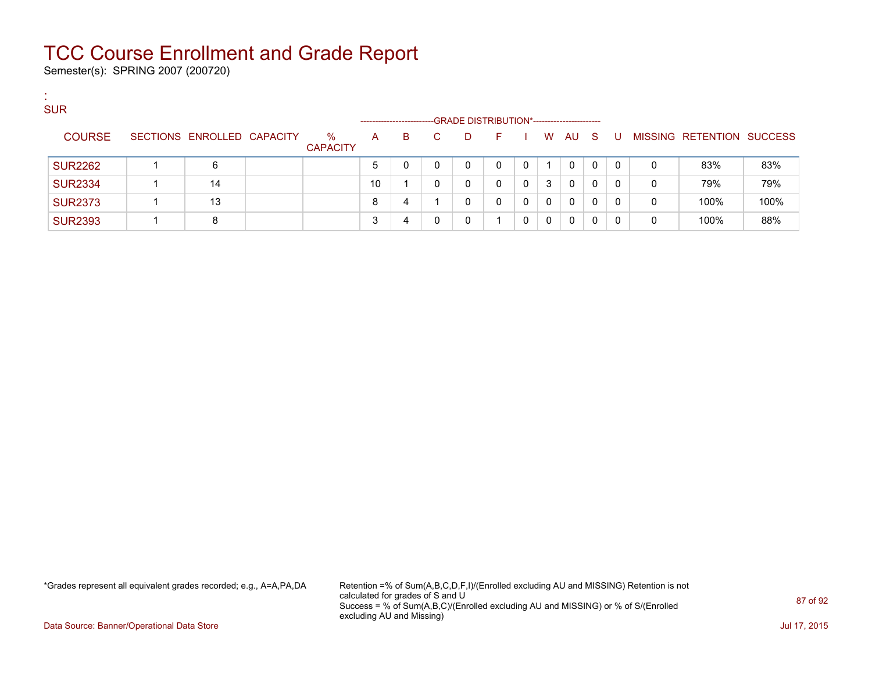Semester(s): SPRING 2007 (200720)

:

| <b>SUR</b>     |                            |                         |                                      |    |    |                                                  |   |          |    |          |          |          |   |                           |      |
|----------------|----------------------------|-------------------------|--------------------------------------|----|----|--------------------------------------------------|---|----------|----|----------|----------|----------|---|---------------------------|------|
| <b>COURSE</b>  | SECTIONS ENROLLED CAPACITY | $\%$<br><b>CAPACITY</b> | --------------------<br>$\mathsf{A}$ | B. | C. | -GRADE DISTRIBUTION*-----------------------<br>D | E |          | W. | AU.      | - S      | - U      |   | MISSING RETENTION SUCCESS |      |
| <b>SUR2262</b> | 6                          |                         | 5                                    |    |    | 0                                                |   | $\Omega$ |    | $\Omega$ | $\Omega$ | $\Omega$ | 0 | 83%                       | 83%  |
| <b>SUR2334</b> | 14                         |                         | 10                                   |    | 0  | 0                                                | 0 | 0        | 3  | $\Omega$ | $\Omega$ | $\Omega$ | 0 | 79%                       | 79%  |
| <b>SUR2373</b> | 13                         |                         | 8                                    | 4  |    | 0                                                |   | 0        | 0  | $\Omega$ | $\Omega$ | $\Omega$ | 0 | 100%                      | 100% |
| <b>SUR2393</b> | 8                          |                         |                                      |    |    | 0                                                |   | 0        | 0  | $\Omega$ | 0        | $\Omega$ | 0 | 100%                      | 88%  |

\*Grades represent all equivalent grades recorded; e.g., A=A,PA,DA Retention =% of Sum(A,B,C,D,F,I)/(Enrolled excluding AU and MISSING) Retention is not calculated for grades of S and U Success = % of Sum(A,B,C)/(Enrolled excluding AU and MISSING) or % of S/(Enrolled excluding AU and Missing)

Data Source: Banner/Operational Data Store **July 17, 2015**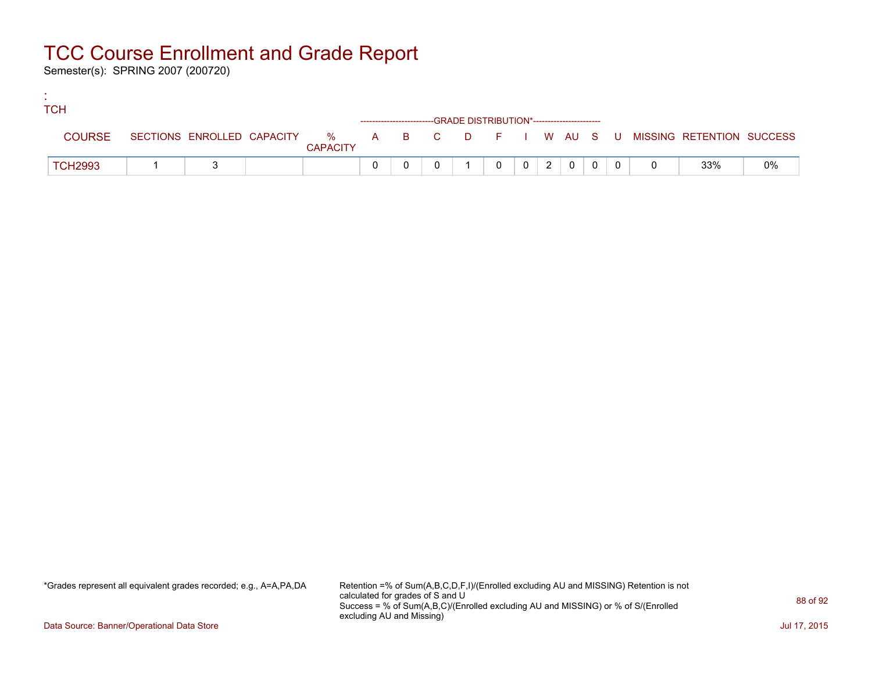Semester(s): SPRING 2007 (200720)

:

| <b>TCH</b>     |  |                 |  |                                                                    |          |                |                |                |          |  |                                                                             |    |
|----------------|--|-----------------|--|--------------------------------------------------------------------|----------|----------------|----------------|----------------|----------|--|-----------------------------------------------------------------------------|----|
|                |  |                 |  | ------------------------GRADE DISTRIBUTION*----------------------- |          |                |                |                |          |  |                                                                             |    |
| <b>COURSE</b>  |  | <b>CAPACITY</b> |  |                                                                    |          |                |                |                |          |  | SECTIONS ENROLLED CAPACITY % A B C D F I W AU S U MISSING RETENTION SUCCESS |    |
| <b>TCH2993</b> |  |                 |  |                                                                    | $\Omega$ | 0 <sup>1</sup> | 2 <sup>1</sup> | $\overline{0}$ | $\Omega$ |  | 33%                                                                         | 0% |

\*Grades represent all equivalent grades recorded; e.g., A=A,PA,DA Retention =% of Sum(A,B,C,D,F,I)/(Enrolled excluding AU and MISSING) Retention is not calculated for grades of S and U Success = % of Sum(A,B,C)/(Enrolled excluding AU and MISSING) or % of S/(Enrolled excluding AU and Missing)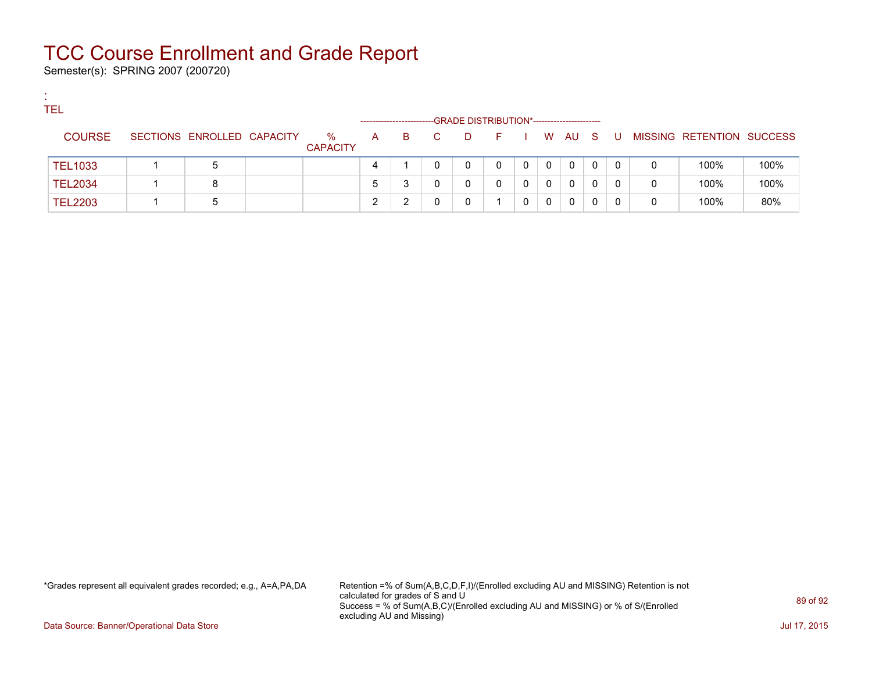Semester(s): SPRING 2007 (200720)

:

| <b>TEL</b>     |                            |                      |              |                         |    |                                             |            |   |          |              |   |     |   |                           |      |
|----------------|----------------------------|----------------------|--------------|-------------------------|----|---------------------------------------------|------------|---|----------|--------------|---|-----|---|---------------------------|------|
|                |                            |                      |              | ----------------------- |    | -GRADE DISTRIBUTION*----------------------- |            |   |          |              |   |     |   |                           |      |
| <b>COURSE</b>  | SECTIONS ENROLLED CAPACITY | %<br><b>CAPACITY</b> | $\mathsf{A}$ | B.                      | C. | D                                           | F I W AU S |   |          |              |   | . U |   | MISSING RETENTION SUCCESS |      |
| <b>TEL1033</b> | 5                          |                      | 4            |                         |    |                                             | 0          | 0 | $\Omega$ | $\mathbf 0$  | 0 | 0   | 0 | 100%                      | 100% |
| <b>TEL2034</b> | 8                          |                      | 5            |                         |    |                                             | 0          | 0 | 0        | 0            | 0 | 0   | 0 | 100%                      | 100% |
| <b>TEL2203</b> |                            |                      |              |                         |    |                                             |            | 0 | 0        | $\mathbf{0}$ | 0 | 0   | 0 | 100%                      | 80%  |

\*Grades represent all equivalent grades recorded; e.g., A=A,PA,DA Retention =% of Sum(A,B,C,D,F,I)/(Enrolled excluding AU and MISSING) Retention is not calculated for grades of S and U Success = % of Sum(A,B,C)/(Enrolled excluding AU and MISSING) or % of S/(Enrolled excluding AU and Missing)

Data Source: Banner/Operational Data Store Jul 17, 2015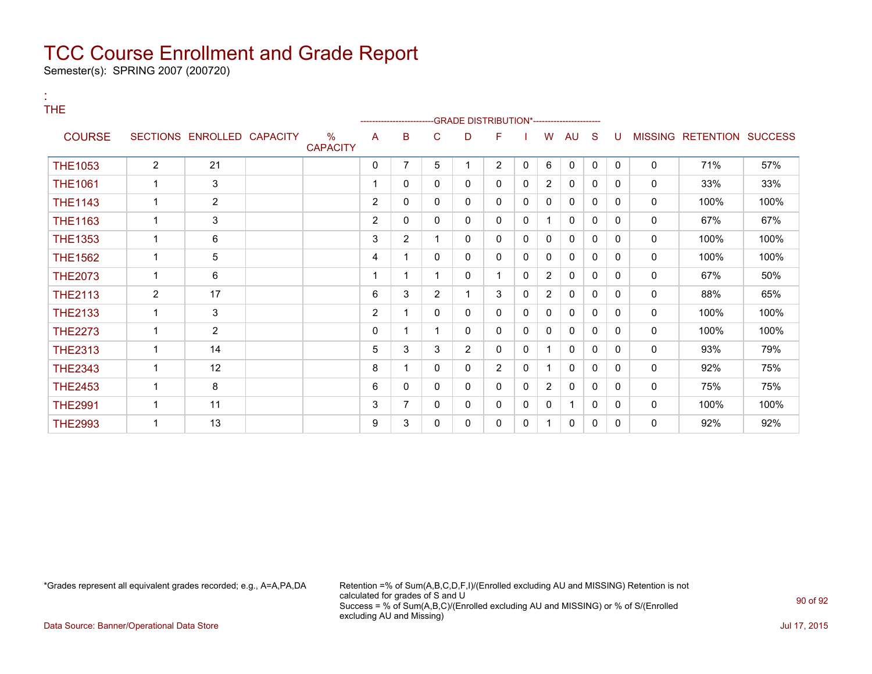Semester(s): SPRING 2007 (200720)

:

| THE            |                |                            |                         |                | ---------------- |                |                | -GRADE DISTRIBUTION*---------------------- |              |                |              |              |              |   |                           |      |
|----------------|----------------|----------------------------|-------------------------|----------------|------------------|----------------|----------------|--------------------------------------------|--------------|----------------|--------------|--------------|--------------|---|---------------------------|------|
| <b>COURSE</b>  |                | SECTIONS ENROLLED CAPACITY | $\%$<br><b>CAPACITY</b> | A              | B                | C              | D              | F                                          |              | W              | <b>AU</b>    | S            | U            |   | MISSING RETENTION SUCCESS |      |
| <b>THE1053</b> | $\overline{2}$ | 21                         |                         | 0              | 7                | 5              | $\mathbf 1$    | $\overline{2}$                             | $\mathbf{0}$ | 6              | 0            | 0            | $\Omega$     | 0 | 71%                       | 57%  |
| <b>THE1061</b> | 1              | 3                          |                         |                | 0                | 0              | 0              | 0                                          | 0            | $\overline{2}$ | 0            | 0            | 0            | 0 | 33%                       | 33%  |
| <b>THE1143</b> | 1              | $\overline{2}$             |                         | $\overline{2}$ | 0                | $\mathbf{0}$   | 0              | 0                                          | 0            | $\Omega$       | $\mathbf{0}$ | $\mathbf{0}$ | 0            | 0 | 100%                      | 100% |
| <b>THE1163</b> | 1              | 3                          |                         | $\overline{2}$ | 0                | $\mathbf{0}$   | 0              | 0                                          | 0            | 1              | $\mathbf{0}$ | $\mathbf{0}$ | $\Omega$     | 0 | 67%                       | 67%  |
| <b>THE1353</b> | 1              | 6                          |                         | 3              | $\overline{2}$   |                | 0              | 0                                          | $\mathbf{0}$ | 0              | 0            | $\mathbf{0}$ | $\mathbf{0}$ | 0 | 100%                      | 100% |
| <b>THE1562</b> | 1              | 5                          |                         | 4              |                  | 0              | 0              | 0                                          | 0            | 0              | 0            | 0            | 0            | 0 | 100%                      | 100% |
| <b>THE2073</b> | 1              | 6                          |                         |                |                  |                | 0              | 1                                          | 0            | $\overline{2}$ | 0            | 0            | 0            | 0 | 67%                       | 50%  |
| <b>THE2113</b> | $\overline{2}$ | 17                         |                         | 6              | 3                | $\overline{2}$ | $\mathbf{1}$   | 3                                          | 0            | $\overline{2}$ | 0            | 0            | 0            | 0 | 88%                       | 65%  |
| <b>THE2133</b> | 1              | 3                          |                         | $\overline{2}$ |                  | 0              | 0              | 0                                          | 0            | $\Omega$       | 0            | 0            | $\Omega$     | 0 | 100%                      | 100% |
| <b>THE2273</b> |                | 2                          |                         | 0              |                  |                | 0              | 0                                          | 0            | $\mathbf 0$    | $\mathbf{0}$ | $\Omega$     | 0            | 0 | 100%                      | 100% |
| <b>THE2313</b> | 1              | 14                         |                         | 5              | 3                | 3              | $\overline{2}$ | 0                                          | 0            | 1              | $\mathbf{0}$ | $\mathbf{0}$ | $\Omega$     | 0 | 93%                       | 79%  |
| <b>THE2343</b> | -1             | 12                         |                         | 8              |                  | 0              | 0              | $\overline{2}$                             | 0            | 1              | 0            | 0            | 0            | 0 | 92%                       | 75%  |
| <b>THE2453</b> | 1              | 8                          |                         | 6              | 0                | $\mathbf{0}$   | 0              | 0                                          | 0            | $\overline{2}$ | 0            | $\mathbf{0}$ | 0            | 0 | 75%                       | 75%  |
| <b>THE2991</b> | 1              | 11                         |                         | 3              | $\overline{7}$   | 0              | 0              | 0                                          | 0            | 0              | 1            | $\Omega$     | 0            | 0 | 100%                      | 100% |
| <b>THE2993</b> | 1              | 13                         |                         | 9              | 3                | 0              | 0              | 0                                          | 0            | 1              | $\mathbf{0}$ | 0            | 0            | 0 | 92%                       | 92%  |

\*Grades represent all equivalent grades recorded; e.g., A=A,PA,DA Retention =% of Sum(A,B,C,D,F,I)/(Enrolled excluding AU and MISSING) Retention is not calculated for grades of S and U Success = % of Sum(A,B,C)/(Enrolled excluding AU and MISSING) or % of S/(Enrolled excluding AU and Missing)

Data Source: Banner/Operational Data Store Jul 17, 2015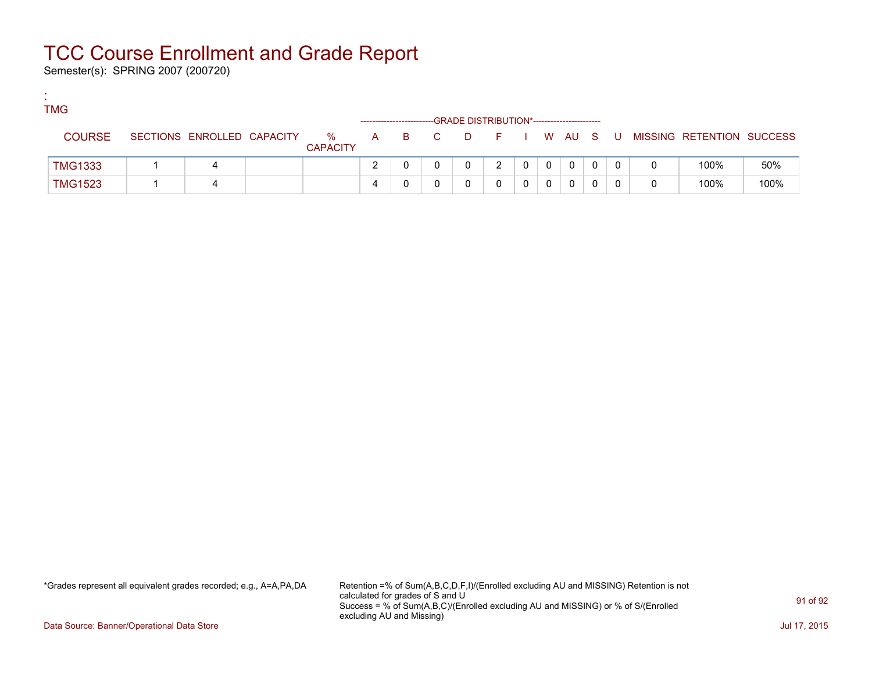Semester(s): SPRING 2007 (200720)

:

| <b>TMG</b>     |                            |                      |  |       | -GRADE DISTRIBUTION*----------------------- |         |   |          |   |                           |      |
|----------------|----------------------------|----------------------|--|-------|---------------------------------------------|---------|---|----------|---|---------------------------|------|
| <b>COURSE</b>  | SECTIONS ENROLLED CAPACITY | %<br><b>CAPACITY</b> |  | A B C | <b>D</b>                                    | $F = 1$ |   | I WAUS   | U | MISSING RETENTION SUCCESS |      |
| <b>TMG1333</b> |                            |                      |  |       | n.                                          |         | 0 | $\Omega$ |   | 100%                      | 50%  |
| <b>TMG1523</b> |                            |                      |  |       |                                             |         |   | 0        |   | 100%                      | 100% |

\*Grades represent all equivalent grades recorded; e.g., A=A,PA,DA Retention =% of Sum(A,B,C,D,F,I)/(Enrolled excluding AU and MISSING) Retention is not calculated for grades of S and U Success = % of Sum(A,B,C)/(Enrolled excluding AU and MISSING) or % of S/(Enrolled excluding AU and Missing)

Data Source: Banner/Operational Data Store Jul 17, 2015